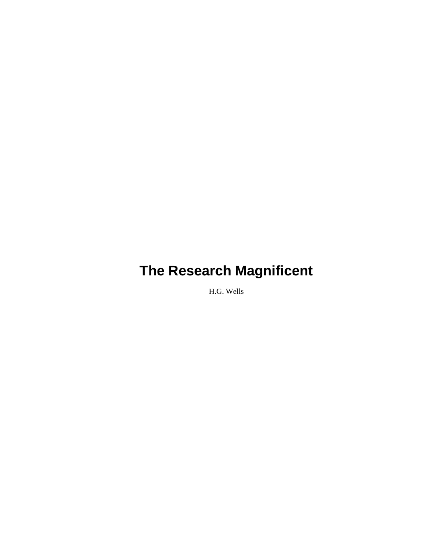H.G. Wells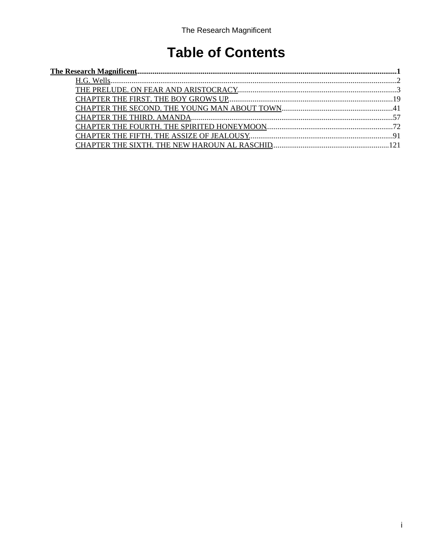# **Table of Contents**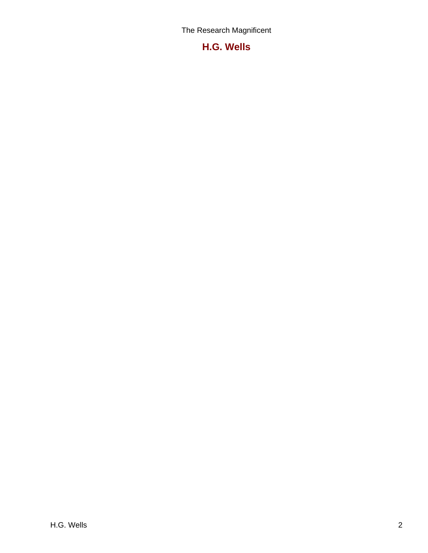<span id="page-4-0"></span>**H.G. Wells**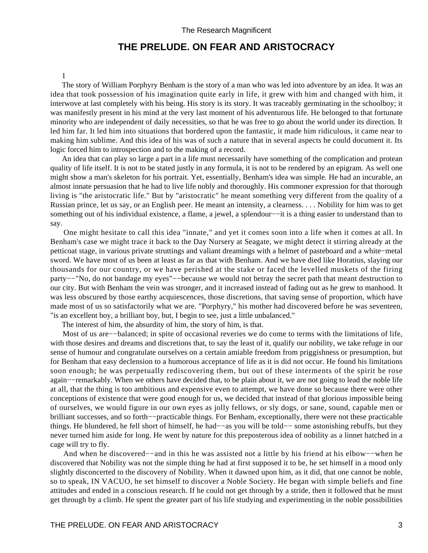## **THE PRELUDE. ON FEAR AND ARISTOCRACY**

#### 1

<span id="page-5-0"></span> The story of William Porphyry Benham is the story of a man who was led into adventure by an idea. It was an idea that took possession of his imagination quite early in life, it grew with him and changed with him, it interwove at last completely with his being. His story is its story. It was traceably germinating in the schoolboy; it was manifestly present in his mind at the very last moment of his adventurous life. He belonged to that fortunate minority who are independent of daily necessities, so that he was free to go about the world under its direction. It led him far. It led him into situations that bordered upon the fantastic, it made him ridiculous, it came near to making him sublime. And this idea of his was of such a nature that in several aspects he could document it. Its logic forced him to introspection and to the making of a record.

 An idea that can play so large a part in a life must necessarily have something of the complication and protean quality of life itself. It is not to be stated justly in any formula, it is not to be rendered by an epigram. As well one might show a man's skeleton for his portrait. Yet, essentially, Benham's idea was simple. He had an incurable, an almost innate persuasion that he had to live life nobly and thoroughly. His commoner expression for that thorough living is "the aristocratic life." But by "aristocratic" he meant something very different from the quality of a Russian prince, let us say, or an English peer. He meant an intensity, a clearness. . . . Nobility for him was to get something out of his individual existence, a flame, a jewel, a splendour—−it is a thing easier to understand than to say.

 One might hesitate to call this idea "innate," and yet it comes soon into a life when it comes at all. In Benham's case we might trace it back to the Day Nursery at Seagate, we might detect it stirring already at the petticoat stage, in various private struttings and valiant dreamings with a helmet of pasteboard and a white−metal sword. We have most of us been at least as far as that with Benham. And we have died like Horatius, slaying our thousands for our country, or we have perished at the stake or faced the levelled muskets of the firing party−−"No, do not bandage my eyes"−−because we would not betray the secret path that meant destruction to our city. But with Benham the vein was stronger, and it increased instead of fading out as he grew to manhood. It was less obscured by those earthy acquiescences, those discretions, that saving sense of proportion, which have made most of us so satisfactorily what we are. "Porphyry," his mother had discovered before he was seventeen, "is an excellent boy, a brilliant boy, but, I begin to see, just a little unbalanced."

The interest of him, the absurdity of him, the story of him, is that.

 Most of us are−−balanced; in spite of occasional reveries we do come to terms with the limitations of life, with those desires and dreams and discretions that, to say the least of it, qualify our nobility, we take refuge in our sense of humour and congratulate ourselves on a certain amiable freedom from priggishness or presumption, but for Benham that easy declension to a humorous acceptance of life as it is did not occur. He found his limitations soon enough; he was perpetually rediscovering them, but out of these interments of the spirit he rose again−−remarkably. When we others have decided that, to be plain about it, we are not going to lead the noble life at all, that the thing is too ambitious and expensive even to attempt, we have done so because there were other conceptions of existence that were good enough for us, we decided that instead of that glorious impossible being of ourselves, we would figure in our own eyes as jolly fellows, or sly dogs, or sane, sound, capable men or brilliant successes, and so forth−−practicable things. For Benham, exceptionally, there were not these practicable things. He blundered, he fell short of himself, he had−−as you will be told−− some astonishing rebuffs, but they never turned him aside for long. He went by nature for this preposterous idea of nobility as a linnet hatched in a cage will try to fly.

 And when he discovered−−and in this he was assisted not a little by his friend at his elbow−−when he discovered that Nobility was not the simple thing he had at first supposed it to be, he set himself in a mood only slightly disconcerted to the discovery of Nobility. When it dawned upon him, as it did, that one cannot be noble, so to speak, IN VACUO, he set himself to discover a Noble Society. He began with simple beliefs and fine attitudes and ended in a conscious research. If he could not get through by a stride, then it followed that he must get through by a climb. He spent the greater part of his life studying and experimenting in the noble possibilities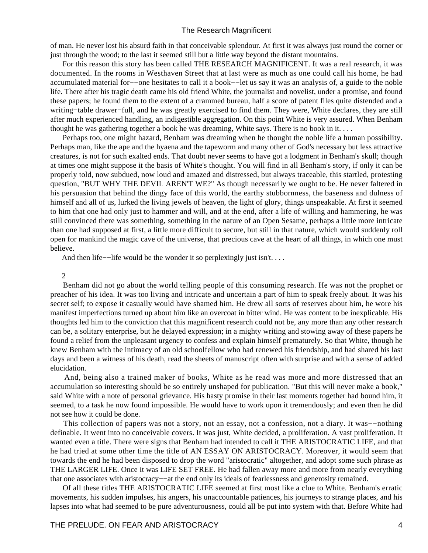of man. He never lost his absurd faith in that conceivable splendour. At first it was always just round the corner or just through the wood; to the last it seemed still but a little way beyond the distant mountains.

 For this reason this story has been called THE RESEARCH MAGNIFICENT. It was a real research, it was documented. In the rooms in Westhaven Street that at last were as much as one could call his home, he had accumulated material for−−one hesitates to call it a book−−let us say it was an analysis of, a guide to the noble life. There after his tragic death came his old friend White, the journalist and novelist, under a promise, and found these papers; he found them to the extent of a crammed bureau, half a score of patent files quite distended and a writing−table drawer−full, and he was greatly exercised to find them. They were, White declares, they are still after much experienced handling, an indigestible aggregation. On this point White is very assured. When Benham thought he was gathering together a book he was dreaming, White says. There is no book in it. . . .

 Perhaps too, one might hazard, Benham was dreaming when he thought the noble life a human possibility. Perhaps man, like the ape and the hyaena and the tapeworm and many other of God's necessary but less attractive creatures, is not for such exalted ends. That doubt never seems to have got a lodgment in Benham's skull; though at times one might suppose it the basis of White's thought. You will find in all Benham's story, if only it can be properly told, now subdued, now loud and amazed and distressed, but always traceable, this startled, protesting question, "BUT WHY THE DEVIL AREN'T WE?" As though necessarily we ought to be. He never faltered in his persuasion that behind the dingy face of this world, the earthy stubbornness, the baseness and dulness of himself and all of us, lurked the living jewels of heaven, the light of glory, things unspeakable. At first it seemed to him that one had only just to hammer and will, and at the end, after a life of willing and hammering, he was still convinced there was something, something in the nature of an Open Sesame, perhaps a little more intricate than one had supposed at first, a little more difficult to secure, but still in that nature, which would suddenly roll open for mankind the magic cave of the universe, that precious cave at the heart of all things, in which one must believe.

And then life−−life would be the wonder it so perplexingly just isn't. . . .

2

 Benham did not go about the world telling people of this consuming research. He was not the prophet or preacher of his idea. It was too living and intricate and uncertain a part of him to speak freely about. It was his secret self; to expose it casually would have shamed him. He drew all sorts of reserves about him, he wore his manifest imperfections turned up about him like an overcoat in bitter wind. He was content to be inexplicable. His thoughts led him to the conviction that this magnificent research could not be, any more than any other research can be, a solitary enterprise, but he delayed expression; in a mighty writing and stowing away of these papers he found a relief from the unpleasant urgency to confess and explain himself prematurely. So that White, though he knew Benham with the intimacy of an old schoolfellow who had renewed his friendship, and had shared his last days and been a witness of his death, read the sheets of manuscript often with surprise and with a sense of added elucidation.

 And, being also a trained maker of books, White as he read was more and more distressed that an accumulation so interesting should be so entirely unshaped for publication. "But this will never make a book," said White with a note of personal grievance. His hasty promise in their last moments together had bound him, it seemed, to a task he now found impossible. He would have to work upon it tremendously; and even then he did not see how it could be done.

 This collection of papers was not a story, not an essay, not a confession, not a diary. It was−−nothing definable. It went into no conceivable covers. It was just, White decided, a proliferation. A vast proliferation. It wanted even a title. There were signs that Benham had intended to call it THE ARISTOCRATIC LIFE, and that he had tried at some other time the title of AN ESSAY ON ARISTOCRACY. Moreover, it would seem that towards the end he had been disposed to drop the word "aristocratic" altogether, and adopt some such phrase as THE LARGER LIFE. Once it was LIFE SET FREE. He had fallen away more and more from nearly everything that one associates with aristocracy−−at the end only its ideals of fearlessness and generosity remained.

 Of all these titles THE ARISTOCRATIC LIFE seemed at first most like a clue to White. Benham's erratic movements, his sudden impulses, his angers, his unaccountable patiences, his journeys to strange places, and his lapses into what had seemed to be pure adventurousness, could all be put into system with that. Before White had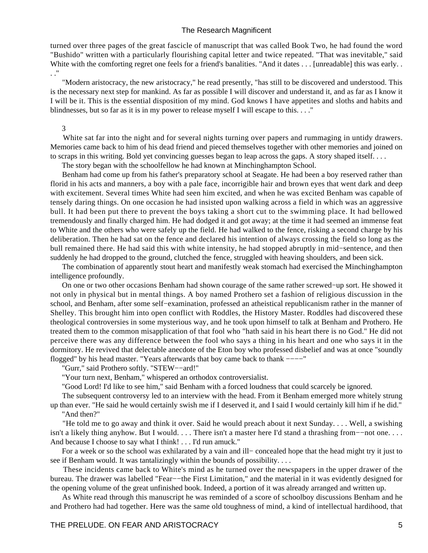turned over three pages of the great fascicle of manuscript that was called Book Two, he had found the word "Bushido" written with a particularly flourishing capital letter and twice repeated. "That was inevitable," said White with the comforting regret one feels for a friend's banalities. "And it dates . . . [unreadable] this was early. . . ."

 "Modern aristocracy, the new aristocracy," he read presently, "has still to be discovered and understood. This is the necessary next step for mankind. As far as possible I will discover and understand it, and as far as I know it I will be it. This is the essential disposition of my mind. God knows I have appetites and sloths and habits and blindnesses, but so far as it is in my power to release myself I will escape to this. . . . "

#### 3

 White sat far into the night and for several nights turning over papers and rummaging in untidy drawers. Memories came back to him of his dead friend and pieced themselves together with other memories and joined on to scraps in this writing. Bold yet convincing guesses began to leap across the gaps. A story shaped itself. . . .

The story began with the schoolfellow he had known at Minchinghampton School.

 Benham had come up from his father's preparatory school at Seagate. He had been a boy reserved rather than florid in his acts and manners, a boy with a pale face, incorrigible hair and brown eyes that went dark and deep with excitement. Several times White had seen him excited, and when he was excited Benham was capable of tensely daring things. On one occasion he had insisted upon walking across a field in which was an aggressive bull. It had been put there to prevent the boys taking a short cut to the swimming place. It had bellowed tremendously and finally charged him. He had dodged it and got away; at the time it had seemed an immense feat to White and the others who were safely up the field. He had walked to the fence, risking a second charge by his deliberation. Then he had sat on the fence and declared his intention of always crossing the field so long as the bull remained there. He had said this with white intensity, he had stopped abruptly in mid−sentence, and then suddenly he had dropped to the ground, clutched the fence, struggled with heaving shoulders, and been sick.

 The combination of apparently stout heart and manifestly weak stomach had exercised the Minchinghampton intelligence profoundly.

 On one or two other occasions Benham had shown courage of the same rather screwed−up sort. He showed it not only in physical but in mental things. A boy named Prothero set a fashion of religious discussion in the school, and Benham, after some self−examination, professed an atheistical republicanism rather in the manner of Shelley. This brought him into open conflict with Roddles, the History Master. Roddles had discovered these theological controversies in some mysterious way, and he took upon himself to talk at Benham and Prothero. He treated them to the common misapplication of that fool who "hath said in his heart there is no God." He did not perceive there was any difference between the fool who says a thing in his heart and one who says it in the dormitory. He revived that delectable anecdote of the Eton boy who professed disbelief and was at once "soundly flogged" by his head master. "Years afterwards that boy came back to thank −−−−"

"Gurr," said Prothero softly. "STEW−−ard!"

"Your turn next, Benham," whispered an orthodox controversialist.

"Good Lord! I'd like to see him," said Benham with a forced loudness that could scarcely be ignored.

 The subsequent controversy led to an interview with the head. From it Benham emerged more whitely strung up than ever. "He said he would certainly swish me if I deserved it, and I said I would certainly kill him if he did." "And then?"

 "He told me to go away and think it over. Said he would preach about it next Sunday. . . . Well, a swishing isn't a likely thing anyhow. But I would. . . . There isn't a master here I'd stand a thrashing from−−not one. . . . And because I choose to say what I think! . . . I'd run amuck."

 For a week or so the school was exhilarated by a vain and ill− concealed hope that the head might try it just to see if Benham would. It was tantalizingly within the bounds of possibility. . . .

 These incidents came back to White's mind as he turned over the newspapers in the upper drawer of the bureau. The drawer was labelled "Fear−−the First Limitation," and the material in it was evidently designed for the opening volume of the great unfinished book. Indeed, a portion of it was already arranged and written up.

 As White read through this manuscript he was reminded of a score of schoolboy discussions Benham and he and Prothero had had together. Here was the same old toughness of mind, a kind of intellectual hardihood, that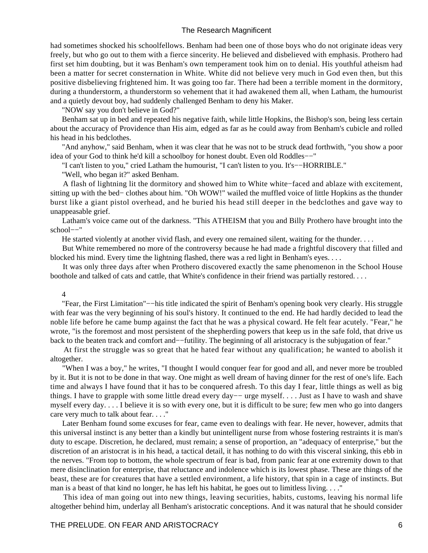had sometimes shocked his schoolfellows. Benham had been one of those boys who do not originate ideas very freely, but who go out to them with a fierce sincerity. He believed and disbelieved with emphasis. Prothero had first set him doubting, but it was Benham's own temperament took him on to denial. His youthful atheism had been a matter for secret consternation in White. White did not believe very much in God even then, but this positive disbelieving frightened him. It was going too far. There had been a terrible moment in the dormitory, during a thunderstorm, a thunderstorm so vehement that it had awakened them all, when Latham, the humourist and a quietly devout boy, had suddenly challenged Benham to deny his Maker.

"NOW say you don't believe in God?"

 Benham sat up in bed and repeated his negative faith, while little Hopkins, the Bishop's son, being less certain about the accuracy of Providence than His aim, edged as far as he could away from Benham's cubicle and rolled his head in his bedclothes.

 "And anyhow," said Benham, when it was clear that he was not to be struck dead forthwith, "you show a poor idea of your God to think he'd kill a schoolboy for honest doubt. Even old Roddles−−"

"I can't listen to you," cried Latham the humourist, "I can't listen to you. It's−−HORRIBLE."

"Well, who began it?" asked Benham.

 A flash of lightning lit the dormitory and showed him to White white−faced and ablaze with excitement, sitting up with the bed− clothes about him. "Oh WOW!" wailed the muffled voice of little Hopkins as the thunder burst like a giant pistol overhead, and he buried his head still deeper in the bedclothes and gave way to unappeasable grief.

 Latham's voice came out of the darkness. "This ATHEISM that you and Billy Prothero have brought into the school−−"

He started violently at another vivid flash, and every one remained silent, waiting for the thunder. . . .

 But White remembered no more of the controversy because he had made a frightful discovery that filled and blocked his mind. Every time the lightning flashed, there was a red light in Benham's eyes. . . .

 It was only three days after when Prothero discovered exactly the same phenomenon in the School House boothole and talked of cats and cattle, that White's confidence in their friend was partially restored. . . .

#### 4

 "Fear, the First Limitation"−−his title indicated the spirit of Benham's opening book very clearly. His struggle with fear was the very beginning of his soul's history. It continued to the end. He had hardly decided to lead the noble life before he came bump against the fact that he was a physical coward. He felt fear acutely. "Fear," he wrote, "is the foremost and most persistent of the shepherding powers that keep us in the safe fold, that drive us back to the beaten track and comfort and−−futility. The beginning of all aristocracy is the subjugation of fear."

 At first the struggle was so great that he hated fear without any qualification; he wanted to abolish it altogether.

 "When I was a boy," he writes, "I thought I would conquer fear for good and all, and never more be troubled by it. But it is not to be done in that way. One might as well dream of having dinner for the rest of one's life. Each time and always I have found that it has to be conquered afresh. To this day I fear, little things as well as big things. I have to grapple with some little dread every day−− urge myself. . . . Just as I have to wash and shave myself every day. . . . I believe it is so with every one, but it is difficult to be sure; few men who go into dangers care very much to talk about fear. . . ."

 Later Benham found some excuses for fear, came even to dealings with fear. He never, however, admits that this universal instinct is any better than a kindly but unintelligent nurse from whose fostering restraints it is man's duty to escape. Discretion, he declared, must remain; a sense of proportion, an "adequacy of enterprise," but the discretion of an aristocrat is in his head, a tactical detail, it has nothing to do with this visceral sinking, this ebb in the nerves. "From top to bottom, the whole spectrum of fear is bad, from panic fear at one extremity down to that mere disinclination for enterprise, that reluctance and indolence which is its lowest phase. These are things of the beast, these are for creatures that have a settled environment, a life history, that spin in a cage of instincts. But man is a beast of that kind no longer, he has left his habitat, he goes out to limitless living. . . ."

 This idea of man going out into new things, leaving securities, habits, customs, leaving his normal life altogether behind him, underlay all Benham's aristocratic conceptions. And it was natural that he should consider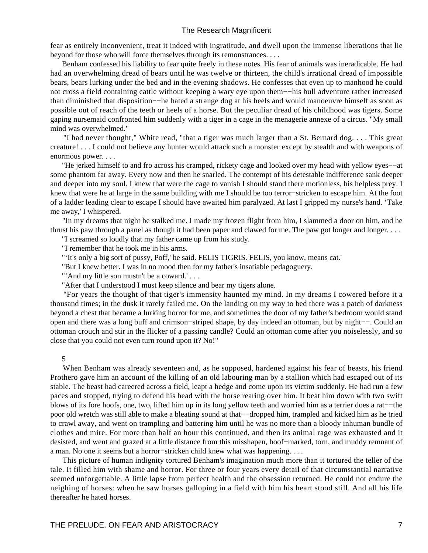fear as entirely inconvenient, treat it indeed with ingratitude, and dwell upon the immense liberations that lie beyond for those who will force themselves through its remonstrances. . . .

 Benham confessed his liability to fear quite freely in these notes. His fear of animals was ineradicable. He had had an overwhelming dread of bears until he was twelve or thirteen, the child's irrational dread of impossible bears, bears lurking under the bed and in the evening shadows. He confesses that even up to manhood he could not cross a field containing cattle without keeping a wary eye upon them−−his bull adventure rather increased than diminished that disposition−−he hated a strange dog at his heels and would manoeuvre himself as soon as possible out of reach of the teeth or heels of a horse. But the peculiar dread of his childhood was tigers. Some gaping nursemaid confronted him suddenly with a tiger in a cage in the menagerie annexe of a circus. "My small mind was overwhelmed."

 "I had never thought," White read, "that a tiger was much larger than a St. Bernard dog. . . . This great creature! . . . I could not believe any hunter would attack such a monster except by stealth and with weapons of enormous power. . . .

 "He jerked himself to and fro across his cramped, rickety cage and looked over my head with yellow eyes−−at some phantom far away. Every now and then he snarled. The contempt of his detestable indifference sank deeper and deeper into my soul. I knew that were the cage to vanish I should stand there motionless, his helpless prey. I knew that were he at large in the same building with me I should be too terror−stricken to escape him. At the foot of a ladder leading clear to escape I should have awaited him paralyzed. At last I gripped my nurse's hand. 'Take me away,' I whispered.

 "In my dreams that night he stalked me. I made my frozen flight from him, I slammed a door on him, and he thrust his paw through a panel as though it had been paper and clawed for me. The paw got longer and longer. . . .

"I screamed so loudly that my father came up from his study.

"I remember that he took me in his arms.

"'It's only a big sort of pussy, Poff,' he said. FELIS TIGRIS. FELIS, you know, means cat.'

"But I knew better. I was in no mood then for my father's insatiable pedagoguery.

"'And my little son mustn't be a coward.' . . .

"After that I understood I must keep silence and bear my tigers alone.

 "For years the thought of that tiger's immensity haunted my mind. In my dreams I cowered before it a thousand times; in the dusk it rarely failed me. On the landing on my way to bed there was a patch of darkness beyond a chest that became a lurking horror for me, and sometimes the door of my father's bedroom would stand open and there was a long buff and crimson−striped shape, by day indeed an ottoman, but by night−−. Could an ottoman crouch and stir in the flicker of a passing candle? Could an ottoman come after you noiselessly, and so close that you could not even turn round upon it? No!"

#### 5

 When Benham was already seventeen and, as he supposed, hardened against his fear of beasts, his friend Prothero gave him an account of the killing of an old labouring man by a stallion which had escaped out of its stable. The beast had careered across a field, leapt a hedge and come upon its victim suddenly. He had run a few paces and stopped, trying to defend his head with the horse rearing over him. It beat him down with two swift blows of its fore hoofs, one, two, lifted him up in its long yellow teeth and worried him as a terrier does a rat−−the poor old wretch was still able to make a bleating sound at that−−dropped him, trampled and kicked him as he tried to crawl away, and went on trampling and battering him until he was no more than a bloody inhuman bundle of clothes and mire. For more than half an hour this continued, and then its animal rage was exhausted and it desisted, and went and grazed at a little distance from this misshapen, hoof−marked, torn, and muddy remnant of a man. No one it seems but a horror−stricken child knew what was happening. . . .

 This picture of human indignity tortured Benham's imagination much more than it tortured the teller of the tale. It filled him with shame and horror. For three or four years every detail of that circumstantial narrative seemed unforgettable. A little lapse from perfect health and the obsession returned. He could not endure the neighing of horses: when he saw horses galloping in a field with him his heart stood still. And all his life thereafter he hated horses.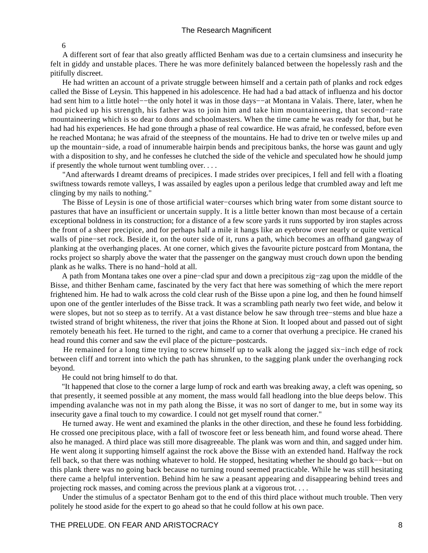6

 A different sort of fear that also greatly afflicted Benham was due to a certain clumsiness and insecurity he felt in giddy and unstable places. There he was more definitely balanced between the hopelessly rash and the pitifully discreet.

 He had written an account of a private struggle between himself and a certain path of planks and rock edges called the Bisse of Leysin. This happened in his adolescence. He had had a bad attack of influenza and his doctor had sent him to a little hotel−−the only hotel it was in those days−−at Montana in Valais. There, later, when he had picked up his strength, his father was to join him and take him mountaineering, that second−rate mountaineering which is so dear to dons and schoolmasters. When the time came he was ready for that, but he had had his experiences. He had gone through a phase of real cowardice. He was afraid, he confessed, before even he reached Montana; he was afraid of the steepness of the mountains. He had to drive ten or twelve miles up and up the mountain−side, a road of innumerable hairpin bends and precipitous banks, the horse was gaunt and ugly with a disposition to shy, and he confesses he clutched the side of the vehicle and speculated how he should jump if presently the whole turnout went tumbling over. . . .

 "And afterwards I dreamt dreams of precipices. I made strides over precipices, I fell and fell with a floating swiftness towards remote valleys, I was assailed by eagles upon a perilous ledge that crumbled away and left me clinging by my nails to nothing."

 The Bisse of Leysin is one of those artificial water−courses which bring water from some distant source to pastures that have an insufficient or uncertain supply. It is a little better known than most because of a certain exceptional boldness in its construction; for a distance of a few score yards it runs supported by iron staples across the front of a sheer precipice, and for perhaps half a mile it hangs like an eyebrow over nearly or quite vertical walls of pine−set rock. Beside it, on the outer side of it, runs a path, which becomes an offhand gangway of planking at the overhanging places. At one corner, which gives the favourite picture postcard from Montana, the rocks project so sharply above the water that the passenger on the gangway must crouch down upon the bending plank as he walks. There is no hand−hold at all.

 A path from Montana takes one over a pine−clad spur and down a precipitous zig−zag upon the middle of the Bisse, and thither Benham came, fascinated by the very fact that here was something of which the mere report frightened him. He had to walk across the cold clear rush of the Bisse upon a pine log, and then he found himself upon one of the gentler interludes of the Bisse track. It was a scrambling path nearly two feet wide, and below it were slopes, but not so steep as to terrify. At a vast distance below he saw through tree−stems and blue haze a twisted strand of bright whiteness, the river that joins the Rhone at Sion. It looped about and passed out of sight remotely beneath his feet. He turned to the right, and came to a corner that overhung a precipice. He craned his head round this corner and saw the evil place of the picture−postcards.

 He remained for a long time trying to screw himself up to walk along the jagged six−inch edge of rock between cliff and torrent into which the path has shrunken, to the sagging plank under the overhanging rock beyond.

He could not bring himself to do that.

 "It happened that close to the corner a large lump of rock and earth was breaking away, a cleft was opening, so that presently, it seemed possible at any moment, the mass would fall headlong into the blue deeps below. This impending avalanche was not in my path along the Bisse, it was no sort of danger to me, but in some way its insecurity gave a final touch to my cowardice. I could not get myself round that corner."

 He turned away. He went and examined the planks in the other direction, and these he found less forbidding. He crossed one precipitous place, with a fall of twoscore feet or less beneath him, and found worse ahead. There also he managed. A third place was still more disagreeable. The plank was worn and thin, and sagged under him. He went along it supporting himself against the rock above the Bisse with an extended hand. Halfway the rock fell back, so that there was nothing whatever to hold. He stopped, hesitating whether he should go back−−but on this plank there was no going back because no turning round seemed practicable. While he was still hesitating there came a helpful intervention. Behind him he saw a peasant appearing and disappearing behind trees and projecting rock masses, and coming across the previous plank at a vigorous trot. . . .

 Under the stimulus of a spectator Benham got to the end of this third place without much trouble. Then very politely he stood aside for the expert to go ahead so that he could follow at his own pace.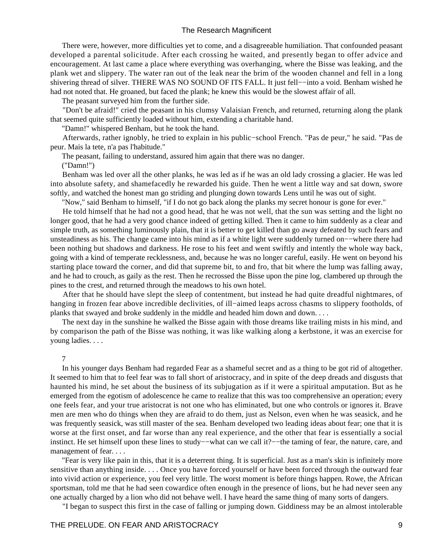There were, however, more difficulties yet to come, and a disagreeable humiliation. That confounded peasant developed a parental solicitude. After each crossing he waited, and presently began to offer advice and encouragement. At last came a place where everything was overhanging, where the Bisse was leaking, and the plank wet and slippery. The water ran out of the leak near the brim of the wooden channel and fell in a long shivering thread of silver. THERE WAS NO SOUND OF ITS FALL. It just fell−−into a void. Benham wished he had not noted that. He groaned, but faced the plank; he knew this would be the slowest affair of all.

The peasant surveyed him from the further side.

 "Don't be afraid!" cried the peasant in his clumsy Valaisian French, and returned, returning along the plank that seemed quite sufficiently loaded without him, extending a charitable hand.

"Damn!" whispered Benham, but he took the hand.

 Afterwards, rather ignobly, he tried to explain in his public−school French. "Pas de peur," he said. "Pas de peur. Mais la tete, n'a pas l'habitude."

The peasant, failing to understand, assured him again that there was no danger.

("Damn!")

 Benham was led over all the other planks, he was led as if he was an old lady crossing a glacier. He was led into absolute safety, and shamefacedly he rewarded his guide. Then he went a little way and sat down, swore softly, and watched the honest man go striding and plunging down towards Lens until he was out of sight.

"Now," said Benham to himself, "if I do not go back along the planks my secret honour is gone for ever."

 He told himself that he had not a good head, that he was not well, that the sun was setting and the light no longer good, that he had a very good chance indeed of getting killed. Then it came to him suddenly as a clear and simple truth, as something luminously plain, that it is better to get killed than go away defeated by such fears and unsteadiness as his. The change came into his mind as if a white light were suddenly turned on−−where there had been nothing but shadows and darkness. He rose to his feet and went swiftly and intently the whole way back, going with a kind of temperate recklessness, and, because he was no longer careful, easily. He went on beyond his starting place toward the corner, and did that supreme bit, to and fro, that bit where the lump was falling away, and he had to crouch, as gaily as the rest. Then he recrossed the Bisse upon the pine log, clambered up through the pines to the crest, and returned through the meadows to his own hotel.

 After that he should have slept the sleep of contentment, but instead he had quite dreadful nightmares, of hanging in frozen fear above incredible declivities, of ill−aimed leaps across chasms to slippery footholds, of planks that swayed and broke suddenly in the middle and headed him down and down. . . .

 The next day in the sunshine he walked the Bisse again with those dreams like trailing mists in his mind, and by comparison the path of the Bisse was nothing, it was like walking along a kerbstone, it was an exercise for young ladies. . . .

7

 In his younger days Benham had regarded Fear as a shameful secret and as a thing to be got rid of altogether. It seemed to him that to feel fear was to fall short of aristocracy, and in spite of the deep dreads and disgusts that haunted his mind, he set about the business of its subjugation as if it were a spiritual amputation. But as he emerged from the egotism of adolescence he came to realize that this was too comprehensive an operation; every one feels fear, and your true aristocrat is not one who has eliminated, but one who controls or ignores it. Brave men are men who do things when they are afraid to do them, just as Nelson, even when he was seasick, and he was frequently seasick, was still master of the sea. Benham developed two leading ideas about fear; one that it is worse at the first onset, and far worse than any real experience, and the other that fear is essentially a social instinct. He set himself upon these lines to study−−what can we call it?−−the taming of fear, the nature, care, and management of fear. . . .

 "Fear is very like pain in this, that it is a deterrent thing. It is superficial. Just as a man's skin is infinitely more sensitive than anything inside. . . . Once you have forced yourself or have been forced through the outward fear into vivid action or experience, you feel very little. The worst moment is before things happen. Rowe, the African sportsman, told me that he had seen cowardice often enough in the presence of lions, but he had never seen any one actually charged by a lion who did not behave well. I have heard the same thing of many sorts of dangers.

"I began to suspect this first in the case of falling or jumping down. Giddiness may be an almost intolerable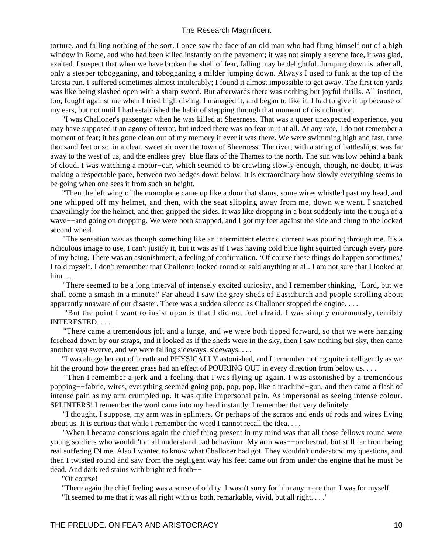torture, and falling nothing of the sort. I once saw the face of an old man who had flung himself out of a high window in Rome, and who had been killed instantly on the pavement; it was not simply a serene face, it was glad, exalted. I suspect that when we have broken the shell of fear, falling may be delightful. Jumping down is, after all, only a steeper tobogganing, and tobogganing a milder jumping down. Always I used to funk at the top of the Cresta run. I suffered sometimes almost intolerably; I found it almost impossible to get away. The first ten yards was like being slashed open with a sharp sword. But afterwards there was nothing but joyful thrills. All instinct, too, fought against me when I tried high diving. I managed it, and began to like it. I had to give it up because of my ears, but not until I had established the habit of stepping through that moment of disinclination.

 "I was Challoner's passenger when he was killed at Sheerness. That was a queer unexpected experience, you may have supposed it an agony of terror, but indeed there was no fear in it at all. At any rate, I do not remember a moment of fear; it has gone clean out of my memory if ever it was there. We were swimming high and fast, three thousand feet or so, in a clear, sweet air over the town of Sheerness. The river, with a string of battleships, was far away to the west of us, and the endless grey−blue flats of the Thames to the north. The sun was low behind a bank of cloud. I was watching a motor−car, which seemed to be crawling slowly enough, though, no doubt, it was making a respectable pace, between two hedges down below. It is extraordinary how slowly everything seems to be going when one sees it from such an height.

 "Then the left wing of the monoplane came up like a door that slams, some wires whistled past my head, and one whipped off my helmet, and then, with the seat slipping away from me, down we went. I snatched unavailingly for the helmet, and then gripped the sides. It was like dropping in a boat suddenly into the trough of a wave−−and going on dropping. We were both strapped, and I got my feet against the side and clung to the locked second wheel.

 "The sensation was as though something like an intermittent electric current was pouring through me. It's a ridiculous image to use, I can't justify it, but it was as if I was having cold blue light squirted through every pore of my being. There was an astonishment, a feeling of confirmation. 'Of course these things do happen sometimes,' I told myself. I don't remember that Challoner looked round or said anything at all. I am not sure that I looked at him. . . .

 "There seemed to be a long interval of intensely excited curiosity, and I remember thinking, 'Lord, but we shall come a smash in a minute!' Far ahead I saw the grey sheds of Eastchurch and people strolling about apparently unaware of our disaster. There was a sudden silence as Challoner stopped the engine. . . .

 "But the point I want to insist upon is that I did not feel afraid. I was simply enormously, terribly INTERESTED. . . .

 "There came a tremendous jolt and a lunge, and we were both tipped forward, so that we were hanging forehead down by our straps, and it looked as if the sheds were in the sky, then I saw nothing but sky, then came another vast swerve, and we were falling sideways, sideways. . . .

 "I was altogether out of breath and PHYSICALLY astonished, and I remember noting quite intelligently as we hit the ground how the green grass had an effect of POURING OUT in every direction from below us. . . .

 "Then I remember a jerk and a feeling that I was flying up again. I was astonished by a tremendous popping−−fabric, wires, everything seemed going pop, pop, pop, like a machine−gun, and then came a flash of intense pain as my arm crumpled up. It was quite impersonal pain. As impersonal as seeing intense colour. SPLINTERS! I remember the word came into my head instantly. I remember that very definitely.

 "I thought, I suppose, my arm was in splinters. Or perhaps of the scraps and ends of rods and wires flying about us. It is curious that while I remember the word I cannot recall the idea. . . .

 "When I became conscious again the chief thing present in my mind was that all those fellows round were young soldiers who wouldn't at all understand bad behaviour. My arm was−−orchestral, but still far from being real suffering IN me. Also I wanted to know what Challoner had got. They wouldn't understand my questions, and then I twisted round and saw from the negligent way his feet came out from under the engine that he must be dead. And dark red stains with bright red froth−−

"Of course!

"There again the chief feeling was a sense of oddity. I wasn't sorry for him any more than I was for myself.

"It seemed to me that it was all right with us both, remarkable, vivid, but all right. . . ."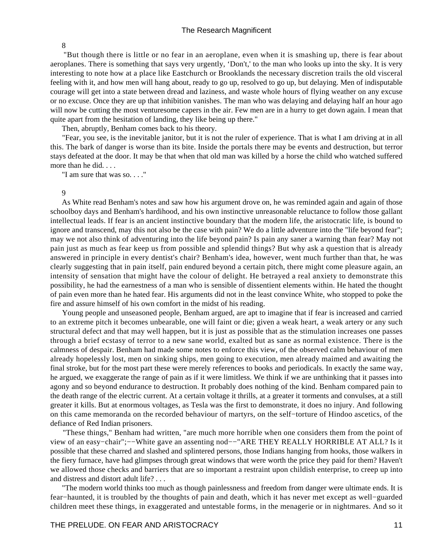#### 8

 "But though there is little or no fear in an aeroplane, even when it is smashing up, there is fear about aeroplanes. There is something that says very urgently, 'Don't,' to the man who looks up into the sky. It is very interesting to note how at a place like Eastchurch or Brooklands the necessary discretion trails the old visceral feeling with it, and how men will hang about, ready to go up, resolved to go up, but delaying. Men of indisputable courage will get into a state between dread and laziness, and waste whole hours of flying weather on any excuse or no excuse. Once they are up that inhibition vanishes. The man who was delaying and delaying half an hour ago will now be cutting the most venturesome capers in the air. Few men are in a hurry to get down again. I mean that quite apart from the hesitation of landing, they like being up there."

Then, abruptly, Benham comes back to his theory.

 "Fear, you see, is the inevitable janitor, but it is not the ruler of experience. That is what I am driving at in all this. The bark of danger is worse than its bite. Inside the portals there may be events and destruction, but terror stays defeated at the door. It may be that when that old man was killed by a horse the child who watched suffered more than he did. . . .

"I am sure that was so. . . ."

#### 9

 As White read Benham's notes and saw how his argument drove on, he was reminded again and again of those schoolboy days and Benham's hardihood, and his own instinctive unreasonable reluctance to follow those gallant intellectual leads. If fear is an ancient instinctive boundary that the modern life, the aristocratic life, is bound to ignore and transcend, may this not also be the case with pain? We do a little adventure into the "life beyond fear"; may we not also think of adventuring into the life beyond pain? Is pain any saner a warning than fear? May not pain just as much as fear keep us from possible and splendid things? But why ask a question that is already answered in principle in every dentist's chair? Benham's idea, however, went much further than that, he was clearly suggesting that in pain itself, pain endured beyond a certain pitch, there might come pleasure again, an intensity of sensation that might have the colour of delight. He betrayed a real anxiety to demonstrate this possibility, he had the earnestness of a man who is sensible of dissentient elements within. He hated the thought of pain even more than he hated fear. His arguments did not in the least convince White, who stopped to poke the fire and assure himself of his own comfort in the midst of his reading.

 Young people and unseasoned people, Benham argued, are apt to imagine that if fear is increased and carried to an extreme pitch it becomes unbearable, one will faint or die; given a weak heart, a weak artery or any such structural defect and that may well happen, but it is just as possible that as the stimulation increases one passes through a brief ecstasy of terror to a new sane world, exalted but as sane as normal existence. There is the calmness of despair. Benham had made some notes to enforce this view, of the observed calm behaviour of men already hopelessly lost, men on sinking ships, men going to execution, men already maimed and awaiting the final stroke, but for the most part these were merely references to books and periodicals. In exactly the same way, he argued, we exaggerate the range of pain as if it were limitless. We think if we are unthinking that it passes into agony and so beyond endurance to destruction. It probably does nothing of the kind. Benham compared pain to the death range of the electric current. At a certain voltage it thrills, at a greater it torments and convulses, at a still greater it kills. But at enormous voltages, as Tesla was the first to demonstrate, it does no injury. And following on this came memoranda on the recorded behaviour of martyrs, on the self−torture of Hindoo ascetics, of the defiance of Red Indian prisoners.

 "These things," Benham had written, "are much more horrible when one considers them from the point of view of an easy−chair";−−White gave an assenting nod−−"ARE THEY REALLY HORRIBLE AT ALL? Is it possible that these charred and slashed and splintered persons, those Indians hanging from hooks, those walkers in the fiery furnace, have had glimpses through great windows that were worth the price they paid for them? Haven't we allowed those checks and barriers that are so important a restraint upon childish enterprise, to creep up into and distress and distort adult life? . . .

 "The modern world thinks too much as though painlessness and freedom from danger were ultimate ends. It is fear−haunted, it is troubled by the thoughts of pain and death, which it has never met except as well−guarded children meet these things, in exaggerated and untestable forms, in the menagerie or in nightmares. And so it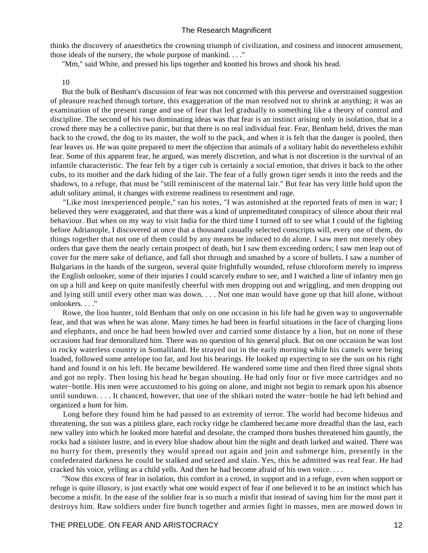thinks the discovery of anaesthetics the crowning triumph of civilization, and cosiness and innocent amusement, those ideals of the nursery, the whole purpose of mankind. . . ."

"Mm," said White, and pressed his lips together and knotted his brows and shook his head.

10

 But the bulk of Benham's discussion of fear was not concerned with this perverse and overstrained suggestion of pleasure reached through torture, this exaggeration of the man resolved not to shrink at anything; it was an examination of the present range and use of fear that led gradually to something like a theory of control and discipline. The second of his two dominating ideas was that fear is an instinct arising only in isolation, that in a crowd there may be a collective panic, but that there is no real individual fear. Fear, Benham held, drives the man back to the crowd, the dog to its master, the wolf to the pack, and when it is felt that the danger is pooled, then fear leaves us. He was quite prepared to meet the objection that animals of a solitary habit do nevertheless exhibit fear. Some of this apparent fear, he argued, was merely discretion, and what is not discretion is the survival of an infantile characteristic. The fear felt by a tiger cub is certainly a social emotion, that drives it back to the other cubs, to its mother and the dark hiding of the lair. The fear of a fully grown tiger sends it into the reeds and the shadows, to a refuge, that must be "still reminiscent of the maternal lair." But fear has very little hold upon the adult solitary animal, it changes with extreme readiness to resentment and rage.

 "Like most inexperienced people," ran his notes, "I was astonished at the reported feats of men in war; I believed they were exaggerated, and that there was a kind of unpremeditated conspiracy of silence about their real behaviour. But when on my way to visit India for the third time I turned off to see what I could of the fighting before Adrianople, I discovered at once that a thousand casually selected conscripts will, every one of them, do things together that not one of them could by any means be induced to do alone. I saw men not merely obey orders that gave them the nearly certain prospect of death, but I saw them exceeding orders; I saw men leap out of cover for the mere sake of defiance, and fall shot through and smashed by a score of bullets. I saw a number of Bulgarians in the hands of the surgeon, several quite frightfully wounded, refuse chloroform merely to impress the English onlooker, some of their injuries I could scarcely endure to see, and I watched a line of infantry men go on up a hill and keep on quite manifestly cheerful with men dropping out and wriggling, and men dropping out and lying still until every other man was down. . . . Not one man would have gone up that hill alone, without onlookers. . . ."

 Rowe, the lion hunter, told Benham that only on one occasion in his life had he given way to ungovernable fear, and that was when he was alone. Many times he had been in fearful situations in the face of charging lions and elephants, and once he had been bowled over and carried some distance by a lion, but on none of these occasions had fear demoralized him. There was no question of his general pluck. But on one occasion he was lost in rocky waterless country in Somaliland. He strayed out in the early morning while his camels were being loaded, followed some antelope too far, and lost his bearings. He looked up expecting to see the sun on his right hand and found it on his left. He became bewildered. He wandered some time and then fired three signal shots and got no reply. Then losing his head he began shouting. He had only four or five more cartridges and no water−bottle. His men were accustomed to his going on alone, and might not begin to remark upon his absence until sundown. . . . It chanced, however, that one of the shikari noted the water−bottle he had left behind and organized a hunt for him.

 Long before they found him he had passed to an extremity of terror. The world had become hideous and threatening, the sun was a pitiless glare, each rocky ridge he clambered became more dreadful than the last, each new valley into which he looked more hateful and desolate, the cramped thorn bushes threatened him gauntly, the rocks had a sinister lustre, and in every blue shadow about him the night and death lurked and waited. There was no hurry for them, presently they would spread out again and join and submerge him, presently in the confederated darkness he could be stalked and seized and slain. Yes, this he admitted was real fear. He had cracked his voice, yelling as a child yells. And then he had become afraid of his own voice. . . .

 "Now this excess of fear in isolation, this comfort in a crowd, in support and in a refuge, even when support or refuge is quite illusory, is just exactly what one would expect of fear if one believed it to be an instinct which has become a misfit. In the ease of the soldier fear is so much a misfit that instead of saving him for the most part it destroys him. Raw soldiers under fire bunch together and armies fight in masses, men are mowed down in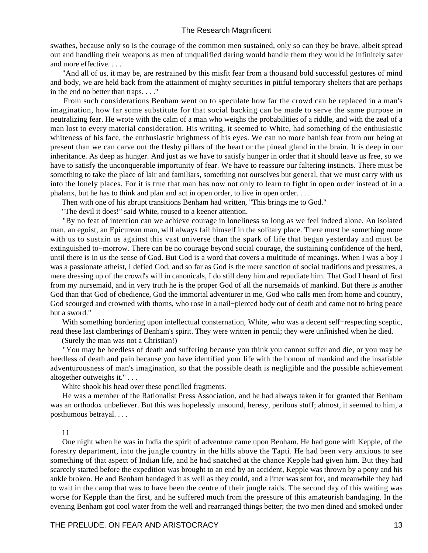swathes, because only so is the courage of the common men sustained, only so can they be brave, albeit spread out and handling their weapons as men of unqualified daring would handle them they would be infinitely safer and more effective. . . .

 "And all of us, it may be, are restrained by this misfit fear from a thousand bold successful gestures of mind and body, we are held back from the attainment of mighty securities in pitiful temporary shelters that are perhaps in the end no better than traps. . . ."

 From such considerations Benham went on to speculate how far the crowd can be replaced in a man's imagination, how far some substitute for that social backing can be made to serve the same purpose in neutralizing fear. He wrote with the calm of a man who weighs the probabilities of a riddle, and with the zeal of a man lost to every material consideration. His writing, it seemed to White, had something of the enthusiastic whiteness of his face, the enthusiastic brightness of his eyes. We can no more banish fear from our being at present than we can carve out the fleshy pillars of the heart or the pineal gland in the brain. It is deep in our inheritance. As deep as hunger. And just as we have to satisfy hunger in order that it should leave us free, so we have to satisfy the unconquerable importunity of fear. We have to reassure our faltering instincts. There must be something to take the place of lair and familiars, something not ourselves but general, that we must carry with us into the lonely places. For it is true that man has now not only to learn to fight in open order instead of in a phalanx, but he has to think and plan and act in open order, to live in open order. . . .

Then with one of his abrupt transitions Benham had written, "This brings me to God."

"The devil it does!" said White, roused to a keener attention.

 "By no feat of intention can we achieve courage in loneliness so long as we feel indeed alone. An isolated man, an egoist, an Epicurean man, will always fail himself in the solitary place. There must be something more with us to sustain us against this vast universe than the spark of life that began yesterday and must be extinguished to−morrow. There can be no courage beyond social courage, the sustaining confidence of the herd, until there is in us the sense of God. But God is a word that covers a multitude of meanings. When I was a boy I was a passionate atheist, I defied God, and so far as God is the mere sanction of social traditions and pressures, a mere dressing up of the crowd's will in canonicals, I do still deny him and repudiate him. That God I heard of first from my nursemaid, and in very truth he is the proper God of all the nursemaids of mankind. But there is another God than that God of obedience, God the immortal adventurer in me, God who calls men from home and country, God scourged and crowned with thorns, who rose in a nail−pierced body out of death and came not to bring peace but a sword."

 With something bordering upon intellectual consternation, White, who was a decent self−respecting sceptic, read these last clamberings of Benham's spirit. They were written in pencil; they were unfinished when he died.

(Surely the man was not a Christian!)

 "You may be heedless of death and suffering because you think you cannot suffer and die, or you may be heedless of death and pain because you have identified your life with the honour of mankind and the insatiable adventurousness of man's imagination, so that the possible death is negligible and the possible achievement altogether outweighs it." . . .

White shook his head over these pencilled fragments.

 He was a member of the Rationalist Press Association, and he had always taken it for granted that Benham was an orthodox unbeliever. But this was hopelessly unsound, heresy, perilous stuff; almost, it seemed to him, a posthumous betrayal. . . .

#### 11

 One night when he was in India the spirit of adventure came upon Benham. He had gone with Kepple, of the forestry department, into the jungle country in the hills above the Tapti. He had been very anxious to see something of that aspect of Indian life, and he had snatched at the chance Kepple had given him. But they had scarcely started before the expedition was brought to an end by an accident, Kepple was thrown by a pony and his ankle broken. He and Benham bandaged it as well as they could, and a litter was sent for, and meanwhile they had to wait in the camp that was to have been the centre of their jungle raids. The second day of this waiting was worse for Kepple than the first, and he suffered much from the pressure of this amateurish bandaging. In the evening Benham got cool water from the well and rearranged things better; the two men dined and smoked under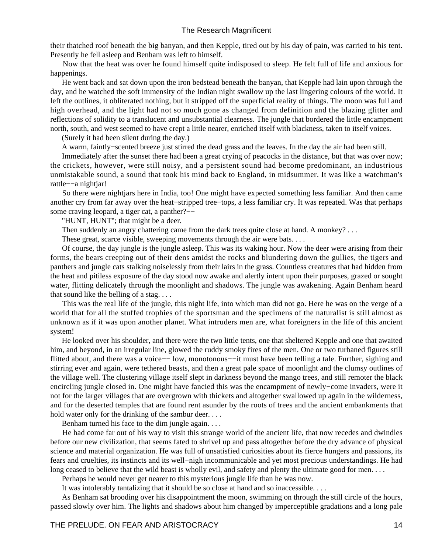their thatched roof beneath the big banyan, and then Kepple, tired out by his day of pain, was carried to his tent. Presently he fell asleep and Benham was left to himself.

 Now that the heat was over he found himself quite indisposed to sleep. He felt full of life and anxious for happenings.

 He went back and sat down upon the iron bedstead beneath the banyan, that Kepple had lain upon through the day, and he watched the soft immensity of the Indian night swallow up the last lingering colours of the world. It left the outlines, it obliterated nothing, but it stripped off the superficial reality of things. The moon was full and high overhead, and the light had not so much gone as changed from definition and the blazing glitter and reflections of solidity to a translucent and unsubstantial clearness. The jungle that bordered the little encampment north, south, and west seemed to have crept a little nearer, enriched itself with blackness, taken to itself voices.

(Surely it had been silent during the day.)

A warm, faintly−scented breeze just stirred the dead grass and the leaves. In the day the air had been still.

 Immediately after the sunset there had been a great crying of peacocks in the distance, but that was over now; the crickets, however, were still noisy, and a persistent sound had become predominant, an industrious unmistakable sound, a sound that took his mind back to England, in midsummer. It was like a watchman's rattle−−a nightjar!

 So there were nightjars here in India, too! One might have expected something less familiar. And then came another cry from far away over the heat−stripped tree−tops, a less familiar cry. It was repeated. Was that perhaps some craving leopard, a tiger cat, a panther?−−

"HUNT, HUNT"; that might be a deer.

Then suddenly an angry chattering came from the dark trees quite close at hand. A monkey? . . .

These great, scarce visible, sweeping movements through the air were bats. . . .

 Of course, the day jungle is the jungle asleep. This was its waking hour. Now the deer were arising from their forms, the bears creeping out of their dens amidst the rocks and blundering down the gullies, the tigers and panthers and jungle cats stalking noiselessly from their lairs in the grass. Countless creatures that had hidden from the heat and pitiless exposure of the day stood now awake and alertly intent upon their purposes, grazed or sought water, flitting delicately through the moonlight and shadows. The jungle was awakening. Again Benham heard that sound like the belling of a stag. . . .

 This was the real life of the jungle, this night life, into which man did not go. Here he was on the verge of a world that for all the stuffed trophies of the sportsman and the specimens of the naturalist is still almost as unknown as if it was upon another planet. What intruders men are, what foreigners in the life of this ancient system!

 He looked over his shoulder, and there were the two little tents, one that sheltered Kepple and one that awaited him, and beyond, in an irregular line, glowed the ruddy smoky fires of the men. One or two turbaned figures still flitted about, and there was a voice−− low, monotonous−−it must have been telling a tale. Further, sighing and stirring ever and again, were tethered beasts, and then a great pale space of moonlight and the clumsy outlines of the village well. The clustering village itself slept in darkness beyond the mango trees, and still remoter the black encircling jungle closed in. One might have fancied this was the encampment of newly−come invaders, were it not for the larger villages that are overgrown with thickets and altogether swallowed up again in the wilderness, and for the deserted temples that are found rent asunder by the roots of trees and the ancient embankments that hold water only for the drinking of the sambur deer....

Benham turned his face to the dim jungle again. . . .

 He had come far out of his way to visit this strange world of the ancient life, that now recedes and dwindles before our new civilization, that seems fated to shrivel up and pass altogether before the dry advance of physical science and material organization. He was full of unsatisfied curiosities about its fierce hungers and passions, its fears and cruelties, its instincts and its well−nigh incommunicable and yet most precious understandings. He had long ceased to believe that the wild beast is wholly evil, and safety and plenty the ultimate good for men. . . .

Perhaps he would never get nearer to this mysterious jungle life than he was now.

It was intolerably tantalizing that it should be so close at hand and so inaccessible. . . .

 As Benham sat brooding over his disappointment the moon, swimming on through the still circle of the hours, passed slowly over him. The lights and shadows about him changed by imperceptible gradations and a long pale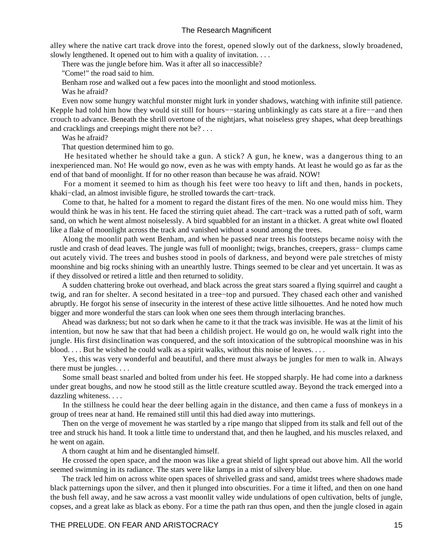alley where the native cart track drove into the forest, opened slowly out of the darkness, slowly broadened, slowly lengthened. It opened out to him with a quality of invitation. . . .

There was the jungle before him. Was it after all so inaccessible?

"Come!" the road said to him.

Benham rose and walked out a few paces into the moonlight and stood motionless.

Was he afraid?

 Even now some hungry watchful monster might lurk in yonder shadows, watching with infinite still patience. Kepple had told him how they would sit still for hours−−staring unblinkingly as cats stare at a fire−−and then crouch to advance. Beneath the shrill overtone of the nightjars, what noiseless grey shapes, what deep breathings and cracklings and creepings might there not be? . . .

Was he afraid?

That question determined him to go.

 He hesitated whether he should take a gun. A stick? A gun, he knew, was a dangerous thing to an inexperienced man. No! He would go now, even as he was with empty hands. At least he would go as far as the end of that band of moonlight. If for no other reason than because he was afraid. NOW!

 For a moment it seemed to him as though his feet were too heavy to lift and then, hands in pockets, khaki−clad, an almost invisible figure, he strolled towards the cart−track.

 Come to that, he halted for a moment to regard the distant fires of the men. No one would miss him. They would think he was in his tent. He faced the stirring quiet ahead. The cart−track was a rutted path of soft, warm sand, on which he went almost noiselessly. A bird squabbled for an instant in a thicket. A great white owl floated like a flake of moonlight across the track and vanished without a sound among the trees.

 Along the moonlit path went Benham, and when he passed near trees his footsteps became noisy with the rustle and crash of dead leaves. The jungle was full of moonlight; twigs, branches, creepers, grass− clumps came out acutely vivid. The trees and bushes stood in pools of darkness, and beyond were pale stretches of misty moonshine and big rocks shining with an unearthly lustre. Things seemed to be clear and yet uncertain. It was as if they dissolved or retired a little and then returned to solidity.

 A sudden chattering broke out overhead, and black across the great stars soared a flying squirrel and caught a twig, and ran for shelter. A second hesitated in a tree−top and pursued. They chased each other and vanished abruptly. He forgot his sense of insecurity in the interest of these active little silhouettes. And he noted how much bigger and more wonderful the stars can look when one sees them through interlacing branches.

 Ahead was darkness; but not so dark when he came to it that the track was invisible. He was at the limit of his intention, but now he saw that that had been a childish project. He would go on, he would walk right into the jungle. His first disinclination was conquered, and the soft intoxication of the subtropical moonshine was in his blood. . . . But he wished he could walk as a spirit walks, without this noise of leaves. . . .

 Yes, this was very wonderful and beautiful, and there must always be jungles for men to walk in. Always there must be jungles. . . .

 Some small beast snarled and bolted from under his feet. He stopped sharply. He had come into a darkness under great boughs, and now he stood still as the little creature scuttled away. Beyond the track emerged into a dazzling whiteness. . . .

 In the stillness he could hear the deer belling again in the distance, and then came a fuss of monkeys in a group of trees near at hand. He remained still until this had died away into mutterings.

 Then on the verge of movement he was startled by a ripe mango that slipped from its stalk and fell out of the tree and struck his hand. It took a little time to understand that, and then he laughed, and his muscles relaxed, and he went on again.

A thorn caught at him and he disentangled himself.

 He crossed the open space, and the moon was like a great shield of light spread out above him. All the world seemed swimming in its radiance. The stars were like lamps in a mist of silvery blue.

 The track led him on across white open spaces of shrivelled grass and sand, amidst trees where shadows made black patternings upon the silver, and then it plunged into obscurities. For a time it lifted, and then on one hand the bush fell away, and he saw across a vast moonlit valley wide undulations of open cultivation, belts of jungle, copses, and a great lake as black as ebony. For a time the path ran thus open, and then the jungle closed in again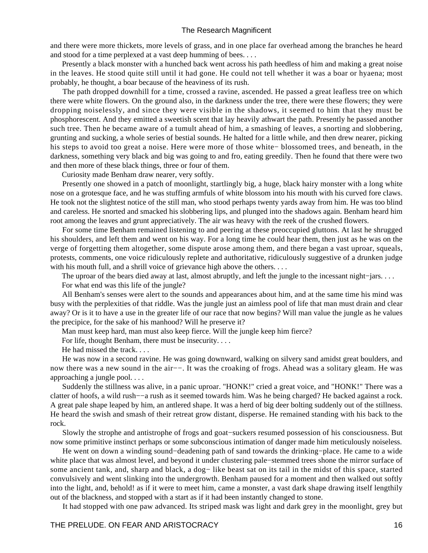and there were more thickets, more levels of grass, and in one place far overhead among the branches he heard and stood for a time perplexed at a vast deep humming of bees. . . .

 Presently a black monster with a hunched back went across his path heedless of him and making a great noise in the leaves. He stood quite still until it had gone. He could not tell whether it was a boar or hyaena; most probably, he thought, a boar because of the heaviness of its rush.

 The path dropped downhill for a time, crossed a ravine, ascended. He passed a great leafless tree on which there were white flowers. On the ground also, in the darkness under the tree, there were these flowers; they were dropping noiselessly, and since they were visible in the shadows, it seemed to him that they must be phosphorescent. And they emitted a sweetish scent that lay heavily athwart the path. Presently he passed another such tree. Then he became aware of a tumult ahead of him, a smashing of leaves, a snorting and slobbering, grunting and sucking, a whole series of bestial sounds. He halted for a little while, and then drew nearer, picking his steps to avoid too great a noise. Here were more of those white− blossomed trees, and beneath, in the darkness, something very black and big was going to and fro, eating greedily. Then he found that there were two and then more of these black things, three or four of them.

Curiosity made Benham draw nearer, very softly.

 Presently one showed in a patch of moonlight, startlingly big, a huge, black hairy monster with a long white nose on a grotesque face, and he was stuffing armfuls of white blossom into his mouth with his curved fore claws. He took not the slightest notice of the still man, who stood perhaps twenty yards away from him. He was too blind and careless. He snorted and smacked his slobbering lips, and plunged into the shadows again. Benham heard him root among the leaves and grunt appreciatively. The air was heavy with the reek of the crushed flowers.

 For some time Benham remained listening to and peering at these preoccupied gluttons. At last he shrugged his shoulders, and left them and went on his way. For a long time he could hear them, then just as he was on the verge of forgetting them altogether, some dispute arose among them, and there began a vast uproar, squeals, protests, comments, one voice ridiculously replete and authoritative, ridiculously suggestive of a drunken judge with his mouth full, and a shrill voice of grievance high above the others. . . .

The uproar of the bears died away at last, almost abruptly, and left the jungle to the incessant night–jars. . . .

For what end was this life of the jungle?

 All Benham's senses were alert to the sounds and appearances about him, and at the same time his mind was busy with the perplexities of that riddle. Was the jungle just an aimless pool of life that man must drain and clear away? Or is it to have a use in the greater life of our race that now begins? Will man value the jungle as he values the precipice, for the sake of his manhood? Will he preserve it?

Man must keep hard, man must also keep fierce. Will the jungle keep him fierce?

For life, thought Benham, there must be insecurity. . . .

He had missed the track. . . .

 He was now in a second ravine. He was going downward, walking on silvery sand amidst great boulders, and now there was a new sound in the air−−. It was the croaking of frogs. Ahead was a solitary gleam. He was approaching a jungle pool. . . .

 Suddenly the stillness was alive, in a panic uproar. "HONK!" cried a great voice, and "HONK!" There was a clatter of hoofs, a wild rush−−a rush as it seemed towards him. Was he being charged? He backed against a rock. A great pale shape leaped by him, an antlered shape. It was a herd of big deer bolting suddenly out of the stillness. He heard the swish and smash of their retreat grow distant, disperse. He remained standing with his back to the rock.

 Slowly the strophe and antistrophe of frogs and goat−suckers resumed possession of his consciousness. But now some primitive instinct perhaps or some subconscious intimation of danger made him meticulously noiseless.

He went on down a winding sound–deadening path of sand towards the drinking–place. He came to a wide white place that was almost level, and beyond it under clustering pale−stemmed trees shone the mirror surface of some ancient tank, and, sharp and black, a dog− like beast sat on its tail in the midst of this space, started convulsively and went slinking into the undergrowth. Benham paused for a moment and then walked out softly into the light, and, behold! as if it were to meet him, came a monster, a vast dark shape drawing itself lengthily out of the blackness, and stopped with a start as if it had been instantly changed to stone.

It had stopped with one paw advanced. Its striped mask was light and dark grey in the moonlight, grey but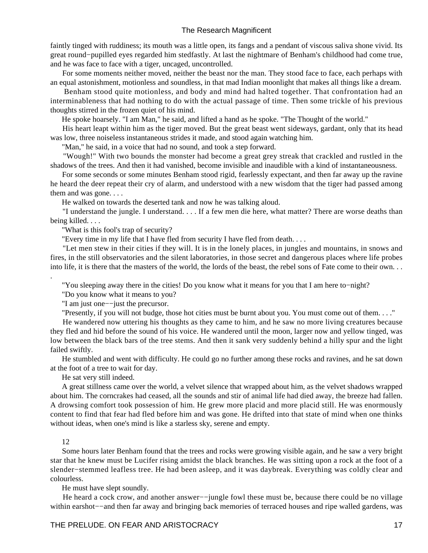faintly tinged with ruddiness; its mouth was a little open, its fangs and a pendant of viscous saliva shone vivid. Its great round−pupilled eyes regarded him stedfastly. At last the nightmare of Benham's childhood had come true, and he was face to face with a tiger, uncaged, uncontrolled.

 For some moments neither moved, neither the beast nor the man. They stood face to face, each perhaps with an equal astonishment, motionless and soundless, in that mad Indian moonlight that makes all things like a dream.

 Benham stood quite motionless, and body and mind had halted together. That confrontation had an interminableness that had nothing to do with the actual passage of time. Then some trickle of his previous thoughts stirred in the frozen quiet of his mind.

He spoke hoarsely. "I am Man," he said, and lifted a hand as he spoke. "The Thought of the world."

 His heart leapt within him as the tiger moved. But the great beast went sideways, gardant, only that its head was low, three noiseless instantaneous strides it made, and stood again watching him.

"Man," he said, in a voice that had no sound, and took a step forward.

 "Wough!" With two bounds the monster had become a great grey streak that crackled and rustled in the shadows of the trees. And then it had vanished, become invisible and inaudible with a kind of instantaneousness.

 For some seconds or some minutes Benham stood rigid, fearlessly expectant, and then far away up the ravine he heard the deer repeat their cry of alarm, and understood with a new wisdom that the tiger had passed among them and was gone. . . .

He walked on towards the deserted tank and now he was talking aloud.

 "I understand the jungle. I understand. . . . If a few men die here, what matter? There are worse deaths than being killed. . . .

"What is this fool's trap of security?

"Every time in my life that I have fled from security I have fled from death. . . .

 "Let men stew in their cities if they will. It is in the lonely places, in jungles and mountains, in snows and fires, in the still observatories and the silent laboratories, in those secret and dangerous places where life probes into life, it is there that the masters of the world, the lords of the beast, the rebel sons of Fate come to their own. . .

"You sleeping away there in the cities! Do you know what it means for you that I am here to−night?

"Do you know what it means to you?

"I am just one−−just the precursor.

"Presently, if you will not budge, those hot cities must be burnt about you. You must come out of them. . . ."

 He wandered now uttering his thoughts as they came to him, and he saw no more living creatures because they fled and hid before the sound of his voice. He wandered until the moon, larger now and yellow tinged, was low between the black bars of the tree stems. And then it sank very suddenly behind a hilly spur and the light failed swiftly.

 He stumbled and went with difficulty. He could go no further among these rocks and ravines, and he sat down at the foot of a tree to wait for day.

He sat very still indeed.

 A great stillness came over the world, a velvet silence that wrapped about him, as the velvet shadows wrapped about him. The corncrakes had ceased, all the sounds and stir of animal life had died away, the breeze had fallen. A drowsing comfort took possession of him. He grew more placid and more placid still. He was enormously content to find that fear had fled before him and was gone. He drifted into that state of mind when one thinks without ideas, when one's mind is like a starless sky, serene and empty.

12

.

 Some hours later Benham found that the trees and rocks were growing visible again, and he saw a very bright star that he knew must be Lucifer rising amidst the black branches. He was sitting upon a rock at the foot of a slender−stemmed leafless tree. He had been asleep, and it was daybreak. Everything was coldly clear and colourless.

He must have slept soundly.

He heard a cock crow, and another answer--jungle fowl these must be, because there could be no village within earshot––and then far away and bringing back memories of terraced houses and ripe walled gardens, was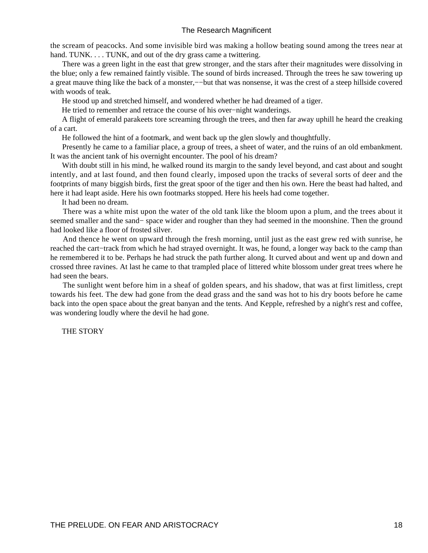the scream of peacocks. And some invisible bird was making a hollow beating sound among the trees near at hand. TUNK. . . . TUNK, and out of the dry grass came a twittering.

 There was a green light in the east that grew stronger, and the stars after their magnitudes were dissolving in the blue; only a few remained faintly visible. The sound of birds increased. Through the trees he saw towering up a great mauve thing like the back of a monster,−−but that was nonsense, it was the crest of a steep hillside covered with woods of teak.

He stood up and stretched himself, and wondered whether he had dreamed of a tiger.

He tried to remember and retrace the course of his over-night wanderings.

 A flight of emerald parakeets tore screaming through the trees, and then far away uphill he heard the creaking of a cart.

He followed the hint of a footmark, and went back up the glen slowly and thoughtfully.

 Presently he came to a familiar place, a group of trees, a sheet of water, and the ruins of an old embankment. It was the ancient tank of his overnight encounter. The pool of his dream?

With doubt still in his mind, he walked round its margin to the sandy level beyond, and cast about and sought intently, and at last found, and then found clearly, imposed upon the tracks of several sorts of deer and the footprints of many biggish birds, first the great spoor of the tiger and then his own. Here the beast had halted, and here it had leapt aside. Here his own footmarks stopped. Here his heels had come together.

It had been no dream.

 There was a white mist upon the water of the old tank like the bloom upon a plum, and the trees about it seemed smaller and the sand– space wider and rougher than they had seemed in the moonshine. Then the ground had looked like a floor of frosted silver.

 And thence he went on upward through the fresh morning, until just as the east grew red with sunrise, he reached the cart−track from which he had strayed overnight. It was, he found, a longer way back to the camp than he remembered it to be. Perhaps he had struck the path further along. It curved about and went up and down and crossed three ravines. At last he came to that trampled place of littered white blossom under great trees where he had seen the bears.

 The sunlight went before him in a sheaf of golden spears, and his shadow, that was at first limitless, crept towards his feet. The dew had gone from the dead grass and the sand was hot to his dry boots before he came back into the open space about the great banyan and the tents. And Kepple, refreshed by a night's rest and coffee, was wondering loudly where the devil he had gone.

THE STORY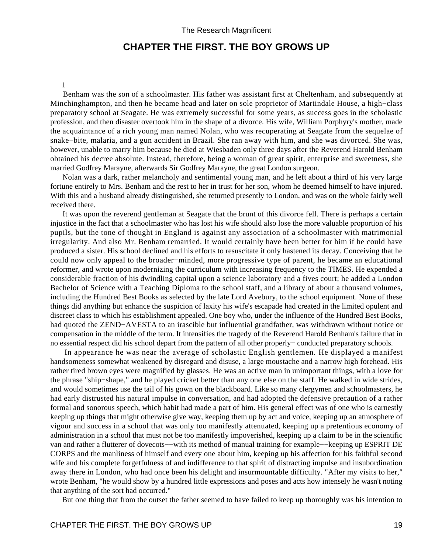## **CHAPTER THE FIRST. THE BOY GROWS UP**

#### 1

<span id="page-21-0"></span> Benham was the son of a schoolmaster. His father was assistant first at Cheltenham, and subsequently at Minchinghampton, and then he became head and later on sole proprietor of Martindale House, a high−class preparatory school at Seagate. He was extremely successful for some years, as success goes in the scholastic profession, and then disaster overtook him in the shape of a divorce. His wife, William Porphyry's mother, made the acquaintance of a rich young man named Nolan, who was recuperating at Seagate from the sequelae of snake−bite, malaria, and a gun accident in Brazil. She ran away with him, and she was divorced. She was, however, unable to marry him because he died at Wiesbaden only three days after the Reverend Harold Benham obtained his decree absolute. Instead, therefore, being a woman of great spirit, enterprise and sweetness, she married Godfrey Marayne, afterwards Sir Godfrey Marayne, the great London surgeon.

 Nolan was a dark, rather melancholy and sentimental young man, and he left about a third of his very large fortune entirely to Mrs. Benham and the rest to her in trust for her son, whom he deemed himself to have injured. With this and a husband already distinguished, she returned presently to London, and was on the whole fairly well received there.

 It was upon the reverend gentleman at Seagate that the brunt of this divorce fell. There is perhaps a certain injustice in the fact that a schoolmaster who has lost his wife should also lose the more valuable proportion of his pupils, but the tone of thought in England is against any association of a schoolmaster with matrimonial irregularity. And also Mr. Benham remarried. It would certainly have been better for him if he could have produced a sister. His school declined and his efforts to resuscitate it only hastened its decay. Conceiving that he could now only appeal to the broader−minded, more progressive type of parent, he became an educational reformer, and wrote upon modernizing the curriculum with increasing frequency to the TIMES. He expended a considerable fraction of his dwindling capital upon a science laboratory and a fives court; he added a London Bachelor of Science with a Teaching Diploma to the school staff, and a library of about a thousand volumes, including the Hundred Best Books as selected by the late Lord Avebury, to the school equipment. None of these things did anything but enhance the suspicion of laxity his wife's escapade had created in the limited opulent and discreet class to which his establishment appealed. One boy who, under the influence of the Hundred Best Books, had quoted the ZEND−AVESTA to an irascible but influential grandfather, was withdrawn without notice or compensation in the middle of the term. It intensifies the tragedy of the Reverend Harold Benham's failure that in no essential respect did his school depart from the pattern of all other properly− conducted preparatory schools.

 In appearance he was near the average of scholastic English gentlemen. He displayed a manifest handsomeness somewhat weakened by disregard and disuse, a large moustache and a narrow high forehead. His rather tired brown eyes were magnified by glasses. He was an active man in unimportant things, with a love for the phrase "ship−shape," and he played cricket better than any one else on the staff. He walked in wide strides, and would sometimes use the tail of his gown on the blackboard. Like so many clergymen and schoolmasters, he had early distrusted his natural impulse in conversation, and had adopted the defensive precaution of a rather formal and sonorous speech, which habit had made a part of him. His general effect was of one who is earnestly keeping up things that might otherwise give way, keeping them up by act and voice, keeping up an atmosphere of vigour and success in a school that was only too manifestly attenuated, keeping up a pretentious economy of administration in a school that must not be too manifestly impoverished, keeping up a claim to be in the scientific van and rather a flutterer of dovecots−−with its method of manual training for example−−keeping up ESPRIT DE CORPS and the manliness of himself and every one about him, keeping up his affection for his faithful second wife and his complete forgetfulness of and indifference to that spirit of distracting impulse and insubordination away there in London, who had once been his delight and insurmountable difficulty. "After my visits to her," wrote Benham, "he would show by a hundred little expressions and poses and acts how intensely he wasn't noting that anything of the sort had occurred."

But one thing that from the outset the father seemed to have failed to keep up thoroughly was his intention to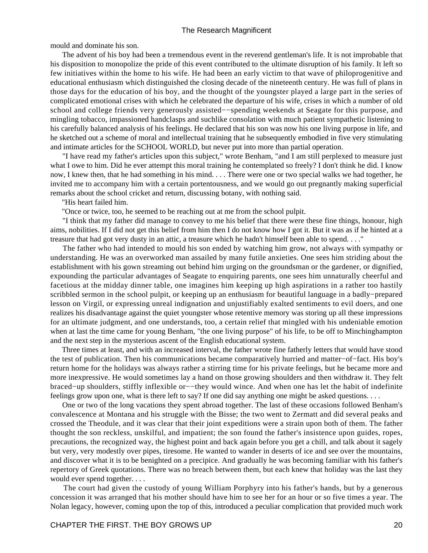mould and dominate his son.

 The advent of his boy had been a tremendous event in the reverend gentleman's life. It is not improbable that his disposition to monopolize the pride of this event contributed to the ultimate disruption of his family. It left so few initiatives within the home to his wife. He had been an early victim to that wave of philoprogenitive and educational enthusiasm which distinguished the closing decade of the nineteenth century. He was full of plans in those days for the education of his boy, and the thought of the youngster played a large part in the series of complicated emotional crises with which he celebrated the departure of his wife, crises in which a number of old school and college friends very generously assisted−−spending weekends at Seagate for this purpose, and mingling tobacco, impassioned handclasps and suchlike consolation with much patient sympathetic listening to his carefully balanced analysis of his feelings. He declared that his son was now his one living purpose in life, and he sketched out a scheme of moral and intellectual training that he subsequently embodied in five very stimulating and intimate articles for the SCHOOL WORLD, but never put into more than partial operation.

 "I have read my father's articles upon this subject," wrote Benham, "and I am still perplexed to measure just what I owe to him. Did he ever attempt this moral training he contemplated so freely? I don't think he did. I know now, I knew then, that he had something in his mind. . . . There were one or two special walks we had together, he invited me to accompany him with a certain portentousness, and we would go out pregnantly making superficial remarks about the school cricket and return, discussing botany, with nothing said.

"His heart failed him.

"Once or twice, too, he seemed to be reaching out at me from the school pulpit.

 "I think that my father did manage to convey to me his belief that there were these fine things, honour, high aims, nobilities. If I did not get this belief from him then I do not know how I got it. But it was as if he hinted at a treasure that had got very dusty in an attic, a treasure which he hadn't himself been able to spend. . . ."

 The father who had intended to mould his son ended by watching him grow, not always with sympathy or understanding. He was an overworked man assailed by many futile anxieties. One sees him striding about the establishment with his gown streaming out behind him urging on the groundsman or the gardener, or dignified, expounding the particular advantages of Seagate to enquiring parents, one sees him unnaturally cheerful and facetious at the midday dinner table, one imagines him keeping up high aspirations in a rather too hastily scribbled sermon in the school pulpit, or keeping up an enthusiasm for beautiful language in a badly–prepared lesson on Virgil, or expressing unreal indignation and unjustifiably exalted sentiments to evil doers, and one realizes his disadvantage against the quiet youngster whose retentive memory was storing up all these impressions for an ultimate judgment, and one understands, too, a certain relief that mingled with his undeniable emotion when at last the time came for young Benham, "the one living purpose" of his life, to be off to Minchinghampton and the next step in the mysterious ascent of the English educational system.

 Three times at least, and with an increased interval, the father wrote fine fatherly letters that would have stood the test of publication. Then his communications became comparatively hurried and matter−of−fact. His boy's return home for the holidays was always rather a stirring time for his private feelings, but he became more and more inexpressive. He would sometimes lay a hand on those growing shoulders and then withdraw it. They felt braced−up shoulders, stiffly inflexible or−−they would wince. And when one has let the habit of indefinite feelings grow upon one, what is there left to say? If one did say anything one might be asked questions. . . .

 One or two of the long vacations they spent abroad together. The last of these occasions followed Benham's convalescence at Montana and his struggle with the Bisse; the two went to Zermatt and did several peaks and crossed the Theodule, and it was clear that their joint expeditions were a strain upon both of them. The father thought the son reckless, unskilful, and impatient; the son found the father's insistence upon guides, ropes, precautions, the recognized way, the highest point and back again before you get a chill, and talk about it sagely but very, very modestly over pipes, tiresome. He wanted to wander in deserts of ice and see over the mountains, and discover what it is to be benighted on a precipice. And gradually he was becoming familiar with his father's repertory of Greek quotations. There was no breach between them, but each knew that holiday was the last they would ever spend together. . . .

 The court had given the custody of young William Porphyry into his father's hands, but by a generous concession it was arranged that his mother should have him to see her for an hour or so five times a year. The Nolan legacy, however, coming upon the top of this, introduced a peculiar complication that provided much work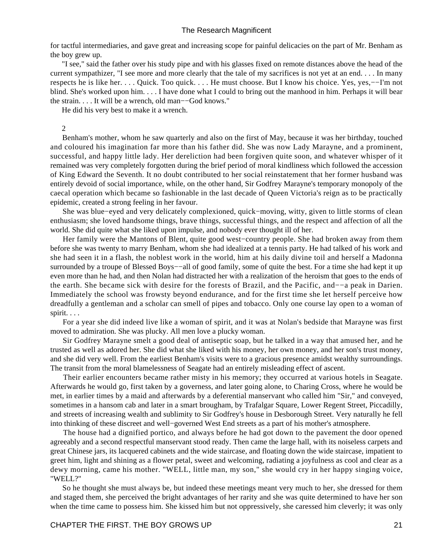for tactful intermediaries, and gave great and increasing scope for painful delicacies on the part of Mr. Benham as the boy grew up.

 "I see," said the father over his study pipe and with his glasses fixed on remote distances above the head of the current sympathizer, "I see more and more clearly that the tale of my sacrifices is not yet at an end. . . . In many respects he is like her. . . . Quick. Too quick. . . . He must choose. But I know his choice. Yes, yes,−−I'm not blind. She's worked upon him. . . . I have done what I could to bring out the manhood in him. Perhaps it will bear the strain. . . . It will be a wrench, old man−−God knows."

He did his very best to make it a wrench.

#### 2

 Benham's mother, whom he saw quarterly and also on the first of May, because it was her birthday, touched and coloured his imagination far more than his father did. She was now Lady Marayne, and a prominent, successful, and happy little lady. Her dereliction had been forgiven quite soon, and whatever whisper of it remained was very completely forgotten during the brief period of moral kindliness which followed the accession of King Edward the Seventh. It no doubt contributed to her social reinstatement that her former husband was entirely devoid of social importance, while, on the other hand, Sir Godfrey Marayne's temporary monopoly of the caecal operation which became so fashionable in the last decade of Queen Victoria's reign as to be practically epidemic, created a strong feeling in her favour.

 She was blue−eyed and very delicately complexioned, quick−moving, witty, given to little storms of clean enthusiasm; she loved handsome things, brave things, successful things, and the respect and affection of all the world. She did quite what she liked upon impulse, and nobody ever thought ill of her.

Her family were the Mantons of Blent, quite good west–country people. She had broken away from them before she was twenty to marry Benham, whom she had idealized at a tennis party. He had talked of his work and she had seen it in a flash, the noblest work in the world, him at his daily divine toil and herself a Madonna surrounded by a troupe of Blessed Boys-−all of good family, some of quite the best. For a time she had kept it up even more than he had, and then Nolan had distracted her with a realization of the heroism that goes to the ends of the earth. She became sick with desire for the forests of Brazil, and the Pacific, and−−a peak in Darien. Immediately the school was frowsty beyond endurance, and for the first time she let herself perceive how dreadfully a gentleman and a scholar can smell of pipes and tobacco. Only one course lay open to a woman of spirit. . . .

 For a year she did indeed live like a woman of spirit, and it was at Nolan's bedside that Marayne was first moved to admiration. She was plucky. All men love a plucky woman.

 Sir Godfrey Marayne smelt a good deal of antiseptic soap, but he talked in a way that amused her, and he trusted as well as adored her. She did what she liked with his money, her own money, and her son's trust money, and she did very well. From the earliest Benham's visits were to a gracious presence amidst wealthy surroundings. The transit from the moral blamelessness of Seagate had an entirely misleading effect of ascent.

 Their earlier encounters became rather misty in his memory; they occurred at various hotels in Seagate. Afterwards he would go, first taken by a governess, and later going alone, to Charing Cross, where he would be met, in earlier times by a maid and afterwards by a deferential manservant who called him "Sir," and conveyed, sometimes in a hansom cab and later in a smart brougham, by Trafalgar Square, Lower Regent Street, Piccadilly, and streets of increasing wealth and sublimity to Sir Godfrey's house in Desborough Street. Very naturally he fell into thinking of these discreet and well−governed West End streets as a part of his mother's atmosphere.

 The house had a dignified portico, and always before he had got down to the pavement the door opened agreeably and a second respectful manservant stood ready. Then came the large hall, with its noiseless carpets and great Chinese jars, its lacquered cabinets and the wide staircase, and floating down the wide staircase, impatient to greet him, light and shining as a flower petal, sweet and welcoming, radiating a joyfulness as cool and clear as a dewy morning, came his mother. "WELL, little man, my son," she would cry in her happy singing voice, "WELL?"

 So he thought she must always be, but indeed these meetings meant very much to her, she dressed for them and staged them, she perceived the bright advantages of her rarity and she was quite determined to have her son when the time came to possess him. She kissed him but not oppressively, she caressed him cleverly; it was only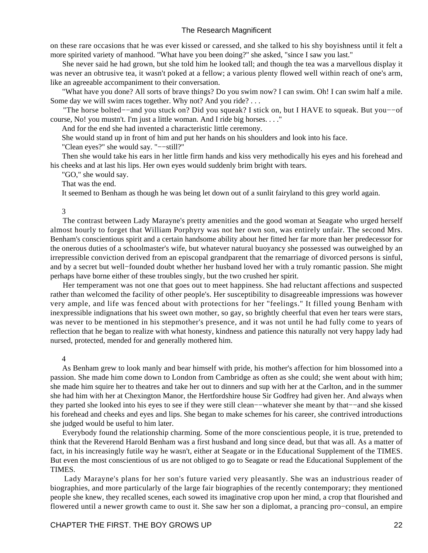on these rare occasions that he was ever kissed or caressed, and she talked to his shy boyishness until it felt a more spirited variety of manhood. "What have you been doing?" she asked, "since I saw you last."

 She never said he had grown, but she told him he looked tall; and though the tea was a marvellous display it was never an obtrusive tea, it wasn't poked at a fellow; a various plenty flowed well within reach of one's arm, like an agreeable accompaniment to their conversation.

 "What have you done? All sorts of brave things? Do you swim now? I can swim. Oh! I can swim half a mile. Some day we will swim races together. Why not? And you ride? . . .

 "The horse bolted−−and you stuck on? Did you squeak? I stick on, but I HAVE to squeak. But you−−of course, No! you mustn't. I'm just a little woman. And I ride big horses. . . ."

And for the end she had invented a characteristic little ceremony.

She would stand up in front of him and put her hands on his shoulders and look into his face.

"Clean eyes?" she would say. "−−still?"

 Then she would take his ears in her little firm hands and kiss very methodically his eyes and his forehead and his cheeks and at last his lips. Her own eyes would suddenly brim bright with tears.

"GO," she would say.

That was the end.

It seemed to Benham as though he was being let down out of a sunlit fairyland to this grey world again.

#### 3

 The contrast between Lady Marayne's pretty amenities and the good woman at Seagate who urged herself almost hourly to forget that William Porphyry was not her own son, was entirely unfair. The second Mrs. Benham's conscientious spirit and a certain handsome ability about her fitted her far more than her predecessor for the onerous duties of a schoolmaster's wife, but whatever natural buoyancy she possessed was outweighed by an irrepressible conviction derived from an episcopal grandparent that the remarriage of divorced persons is sinful, and by a secret but well−founded doubt whether her husband loved her with a truly romantic passion. She might perhaps have borne either of these troubles singly, but the two crushed her spirit.

 Her temperament was not one that goes out to meet happiness. She had reluctant affections and suspected rather than welcomed the facility of other people's. Her susceptibility to disagreeable impressions was however very ample, and life was fenced about with protections for her "feelings." It filled young Benham with inexpressible indignations that his sweet own mother, so gay, so brightly cheerful that even her tears were stars, was never to be mentioned in his stepmother's presence, and it was not until he had fully come to years of reflection that he began to realize with what honesty, kindness and patience this naturally not very happy lady had nursed, protected, mended for and generally mothered him.

4

 As Benham grew to look manly and bear himself with pride, his mother's affection for him blossomed into a passion. She made him come down to London from Cambridge as often as she could; she went about with him; she made him squire her to theatres and take her out to dinners and sup with her at the Carlton, and in the summer she had him with her at Chexington Manor, the Hertfordshire house Sir Godfrey had given her. And always when they parted she looked into his eyes to see if they were still clean−−whatever she meant by that−−and she kissed his forehead and cheeks and eyes and lips. She began to make schemes for his career, she contrived introductions she judged would be useful to him later.

 Everybody found the relationship charming. Some of the more conscientious people, it is true, pretended to think that the Reverend Harold Benham was a first husband and long since dead, but that was all. As a matter of fact, in his increasingly futile way he wasn't, either at Seagate or in the Educational Supplement of the TIMES. But even the most conscientious of us are not obliged to go to Seagate or read the Educational Supplement of the TIMES.

 Lady Marayne's plans for her son's future varied very pleasantly. She was an industrious reader of biographies, and more particularly of the large fair biographies of the recently contemporary; they mentioned people she knew, they recalled scenes, each sowed its imaginative crop upon her mind, a crop that flourished and flowered until a newer growth came to oust it. She saw her son a diplomat, a prancing pro−consul, an empire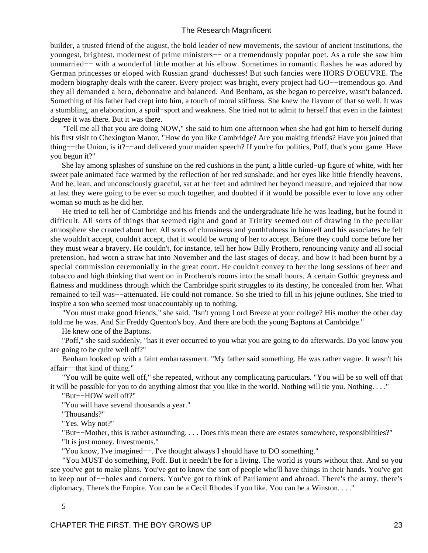builder, a trusted friend of the august, the bold leader of new movements, the saviour of ancient institutions, the youngest, brightest, modernest of prime ministers−− or a tremendously popular poet. As a rule she saw him unmarried−− with a wonderful little mother at his elbow. Sometimes in romantic flashes he was adored by German princesses or eloped with Russian grand−duchesses! But such fancies were HORS D'OEUVRE. The modern biography deals with the career. Every project was bright, every project had GO−−tremendous go. And they all demanded a hero, debonnaire and balanced. And Benham, as she began to perceive, wasn't balanced. Something of his father had crept into him, a touch of moral stiffness. She knew the flavour of that so well. It was a stumbling, an elaboration, a spoil−sport and weakness. She tried not to admit to herself that even in the faintest degree it was there. But it was there.

 "Tell me all that you are doing NOW," she said to him one afternoon when she had got him to herself during his first visit to Chexington Manor. "How do you like Cambridge? Are you making friends? Have you joined that thing−−the Union, is it?−−and delivered your maiden speech? If you're for politics, Poff, that's your game. Have you begun it?"

 She lay among splashes of sunshine on the red cushions in the punt, a little curled−up figure of white, with her sweet pale animated face warmed by the reflection of her red sunshade, and her eyes like little friendly heavens. And he, lean, and unconsciously graceful, sat at her feet and admired her beyond measure, and rejoiced that now at last they were going to be ever so much together, and doubted if it would be possible ever to love any other woman so much as he did her.

 He tried to tell her of Cambridge and his friends and the undergraduate life he was leading, but he found it difficult. All sorts of things that seemed right and good at Trinity seemed out of drawing in the peculiar atmosphere she created about her. All sorts of clumsiness and youthfulness in himself and his associates he felt she wouldn't accept, couldn't accept, that it would be wrong of her to accept. Before they could come before her they must wear a bravery. He couldn't, for instance, tell her how Billy Prothero, renouncing vanity and all social pretension, had worn a straw hat into November and the last stages of decay, and how it had been burnt by a special commission ceremonially in the great court. He couldn't convey to her the long sessions of beer and tobacco and high thinking that went on in Prothero's rooms into the small hours. A certain Gothic greyness and flatness and muddiness through which the Cambridge spirit struggles to its destiny, he concealed from her. What remained to tell was−−attenuated. He could not romance. So she tried to fill in his jejune outlines. She tried to inspire a son who seemed most unaccountably up to nothing.

 "You must make good friends," she said. "Isn't young Lord Breeze at your college? His mother the other day told me he was. And Sir Freddy Quenton's boy. And there are both the young Baptons at Cambridge."

He knew one of the Baptons.

 "Poff," she said suddenly, "has it ever occurred to you what you are going to do afterwards. Do you know you are going to be quite well off?"

 Benham looked up with a faint embarrassment. "My father said something. He was rather vague. It wasn't his affair−−that kind of thing."

 "You will be quite well off," she repeated, without any complicating particulars. "You will be so well off that it will be possible for you to do anything almost that you like in the world. Nothing will tie you. Nothing. . . ."

"But−−HOW well off?"

"You will have several thousands a year."

"Thousands?"

"Yes. Why not?"

 "But−−Mother, this is rather astounding. . . . Does this mean there are estates somewhere, responsibilities?" "It is just money. Investments."

"You know, I've imagined−−. I've thought always I should have to DO something."

 "You MUST do something, Poff. But it needn't be for a living. The world is yours without that. And so you see you've got to make plans. You've got to know the sort of people who'll have things in their hands. You've got to keep out of−−holes and corners. You've got to think of Parliament and abroad. There's the army, there's diplomacy. There's the Empire. You can be a Cecil Rhodes if you like. You can be a Winston. . . ."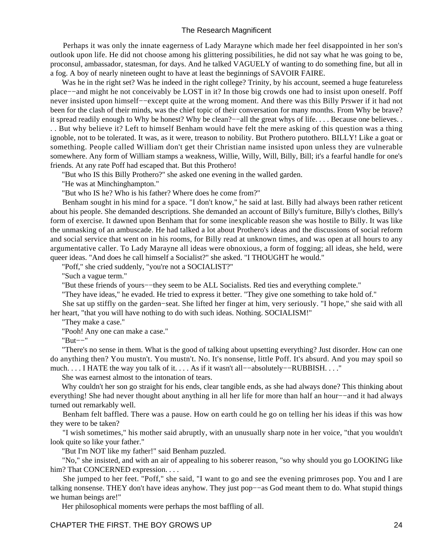Perhaps it was only the innate eagerness of Lady Marayne which made her feel disappointed in her son's outlook upon life. He did not choose among his glittering possibilities, he did not say what he was going to be, proconsul, ambassador, statesman, for days. And he talked VAGUELY of wanting to do something fine, but all in a fog. A boy of nearly nineteen ought to have at least the beginnings of SAVOIR FAIRE.

Was he in the right set? Was he indeed in the right college? Trinity, by his account, seemed a huge featureless place−−and might he not conceivably be LOST in it? In those big crowds one had to insist upon oneself. Poff never insisted upon himself−−except quite at the wrong moment. And there was this Billy Prswer if it had not been for the clash of their minds, was the chief topic of their conversation for many months. From Why be brave? it spread readily enough to Why be honest? Why be clean?—all the great whys of life. . . . Because one believes. . . . But why believe it? Left to himself Benham would have felt the mere asking of this question was a thing ignoble, not to be tolerated. It was, as it were, treason to nobility. But Prothero putothero. BILLY! Like a goat or something. People called William don't get their Christian name insisted upon unless they are vulnerable somewhere. Any form of William stamps a weakness, Willie, Willy, Will, Billy, Bill; it's a fearful handle for one's friends. At any rate Poff had escaped that. But this Prothero!

"But who IS this Billy Prothero?" she asked one evening in the walled garden.

"He was at Minchinghampton."

"But who IS he? Who is his father? Where does he come from?"

 Benham sought in his mind for a space. "I don't know," he said at last. Billy had always been rather reticent about his people. She demanded descriptions. She demanded an account of Billy's furniture, Billy's clothes, Billy's form of exercise. It dawned upon Benham that for some inexplicable reason she was hostile to Billy. It was like the unmasking of an ambuscade. He had talked a lot about Prothero's ideas and the discussions of social reform and social service that went on in his rooms, for Billy read at unknown times, and was open at all hours to any argumentative caller. To Lady Marayne all ideas were obnoxious, a form of fogging; all ideas, she held, were queer ideas. "And does he call himself a Socialist?" she asked. "I THOUGHT he would."

"Poff," she cried suddenly, "you're not a SOCIALIST?"

"Such a vague term."

"But these friends of yours−−they seem to be ALL Socialists. Red ties and everything complete."

"They have ideas," he evaded. He tried to express it better. "They give one something to take hold of."

 She sat up stiffly on the garden−seat. She lifted her finger at him, very seriously. "I hope," she said with all her heart, "that you will have nothing to do with such ideas. Nothing. SOCIALISM!"

"They make a case."

"Pooh! Any one can make a case."

"But−−"

 "There's no sense in them. What is the good of talking about upsetting everything? Just disorder. How can one do anything then? You mustn't. You mustn't. No. It's nonsense, little Poff. It's absurd. And you may spoil so much. . . . I HATE the way you talk of it. . . . As if it wasn't all−−absolutely−−RUBBISH. . . ."

She was earnest almost to the intonation of tears.

 Why couldn't her son go straight for his ends, clear tangible ends, as she had always done? This thinking about everything! She had never thought about anything in all her life for more than half an hour−−and it had always turned out remarkably well.

 Benham felt baffled. There was a pause. How on earth could he go on telling her his ideas if this was how they were to be taken?

 "I wish sometimes," his mother said abruptly, with an unusually sharp note in her voice, "that you wouldn't look quite so like your father."

"But I'm NOT like my father!" said Benham puzzled.

 "No," she insisted, and with an air of appealing to his soberer reason, "so why should you go LOOKING like him? That CONCERNED expression. . . .

 She jumped to her feet. "Poff," she said, "I want to go and see the evening primroses pop. You and I are talking nonsense. THEY don't have ideas anyhow. They just pop−−as God meant them to do. What stupid things we human beings are!"

Her philosophical moments were perhaps the most baffling of all.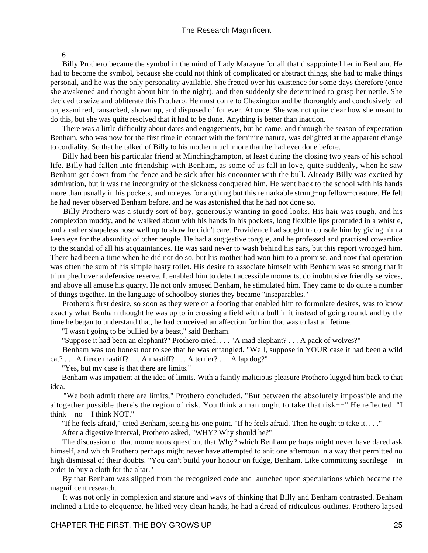6

 Billy Prothero became the symbol in the mind of Lady Marayne for all that disappointed her in Benham. He had to become the symbol, because she could not think of complicated or abstract things, she had to make things personal, and he was the only personality available. She fretted over his existence for some days therefore (once she awakened and thought about him in the night), and then suddenly she determined to grasp her nettle. She decided to seize and obliterate this Prothero. He must come to Chexington and be thoroughly and conclusively led on, examined, ransacked, shown up, and disposed of for ever. At once. She was not quite clear how she meant to do this, but she was quite resolved that it had to be done. Anything is better than inaction.

 There was a little difficulty about dates and engagements, but he came, and through the season of expectation Benham, who was now for the first time in contact with the feminine nature, was delighted at the apparent change to cordiality. So that he talked of Billy to his mother much more than he had ever done before.

 Billy had been his particular friend at Minchinghampton, at least during the closing two years of his school life. Billy had fallen into friendship with Benham, as some of us fall in love, quite suddenly, when he saw Benham get down from the fence and be sick after his encounter with the bull. Already Billy was excited by admiration, but it was the incongruity of the sickness conquered him. He went back to the school with his hands more than usually in his pockets, and no eyes for anything but this remarkable strung−up fellow−creature. He felt he had never observed Benham before, and he was astonished that he had not done so.

 Billy Prothero was a sturdy sort of boy, generously wanting in good looks. His hair was rough, and his complexion muddy, and he walked about with his hands in his pockets, long flexible lips protruded in a whistle, and a rather shapeless nose well up to show he didn't care. Providence had sought to console him by giving him a keen eye for the absurdity of other people. He had a suggestive tongue, and he professed and practised cowardice to the scandal of all his acquaintances. He was said never to wash behind his ears, but this report wronged him. There had been a time when he did not do so, but his mother had won him to a promise, and now that operation was often the sum of his simple hasty toilet. His desire to associate himself with Benham was so strong that it triumphed over a defensive reserve. It enabled him to detect accessible moments, do inobtrusive friendly services, and above all amuse his quarry. He not only amused Benham, he stimulated him. They came to do quite a number of things together. In the language of schoolboy stories they became "inseparables."

 Prothero's first desire, so soon as they were on a footing that enabled him to formulate desires, was to know exactly what Benham thought he was up to in crossing a field with a bull in it instead of going round, and by the time he began to understand that, he had conceived an affection for him that was to last a lifetime.

"I wasn't going to be bullied by a beast," said Benham.

"Suppose it had been an elephant?" Prothero cried. . . . "A mad elephant? . . . A pack of wolves?"

 Benham was too honest not to see that he was entangled. "Well, suppose in YOUR case it had been a wild cat? . . . A fierce mastiff? . . . A mastiff? . . . A terrier? . . . A lap dog?"

"Yes, but my case is that there are limits."

 Benham was impatient at the idea of limits. With a faintly malicious pleasure Prothero lugged him back to that idea.

 "We both admit there are limits," Prothero concluded. "But between the absolutely impossible and the altogether possible there's the region of risk. You think a man ought to take that risk−−" He reflected. "I think−−no−−I think NOT."

 "If he feels afraid," cried Benham, seeing his one point. "If he feels afraid. Then he ought to take it. . . ." After a digestive interval, Prothero asked, "WHY? Why should he?"

 The discussion of that momentous question, that Why? which Benham perhaps might never have dared ask himself, and which Prothero perhaps might never have attempted to anit one afternoon in a way that permitted no high dismissal of their doubts. "You can't build your honour on fudge, Benham. Like committing sacrilege−−in order to buy a cloth for the altar."

 By that Benham was slipped from the recognized code and launched upon speculations which became the magnificent research.

 It was not only in complexion and stature and ways of thinking that Billy and Benham contrasted. Benham inclined a little to eloquence, he liked very clean hands, he had a dread of ridiculous outlines. Prothero lapsed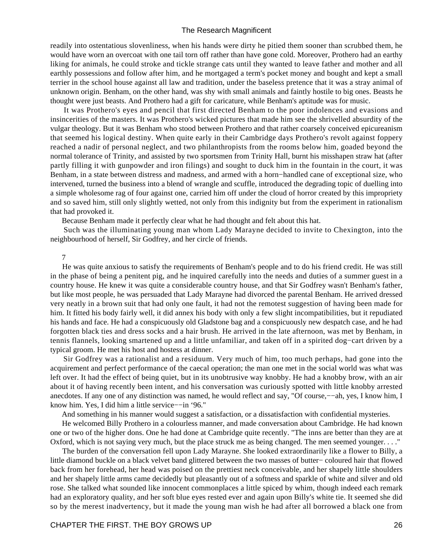readily into ostentatious slovenliness, when his hands were dirty he pitied them sooner than scrubbed them, he would have worn an overcoat with one tail torn off rather than have gone cold. Moreover, Prothero had an earthy liking for animals, he could stroke and tickle strange cats until they wanted to leave father and mother and all earthly possessions and follow after him, and he mortgaged a term's pocket money and bought and kept a small terrier in the school house against all law and tradition, under the baseless pretence that it was a stray animal of unknown origin. Benham, on the other hand, was shy with small animals and faintly hostile to big ones. Beasts he thought were just beasts. And Prothero had a gift for caricature, while Benham's aptitude was for music.

 It was Prothero's eyes and pencil that first directed Benham to the poor indolences and evasions and insincerities of the masters. It was Prothero's wicked pictures that made him see the shrivelled absurdity of the vulgar theology. But it was Benham who stood between Prothero and that rather coarsely conceived epicureanism that seemed his logical destiny. When quite early in their Cambridge days Prothero's revolt against foppery reached a nadir of personal neglect, and two philanthropists from the rooms below him, goaded beyond the normal tolerance of Trinity, and assisted by two sportsmen from Trinity Hall, burnt his misshapen straw hat (after partly filling it with gunpowder and iron filings) and sought to duck him in the fountain in the court, it was Benham, in a state between distress and madness, and armed with a horn−handled cane of exceptional size, who intervened, turned the business into a blend of wrangle and scuffle, introduced the degrading topic of duelling into a simple wholesome rag of four against one, carried him off under the cloud of horror created by this impropriety and so saved him, still only slightly wetted, not only from this indignity but from the experiment in rationalism that had provoked it.

Because Benham made it perfectly clear what he had thought and felt about this hat.

 Such was the illuminating young man whom Lady Marayne decided to invite to Chexington, into the neighbourhood of herself, Sir Godfrey, and her circle of friends.

#### 7

 He was quite anxious to satisfy the requirements of Benham's people and to do his friend credit. He was still in the phase of being a penitent pig, and he inquired carefully into the needs and duties of a summer guest in a country house. He knew it was quite a considerable country house, and that Sir Godfrey wasn't Benham's father, but like most people, he was persuaded that Lady Marayne had divorced the parental Benham. He arrived dressed very neatly in a brown suit that had only one fault, it had not the remotest suggestion of having been made for him. It fitted his body fairly well, it did annex his body with only a few slight incompatibilities, but it repudiated his hands and face. He had a conspicuously old Gladstone bag and a conspicuously new despatch case, and he had forgotten black ties and dress socks and a hair brush. He arrived in the late afternoon, was met by Benham, in tennis flannels, looking smartened up and a little unfamiliar, and taken off in a spirited dog−cart driven by a typical groom. He met his host and hostess at dinner.

 Sir Godfrey was a rationalist and a residuum. Very much of him, too much perhaps, had gone into the acquirement and perfect performance of the caecal operation; the man one met in the social world was what was left over. It had the effect of being quiet, but in its unobtrusive way knobby. He had a knobby brow, with an air about it of having recently been intent, and his conversation was curiously spotted with little knobby arrested anecdotes. If any one of any distinction was named, he would reflect and say, "Of course,−−ah, yes, I know him, I know him. Yes, I did him a little service−−in '96."

And something in his manner would suggest a satisfaction, or a dissatisfaction with confidential mysteries.

 He welcomed Billy Prothero in a colourless manner, and made conversation about Cambridge. He had known one or two of the higher dons. One he had done at Cambridge quite recently. "The inns are better than they are at Oxford, which is not saying very much, but the place struck me as being changed. The men seemed younger. . . ."

 The burden of the conversation fell upon Lady Marayne. She looked extraordinarily like a flower to Billy, a little diamond buckle on a black velvet band glittered between the two masses of butter− coloured hair that flowed back from her forehead, her head was poised on the prettiest neck conceivable, and her shapely little shoulders and her shapely little arms came decidedly but pleasantly out of a softness and sparkle of white and silver and old rose. She talked what sounded like innocent commonplaces a little spiced by whim, though indeed each remark had an exploratory quality, and her soft blue eyes rested ever and again upon Billy's white tie. It seemed she did so by the merest inadvertency, but it made the young man wish he had after all borrowed a black one from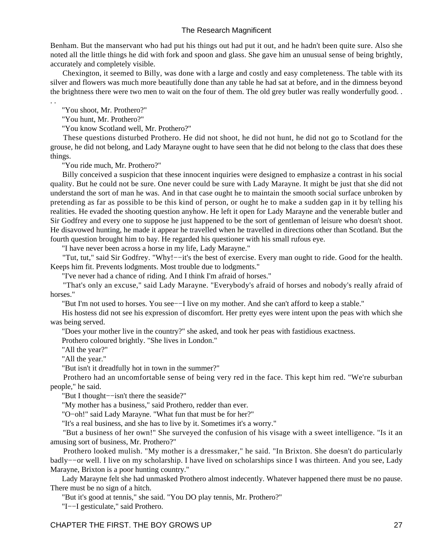Benham. But the manservant who had put his things out had put it out, and he hadn't been quite sure. Also she noted all the little things he did with fork and spoon and glass. She gave him an unusual sense of being brightly, accurately and completely visible.

 Chexington, it seemed to Billy, was done with a large and costly and easy completeness. The table with its silver and flowers was much more beautifully done than any table he had sat at before, and in the dimness beyond the brightness there were two men to wait on the four of them. The old grey butler was really wonderfully good. .

"You shoot, Mr. Prothero?"

. .

"You hunt, Mr. Prothero?"

"You know Scotland well, Mr. Prothero?"

 These questions disturbed Prothero. He did not shoot, he did not hunt, he did not go to Scotland for the grouse, he did not belong, and Lady Marayne ought to have seen that he did not belong to the class that does these things.

"You ride much, Mr. Prothero?"

 Billy conceived a suspicion that these innocent inquiries were designed to emphasize a contrast in his social quality. But he could not be sure. One never could be sure with Lady Marayne. It might be just that she did not understand the sort of man he was. And in that case ought he to maintain the smooth social surface unbroken by pretending as far as possible to be this kind of person, or ought he to make a sudden gap in it by telling his realities. He evaded the shooting question anyhow. He left it open for Lady Marayne and the venerable butler and Sir Godfrey and every one to suppose he just happened to be the sort of gentleman of leisure who doesn't shoot. He disavowed hunting, he made it appear he travelled when he travelled in directions other than Scotland. But the fourth question brought him to bay. He regarded his questioner with his small rufous eye.

"I have never been across a horse in my life, Lady Marayne."

 "Tut, tut," said Sir Godfrey. "Why!−−it's the best of exercise. Every man ought to ride. Good for the health. Keeps him fit. Prevents lodgments. Most trouble due to lodgments."

"I've never had a chance of riding. And I think I'm afraid of horses."

 "That's only an excuse," said Lady Marayne. "Everybody's afraid of horses and nobody's really afraid of horses."

"But I'm not used to horses. You see−−I live on my mother. And she can't afford to keep a stable."

 His hostess did not see his expression of discomfort. Her pretty eyes were intent upon the peas with which she was being served.

"Does your mother live in the country?" she asked, and took her peas with fastidious exactness.

Prothero coloured brightly. "She lives in London."

"All the year?"

"All the year."

"But isn't it dreadfully hot in town in the summer?"

 Prothero had an uncomfortable sense of being very red in the face. This kept him red. "We're suburban people," he said.

"But I thought−−isn't there the seaside?"

"My mother has a business," said Prothero, redder than ever.

"O−oh!" said Lady Marayne. "What fun that must be for her?"

"It's a real business, and she has to live by it. Sometimes it's a worry."

 "But a business of her own!" She surveyed the confusion of his visage with a sweet intelligence. "Is it an amusing sort of business, Mr. Prothero?"

 Prothero looked mulish. "My mother is a dressmaker," he said. "In Brixton. She doesn't do particularly badly−−or well. I live on my scholarship. I have lived on scholarships since I was thirteen. And you see, Lady Marayne, Brixton is a poor hunting country."

 Lady Marayne felt she had unmasked Prothero almost indecently. Whatever happened there must be no pause. There must be no sign of a hitch.

"But it's good at tennis," she said. "You DO play tennis, Mr. Prothero?"

"I−−I gesticulate," said Prothero.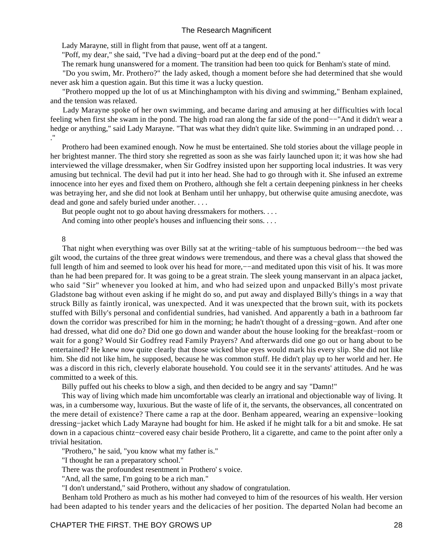Lady Marayne, still in flight from that pause, went off at a tangent.

"Poff, my dear," she said, "I've had a diving−board put at the deep end of the pond."

The remark hung unanswered for a moment. The transition had been too quick for Benham's state of mind.

 "Do you swim, Mr. Prothero?" the lady asked, though a moment before she had determined that she would never ask him a question again. But this time it was a lucky question.

 "Prothero mopped up the lot of us at Minchinghampton with his diving and swimming," Benham explained, and the tension was relaxed.

 Lady Marayne spoke of her own swimming, and became daring and amusing at her difficulties with local feeling when first she swam in the pond. The high road ran along the far side of the pond−−"And it didn't wear a hedge or anything," said Lady Marayne. "That was what they didn't quite like. Swimming in an undraped pond... ."

 Prothero had been examined enough. Now he must be entertained. She told stories about the village people in her brightest manner. The third story she regretted as soon as she was fairly launched upon it; it was how she had interviewed the village dressmaker, when Sir Godfrey insisted upon her supporting local industries. It was very amusing but technical. The devil had put it into her head. She had to go through with it. She infused an extreme innocence into her eyes and fixed them on Prothero, although she felt a certain deepening pinkness in her cheeks was betraying her, and she did not look at Benham until her unhappy, but otherwise quite amusing anecdote, was dead and gone and safely buried under another. . . .

But people ought not to go about having dressmakers for mothers....

And coming into other people's houses and influencing their sons. . . .

8

 That night when everything was over Billy sat at the writing−table of his sumptuous bedroom−−the bed was gilt wood, the curtains of the three great windows were tremendous, and there was a cheval glass that showed the full length of him and seemed to look over his head for more,—–and meditated upon this visit of his. It was more than he had been prepared for. It was going to be a great strain. The sleek young manservant in an alpaca jacket, who said "Sir" whenever you looked at him, and who had seized upon and unpacked Billy's most private Gladstone bag without even asking if he might do so, and put away and displayed Billy's things in a way that struck Billy as faintly ironical, was unexpected. And it was unexpected that the brown suit, with its pockets stuffed with Billy's personal and confidential sundries, had vanished. And apparently a bath in a bathroom far down the corridor was prescribed for him in the morning; he hadn't thought of a dressing−gown. And after one had dressed, what did one do? Did one go down and wander about the house looking for the breakfast−room or wait for a gong? Would Sir Godfrey read Family Prayers? And afterwards did one go out or hang about to be entertained? He knew now quite clearly that those wicked blue eyes would mark his every slip. She did not like him. She did not like him, he supposed, because he was common stuff. He didn't play up to her world and her. He was a discord in this rich, cleverly elaborate household. You could see it in the servants' attitudes. And he was committed to a week of this.

Billy puffed out his cheeks to blow a sigh, and then decided to be angry and say "Damn!"

 This way of living which made him uncomfortable was clearly an irrational and objectionable way of living. It was, in a cumbersome way, luxurious. But the waste of life of it, the servants, the observances, all concentrated on the mere detail of existence? There came a rap at the door. Benham appeared, wearing an expensive−looking dressing−jacket which Lady Marayne had bought for him. He asked if he might talk for a bit and smoke. He sat down in a capacious chintz−covered easy chair beside Prothero, lit a cigarette, and came to the point after only a trivial hesitation.

"Prothero," he said, "you know what my father is."

"I thought he ran a preparatory school."

There was the profoundest resentment in Prothero' s voice.

"And, all the same, I'm going to be a rich man."

"I don't understand," said Prothero, without any shadow of congratulation.

 Benham told Prothero as much as his mother had conveyed to him of the resources of his wealth. Her version had been adapted to his tender years and the delicacies of her position. The departed Nolan had become an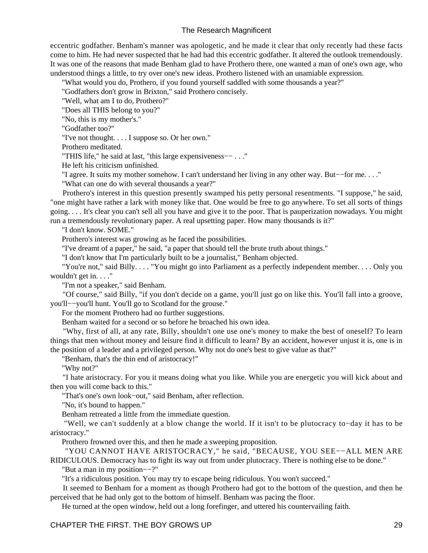eccentric godfather. Benham's manner was apologetic, and he made it clear that only recently had these facts come to him. He had never suspected that he had had this eccentric godfather. It altered the outlook tremendously. It was one of the reasons that made Benham glad to have Prothero there, one wanted a man of one's own age, who understood things a little, to try over one's new ideas. Prothero listened with an unamiable expression.

"What would you do, Prothero, if you found yourself saddled with some thousands a year?"

"Godfathers don't grow in Brixton," said Prothero concisely.

"Well, what am I to do, Prothero?"

"Does all THIS belong to you?"

"No, this is my mother's."

"Godfather too?"

"I've not thought. . . . I suppose so. Or her own."

Prothero meditated.

"THIS life," he said at last, "this large expensiveness−− . . ."

He left his criticism unfinished.

"I agree. It suits my mother somehow. I can't understand her living in any other way. But−−for me. . . ."

"What can one do with several thousands a year?"

 Prothero's interest in this question presently swamped his petty personal resentments. "I suppose," he said, "one might have rather a lark with money like that. One would be free to go anywhere. To set all sorts of things going. . . . It's clear you can't sell all you have and give it to the poor. That is pauperization nowadays. You might run a tremendously revolutionary paper. A real upsetting paper. How many thousands is it?"

"I don't know. SOME."

Prothero's interest was growing as he faced the possibilities.

"I've dreamt of a paper," he said, "a paper that should tell the brute truth about things."

"I don't know that I'm particularly built to be a journalist," Benham objected.

 "You're not," said Billy. . . . "You might go into Parliament as a perfectly independent member. . . . Only you wouldn't get in. . . ."

"I'm not a speaker," said Benham.

 "Of course," said Billy, "if you don't decide on a game, you'll just go on like this. You'll fall into a groove, you'll−−you'll hunt. You'll go to Scotland for the grouse."

For the moment Prothero had no further suggestions.

Benham waited for a second or so before he broached his own idea.

 "Why, first of all, at any rate, Billy, shouldn't one use one's money to make the best of oneself? To learn things that men without money and leisure find it difficult to learn? By an accident, however unjust it is, one is in the position of a leader and a privileged person. Why not do one's best to give value as that?"

"Benham, that's the thin end of aristocracy!"

"Why not?"

 "I hate aristocracy. For you it means doing what you like. While you are energetic you will kick about and then you will come back to this."

"That's one's own look−out," said Benham, after reflection.

"No, it's bound to happen."

Benham retreated a little from the immediate question.

 "Well, we can't suddenly at a blow change the world. If it isn't to be plutocracy to−day it has to be aristocracy."

Prothero frowned over this, and then he made a sweeping proposition.

 "YOU CANNOT HAVE ARISTOCRACY," he said, "BECAUSE, YOU SEE−−ALL MEN ARE RIDICULOUS. Democracy has to fight its way out from under plutocracy. There is nothing else to be done."

"But a man in my position−−?"

"It's a ridiculous position. You may try to escape being ridiculous. You won't succeed."

 It seemed to Benham for a moment as though Prothero had got to the bottom of the question, and then he perceived that he had only got to the bottom of himself. Benham was pacing the floor.

He turned at the open window, held out a long forefinger, and uttered his countervailing faith.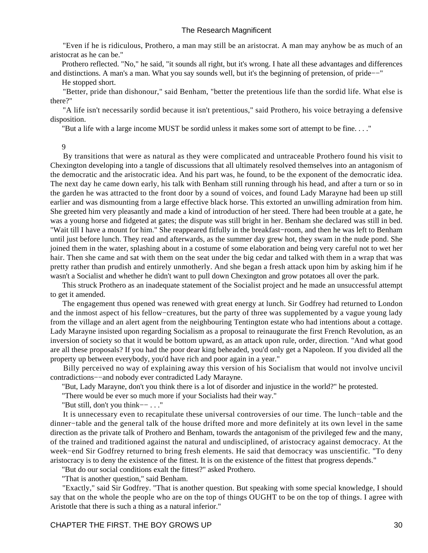"Even if he is ridiculous, Prothero, a man may still be an aristocrat. A man may anyhow be as much of an aristocrat as he can be."

 Prothero reflected. "No," he said, "it sounds all right, but it's wrong. I hate all these advantages and differences and distinctions. A man's a man. What you say sounds well, but it's the beginning of pretension, of pride−−"

He stopped short.

 "Better, pride than dishonour," said Benham, "better the pretentious life than the sordid life. What else is there?"

 "A life isn't necessarily sordid because it isn't pretentious," said Prothero, his voice betraying a defensive disposition.

"But a life with a large income MUST be sordid unless it makes some sort of attempt to be fine. . . ."

### 9

 By transitions that were as natural as they were complicated and untraceable Prothero found his visit to Chexington developing into a tangle of discussions that all ultimately resolved themselves into an antagonism of the democratic and the aristocratic idea. And his part was, he found, to be the exponent of the democratic idea. The next day he came down early, his talk with Benham still running through his head, and after a turn or so in the garden he was attracted to the front door by a sound of voices, and found Lady Marayne had been up still earlier and was dismounting from a large effective black horse. This extorted an unwilling admiration from him. She greeted him very pleasantly and made a kind of introduction of her steed. There had been trouble at a gate, he was a young horse and fidgeted at gates; the dispute was still bright in her. Benham she declared was still in bed. "Wait till I have a mount for him." She reappeared fitfully in the breakfast−room, and then he was left to Benham until just before lunch. They read and afterwards, as the summer day grew hot, they swam in the nude pond. She joined them in the water, splashing about in a costume of some elaboration and being very careful not to wet her hair. Then she came and sat with them on the seat under the big cedar and talked with them in a wrap that was pretty rather than prudish and entirely unmotherly. And she began a fresh attack upon him by asking him if he wasn't a Socialist and whether he didn't want to pull down Chexington and grow potatoes all over the park.

 This struck Prothero as an inadequate statement of the Socialist project and he made an unsuccessful attempt to get it amended.

 The engagement thus opened was renewed with great energy at lunch. Sir Godfrey had returned to London and the inmost aspect of his fellow−creatures, but the party of three was supplemented by a vague young lady from the village and an alert agent from the neighbouring Tentington estate who had intentions about a cottage. Lady Marayne insisted upon regarding Socialism as a proposal to reinaugurate the first French Revolution, as an inversion of society so that it would be bottom upward, as an attack upon rule, order, direction. "And what good are all these proposals? If you had the poor dear king beheaded, you'd only get a Napoleon. If you divided all the property up between everybody, you'd have rich and poor again in a year."

 Billy perceived no way of explaining away this version of his Socialism that would not involve uncivil contradictions−−and nobody ever contradicted Lady Marayne.

"But, Lady Marayne, don't you think there is a lot of disorder and injustice in the world?" he protested.

"There would be ever so much more if your Socialists had their way."

"But still, don't you think−− . . ."

 It is unnecessary even to recapitulate these universal controversies of our time. The lunch−table and the dinner−table and the general talk of the house drifted more and more definitely at its own level in the same direction as the private talk of Prothero and Benham, towards the antagonism of the privileged few and the many, of the trained and traditioned against the natural and undisciplined, of aristocracy against democracy. At the week−end Sir Godfrey returned to bring fresh elements. He said that democracy was unscientific. "To deny aristocracy is to deny the existence of the fittest. It is on the existence of the fittest that progress depends."

"But do our social conditions exalt the fittest?" asked Prothero.

"That is another question," said Benham.

 "Exactly," said Sir Godfrey. "That is another question. But speaking with some special knowledge, I should say that on the whole the people who are on the top of things OUGHT to be on the top of things. I agree with Aristotle that there is such a thing as a natural inferior."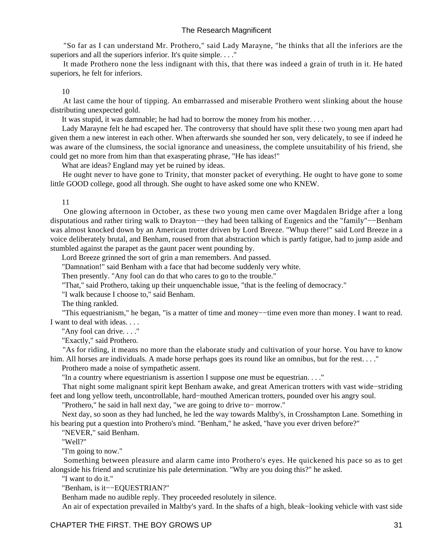"So far as I can understand Mr. Prothero," said Lady Marayne, "he thinks that all the inferiors are the superiors and all the superiors inferior. It's quite simple. . . ."

 It made Prothero none the less indignant with this, that there was indeed a grain of truth in it. He hated superiors, he felt for inferiors.

10

 At last came the hour of tipping. An embarrassed and miserable Prothero went slinking about the house distributing unexpected gold.

It was stupid, it was damnable; he had had to borrow the money from his mother. . . .

 Lady Marayne felt he had escaped her. The controversy that should have split these two young men apart had given them a new interest in each other. When afterwards she sounded her son, very delicately, to see if indeed he was aware of the clumsiness, the social ignorance and uneasiness, the complete unsuitability of his friend, she could get no more from him than that exasperating phrase, "He has ideas!"

What are ideas? England may yet be ruined by ideas.

 He ought never to have gone to Trinity, that monster packet of everything. He ought to have gone to some little GOOD college, good all through. She ought to have asked some one who KNEW.

11

 One glowing afternoon in October, as these two young men came over Magdalen Bridge after a long disputatious and rather tiring walk to Drayton−−they had been talking of Eugenics and the "family"−−Benham was almost knocked down by an American trotter driven by Lord Breeze. "Whup there!" said Lord Breeze in a voice deliberately brutal, and Benham, roused from that abstraction which is partly fatigue, had to jump aside and stumbled against the parapet as the gaunt pacer went pounding by.

Lord Breeze grinned the sort of grin a man remembers. And passed.

"Damnation!" said Benham with a face that had become suddenly very white.

Then presently. "Any fool can do that who cares to go to the trouble."

"That," said Prothero, taking up their unquenchable issue, "that is the feeling of democracy."

"I walk because I choose to," said Benham.

The thing rankled.

 "This equestrianism," he began, "is a matter of time and money−−time even more than money. I want to read. I want to deal with ideas. . . .

"Any fool can drive. . . ."

"Exactly," said Prothero.

 "As for riding, it means no more than the elaborate study and cultivation of your horse. You have to know him. All horses are individuals. A made horse perhaps goes its round like an omnibus, but for the rest. . . ."

Prothero made a noise of sympathetic assent.

"In a country where equestrianism is assertion I suppose one must be equestrian. . . ."

 That night some malignant spirit kept Benham awake, and great American trotters with vast wide−striding feet and long yellow teeth, uncontrollable, hard−mouthed American trotters, pounded over his angry soul.

"Prothero," he said in hall next day, "we are going to drive to− morrow."

 Next day, so soon as they had lunched, he led the way towards Maltby's, in Crosshampton Lane. Something in his bearing put a question into Prothero's mind. "Benham," he asked, "have you ever driven before?"

"NEVER," said Benham.

"Well?"

"I'm going to now."

 Something between pleasure and alarm came into Prothero's eyes. He quickened his pace so as to get alongside his friend and scrutinize his pale determination. "Why are you doing this?" he asked.

"I want to do it."

"Benham, is it−−EQUESTRIAN?"

Benham made no audible reply. They proceeded resolutely in silence.

An air of expectation prevailed in Maltby's yard. In the shafts of a high, bleak−looking vehicle with vast side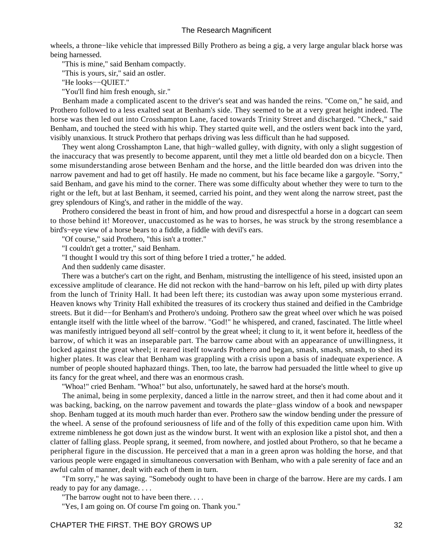wheels, a throne−like vehicle that impressed Billy Prothero as being a gig, a very large angular black horse was being harnessed.

"This is mine," said Benham compactly.

"This is yours, sir," said an ostler.

"He looks−−QUIET."

"You'll find him fresh enough, sir."

 Benham made a complicated ascent to the driver's seat and was handed the reins. "Come on," he said, and Prothero followed to a less exalted seat at Benham's side. They seemed to be at a very great height indeed. The horse was then led out into Crosshampton Lane, faced towards Trinity Street and discharged. "Check," said Benham, and touched the steed with his whip. They started quite well, and the ostlers went back into the yard, visibly unanxious. It struck Prothero that perhaps driving was less difficult than he had supposed.

 They went along Crosshampton Lane, that high−walled gulley, with dignity, with only a slight suggestion of the inaccuracy that was presently to become apparent, until they met a little old bearded don on a bicycle. Then some misunderstanding arose between Benham and the horse, and the little bearded don was driven into the narrow pavement and had to get off hastily. He made no comment, but his face became like a gargoyle. "Sorry," said Benham, and gave his mind to the corner. There was some difficulty about whether they were to turn to the right or the left, but at last Benham, it seemed, carried his point, and they went along the narrow street, past the grey splendours of King's, and rather in the middle of the way.

 Prothero considered the beast in front of him, and how proud and disrespectful a horse in a dogcart can seem to those behind it! Moreover, unaccustomed as he was to horses, he was struck by the strong resemblance a bird's−eye view of a horse bears to a fiddle, a fiddle with devil's ears.

"Of course," said Prothero, "this isn't a trotter."

"I couldn't get a trotter," said Benham.

"I thought I would try this sort of thing before I tried a trotter," he added.

And then suddenly came disaster.

 There was a butcher's cart on the right, and Benham, mistrusting the intelligence of his steed, insisted upon an excessive amplitude of clearance. He did not reckon with the hand−barrow on his left, piled up with dirty plates from the lunch of Trinity Hall. It had been left there; its custodian was away upon some mysterious errand. Heaven knows why Trinity Hall exhibited the treasures of its crockery thus stained and deified in the Cambridge streets. But it did−−for Benham's and Prothero's undoing. Prothero saw the great wheel over which he was poised entangle itself with the little wheel of the barrow. "God!" he whispered, and craned, fascinated. The little wheel was manifestly intrigued beyond all self−control by the great wheel; it clung to it, it went before it, heedless of the barrow, of which it was an inseparable part. The barrow came about with an appearance of unwillingness, it locked against the great wheel; it reared itself towards Prothero and began, smash, smash, smash, to shed its higher plates. It was clear that Benham was grappling with a crisis upon a basis of inadequate experience. A number of people shouted haphazard things. Then, too late, the barrow had persuaded the little wheel to give up its fancy for the great wheel, and there was an enormous crash.

"Whoa!" cried Benham. "Whoa!" but also, unfortunately, he sawed hard at the horse's mouth.

 The animal, being in some perplexity, danced a little in the narrow street, and then it had come about and it was backing, backing, on the narrow pavement and towards the plate−glass window of a book and newspaper shop. Benham tugged at its mouth much harder than ever. Prothero saw the window bending under the pressure of the wheel. A sense of the profound seriousness of life and of the folly of this expedition came upon him. With extreme nimbleness he got down just as the window burst. It went with an explosion like a pistol shot, and then a clatter of falling glass. People sprang, it seemed, from nowhere, and jostled about Prothero, so that he became a peripheral figure in the discussion. He perceived that a man in a green apron was holding the horse, and that various people were engaged in simultaneous conversation with Benham, who with a pale serenity of face and an awful calm of manner, dealt with each of them in turn.

 "I'm sorry," he was saying. "Somebody ought to have been in charge of the barrow. Here are my cards. I am ready to pay for any damage. . . .

"The barrow ought not to have been there. . . .

"Yes, I am going on. Of course I'm going on. Thank you."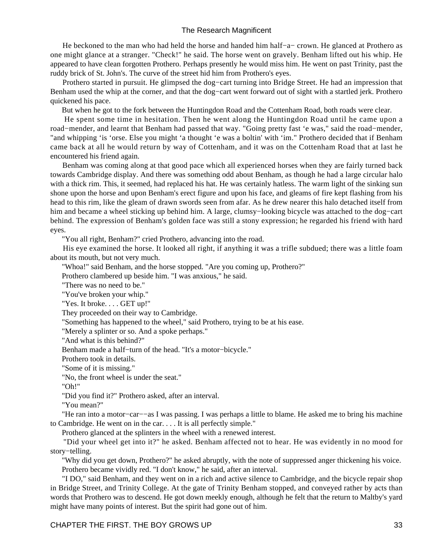He beckoned to the man who had held the horse and handed him half−a− crown. He glanced at Prothero as one might glance at a stranger. "Check!" he said. The horse went on gravely. Benham lifted out his whip. He appeared to have clean forgotten Prothero. Perhaps presently he would miss him. He went on past Trinity, past the ruddy brick of St. John's. The curve of the street hid him from Prothero's eyes.

 Prothero started in pursuit. He glimpsed the dog−cart turning into Bridge Street. He had an impression that Benham used the whip at the corner, and that the dog−cart went forward out of sight with a startled jerk. Prothero quickened his pace.

But when he got to the fork between the Huntingdon Road and the Cottenham Road, both roads were clear.

 He spent some time in hesitation. Then he went along the Huntingdon Road until he came upon a road−mender, and learnt that Benham had passed that way. "Going pretty fast 'e was," said the road−mender, "and whipping 'is 'orse. Else you might 'a thought 'e was a boltin' with 'im." Prothero decided that if Benham came back at all he would return by way of Cottenham, and it was on the Cottenham Road that at last he encountered his friend again.

 Benham was coming along at that good pace which all experienced horses when they are fairly turned back towards Cambridge display. And there was something odd about Benham, as though he had a large circular halo with a thick rim. This, it seemed, had replaced his hat. He was certainly hatless. The warm light of the sinking sun shone upon the horse and upon Benham's erect figure and upon his face, and gleams of fire kept flashing from his head to this rim, like the gleam of drawn swords seen from afar. As he drew nearer this halo detached itself from him and became a wheel sticking up behind him. A large, clumsy−looking bicycle was attached to the dog−cart behind. The expression of Benham's golden face was still a stony expression; he regarded his friend with hard eyes.

"You all right, Benham?" cried Prothero, advancing into the road.

 His eye examined the horse. It looked all right, if anything it was a trifle subdued; there was a little foam about its mouth, but not very much.

"Whoa!" said Benham, and the horse stopped. "Are you coming up, Prothero?"

Prothero clambered up beside him. "I was anxious," he said.

"There was no need to be."

"You've broken your whip."

"Yes. It broke. . . . GET up!"

They proceeded on their way to Cambridge.

"Something has happened to the wheel," said Prothero, trying to be at his ease.

"Merely a splinter or so. And a spoke perhaps."

"And what is this behind?"

Benham made a half−turn of the head. "It's a motor−bicycle."

Prothero took in details.

"Some of it is missing."

"No, the front wheel is under the seat."

"Oh!"

"Did you find it?" Prothero asked, after an interval.

"You mean?"

 "He ran into a motor−car−−as I was passing. I was perhaps a little to blame. He asked me to bring his machine to Cambridge. He went on in the car. . . . It is all perfectly simple."

Prothero glanced at the splinters in the wheel with a renewed interest.

 "Did your wheel get into it?" he asked. Benham affected not to hear. He was evidently in no mood for story−telling.

 "Why did you get down, Prothero?" he asked abruptly, with the note of suppressed anger thickening his voice. Prothero became vividly red. "I don't know," he said, after an interval.

 "I DO," said Benham, and they went on in a rich and active silence to Cambridge, and the bicycle repair shop in Bridge Street, and Trinity College. At the gate of Trinity Benham stopped, and conveyed rather by acts than words that Prothero was to descend. He got down meekly enough, although he felt that the return to Maltby's yard might have many points of interest. But the spirit had gone out of him.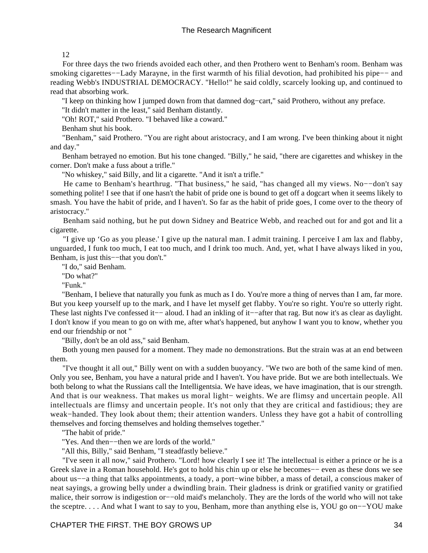#### 12

 For three days the two friends avoided each other, and then Prothero went to Benham's room. Benham was smoking cigarettes−−Lady Marayne, in the first warmth of his filial devotion, had prohibited his pipe−− and reading Webb's INDUSTRIAL DEMOCRACY. "Hello!" he said coldly, scarcely looking up, and continued to read that absorbing work.

"I keep on thinking how I jumped down from that damned dog−cart," said Prothero, without any preface.

"It didn't matter in the least," said Benham distantly.

"Oh! ROT," said Prothero. "I behaved like a coward."

Benham shut his book.

 "Benham," said Prothero. "You are right about aristocracy, and I am wrong. I've been thinking about it night and day."

 Benham betrayed no emotion. But his tone changed. "Billy," he said, "there are cigarettes and whiskey in the corner. Don't make a fuss about a trifle."

"No whiskey," said Billy, and lit a cigarette. "And it isn't a trifle."

 He came to Benham's hearthrug. "That business," he said, "has changed all my views. No−−don't say something polite! I see that if one hasn't the habit of pride one is bound to get off a dogcart when it seems likely to smash. You have the habit of pride, and I haven't. So far as the habit of pride goes, I come over to the theory of aristocracy."

 Benham said nothing, but he put down Sidney and Beatrice Webb, and reached out for and got and lit a cigarette.

 "I give up 'Go as you please.' I give up the natural man. I admit training. I perceive I am lax and flabby, unguarded, I funk too much, I eat too much, and I drink too much. And, yet, what I have always liked in you, Benham, is just this−−that you don't."

"I do," said Benham.

"Do what?"

"Funk."

 "Benham, I believe that naturally you funk as much as I do. You're more a thing of nerves than I am, far more. But you keep yourself up to the mark, and I have let myself get flabby. You're so right. You're so utterly right. These last nights I've confessed it−− aloud. I had an inkling of it−−after that rag. But now it's as clear as daylight. I don't know if you mean to go on with me, after what's happened, but anyhow I want you to know, whether you end our friendship or not "

"Billy, don't be an old ass," said Benham.

 Both young men paused for a moment. They made no demonstrations. But the strain was at an end between them.

 "I've thought it all out," Billy went on with a sudden buoyancy. "We two are both of the same kind of men. Only you see, Benham, you have a natural pride and I haven't. You have pride. But we are both intellectuals. We both belong to what the Russians call the Intelligentsia. We have ideas, we have imagination, that is our strength. And that is our weakness. That makes us moral light− weights. We are flimsy and uncertain people. All intellectuals are flimsy and uncertain people. It's not only that they are critical and fastidious; they are weak−handed. They look about them; their attention wanders. Unless they have got a habit of controlling themselves and forcing themselves and holding themselves together."

"The habit of pride."

"Yes. And then−−then we are lords of the world."

"All this, Billy," said Benham, "I steadfastly believe."

 "I've seen it all now," said Prothero. "Lord! how clearly I see it! The intellectual is either a prince or he is a Greek slave in a Roman household. He's got to hold his chin up or else he becomes−− even as these dons we see about us−−a thing that talks appointments, a toady, a port−wine bibber, a mass of detail, a conscious maker of neat sayings, a growing belly under a dwindling brain. Their gladness is drink or gratified vanity or gratified malice, their sorrow is indigestion or−−old maid's melancholy. They are the lords of the world who will not take the sceptre. . . . And what I want to say to you, Benham, more than anything else is, YOU go on−−YOU make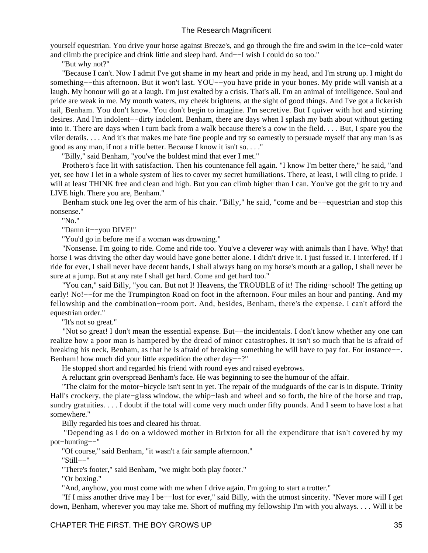yourself equestrian. You drive your horse against Breeze's, and go through the fire and swim in the ice−cold water and climb the precipice and drink little and sleep hard. And−−I wish I could do so too."

"But why not?"

 "Because I can't. Now I admit I've got shame in my heart and pride in my head, and I'm strung up. I might do something−−this afternoon. But it won't last. YOU−−you have pride in your bones. My pride will vanish at a laugh. My honour will go at a laugh. I'm just exalted by a crisis. That's all. I'm an animal of intelligence. Soul and pride are weak in me. My mouth waters, my cheek brightens, at the sight of good things. And I've got a lickerish tail, Benham. You don't know. You don't begin to imagine. I'm secretive. But I quiver with hot and stirring desires. And I'm indolent−−dirty indolent. Benham, there are days when I splash my bath about without getting into it. There are days when I turn back from a walk because there's a cow in the field. . . . But, I spare you the viler details. . . . And it's that makes me hate fine people and try so earnestly to persuade myself that any man is as good as any man, if not a trifle better. Because I know it isn't so. . . ."

"Billy," said Benham, "you've the boldest mind that ever I met."

 Prothero's face lit with satisfaction. Then his countenance fell again. "I know I'm better there," he said, "and yet, see how I let in a whole system of lies to cover my secret humiliations. There, at least, I will cling to pride. I will at least THINK free and clean and high. But you can climb higher than I can. You've got the grit to try and LIVE high. There you are, Benham."

 Benham stuck one leg over the arm of his chair. "Billy," he said, "come and be−−equestrian and stop this nonsense."

"No."

"Damn it−−you DIVE!"

"You'd go in before me if a woman was drowning."

 "Nonsense. I'm going to ride. Come and ride too. You've a cleverer way with animals than I have. Why! that horse I was driving the other day would have gone better alone. I didn't drive it. I just fussed it. I interfered. If I ride for ever, I shall never have decent hands, I shall always hang on my horse's mouth at a gallop, I shall never be sure at a jump. But at any rate I shall get hard. Come and get hard too."

 "You can," said Billy, "you can. But not I! Heavens, the TROUBLE of it! The riding−school! The getting up early! No!––for me the Trumpington Road on foot in the afternoon. Four miles an hour and panting. And my fellowship and the combination−room port. And, besides, Benham, there's the expense. I can't afford the equestrian order."

"It's not so great."

 "Not so great! I don't mean the essential expense. But−−the incidentals. I don't know whether any one can realize how a poor man is hampered by the dread of minor catastrophes. It isn't so much that he is afraid of breaking his neck, Benham, as that he is afraid of breaking something he will have to pay for. For instance−−. Benham! how much did your little expedition the other day−−?"

He stopped short and regarded his friend with round eyes and raised eyebrows.

A reluctant grin overspread Benham's face. He was beginning to see the humour of the affair.

 "The claim for the motor−bicycle isn't sent in yet. The repair of the mudguards of the car is in dispute. Trinity Hall's crockery, the plate−glass window, the whip−lash and wheel and so forth, the hire of the horse and trap, sundry gratuities. . . . I doubt if the total will come very much under fifty pounds. And I seem to have lost a hat somewhere."

Billy regarded his toes and cleared his throat.

 "Depending as I do on a widowed mother in Brixton for all the expenditure that isn't covered by my pot−hunting−−"

"Of course," said Benham, "it wasn't a fair sample afternoon."

"Still−−"

"There's footer," said Benham, "we might both play footer."

"Or boxing."

"And, anyhow, you must come with me when I drive again. I'm going to start a trotter."

 "If I miss another drive may I be−−lost for ever," said Billy, with the utmost sincerity. "Never more will I get down, Benham, wherever you may take me. Short of muffing my fellowship I'm with you always. . . . Will it be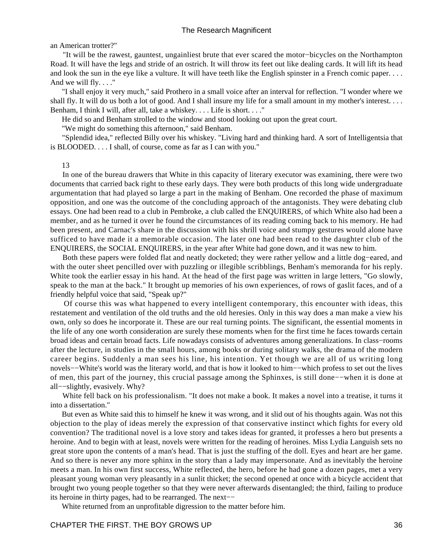#### an American trotter?"

 "It will be the rawest, gauntest, ungainliest brute that ever scared the motor−bicycles on the Northampton Road. It will have the legs and stride of an ostrich. It will throw its feet out like dealing cards. It will lift its head and look the sun in the eye like a vulture. It will have teeth like the English spinster in a French comic paper. . . . And we will fly. . . ."

 "I shall enjoy it very much," said Prothero in a small voice after an interval for reflection. "I wonder where we shall fly. It will do us both a lot of good. And I shall insure my life for a small amount in my mother's interest. . . . Benham, I think I will, after all, take a whiskey. . . . Life is short. . . ."

He did so and Benham strolled to the window and stood looking out upon the great court.

"We might do something this afternoon," said Benham.

 "Splendid idea," reflected Billy over his whiskey. "Living hard and thinking hard. A sort of Intelligentsia that is BLOODED. . . . I shall, of course, come as far as I can with you."

#### 13

 In one of the bureau drawers that White in this capacity of literary executor was examining, there were two documents that carried back right to these early days. They were both products of this long wide undergraduate argumentation that had played so large a part in the making of Benham. One recorded the phase of maximum opposition, and one was the outcome of the concluding approach of the antagonists. They were debating club essays. One had been read to a club in Pembroke, a club called the ENQUIRERS, of which White also had been a member, and as he turned it over he found the circumstances of its reading coming back to his memory. He had been present, and Carnac's share in the discussion with his shrill voice and stumpy gestures would alone have sufficed to have made it a memorable occasion. The later one had been read to the daughter club of the ENQUIRERS, the SOCIAL ENQUIRERS, in the year after White had gone down, and it was new to him.

 Both these papers were folded flat and neatly docketed; they were rather yellow and a little dog−eared, and with the outer sheet pencilled over with puzzling or illegible scribblings, Benham's memoranda for his reply. White took the earlier essay in his hand. At the head of the first page was written in large letters, "Go slowly, speak to the man at the back." It brought up memories of his own experiences, of rows of gaslit faces, and of a friendly helpful voice that said, "Speak up?"

 Of course this was what happened to every intelligent contemporary, this encounter with ideas, this restatement and ventilation of the old truths and the old heresies. Only in this way does a man make a view his own, only so does he incorporate it. These are our real turning points. The significant, the essential moments in the life of any one worth consideration are surely these moments when for the first time he faces towards certain broad ideas and certain broad facts. Life nowadays consists of adventures among generalizations. In class−rooms after the lecture, in studies in the small hours, among books or during solitary walks, the drama of the modern career begins. Suddenly a man sees his line, his intention. Yet though we are all of us writing long novels−−White's world was the literary world, and that is how it looked to him−−which profess to set out the lives of men, this part of the journey, this crucial passage among the Sphinxes, is still done−−when it is done at all−−slightly, evasively. Why?

 White fell back on his professionalism. "It does not make a book. It makes a novel into a treatise, it turns it into a dissertation."

 But even as White said this to himself he knew it was wrong, and it slid out of his thoughts again. Was not this objection to the play of ideas merely the expression of that conservative instinct which fights for every old convention? The traditional novel is a love story and takes ideas for granted, it professes a hero but presents a heroine. And to begin with at least, novels were written for the reading of heroines. Miss Lydia Languish sets no great store upon the contents of a man's head. That is just the stuffing of the doll. Eyes and heart are her game. And so there is never any more sphinx in the story than a lady may impersonate. And as inevitably the heroine meets a man. In his own first success, White reflected, the hero, before he had gone a dozen pages, met a very pleasant young woman very pleasantly in a sunlit thicket; the second opened at once with a bicycle accident that brought two young people together so that they were never afterwards disentangled; the third, failing to produce its heroine in thirty pages, had to be rearranged. The next−−

White returned from an unprofitable digression to the matter before him.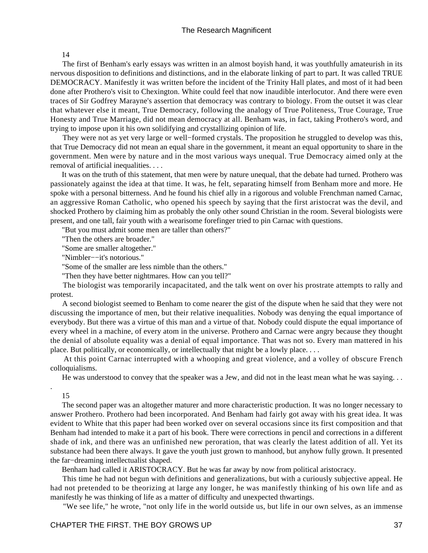14

 The first of Benham's early essays was written in an almost boyish hand, it was youthfully amateurish in its nervous disposition to definitions and distinctions, and in the elaborate linking of part to part. It was called TRUE DEMOCRACY. Manifestly it was written before the incident of the Trinity Hall plates, and most of it had been done after Prothero's visit to Chexington. White could feel that now inaudible interlocutor. And there were even traces of Sir Godfrey Marayne's assertion that democracy was contrary to biology. From the outset it was clear that whatever else it meant, True Democracy, following the analogy of True Politeness, True Courage, True Honesty and True Marriage, did not mean democracy at all. Benham was, in fact, taking Prothero's word, and trying to impose upon it his own solidifying and crystallizing opinion of life.

 They were not as yet very large or well−formed crystals. The proposition he struggled to develop was this, that True Democracy did not mean an equal share in the government, it meant an equal opportunity to share in the government. Men were by nature and in the most various ways unequal. True Democracy aimed only at the removal of artificial inequalities. . . .

 It was on the truth of this statement, that men were by nature unequal, that the debate had turned. Prothero was passionately against the idea at that time. It was, he felt, separating himself from Benham more and more. He spoke with a personal bitterness. And he found his chief ally in a rigorous and voluble Frenchman named Carnac, an aggressive Roman Catholic, who opened his speech by saying that the first aristocrat was the devil, and shocked Prothero by claiming him as probably the only other sound Christian in the room. Several biologists were present, and one tall, fair youth with a wearisome forefinger tried to pin Carnac with questions.

"But you must admit some men are taller than others?"

"Then the others are broader."

"Some are smaller altogether."

"Nimbler−−it's notorious."

"Some of the smaller are less nimble than the others."

"Then they have better nightmares. How can you tell?"

 The biologist was temporarily incapacitated, and the talk went on over his prostrate attempts to rally and protest.

 A second biologist seemed to Benham to come nearer the gist of the dispute when he said that they were not discussing the importance of men, but their relative inequalities. Nobody was denying the equal importance of everybody. But there was a virtue of this man and a virtue of that. Nobody could dispute the equal importance of every wheel in a machine, of every atom in the universe. Prothero and Carnac were angry because they thought the denial of absolute equality was a denial of equal importance. That was not so. Every man mattered in his place. But politically, or economically, or intellectually that might be a lowly place. . . .

 At this point Carnac interrupted with a whooping and great violence, and a volley of obscure French colloquialisms.

He was understood to convey that the speaker was a Jew, and did not in the least mean what he was saying. . .

15

.

 The second paper was an altogether maturer and more characteristic production. It was no longer necessary to answer Prothero. Prothero had been incorporated. And Benham had fairly got away with his great idea. It was evident to White that this paper had been worked over on several occasions since its first composition and that Benham had intended to make it a part of his book. There were corrections in pencil and corrections in a different shade of ink, and there was an unfinished new peroration, that was clearly the latest addition of all. Yet its substance had been there always. It gave the youth just grown to manhood, but anyhow fully grown. It presented the far−dreaming intellectualist shaped.

Benham had called it ARISTOCRACY. But he was far away by now from political aristocracy.

 This time he had not begun with definitions and generalizations, but with a curiously subjective appeal. He had not pretended to be theorizing at large any longer, he was manifestly thinking of his own life and as manifestly he was thinking of life as a matter of difficulty and unexpected thwartings.

"We see life," he wrote, "not only life in the world outside us, but life in our own selves, as an immense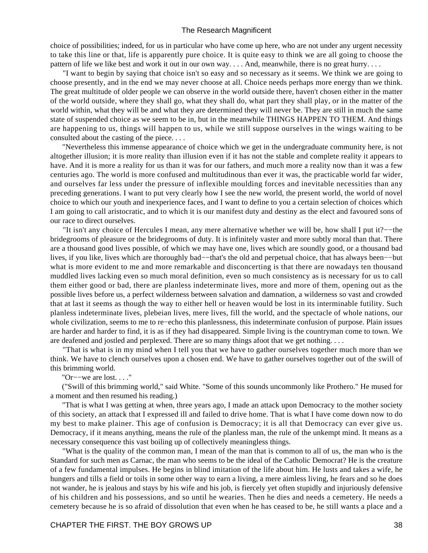choice of possibilities; indeed, for us in particular who have come up here, who are not under any urgent necessity to take this line or that, life is apparently pure choice. It is quite easy to think we are all going to choose the pattern of life we like best and work it out in our own way.... And, meanwhile, there is no great hurry....

 "I want to begin by saying that choice isn't so easy and so necessary as it seems. We think we are going to choose presently, and in the end we may never choose at all. Choice needs perhaps more energy than we think. The great multitude of older people we can observe in the world outside there, haven't chosen either in the matter of the world outside, where they shall go, what they shall do, what part they shall play, or in the matter of the world within, what they will be and what they are determined they will never be. They are still in much the same state of suspended choice as we seem to be in, but in the meanwhile THINGS HAPPEN TO THEM. And things are happening to us, things will happen to us, while we still suppose ourselves in the wings waiting to be consulted about the casting of the piece. . . .

 "Nevertheless this immense appearance of choice which we get in the undergraduate community here, is not altogether illusion; it is more reality than illusion even if it has not the stable and complete reality it appears to have. And it is more a reality for us than it was for our fathers, and much more a reality now than it was a few centuries ago. The world is more confused and multitudinous than ever it was, the practicable world far wider, and ourselves far less under the pressure of inflexible moulding forces and inevitable necessities than any preceding generations. I want to put very clearly how I see the new world, the present world, the world of novel choice to which our youth and inexperience faces, and I want to define to you a certain selection of choices which I am going to call aristocratic, and to which it is our manifest duty and destiny as the elect and favoured sons of our race to direct ourselves.

 "It isn't any choice of Hercules I mean, any mere alternative whether we will be, how shall I put it?−−the bridegrooms of pleasure or the bridegrooms of duty. It is infinitely vaster and more subtly moral than that. There are a thousand good lives possible, of which we may have one, lives which are soundly good, or a thousand bad lives, if you like, lives which are thoroughly bad−−that's the old and perpetual choice, that has always been−−but what is more evident to me and more remarkable and disconcerting is that there are nowadays ten thousand muddled lives lacking even so much moral definition, even so much consistency as is necessary for us to call them either good or bad, there are planless indeterminate lives, more and more of them, opening out as the possible lives before us, a perfect wilderness between salvation and damnation, a wilderness so vast and crowded that at last it seems as though the way to either hell or heaven would be lost in its interminable futility. Such planless indeterminate lives, plebeian lives, mere lives, fill the world, and the spectacle of whole nations, our whole civilization, seems to me to re−echo this planlessness, this indeterminate confusion of purpose. Plain issues are harder and harder to find, it is as if they had disappeared. Simple living is the countryman come to town. We are deafened and jostled and perplexed. There are so many things afoot that we get nothing. . . .

 "That is what is in my mind when I tell you that we have to gather ourselves together much more than we think. We have to clench ourselves upon a chosen end. We have to gather ourselves together out of the swill of this brimming world.

"Or−−we are lost. . . ."

 ("Swill of this brimming world," said White. "Some of this sounds uncommonly like Prothero." He mused for a moment and then resumed his reading.)

 "That is what I was getting at when, three years ago, I made an attack upon Democracy to the mother society of this society, an attack that I expressed ill and failed to drive home. That is what I have come down now to do my best to make plainer. This age of confusion is Democracy; it is all that Democracy can ever give us. Democracy, if it means anything, means the rule of the planless man, the rule of the unkempt mind. It means as a necessary consequence this vast boiling up of collectively meaningless things.

 "What is the quality of the common man, I mean of the man that is common to all of us, the man who is the Standard for such men as Carnac, the man who seems to be the ideal of the Catholic Democrat? He is the creature of a few fundamental impulses. He begins in blind imitation of the life about him. He lusts and takes a wife, he hungers and tills a field or toils in some other way to earn a living, a mere aimless living, he fears and so he does not wander, he is jealous and stays by his wife and his job, is fiercely yet often stupidly and injuriously defensive of his children and his possessions, and so until he wearies. Then he dies and needs a cemetery. He needs a cemetery because he is so afraid of dissolution that even when he has ceased to be, he still wants a place and a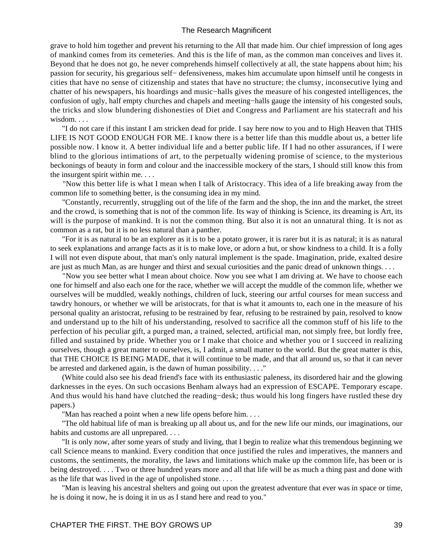grave to hold him together and prevent his returning to the All that made him. Our chief impression of long ages of mankind comes from its cemeteries. And this is the life of man, as the common man conceives and lives it. Beyond that he does not go, he never comprehends himself collectively at all, the state happens about him; his passion for security, his gregarious self− defensiveness, makes him accumulate upon himself until he congests in cities that have no sense of citizenship and states that have no structure; the clumsy, inconsecutive lying and chatter of his newspapers, his hoardings and music−halls gives the measure of his congested intelligences, the confusion of ugly, half empty churches and chapels and meeting−halls gauge the intensity of his congested souls, the tricks and slow blundering dishonesties of Diet and Congress and Parliament are his statecraft and his wisdom. . . .

 "I do not care if this instant I am stricken dead for pride. I say here now to you and to High Heaven that THIS LIFE IS NOT GOOD ENOUGH FOR ME. I know there is a better life than this muddle about us, a better life possible now. I know it. A better individual life and a better public life. If I had no other assurances, if I were blind to the glorious intimations of art, to the perpetually widening promise of science, to the mysterious beckonings of beauty in form and colour and the inaccessible mockery of the stars, I should still know this from the insurgent spirit within me. . . .

 "Now this better life is what I mean when I talk of Aristocracy. This idea of a life breaking away from the common life to something better, is the consuming idea in my mind.

 "Constantly, recurrently, struggling out of the life of the farm and the shop, the inn and the market, the street and the crowd, is something that is not of the common life. Its way of thinking is Science, its dreaming is Art, its will is the purpose of mankind. It is not the common thing. But also it is not an unnatural thing. It is not as common as a rat, but it is no less natural than a panther.

 "For it is as natural to be an explorer as it is to be a potato grower, it is rarer but it is as natural; it is as natural to seek explanations and arrange facts as it is to make love, or adorn a hut, or show kindness to a child. It is a folly I will not even dispute about, that man's only natural implement is the spade. Imagination, pride, exalted desire are just as much Man, as are hunger and thirst and sexual curiosities and the panic dread of unknown things. . . .

 "Now you see better what I mean about choice. Now you see what I am driving at. We have to choose each one for himself and also each one for the race, whether we will accept the muddle of the common life, whether we ourselves will be muddled, weakly nothings, children of luck, steering our artful courses for mean success and tawdry honours, or whether we will be aristocrats, for that is what it amounts to, each one in the measure of his personal quality an aristocrat, refusing to be restrained by fear, refusing to be restrained by pain, resolved to know and understand up to the hilt of his understanding, resolved to sacrifice all the common stuff of his life to the perfection of his peculiar gift, a purged man, a trained, selected, artificial man, not simply free, but lordly free, filled and sustained by pride. Whether you or I make that choice and whether you or I succeed in realizing ourselves, though a great matter to ourselves, is, I admit, a small matter to the world. But the great matter is this, that THE CHOICE IS BEING MADE, that it will continue to be made, and that all around us, so that it can never be arrested and darkened again, is the dawn of human possibility. . . ."

 (White could also see his dead friend's face with its enthusiastic paleness, its disordered hair and the glowing darknesses in the eyes. On such occasions Benham always had an expression of ESCAPE. Temporary escape. And thus would his hand have clutched the reading−desk; thus would his long fingers have rustled these dry papers.)

"Man has reached a point when a new life opens before him. . . .

 "The old habitual life of man is breaking up all about us, and for the new life our minds, our imaginations, our habits and customs are all unprepared. . . .

 "It is only now, after some years of study and living, that I begin to realize what this tremendous beginning we call Science means to mankind. Every condition that once justified the rules and imperatives, the manners and customs, the sentiments, the morality, the laws and limitations which make up the common life, has been or is being destroyed. . . . Two or three hundred years more and all that life will be as much a thing past and done with as the life that was lived in the age of unpolished stone. . . .

 "Man is leaving his ancestral shelters and going out upon the greatest adventure that ever was in space or time, he is doing it now, he is doing it in us as I stand here and read to you."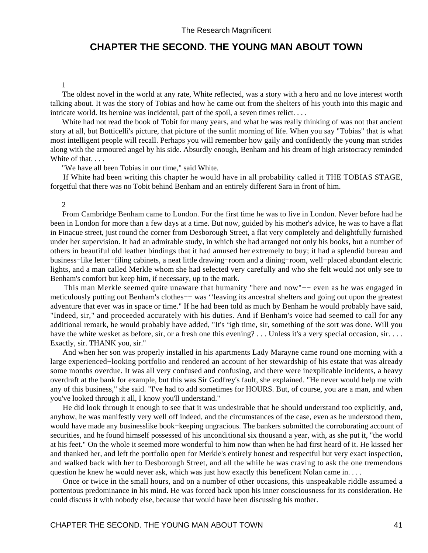# **CHAPTER THE SECOND. THE YOUNG MAN ABOUT TOWN**

#### 1

 The oldest novel in the world at any rate, White reflected, was a story with a hero and no love interest worth talking about. It was the story of Tobias and how he came out from the shelters of his youth into this magic and intricate world. Its heroine was incidental, part of the spoil, a seven times relict. . . .

White had not read the book of Tobit for many years, and what he was really thinking of was not that ancient story at all, but Botticelli's picture, that picture of the sunlit morning of life. When you say "Tobias" that is what most intelligent people will recall. Perhaps you will remember how gaily and confidently the young man strides along with the armoured angel by his side. Absurdly enough, Benham and his dream of high aristocracy reminded White of that. . . .

"We have all been Tobias in our time," said White.

 If White had been writing this chapter he would have in all probability called it THE TOBIAS STAGE, forgetful that there was no Tobit behind Benham and an entirely different Sara in front of him.

#### 2

 From Cambridge Benham came to London. For the first time he was to live in London. Never before had he been in London for more than a few days at a time. But now, guided by his mother's advice, he was to have a flat in Finacue street, just round the corner from Desborough Street, a flat very completely and delightfully furnished under her supervision. It had an admirable study, in which she had arranged not only his books, but a number of others in beautiful old leather bindings that it had amused her extremely to buy; it had a splendid bureau and business−like letter−filing cabinets, a neat little drawing−room and a dining−room, well−placed abundant electric lights, and a man called Merkle whom she had selected very carefully and who she felt would not only see to Benham's comfort but keep him, if necessary, up to the mark.

 This man Merkle seemed quite unaware that humanity "here and now"−− even as he was engaged in meticulously putting out Benham's clothes−− was ''leaving its ancestral shelters and going out upon the greatest adventure that ever was in space or time." If he had been told as much by Benham he would probably have said, "Indeed, sir," and proceeded accurately with his duties. And if Benham's voice had seemed to call for any additional remark, he would probably have added, "It's 'igh time, sir, something of the sort was done. Will you have the white wesket as before, sir, or a fresh one this evening? . . . Unless it's a very special occasion, sir. . . . Exactly, sir. THANK you, sir."

 And when her son was properly installed in his apartments Lady Marayne came round one morning with a large experienced−looking portfolio and rendered an account of her stewardship of his estate that was already some months overdue. It was all very confused and confusing, and there were inexplicable incidents, a heavy overdraft at the bank for example, but this was Sir Godfrey's fault, she explained. "He never would help me with any of this business," she said. "I've had to add sometimes for HOURS. But, of course, you are a man, and when you've looked through it all, I know you'll understand."

 He did look through it enough to see that it was undesirable that he should understand too explicitly, and, anyhow, he was manifestly very well off indeed, and the circumstances of the case, even as he understood them, would have made any businesslike book−keeping ungracious. The bankers submitted the corroborating account of securities, and he found himself possessed of his unconditional six thousand a year, with, as she put it, "the world at his feet." On the whole it seemed more wonderful to him now than when he had first heard of it. He kissed her and thanked her, and left the portfolio open for Merkle's entirely honest and respectful but very exact inspection, and walked back with her to Desborough Street, and all the while he was craving to ask the one tremendous question he knew he would never ask, which was just how exactly this beneficent Nolan came in. . . .

 Once or twice in the small hours, and on a number of other occasions, this unspeakable riddle assumed a portentous predominance in his mind. He was forced back upon his inner consciousness for its consideration. He could discuss it with nobody else, because that would have been discussing his mother.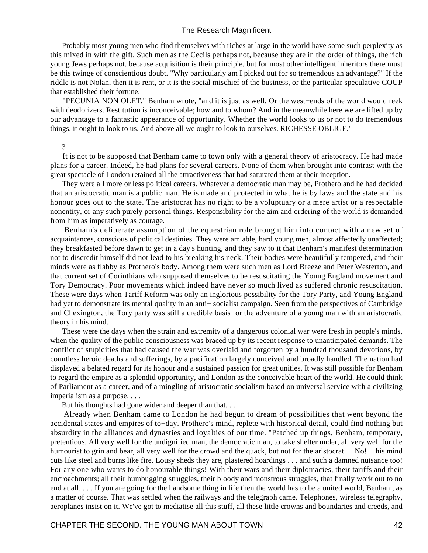Probably most young men who find themselves with riches at large in the world have some such perplexity as this mixed in with the gift. Such men as the Cecils perhaps not, because they are in the order of things, the rich young Jews perhaps not, because acquisition is their principle, but for most other intelligent inheritors there must be this twinge of conscientious doubt. "Why particularly am I picked out for so tremendous an advantage?" If the riddle is not Nolan, then it is rent, or it is the social mischief of the business, or the particular speculative COUP that established their fortune.

 "PECUNIA NON OLET," Benham wrote, "and it is just as well. Or the west−ends of the world would reek with deodorizers. Restitution is inconceivable; how and to whom? And in the meanwhile here we are lifted up by our advantage to a fantastic appearance of opportunity. Whether the world looks to us or not to do tremendous things, it ought to look to us. And above all we ought to look to ourselves. RICHESSE OBLIGE."

3

 It is not to be supposed that Benham came to town only with a general theory of aristocracy. He had made plans for a career. Indeed, he had plans for several careers. None of them when brought into contrast with the great spectacle of London retained all the attractiveness that had saturated them at their inception.

 They were all more or less political careers. Whatever a democratic man may be, Prothero and he had decided that an aristocratic man is a public man. He is made and protected in what he is by laws and the state and his honour goes out to the state. The aristocrat has no right to be a voluptuary or a mere artist or a respectable nonentity, or any such purely personal things. Responsibility for the aim and ordering of the world is demanded from him as imperatively as courage.

 Benham's deliberate assumption of the equestrian role brought him into contact with a new set of acquaintances, conscious of political destinies. They were amiable, hard young men, almost affectedly unaffected; they breakfasted before dawn to get in a day's hunting, and they saw to it that Benham's manifest determination not to discredit himself did not lead to his breaking his neck. Their bodies were beautifully tempered, and their minds were as flabby as Prothero's body. Among them were such men as Lord Breeze and Peter Westerton, and that current set of Corinthians who supposed themselves to be resuscitating the Young England movement and Tory Democracy. Poor movements which indeed have never so much lived as suffered chronic resuscitation. These were days when Tariff Reform was only an inglorious possibility for the Tory Party, and Young England had yet to demonstrate its mental quality in an anti− socialist campaign. Seen from the perspectives of Cambridge and Chexington, the Tory party was still a credible basis for the adventure of a young man with an aristocratic theory in his mind.

 These were the days when the strain and extremity of a dangerous colonial war were fresh in people's minds, when the quality of the public consciousness was braced up by its recent response to unanticipated demands. The conflict of stupidities that had caused the war was overlaid and forgotten by a hundred thousand devotions, by countless heroic deaths and sufferings, by a pacification largely conceived and broadly handled. The nation had displayed a belated regard for its honour and a sustained passion for great unities. It was still possible for Benham to regard the empire as a splendid opportunity, and London as the conceivable heart of the world. He could think of Parliament as a career, and of a mingling of aristocratic socialism based on universal service with a civilizing imperialism as a purpose. . . .

But his thoughts had gone wider and deeper than that....

 Already when Benham came to London he had begun to dream of possibilities that went beyond the accidental states and empires of to−day. Prothero's mind, replete with historical detail, could find nothing but absurdity in the alliances and dynasties and loyalties of our time. "Patched up things, Benham, temporary, pretentious. All very well for the undignified man, the democratic man, to take shelter under, all very well for the humourist to grin and bear, all very well for the crowd and the quack, but not for the aristocrat–− No!–−his mind cuts like steel and burns like fire. Lousy sheds they are, plastered hoardings . . . and such a damned nuisance too! For any one who wants to do honourable things! With their wars and their diplomacies, their tariffs and their encroachments; all their humbugging struggles, their bloody and monstrous struggles, that finally work out to no end at all. . . . If you are going for the handsome thing in life then the world has to be a united world, Benham, as a matter of course. That was settled when the railways and the telegraph came. Telephones, wireless telegraphy, aeroplanes insist on it. We've got to mediatise all this stuff, all these little crowns and boundaries and creeds, and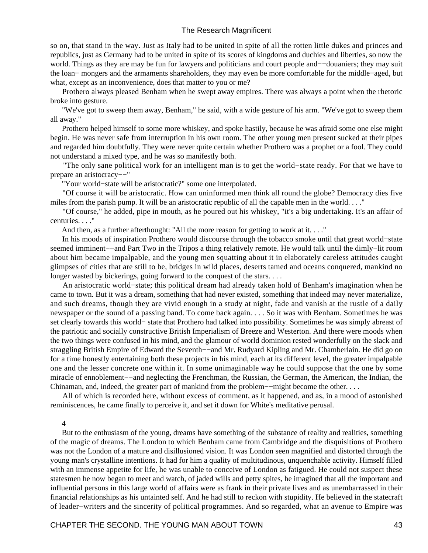so on, that stand in the way. Just as Italy had to be united in spite of all the rotten little dukes and princes and republics, just as Germany had to be united in spite of its scores of kingdoms and duchies and liberties, so now the world. Things as they are may be fun for lawyers and politicians and court people and−−douaniers; they may suit the loan− mongers and the armaments shareholders, they may even be more comfortable for the middle−aged, but what, except as an inconvenience, does that matter to you or me?

 Prothero always pleased Benham when he swept away empires. There was always a point when the rhetoric broke into gesture.

 "We've got to sweep them away, Benham," he said, with a wide gesture of his arm. "We've got to sweep them all away."

 Prothero helped himself to some more whiskey, and spoke hastily, because he was afraid some one else might begin. He was never safe from interruption in his own room. The other young men present sucked at their pipes and regarded him doubtfully. They were never quite certain whether Prothero was a prophet or a fool. They could not understand a mixed type, and he was so manifestly both.

 "The only sane political work for an intelligent man is to get the world−state ready. For that we have to prepare an aristocracy−−"

"Your world−state will be aristocratic?" some one interpolated.

 "Of course it will be aristocratic. How can uninformed men think all round the globe? Democracy dies five miles from the parish pump. It will be an aristocratic republic of all the capable men in the world. . . ."

 "Of course," he added, pipe in mouth, as he poured out his whiskey, "it's a big undertaking. It's an affair of centuries. . . ."

And then, as a further afterthought: "All the more reason for getting to work at it...."

 In his moods of inspiration Prothero would discourse through the tobacco smoke until that great world−state seemed imminent-−and Part Two in the Tripos a thing relatively remote. He would talk until the dimly−lit room about him became impalpable, and the young men squatting about it in elaborately careless attitudes caught glimpses of cities that are still to be, bridges in wild places, deserts tamed and oceans conquered, mankind no longer wasted by bickerings, going forward to the conquest of the stars. . . .

 An aristocratic world−state; this political dream had already taken hold of Benham's imagination when he came to town. But it was a dream, something that had never existed, something that indeed may never materialize, and such dreams, though they are vivid enough in a study at night, fade and vanish at the rustle of a daily newspaper or the sound of a passing band. To come back again. . . . So it was with Benham. Sometimes he was set clearly towards this world− state that Prothero had talked into possibility. Sometimes he was simply abreast of the patriotic and socially constructive British Imperialism of Breeze and Westerton. And there were moods when the two things were confused in his mind, and the glamour of world dominion rested wonderfully on the slack and straggling British Empire of Edward the Seventh−−and Mr. Rudyard Kipling and Mr. Chamberlain. He did go on for a time honestly entertaining both these projects in his mind, each at its different level, the greater impalpable one and the lesser concrete one within it. In some unimaginable way he could suppose that the one by some miracle of ennoblement−−and neglecting the Frenchman, the Russian, the German, the American, the Indian, the Chinaman, and, indeed, the greater part of mankind from the problem−−might become the other. . . .

 All of which is recorded here, without excess of comment, as it happened, and as, in a mood of astonished reminiscences, he came finally to perceive it, and set it down for White's meditative perusal.

4

 But to the enthusiasm of the young, dreams have something of the substance of reality and realities, something of the magic of dreams. The London to which Benham came from Cambridge and the disquisitions of Prothero was not the London of a mature and disillusioned vision. It was London seen magnified and distorted through the young man's crystalline intentions. It had for him a quality of multitudinous, unquenchable activity. Himself filled with an immense appetite for life, he was unable to conceive of London as fatigued. He could not suspect these statesmen he now began to meet and watch, of jaded wills and petty spites, he imagined that all the important and influential persons in this large world of affairs were as frank in their private lives and as unembarrassed in their financial relationships as his untainted self. And he had still to reckon with stupidity. He believed in the statecraft of leader−writers and the sincerity of political programmes. And so regarded, what an avenue to Empire was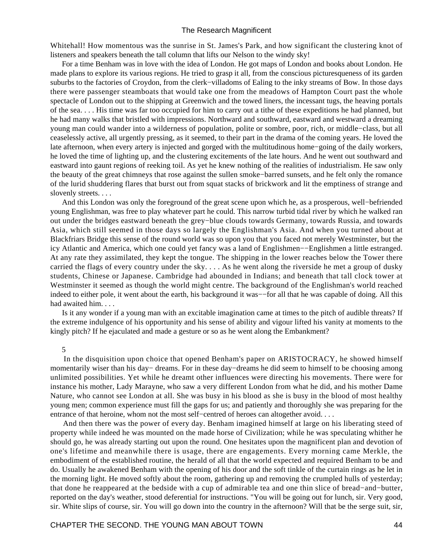Whitehall! How momentous was the sunrise in St. James's Park, and how significant the clustering knot of listeners and speakers beneath the tall column that lifts our Nelson to the windy sky!

 For a time Benham was in love with the idea of London. He got maps of London and books about London. He made plans to explore its various regions. He tried to grasp it all, from the conscious picturesqueness of its garden suburbs to the factories of Croydon, from the clerk−villadoms of Ealing to the inky streams of Bow. In those days there were passenger steamboats that would take one from the meadows of Hampton Court past the whole spectacle of London out to the shipping at Greenwich and the towed liners, the incessant tugs, the heaving portals of the sea. . . . His time was far too occupied for him to carry out a tithe of these expeditions he had planned, but he had many walks that bristled with impressions. Northward and southward, eastward and westward a dreaming young man could wander into a wilderness of population, polite or sombre, poor, rich, or middle−class, but all ceaselessly active, all urgently pressing, as it seemed, to their part in the drama of the coming years. He loved the late afternoon, when every artery is injected and gorged with the multitudinous home−going of the daily workers, he loved the time of lighting up, and the clustering excitements of the late hours. And he went out southward and eastward into gaunt regions of reeking toil. As yet he knew nothing of the realities of industrialism. He saw only the beauty of the great chimneys that rose against the sullen smoke−barred sunsets, and he felt only the romance of the lurid shuddering flares that burst out from squat stacks of brickwork and lit the emptiness of strange and slovenly streets. . . .

 And this London was only the foreground of the great scene upon which he, as a prosperous, well−befriended young Englishman, was free to play whatever part he could. This narrow turbid tidal river by which he walked ran out under the bridges eastward beneath the grey−blue clouds towards Germany, towards Russia, and towards Asia, which still seemed in those days so largely the Englishman's Asia. And when you turned about at Blackfriars Bridge this sense of the round world was so upon you that you faced not merely Westminster, but the icy Atlantic and America, which one could yet fancy was a land of Englishmen−−Englishmen a little estranged. At any rate they assimilated, they kept the tongue. The shipping in the lower reaches below the Tower there carried the flags of every country under the sky. . . . As he went along the riverside he met a group of dusky students, Chinese or Japanese. Cambridge had abounded in Indians; and beneath that tall clock tower at Westminster it seemed as though the world might centre. The background of the Englishman's world reached indeed to either pole, it went about the earth, his background it was−−for all that he was capable of doing. All this had awaited him. . . .

 Is it any wonder if a young man with an excitable imagination came at times to the pitch of audible threats? If the extreme indulgence of his opportunity and his sense of ability and vigour lifted his vanity at moments to the kingly pitch? If he ejaculated and made a gesture or so as he went along the Embankment?

#### 5

 In the disquisition upon choice that opened Benham's paper on ARISTOCRACY, he showed himself momentarily wiser than his day− dreams. For in these day−dreams he did seem to himself to be choosing among unlimited possibilities. Yet while he dreamt other influences were directing his movements. There were for instance his mother, Lady Marayne, who saw a very different London from what he did, and his mother Dame Nature, who cannot see London at all. She was busy in his blood as she is busy in the blood of most healthy young men; common experience must fill the gaps for us; and patiently and thoroughly she was preparing for the entrance of that heroine, whom not the most self−centred of heroes can altogether avoid. . . .

 And then there was the power of every day. Benham imagined himself at large on his liberating steed of property while indeed he was mounted on the made horse of Civilization; while he was speculating whither he should go, he was already starting out upon the round. One hesitates upon the magnificent plan and devotion of one's lifetime and meanwhile there is usage, there are engagements. Every morning came Merkle, the embodiment of the established routine, the herald of all that the world expected and required Benham to be and do. Usually he awakened Benham with the opening of his door and the soft tinkle of the curtain rings as he let in the morning light. He moved softly about the room, gathering up and removing the crumpled hulls of yesterday; that done he reappeared at the bedside with a cup of admirable tea and one thin slice of bread−and−butter, reported on the day's weather, stood deferential for instructions. "You will be going out for lunch, sir. Very good, sir. White slips of course, sir. You will go down into the country in the afternoon? Will that be the serge suit, sir,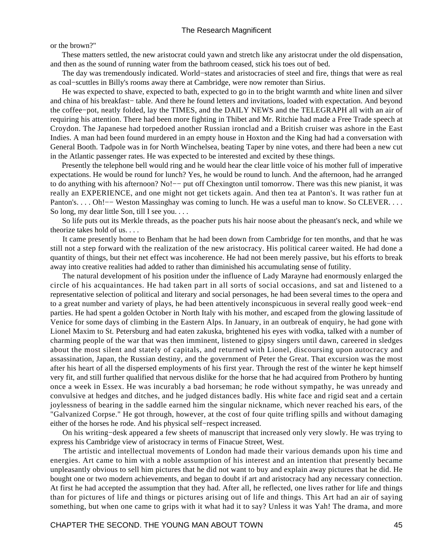or the brown?"

 These matters settled, the new aristocrat could yawn and stretch like any aristocrat under the old dispensation, and then as the sound of running water from the bathroom ceased, stick his toes out of bed.

 The day was tremendously indicated. World−states and aristocracies of steel and fire, things that were as real as coal−scuttles in Billy's rooms away there at Cambridge, were now remoter than Sirius.

 He was expected to shave, expected to bath, expected to go in to the bright warmth and white linen and silver and china of his breakfast− table. And there he found letters and invitations, loaded with expectation. And beyond the coffee−pot, neatly folded, lay the TIMES, and the DAILY NEWS and the TELEGRAPH all with an air of requiring his attention. There had been more fighting in Thibet and Mr. Ritchie had made a Free Trade speech at Croydon. The Japanese had torpedoed another Russian ironclad and a British cruiser was ashore in the East Indies. A man had been found murdered in an empty house in Hoxton and the King had had a conversation with General Booth. Tadpole was in for North Winchelsea, beating Taper by nine votes, and there had been a new cut in the Atlantic passenger rates. He was expected to be interested and excited by these things.

 Presently the telephone bell would ring and he would hear the clear little voice of his mother full of imperative expectations. He would be round for lunch? Yes, he would be round to lunch. And the afternoon, had he arranged to do anything with his afternoon? No!—– put off Chexington until tomorrow. There was this new pianist, it was really an EXPERIENCE, and one might not get tickets again. And then tea at Panton's. It was rather fun at Panton's. . . . Oh!−− Weston Massinghay was coming to lunch. He was a useful man to know. So CLEVER. . . . . So long, my dear little Son, till I see you. . . .

 So life puts out its Merkle threads, as the poacher puts his hair noose about the pheasant's neck, and while we theorize takes hold of us. . . .

 It came presently home to Benham that he had been down from Cambridge for ten months, and that he was still not a step forward with the realization of the new aristocracy. His political career waited. He had done a quantity of things, but their net effect was incoherence. He had not been merely passive, but his efforts to break away into creative realities had added to rather than diminished his accumulating sense of futility.

 The natural development of his position under the influence of Lady Marayne had enormously enlarged the circle of his acquaintances. He had taken part in all sorts of social occasions, and sat and listened to a representative selection of political and literary and social personages, he had been several times to the opera and to a great number and variety of plays, he had been attentively inconspicuous in several really good week−end parties. He had spent a golden October in North Italy with his mother, and escaped from the glowing lassitude of Venice for some days of climbing in the Eastern Alps. In January, in an outbreak of enquiry, he had gone with Lionel Maxim to St. Petersburg and had eaten zakuska, brightened his eyes with vodka, talked with a number of charming people of the war that was then imminent, listened to gipsy singers until dawn, careered in sledges about the most silent and stately of capitals, and returned with Lionel, discoursing upon autocracy and assassination, Japan, the Russian destiny, and the government of Peter the Great. That excursion was the most after his heart of all the dispersed employments of his first year. Through the rest of the winter he kept himself very fit, and still further qualified that nervous dislike for the horse that he had acquired from Prothero by hunting once a week in Essex. He was incurably a bad horseman; he rode without sympathy, he was unready and convulsive at hedges and ditches, and he judged distances badly. His white face and rigid seat and a certain joylessness of bearing in the saddle earned him the singular nickname, which never reached his ears, of the "Galvanized Corpse." He got through, however, at the cost of four quite trifling spills and without damaging either of the horses he rode. And his physical self−respect increased.

 On his writing−desk appeared a few sheets of manuscript that increased only very slowly. He was trying to express his Cambridge view of aristocracy in terms of Finacue Street, West.

 The artistic and intellectual movements of London had made their various demands upon his time and energies. Art came to him with a noble assumption of his interest and an intention that presently became unpleasantly obvious to sell him pictures that he did not want to buy and explain away pictures that he did. He bought one or two modern achievements, and began to doubt if art and aristocracy had any necessary connection. At first he had accepted the assumption that they had. After all, he reflected, one lives rather for life and things than for pictures of life and things or pictures arising out of life and things. This Art had an air of saying something, but when one came to grips with it what had it to say? Unless it was Yah! The drama, and more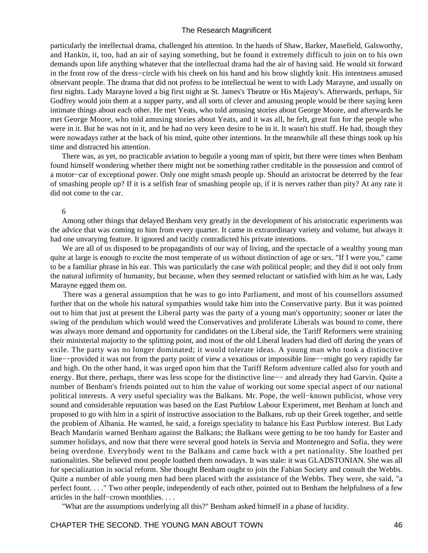particularly the intellectual drama, challenged his attention. In the hands of Shaw, Barker, Masefield, Galsworthy, and Hankin, it, too, had an air of saying something, but he found it extremely difficult to join on to his own demands upon life anything whatever that the intellectual drama had the air of having said. He would sit forward in the front row of the dress−circle with his cheek on his hand and his brow slightly knit. His intentness amused observant people. The drama that did not profess to be intellectual he went to with Lady Marayne, and usually on first nights. Lady Marayne loved a big first night at St. James's Theatre or His Majesty's. Afterwards, perhaps, Sir Godfrey would join them at a supper party, and all sorts of clever and amusing people would be there saying keen intimate things about each other. He met Yeats, who told amusing stories about George Moore, and afterwards he met George Moore, who told amusing stories about Yeats, and it was all, he felt, great fun for the people who were in it. But he was not in it, and he had no very keen desire to be in it. It wasn't his stuff. He had, though they were nowadays rather at the back of his mind, quite other intentions. In the meanwhile all these things took up his time and distracted his attention.

 There was, as yet, no practicable aviation to beguile a young man of spirit, but there were times when Benham found himself wondering whether there might not be something rather creditable in the possession and control of a motor−car of exceptional power. Only one might smash people up. Should an aristocrat be deterred by the fear of smashing people up? If it is a selfish fear of smashing people up, if it is nerves rather than pity? At any rate it did not come to the car.

#### 6

 Among other things that delayed Benham very greatly in the development of his aristocratic experiments was the advice that was coming to him from every quarter. It came in extraordinary variety and volume, but always it had one unvarying feature. It ignored and tacitly contradicted his private intentions.

We are all of us disposed to be propagandists of our way of living, and the spectacle of a wealthy young man quite at large is enough to excite the most temperate of us without distinction of age or sex. "If I were you," came to be a familiar phrase in his ear. This was particularly the case with political people; and they did it not only from the natural infirmity of humanity, but because, when they seemed reluctant or satisfied with him as he was, Lady Marayne egged them on.

 There was a general assumption that he was to go into Parliament, and most of his counsellors assumed further that on the whole his natural sympathies would take him into the Conservative party. But it was pointed out to him that just at present the Liberal party was the party of a young man's opportunity; sooner or later the swing of the pendulum which would weed the Conservatives and proliferate Liberals was bound to come, there was always more demand and opportunity for candidates on the Liberal side, the Tariff Reformers were straining their ministerial majority to the splitting point, and most of the old Liberal leaders had died off during the years of exile. The party was no longer dominated; it would tolerate ideas. A young man who took a distinctive line−−provided it was not from the party point of view a vexatious or impossible line−−might go very rapidly far and high. On the other hand, it was urged upon him that the Tariff Reform adventure called also for youth and energy. But there, perhaps, there was less scope for the distinctive line−− and already they had Garvin. Quite a number of Benham's friends pointed out to him the value of working out some special aspect of our national political interests. A very useful speciality was the Balkans. Mr. Pope, the well−known publicist, whose very sound and considerable reputation was based on the East Purblow Labour Experiment, met Benham at lunch and proposed to go with him in a spirit of instructive association to the Balkans, rub up their Greek together, and settle the problem of Albania. He wanted, he said, a foreign speciality to balance his East Purblow interest. But Lady Beach Mandarin warned Benham against the Balkans; the Balkans were getting to be too handy for Easter and summer holidays, and now that there were several good hotels in Servia and Montenegro and Sofia, they were being overdone. Everybody went to the Balkans and came back with a pet nationality. She loathed pet nationalities. She believed most people loathed them nowadays. It was stale: it was GLADSTONIAN. She was all for specialization in social reform. She thought Benham ought to join the Fabian Society and consult the Webbs. Quite a number of able young men had been placed with the assistance of the Webbs. They were, she said, "a perfect fount. . . ." Two other people, independently of each other, pointed out to Benham the helpfulness of a few articles in the half−crown monthlies. . . .

"What are the assumptions underlying all this?" Benham asked himself in a phase of lucidity.

# CHAPTER THE SECOND. THE YOUNG MAN ABOUT TOWN 46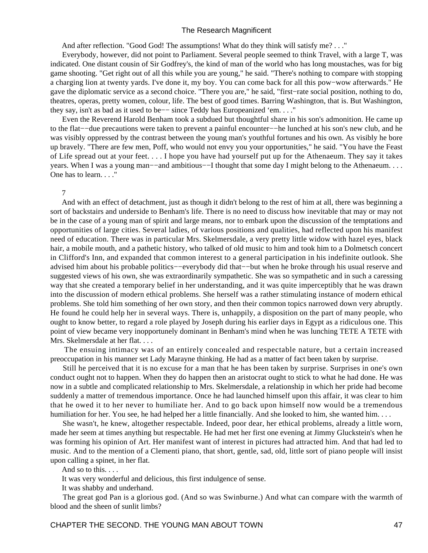And after reflection. "Good God! The assumptions! What do they think will satisfy me?..."

 Everybody, however, did not point to Parliament. Several people seemed to think Travel, with a large T, was indicated. One distant cousin of Sir Godfrey's, the kind of man of the world who has long moustaches, was for big game shooting. "Get right out of all this while you are young," he said. "There's nothing to compare with stopping a charging lion at twenty yards. I've done it, my boy. You can come back for all this pow−wow afterwards." He gave the diplomatic service as a second choice. "There you are," he said, "first−rate social position, nothing to do, theatres, operas, pretty women, colour, life. The best of good times. Barring Washington, that is. But Washington, they say, isn't as bad as it used to be−− since Teddy has Europeanized 'em. . . ."

 Even the Reverend Harold Benham took a subdued but thoughtful share in his son's admonition. He came up to the flat−−due precautions were taken to prevent a painful encounter−−he lunched at his son's new club, and he was visibly oppressed by the contrast between the young man's youthful fortunes and his own. As visibly he bore up bravely. "There are few men, Poff, who would not envy you your opportunities," he said. "You have the Feast of Life spread out at your feet. . . . I hope you have had yourself put up for the Athenaeum. They say it takes years. When I was a young man--and ambitious--I thought that some day I might belong to the Athenaeum. . . . One has to learn. . . ."

#### 7

 And with an effect of detachment, just as though it didn't belong to the rest of him at all, there was beginning a sort of backstairs and underside to Benham's life. There is no need to discuss how inevitable that may or may not be in the case of a young man of spirit and large means, nor to embark upon the discussion of the temptations and opportunities of large cities. Several ladies, of various positions and qualities, had reflected upon his manifest need of education. There was in particular Mrs. Skelmersdale, a very pretty little widow with hazel eyes, black hair, a mobile mouth, and a pathetic history, who talked of old music to him and took him to a Dolmetsch concert in Clifford's Inn, and expanded that common interest to a general participation in his indefinite outlook. She advised him about his probable politics−−everybody did that−−but when he broke through his usual reserve and suggested views of his own, she was extraordinarily sympathetic. She was so sympathetic and in such a caressing way that she created a temporary belief in her understanding, and it was quite imperceptibly that he was drawn into the discussion of modern ethical problems. She herself was a rather stimulating instance of modern ethical problems. She told him something of her own story, and then their common topics narrowed down very abruptly. He found he could help her in several ways. There is, unhappily, a disposition on the part of many people, who ought to know better, to regard a role played by Joseph during his earlier days in Egypt as a ridiculous one. This point of view became very inopportunely dominant in Benham's mind when he was lunching TETE A TETE with Mrs. Skelmersdale at her flat. . . .

 The ensuing intimacy was of an entirely concealed and respectable nature, but a certain increased preoccupation in his manner set Lady Marayne thinking. He had as a matter of fact been taken by surprise.

 Still he perceived that it is no excuse for a man that he has been taken by surprise. Surprises in one's own conduct ought not to happen. When they do happen then an aristocrat ought to stick to what he had done. He was now in a subtle and complicated relationship to Mrs. Skelmersdale, a relationship in which her pride had become suddenly a matter of tremendous importance. Once he had launched himself upon this affair, it was clear to him that he owed it to her never to humiliate her. And to go back upon himself now would be a tremendous humiliation for her. You see, he had helped her a little financially. And she looked to him, she wanted him. . . .

 She wasn't, he knew, altogether respectable. Indeed, poor dear, her ethical problems, already a little worn, made her seem at times anything but respectable. He had met her first one evening at Jimmy Gluckstein's when he was forming his opinion of Art. Her manifest want of interest in pictures had attracted him. And that had led to music. And to the mention of a Clementi piano, that short, gentle, sad, old, little sort of piano people will insist upon calling a spinet, in her flat.

And so to this. . . .

It was very wonderful and delicious, this first indulgence of sense.

It was shabby and underhand.

 The great god Pan is a glorious god. (And so was Swinburne.) And what can compare with the warmth of blood and the sheen of sunlit limbs?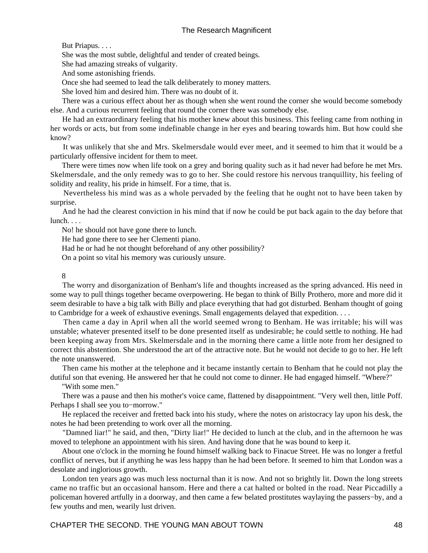But Priapus. . . .

She was the most subtle, delightful and tender of created beings.

She had amazing streaks of vulgarity.

And some astonishing friends.

Once she had seemed to lead the talk deliberately to money matters.

She loved him and desired him. There was no doubt of it.

 There was a curious effect about her as though when she went round the corner she would become somebody else. And a curious recurrent feeling that round the corner there was somebody else.

 He had an extraordinary feeling that his mother knew about this business. This feeling came from nothing in her words or acts, but from some indefinable change in her eyes and bearing towards him. But how could she know?

 It was unlikely that she and Mrs. Skelmersdale would ever meet, and it seemed to him that it would be a particularly offensive incident for them to meet.

 There were times now when life took on a grey and boring quality such as it had never had before he met Mrs. Skelmersdale, and the only remedy was to go to her. She could restore his nervous tranquillity, his feeling of solidity and reality, his pride in himself. For a time, that is.

 Nevertheless his mind was as a whole pervaded by the feeling that he ought not to have been taken by surprise.

 And he had the clearest conviction in his mind that if now he could be put back again to the day before that lunch. . . .

No! he should not have gone there to lunch.

He had gone there to see her Clementi piano.

Had he or had he not thought beforehand of any other possibility?

On a point so vital his memory was curiously unsure.

8

 The worry and disorganization of Benham's life and thoughts increased as the spring advanced. His need in some way to pull things together became overpowering. He began to think of Billy Prothero, more and more did it seem desirable to have a big talk with Billy and place everything that had got disturbed. Benham thought of going to Cambridge for a week of exhaustive evenings. Small engagements delayed that expedition. . . .

 Then came a day in April when all the world seemed wrong to Benham. He was irritable; his will was unstable; whatever presented itself to be done presented itself as undesirable; he could settle to nothing. He had been keeping away from Mrs. Skelmersdale and in the morning there came a little note from her designed to correct this abstention. She understood the art of the attractive note. But he would not decide to go to her. He left the note unanswered.

 Then came his mother at the telephone and it became instantly certain to Benham that he could not play the dutiful son that evening. He answered her that he could not come to dinner. He had engaged himself. "Where?"

"With some men."

 There was a pause and then his mother's voice came, flattened by disappointment. "Very well then, little Poff. Perhaps I shall see you to−morrow."

 He replaced the receiver and fretted back into his study, where the notes on aristocracy lay upon his desk, the notes he had been pretending to work over all the morning.

 "Damned liar!" he said, and then, "Dirty liar!" He decided to lunch at the club, and in the afternoon he was moved to telephone an appointment with his siren. And having done that he was bound to keep it.

 About one o'clock in the morning he found himself walking back to Finacue Street. He was no longer a fretful conflict of nerves, but if anything he was less happy than he had been before. It seemed to him that London was a desolate and inglorious growth.

 London ten years ago was much less nocturnal than it is now. And not so brightly lit. Down the long streets came no traffic but an occasional hansom. Here and there a cat halted or bolted in the road. Near Piccadilly a policeman hovered artfully in a doorway, and then came a few belated prostitutes waylaying the passers−by, and a few youths and men, wearily lust driven.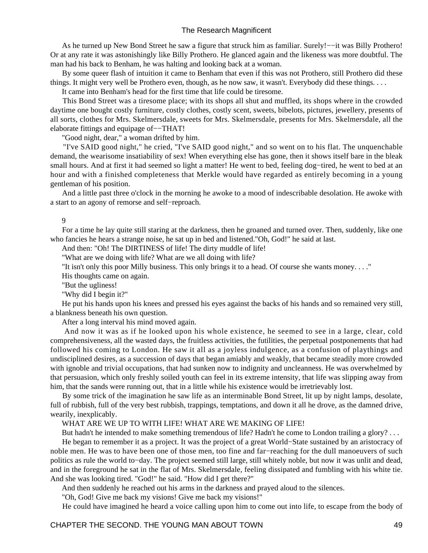As he turned up New Bond Street he saw a figure that struck him as familiar. Surely!—–it was Billy Prothero! Or at any rate it was astonishingly like Billy Prothero. He glanced again and the likeness was more doubtful. The man had his back to Benham, he was halting and looking back at a woman.

 By some queer flash of intuition it came to Benham that even if this was not Prothero, still Prothero did these things. It might very well be Prothero even, though, as he now saw, it wasn't. Everybody did these things. . . .

It came into Benham's head for the first time that life could be tiresome.

 This Bond Street was a tiresome place; with its shops all shut and muffled, its shops where in the crowded daytime one bought costly furniture, costly clothes, costly scent, sweets, bibelots, pictures, jewellery, presents of all sorts, clothes for Mrs. Skelmersdale, sweets for Mrs. Skelmersdale, presents for Mrs. Skelmersdale, all the elaborate fittings and equipage of−−THAT!

"Good night, dear," a woman drifted by him.

 "I've SAID good night," he cried, "I've SAID good night," and so went on to his flat. The unquenchable demand, the wearisome insatiability of sex! When everything else has gone, then it shows itself bare in the bleak small hours. And at first it had seemed so light a matter! He went to bed, feeling dog-tired, he went to bed at an hour and with a finished completeness that Merkle would have regarded as entirely becoming in a young gentleman of his position.

 And a little past three o'clock in the morning he awoke to a mood of indescribable desolation. He awoke with a start to an agony of remorse and self−reproach.

#### 9

 For a time he lay quite still staring at the darkness, then he groaned and turned over. Then, suddenly, like one who fancies he hears a strange noise, he sat up in bed and listened."Oh, God!" he said at last.

And then: "Oh! The DIRTINESS of life! The dirty muddle of life!

"What are we doing with life? What are we all doing with life?

"It isn't only this poor Milly business. This only brings it to a head. Of course she wants money. . . ."

His thoughts came on again.

"But the ugliness!

"Why did I begin it?"

 He put his hands upon his knees and pressed his eyes against the backs of his hands and so remained very still, a blankness beneath his own question.

After a long interval his mind moved again.

 And now it was as if he looked upon his whole existence, he seemed to see in a large, clear, cold comprehensiveness, all the wasted days, the fruitless activities, the futilities, the perpetual postponements that had followed his coming to London. He saw it all as a joyless indulgence, as a confusion of playthings and undisciplined desires, as a succession of days that began amiably and weakly, that became steadily more crowded with ignoble and trivial occupations, that had sunken now to indignity and uncleanness. He was overwhelmed by that persuasion, which only freshly soiled youth can feel in its extreme intensity, that life was slipping away from him, that the sands were running out, that in a little while his existence would be irretrievably lost.

 By some trick of the imagination he saw life as an interminable Bond Street, lit up by night lamps, desolate, full of rubbish, full of the very best rubbish, trappings, temptations, and down it all he drove, as the damned drive, wearily, inexplicably.

WHAT ARE WE UP TO WITH LIFE! WHAT ARE WE MAKING OF LIFE!

But hadn't he intended to make something tremendous of life? Hadn't he come to London trailing a glory? . . .

 He began to remember it as a project. It was the project of a great World−State sustained by an aristocracy of noble men. He was to have been one of those men, too fine and far−reaching for the dull manoeuvers of such politics as rule the world to−day. The project seemed still large, still whitely noble, but now it was unlit and dead, and in the foreground he sat in the flat of Mrs. Skelmersdale, feeling dissipated and fumbling with his white tie. And she was looking tired. "God!" he said. "How did I get there?"

And then suddenly he reached out his arms in the darkness and prayed aloud to the silences.

"Oh, God! Give me back my visions! Give me back my visions!"

He could have imagined he heard a voice calling upon him to come out into life, to escape from the body of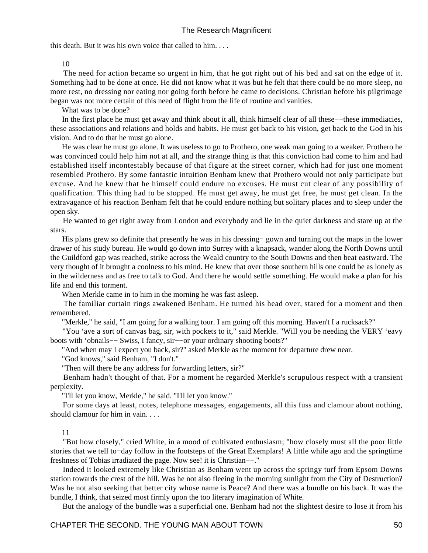this death. But it was his own voice that called to him. . . .

10

 The need for action became so urgent in him, that he got right out of his bed and sat on the edge of it. Something had to be done at once. He did not know what it was but he felt that there could be no more sleep, no more rest, no dressing nor eating nor going forth before he came to decisions. Christian before his pilgrimage began was not more certain of this need of flight from the life of routine and vanities.

What was to be done?

 In the first place he must get away and think about it all, think himself clear of all these−−these immediacies, these associations and relations and holds and habits. He must get back to his vision, get back to the God in his vision. And to do that he must go alone.

 He was clear he must go alone. It was useless to go to Prothero, one weak man going to a weaker. Prothero he was convinced could help him not at all, and the strange thing is that this conviction had come to him and had established itself incontestably because of that figure at the street corner, which had for just one moment resembled Prothero. By some fantastic intuition Benham knew that Prothero would not only participate but excuse. And he knew that he himself could endure no excuses. He must cut clear of any possibility of qualification. This thing had to be stopped. He must get away, he must get free, he must get clean. In the extravagance of his reaction Benham felt that he could endure nothing but solitary places and to sleep under the open sky.

 He wanted to get right away from London and everybody and lie in the quiet darkness and stare up at the stars.

 His plans grew so definite that presently he was in his dressing− gown and turning out the maps in the lower drawer of his study bureau. He would go down into Surrey with a knapsack, wander along the North Downs until the Guildford gap was reached, strike across the Weald country to the South Downs and then beat eastward. The very thought of it brought a coolness to his mind. He knew that over those southern hills one could be as lonely as in the wilderness and as free to talk to God. And there he would settle something. He would make a plan for his life and end this torment.

When Merkle came in to him in the morning he was fast asleep.

 The familiar curtain rings awakened Benham. He turned his head over, stared for a moment and then remembered.

"Merkle," he said, "I am going for a walking tour. I am going off this morning. Haven't I a rucksack?"

 "You 'ave a sort of canvas bag, sir, with pockets to it," said Merkle. "Will you be needing the VERY 'eavy boots with 'obnails−− Swiss, I fancy, sir−−or your ordinary shooting boots?"

"And when may I expect you back, sir?" asked Merkle as the moment for departure drew near.

"God knows," said Benham, "I don't."

"Then will there be any address for forwarding letters, sir?"

 Benham hadn't thought of that. For a moment he regarded Merkle's scrupulous respect with a transient perplexity.

"I'll let you know, Merkle," he said. "I'll let you know."

 For some days at least, notes, telephone messages, engagements, all this fuss and clamour about nothing, should clamour for him in vain. . . .

#### 11

 "But how closely," cried White, in a mood of cultivated enthusiasm; "how closely must all the poor little stories that we tell to−day follow in the footsteps of the Great Exemplars! A little while ago and the springtime freshness of Tobias irradiated the page. Now see! it is Christian−−."

 Indeed it looked extremely like Christian as Benham went up across the springy turf from Epsom Downs station towards the crest of the hill. Was he not also fleeing in the morning sunlight from the City of Destruction? Was he not also seeking that better city whose name is Peace? And there was a bundle on his back. It was the bundle, I think, that seized most firmly upon the too literary imagination of White.

But the analogy of the bundle was a superficial one. Benham had not the slightest desire to lose it from his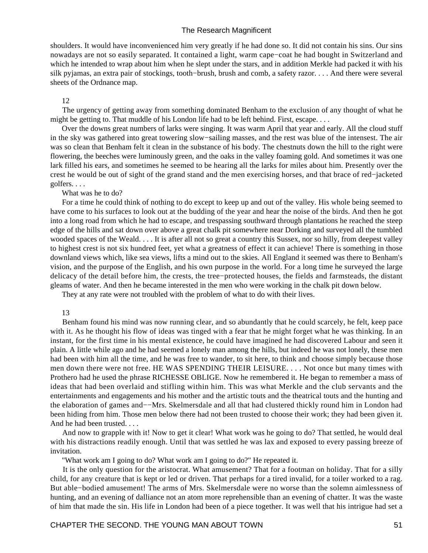shoulders. It would have inconvenienced him very greatly if he had done so. It did not contain his sins. Our sins nowadays are not so easily separated. It contained a light, warm cape−coat he had bought in Switzerland and which he intended to wrap about him when he slept under the stars, and in addition Merkle had packed it with his silk pyjamas, an extra pair of stockings, tooth−brush, brush and comb, a safety razor. . . . And there were several sheets of the Ordnance map.

#### 12

 The urgency of getting away from something dominated Benham to the exclusion of any thought of what he might be getting to. That muddle of his London life had to be left behind. First, escape. . . .

 Over the downs great numbers of larks were singing. It was warm April that year and early. All the cloud stuff in the sky was gathered into great towering slow−sailing masses, and the rest was blue of the intensest. The air was so clean that Benham felt it clean in the substance of his body. The chestnuts down the hill to the right were flowering, the beeches were luminously green, and the oaks in the valley foaming gold. And sometimes it was one lark filled his ears, and sometimes he seemed to be hearing all the larks for miles about him. Presently over the crest he would be out of sight of the grand stand and the men exercising horses, and that brace of red−jacketed golfers. . . .

What was he to do?

 For a time he could think of nothing to do except to keep up and out of the valley. His whole being seemed to have come to his surfaces to look out at the budding of the year and hear the noise of the birds. And then he got into a long road from which he had to escape, and trespassing southward through plantations he reached the steep edge of the hills and sat down over above a great chalk pit somewhere near Dorking and surveyed all the tumbled wooded spaces of the Weald. . . . It is after all not so great a country this Sussex, nor so hilly, from deepest valley to highest crest is not six hundred feet, yet what a greatness of effect it can achieve! There is something in those downland views which, like sea views, lifts a mind out to the skies. All England it seemed was there to Benham's vision, and the purpose of the English, and his own purpose in the world. For a long time he surveyed the large delicacy of the detail before him, the crests, the tree−protected houses, the fields and farmsteads, the distant gleams of water. And then he became interested in the men who were working in the chalk pit down below.

They at any rate were not troubled with the problem of what to do with their lives.

#### 13

 Benham found his mind was now running clear, and so abundantly that he could scarcely, he felt, keep pace with it. As he thought his flow of ideas was tinged with a fear that he might forget what he was thinking. In an instant, for the first time in his mental existence, he could have imagined he had discovered Labour and seen it plain. A little while ago and he had seemed a lonely man among the hills, but indeed he was not lonely, these men had been with him all the time, and he was free to wander, to sit here, to think and choose simply because those men down there were not free. HE WAS SPENDING THEIR LEISURE. . . . Not once but many times with Prothero had he used the phrase RICHESSE OBLIGE. Now he remembered it. He began to remember a mass of ideas that had been overlaid and stifling within him. This was what Merkle and the club servants and the entertainments and engagements and his mother and the artistic touts and the theatrical touts and the hunting and the elaboration of games and−−Mrs. Skelmersdale and all that had clustered thickly round him in London had been hiding from him. Those men below there had not been trusted to choose their work; they had been given it. And he had been trusted. . . .

 And now to grapple with it! Now to get it clear! What work was he going to do? That settled, he would deal with his distractions readily enough. Until that was settled he was lax and exposed to every passing breeze of invitation.

"What work am I going to do? What work am I going to do?" He repeated it.

 It is the only question for the aristocrat. What amusement? That for a footman on holiday. That for a silly child, for any creature that is kept or led or driven. That perhaps for a tired invalid, for a toiler worked to a rag. But able−bodied amusement! The arms of Mrs. Skelmersdale were no worse than the solemn aimlessness of hunting, and an evening of dalliance not an atom more reprehensible than an evening of chatter. It was the waste of him that made the sin. His life in London had been of a piece together. It was well that his intrigue had set a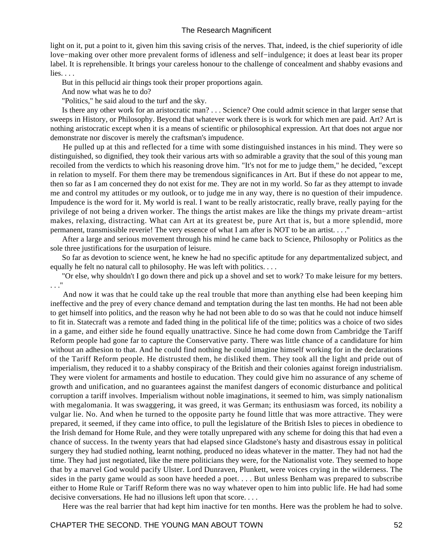light on it, put a point to it, given him this saving crisis of the nerves. That, indeed, is the chief superiority of idle love−making over other more prevalent forms of idleness and self−indulgence; it does at least bear its proper label. It is reprehensible. It brings your careless honour to the challenge of concealment and shabby evasions and lies. . . .

But in this pellucid air things took their proper proportions again.

And now what was he to do?

"Politics," he said aloud to the turf and the sky.

 Is there any other work for an aristocratic man? . . . Science? One could admit science in that larger sense that sweeps in History, or Philosophy. Beyond that whatever work there is is work for which men are paid. Art? Art is nothing aristocratic except when it is a means of scientific or philosophical expression. Art that does not argue nor demonstrate nor discover is merely the craftsman's impudence.

 He pulled up at this and reflected for a time with some distinguished instances in his mind. They were so distinguished, so dignified, they took their various arts with so admirable a gravity that the soul of this young man recoiled from the verdicts to which his reasoning drove him. "It's not for me to judge them," he decided, "except in relation to myself. For them there may be tremendous significances in Art. But if these do not appear to me, then so far as I am concerned they do not exist for me. They are not in my world. So far as they attempt to invade me and control my attitudes or my outlook, or to judge me in any way, there is no question of their impudence. Impudence is the word for it. My world is real. I want to be really aristocratic, really brave, really paying for the privilege of not being a driven worker. The things the artist makes are like the things my private dream−artist makes, relaxing, distracting. What can Art at its greatest be, pure Art that is, but a more splendid, more permanent, transmissible reverie! The very essence of what I am after is NOT to be an artist. . . ."

 After a large and serious movement through his mind he came back to Science, Philosophy or Politics as the sole three justifications for the usurpation of leisure.

 So far as devotion to science went, he knew he had no specific aptitude for any departmentalized subject, and equally he felt no natural call to philosophy. He was left with politics. . . .

 "Or else, why shouldn't I go down there and pick up a shovel and set to work? To make leisure for my betters. . . ."

 And now it was that he could take up the real trouble that more than anything else had been keeping him ineffective and the prey of every chance demand and temptation during the last ten months. He had not been able to get himself into politics, and the reason why he had not been able to do so was that he could not induce himself to fit in. Statecraft was a remote and faded thing in the political life of the time; politics was a choice of two sides in a game, and either side he found equally unattractive. Since he had come down from Cambridge the Tariff Reform people had gone far to capture the Conservative party. There was little chance of a candidature for him without an adhesion to that. And he could find nothing he could imagine himself working for in the declarations of the Tariff Reform people. He distrusted them, he disliked them. They took all the light and pride out of imperialism, they reduced it to a shabby conspiracy of the British and their colonies against foreign industrialism. They were violent for armaments and hostile to education. They could give him no assurance of any scheme of growth and unification, and no guarantees against the manifest dangers of economic disturbance and political corruption a tariff involves. Imperialism without noble imaginations, it seemed to him, was simply nationalism with megalomania. It was swaggering, it was greed, it was German; its enthusiasm was forced, its nobility a vulgar lie. No. And when he turned to the opposite party he found little that was more attractive. They were prepared, it seemed, if they came into office, to pull the legislature of the British Isles to pieces in obedience to the Irish demand for Home Rule, and they were totally unprepared with any scheme for doing this that had even a chance of success. In the twenty years that had elapsed since Gladstone's hasty and disastrous essay in political surgery they had studied nothing, learnt nothing, produced no ideas whatever in the matter. They had not had the time. They had just negotiated, like the mere politicians they were, for the Nationalist vote. They seemed to hope that by a marvel God would pacify Ulster. Lord Dunraven, Plunkett, were voices crying in the wilderness. The sides in the party game would as soon have heeded a poet. . . . But unless Benham was prepared to subscribe either to Home Rule or Tariff Reform there was no way whatever open to him into public life. He had had some decisive conversations. He had no illusions left upon that score. . . .

Here was the real barrier that had kept him inactive for ten months. Here was the problem he had to solve.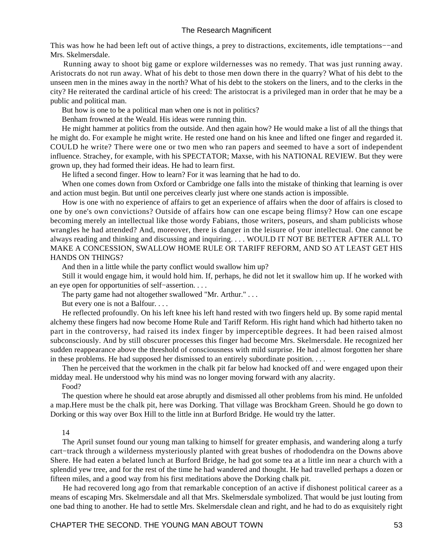This was how he had been left out of active things, a prey to distractions, excitements, idle temptations−−and Mrs. Skelmersdale.

 Running away to shoot big game or explore wildernesses was no remedy. That was just running away. Aristocrats do not run away. What of his debt to those men down there in the quarry? What of his debt to the unseen men in the mines away in the north? What of his debt to the stokers on the liners, and to the clerks in the city? He reiterated the cardinal article of his creed: The aristocrat is a privileged man in order that he may be a public and political man.

But how is one to be a political man when one is not in politics?

Benham frowned at the Weald. His ideas were running thin.

 He might hammer at politics from the outside. And then again how? He would make a list of all the things that he might do. For example he might write. He rested one hand on his knee and lifted one finger and regarded it. COULD he write? There were one or two men who ran papers and seemed to have a sort of independent influence. Strachey, for example, with his SPECTATOR; Maxse, with his NATIONAL REVIEW. But they were grown up, they had formed their ideas. He had to learn first.

He lifted a second finger. How to learn? For it was learning that he had to do.

 When one comes down from Oxford or Cambridge one falls into the mistake of thinking that learning is over and action must begin. But until one perceives clearly just where one stands action is impossible.

 How is one with no experience of affairs to get an experience of affairs when the door of affairs is closed to one by one's own convictions? Outside of affairs how can one escape being flimsy? How can one escape becoming merely an intellectual like those wordy Fabians, those writers, poseurs, and sham publicists whose wrangles he had attended? And, moreover, there is danger in the leisure of your intellectual. One cannot be always reading and thinking and discussing and inquiring. . . . WOULD IT NOT BE BETTER AFTER ALL TO MAKE A CONCESSION, SWALLOW HOME RULE OR TARIFF REFORM, AND SO AT LEAST GET HIS HANDS ON THINGS?

And then in a little while the party conflict would swallow him up?

 Still it would engage him, it would hold him. If, perhaps, he did not let it swallow him up. If he worked with an eye open for opportunities of self−assertion. . . .

The party game had not altogether swallowed "Mr. Arthur." . . .

But every one is not a Balfour. . . .

 He reflected profoundly. On his left knee his left hand rested with two fingers held up. By some rapid mental alchemy these fingers had now become Home Rule and Tariff Reform. His right hand which had hitherto taken no part in the controversy, had raised its index finger by imperceptible degrees. It had been raised almost subconsciously. And by still obscurer processes this finger had become Mrs. Skelmersdale. He recognized her sudden reappearance above the threshold of consciousness with mild surprise. He had almost forgotten her share in these problems. He had supposed her dismissed to an entirely subordinate position. . . .

 Then he perceived that the workmen in the chalk pit far below had knocked off and were engaged upon their midday meal. He understood why his mind was no longer moving forward with any alacrity.

Food?

 The question where he should eat arose abruptly and dismissed all other problems from his mind. He unfolded a map.Here must be the chalk pit, here was Dorking. That village was Brockham Green. Should he go down to Dorking or this way over Box Hill to the little inn at Burford Bridge. He would try the latter.

14

 The April sunset found our young man talking to himself for greater emphasis, and wandering along a turfy cart−track through a wilderness mysteriously planted with great bushes of rhododendra on the Downs above Shere. He had eaten a belated lunch at Burford Bridge, he had got some tea at a little inn near a church with a splendid yew tree, and for the rest of the time he had wandered and thought. He had travelled perhaps a dozen or fifteen miles, and a good way from his first meditations above the Dorking chalk pit.

 He had recovered long ago from that remarkable conception of an active if dishonest political career as a means of escaping Mrs. Skelmersdale and all that Mrs. Skelmersdale symbolized. That would be just louting from one bad thing to another. He had to settle Mrs. Skelmersdale clean and right, and he had to do as exquisitely right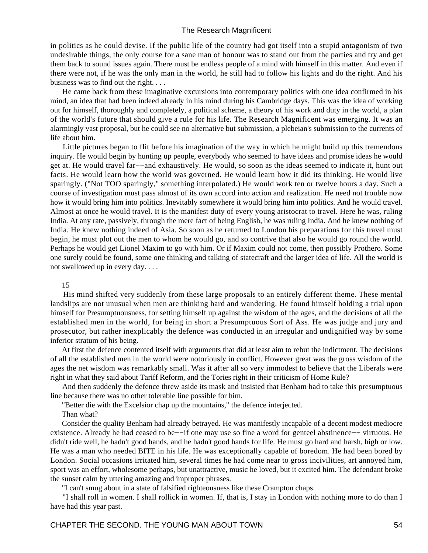in politics as he could devise. If the public life of the country had got itself into a stupid antagonism of two undesirable things, the only course for a sane man of honour was to stand out from the parties and try and get them back to sound issues again. There must be endless people of a mind with himself in this matter. And even if there were not, if he was the only man in the world, he still had to follow his lights and do the right. And his business was to find out the right. . . .

 He came back from these imaginative excursions into contemporary politics with one idea confirmed in his mind, an idea that had been indeed already in his mind during his Cambridge days. This was the idea of working out for himself, thoroughly and completely, a political scheme, a theory of his work and duty in the world, a plan of the world's future that should give a rule for his life. The Research Magnificent was emerging. It was an alarmingly vast proposal, but he could see no alternative but submission, a plebeian's submission to the currents of life about him.

 Little pictures began to flit before his imagination of the way in which he might build up this tremendous inquiry. He would begin by hunting up people, everybody who seemed to have ideas and promise ideas he would get at. He would travel far−−and exhaustively. He would, so soon as the ideas seemed to indicate it, hunt out facts. He would learn how the world was governed. He would learn how it did its thinking. He would live sparingly. ("Not TOO sparingly,'' something interpolated.) He would work ten or twelve hours a day. Such a course of investigation must pass almost of its own accord into action and realization. He need not trouble now how it would bring him into politics. Inevitably somewhere it would bring him into politics. And he would travel. Almost at once he would travel. It is the manifest duty of every young aristocrat to travel. Here he was, ruling India. At any rate, passively, through the mere fact of being English, he was ruling India. And he knew nothing of India. He knew nothing indeed of Asia. So soon as he returned to London his preparations for this travel must begin, he must plot out the men to whom he would go, and so contrive that also he would go round the world. Perhaps he would get Lionel Maxim to go with him. Or if Maxim could not come, then possibly Prothero. Some one surely could be found, some one thinking and talking of statecraft and the larger idea of life. All the world is not swallowed up in every day. . . .

#### 15

 His mind shifted very suddenly from these large proposals to an entirely different theme. These mental landslips are not unusual when men are thinking hard and wandering. He found himself holding a trial upon himself for Presumptuousness, for setting himself up against the wisdom of the ages, and the decisions of all the established men in the world, for being in short a Presumptuous Sort of Ass. He was judge and jury and prosecutor, but rather inexplicably the defence was conducted in an irregular and undignified way by some inferior stratum of his being.

 At first the defence contented itself with arguments that did at least aim to rebut the indictment. The decisions of all the established men in the world were notoriously in conflict. However great was the gross wisdom of the ages the net wisdom was remarkably small. Was it after all so very immodest to believe that the Liberals were right in what they said about Tariff Reform, and the Tories right in their criticism of Home Rule?

 And then suddenly the defence threw aside its mask and insisted that Benham had to take this presumptuous line because there was no other tolerable line possible for him.

"Better die with the Excelsior chap up the mountains," the defence interjected.

Than what?

 Consider the quality Benham had already betrayed. He was manifestly incapable of a decent modest mediocre existence. Already he had ceased to be−−if one may use so fine a word for genteel abstinence−− virtuous. He didn't ride well, he hadn't good hands, and he hadn't good hands for life. He must go hard and harsh, high or low. He was a man who needed BITE in his life. He was exceptionally capable of boredom. He had been bored by London. Social occasions irritated him, several times he had come near to gross incivilities, art annoyed him, sport was an effort, wholesome perhaps, but unattractive, music he loved, but it excited him. The defendant broke the sunset calm by uttering amazing and improper phrases.

"I can't smug about in a state of falsified righteousness like these Crampton chaps.

 "I shall roll in women. I shall rollick in women. If, that is, I stay in London with nothing more to do than I have had this year past.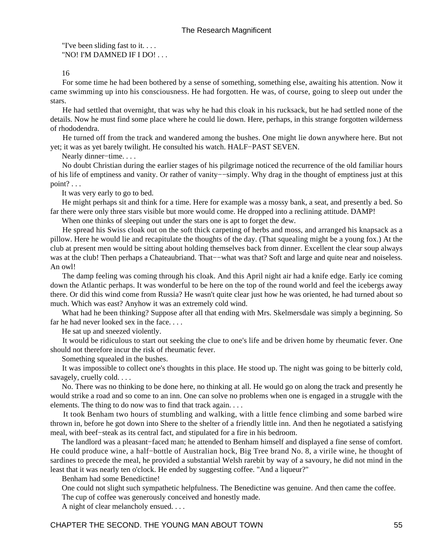"I've been sliding fast to it. . . . "NO! I'M DAMNED IF I DO! . . .

16

 For some time he had been bothered by a sense of something, something else, awaiting his attention. Now it came swimming up into his consciousness. He had forgotten. He was, of course, going to sleep out under the stars.

 He had settled that overnight, that was why he had this cloak in his rucksack, but he had settled none of the details. Now he must find some place where he could lie down. Here, perhaps, in this strange forgotten wilderness of rhododendra.

 He turned off from the track and wandered among the bushes. One might lie down anywhere here. But not yet; it was as yet barely twilight. He consulted his watch. HALF−PAST SEVEN.

Nearly dinner−time. . . .

 No doubt Christian during the earlier stages of his pilgrimage noticed the recurrence of the old familiar hours of his life of emptiness and vanity. Or rather of vanity−−simply. Why drag in the thought of emptiness just at this point? . . .

It was very early to go to bed.

 He might perhaps sit and think for a time. Here for example was a mossy bank, a seat, and presently a bed. So far there were only three stars visible but more would come. He dropped into a reclining attitude. DAMP!

When one thinks of sleeping out under the stars one is apt to forget the dew.

 He spread his Swiss cloak out on the soft thick carpeting of herbs and moss, and arranged his knapsack as a pillow. Here he would lie and recapitulate the thoughts of the day. (That squealing might be a young fox.) At the club at present men would be sitting about holding themselves back from dinner. Excellent the clear soup always was at the club! Then perhaps a Chateaubriand. That—–what was that? Soft and large and quite near and noiseless. An owl!

 The damp feeling was coming through his cloak. And this April night air had a knife edge. Early ice coming down the Atlantic perhaps. It was wonderful to be here on the top of the round world and feel the icebergs away there. Or did this wind come from Russia? He wasn't quite clear just how he was oriented, he had turned about so much. Which was east? Anyhow it was an extremely cold wind.

What had he been thinking? Suppose after all that ending with Mrs. Skelmersdale was simply a beginning. So far he had never looked sex in the face. . . .

He sat up and sneezed violently.

 It would be ridiculous to start out seeking the clue to one's life and be driven home by rheumatic fever. One should not therefore incur the risk of rheumatic fever.

Something squealed in the bushes.

 It was impossible to collect one's thoughts in this place. He stood up. The night was going to be bitterly cold, savagely, cruelly cold. . . .

 No. There was no thinking to be done here, no thinking at all. He would go on along the track and presently he would strike a road and so come to an inn. One can solve no problems when one is engaged in a struggle with the elements. The thing to do now was to find that track again. . . .

 It took Benham two hours of stumbling and walking, with a little fence climbing and some barbed wire thrown in, before he got down into Shere to the shelter of a friendly little inn. And then he negotiated a satisfying meal, with beef−steak as its central fact, and stipulated for a fire in his bedroom.

 The landlord was a pleasant−faced man; he attended to Benham himself and displayed a fine sense of comfort. He could produce wine, a half−bottle of Australian hock, Big Tree brand No. 8, a virile wine, he thought of sardines to precede the meal, he provided a substantial Welsh rarebit by way of a savoury, he did not mind in the least that it was nearly ten o'clock. He ended by suggesting coffee. "And a liqueur?"

Benham had some Benedictine!

One could not slight such sympathetic helpfulness. The Benedictine was genuine. And then came the coffee.

The cup of coffee was generously conceived and honestly made.

A night of clear melancholy ensued. . . .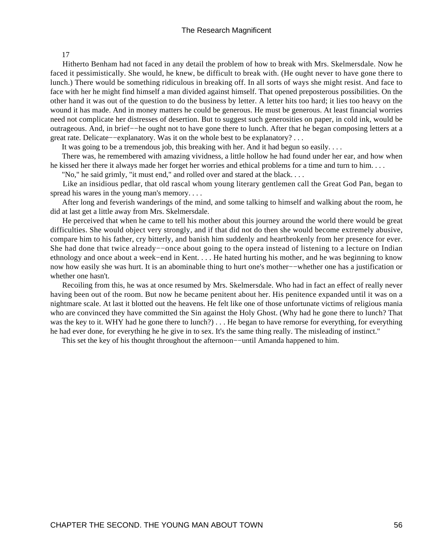#### 17

 Hitherto Benham had not faced in any detail the problem of how to break with Mrs. Skelmersdale. Now he faced it pessimistically. She would, he knew, be difficult to break with. (He ought never to have gone there to lunch.) There would be something ridiculous in breaking off. In all sorts of ways she might resist. And face to face with her he might find himself a man divided against himself. That opened preposterous possibilities. On the other hand it was out of the question to do the business by letter. A letter hits too hard; it lies too heavy on the wound it has made. And in money matters he could be generous. He must be generous. At least financial worries need not complicate her distresses of desertion. But to suggest such generosities on paper, in cold ink, would be outrageous. And, in brief−−he ought not to have gone there to lunch. After that he began composing letters at a great rate. Delicate−−explanatory. Was it on the whole best to be explanatory? . . .

It was going to be a tremendous job, this breaking with her. And it had begun so easily....

 There was, he remembered with amazing vividness, a little hollow he had found under her ear, and how when he kissed her there it always made her forget her worries and ethical problems for a time and turn to him. . . .

"No," he said grimly, "it must end," and rolled over and stared at the black. . . .

 Like an insidious pedlar, that old rascal whom young literary gentlemen call the Great God Pan, began to spread his wares in the young man's memory. . . .

 After long and feverish wanderings of the mind, and some talking to himself and walking about the room, he did at last get a little away from Mrs. Skelmersdale.

 He perceived that when he came to tell his mother about this journey around the world there would be great difficulties. She would object very strongly, and if that did not do then she would become extremely abusive, compare him to his father, cry bitterly, and banish him suddenly and heartbrokenly from her presence for ever. She had done that twice already−−once about going to the opera instead of listening to a lecture on Indian ethnology and once about a week−end in Kent. . . . He hated hurting his mother, and he was beginning to know now how easily she was hurt. It is an abominable thing to hurt one's mother−−whether one has a justification or whether one hasn't.

 Recoiling from this, he was at once resumed by Mrs. Skelmersdale. Who had in fact an effect of really never having been out of the room. But now he became penitent about her. His penitence expanded until it was on a nightmare scale. At last it blotted out the heavens. He felt like one of those unfortunate victims of religious mania who are convinced they have committed the Sin against the Holy Ghost. (Why had he gone there to lunch? That was the key to it. WHY had he gone there to lunch?) . . . He began to have remorse for everything, for everything he had ever done, for everything he he give in to sex. It's the same thing really. The misleading of instinct."

This set the key of his thought throughout the afternoon−−until Amanda happened to him.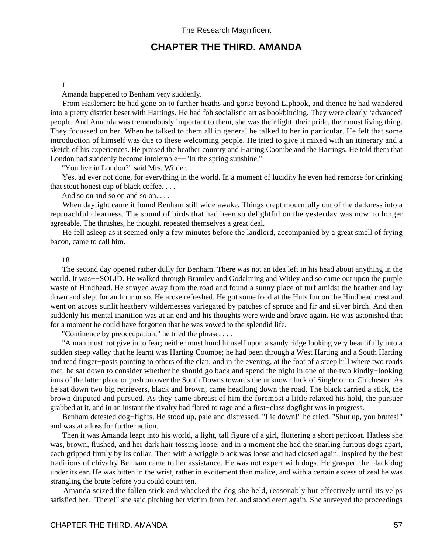# **CHAPTER THE THIRD. AMANDA**

#### 1

Amanda happened to Benham very suddenly.

 From Haslemere he had gone on to further heaths and gorse beyond Liphook, and thence he had wandered into a pretty district beset with Hartings. He had foh socialistic art as bookbinding. They were clearly 'advanced' people. And Amanda was tremendously important to them, she was their light, their pride, their most living thing. They focussed on her. When he talked to them all in general he talked to her in particular. He felt that some introduction of himself was due to these welcoming people. He tried to give it mixed with an itinerary and a sketch of his experiences. He praised the heather country and Harting Coombe and the Hartings. He told them that London had suddenly become intolerable−−"In the spring sunshine."

"You live in London?" said Mrs. Wilder.

 Yes. ad ever not done, for everything in the world. In a moment of lucidity he even had remorse for drinking that stout honest cup of black coffee. . . .

And so on and so on and so on....

 When daylight came it found Benham still wide awake. Things crept mournfully out of the darkness into a reproachful clearness. The sound of birds that had been so delightful on the yesterday was now no longer agreeable. The thrushes, he thought, repeated themselves a great deal.

 He fell asleep as it seemed only a few minutes before the landlord, accompanied by a great smell of frying bacon, came to call him.

#### 18

 The second day opened rather dully for Benham. There was not an idea left in his head about anything in the world. It was-–SOLID. He walked through Bramley and Godalming and Witley and so came out upon the purple waste of Hindhead. He strayed away from the road and found a sunny place of turf amidst the heather and lay down and slept for an hour or so. He arose refreshed. He got some food at the Huts Inn on the Hindhead crest and went on across sunlit heathery wildernesses variegated by patches of spruce and fir and silver birch. And then suddenly his mental inanition was at an end and his thoughts were wide and brave again. He was astonished that for a moment he could have forgotten that he was vowed to the splendid life.

"Continence by preoccupation;" he tried the phrase. . . .

 "A man must not give in to fear; neither must hund himself upon a sandy ridge looking very beautifully into a sudden steep valley that he learnt was Harting Coombe; he had been through a West Harting and a South Harting and read finger−posts pointing to others of the clan; and in the evening, at the foot of a steep hill where two roads met, he sat down to consider whether he should go back and spend the night in one of the two kindly−looking inns of the latter place or push on over the South Downs towards the unknown luck of Singleton or Chichester. As he sat down two big retrievers, black and brown, came headlong down the road. The black carried a stick, the brown disputed and pursued. As they came abreast of him the foremost a little relaxed his hold, the pursuer grabbed at it, and in an instant the rivalry had flared to rage and a first−class dogfight was in progress.

 Benham detested dog−fights. He stood up, pale and distressed. "Lie down!" he cried. "Shut up, you brutes!" and was at a loss for further action.

 Then it was Amanda leapt into his world, a light, tall figure of a girl, fluttering a short petticoat. Hatless she was, brown, flushed, and her dark hair tossing loose, and in a moment she had the snarling furious dogs apart, each gripped firmly by its collar. Then with a wriggle black was loose and had closed again. Inspired by the best traditions of chivalry Benham came to her assistance. He was not expert with dogs. He grasped the black dog under its ear. He was bitten in the wrist, rather in excitement than malice, and with a certain excess of zeal he was strangling the brute before you could count ten.

 Amanda seized the fallen stick and whacked the dog she held, reasonably but effectively until its yelps satisfied her. "There!" she said pitching her victim from her, and stood erect again. She surveyed the proceedings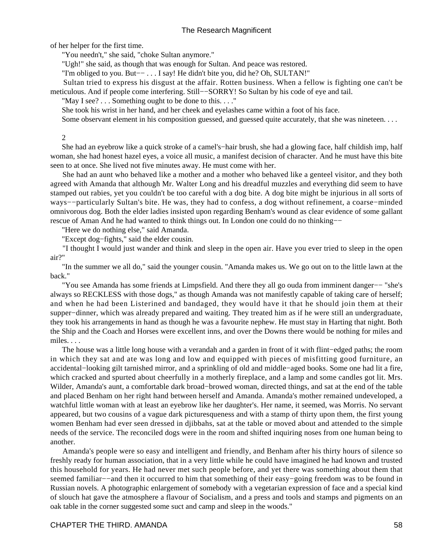of her helper for the first time.

"You needn't," she said, "choke Sultan anymore."

"Ugh!" she said, as though that was enough for Sultan. And peace was restored.

"I'm obliged to you. But−− . . . I say! He didn't bite you, did he? Oh, SULTAN!"

 Sultan tried to express his disgust at the affair. Rotten business. When a fellow is fighting one can't be meticulous. And if people come interfering. Still−−SORRY! So Sultan by his code of eye and tail.

"May I see? . . . Something ought to be done to this. . . ."

She took his wrist in her hand, and her cheek and eyelashes came within a foot of his face.

Some observant element in his composition guessed, and guessed quite accurately, that she was nineteen. . . .

2

 She had an eyebrow like a quick stroke of a camel's−hair brush, she had a glowing face, half childish imp, half woman, she had honest hazel eyes, a voice all music, a manifest decision of character. And he must have this bite seen to at once. She lived not five minutes away. He must come with her.

 She had an aunt who behaved like a mother and a mother who behaved like a genteel visitor, and they both agreed with Amanda that although Mr. Walter Long and his dreadful muzzles and everything did seem to have stamped out rabies, yet you couldn't be too careful with a dog bite. A dog bite might be injurious in all sorts of ways−−particularly Sultan's bite. He was, they had to confess, a dog without refinement, a coarse−minded omnivorous dog. Both the elder ladies insisted upon regarding Benham's wound as clear evidence of some gallant rescue of Aman And he had wanted to think things out. In London one could do no thinking−−

"Here we do nothing else," said Amanda.

"Except dog−fights," said the elder cousin.

 "I thought I would just wander and think and sleep in the open air. Have you ever tried to sleep in the open air?"

 "In the summer we all do," said the younger cousin. "Amanda makes us. We go out on to the little lawn at the back."

 "You see Amanda has some friends at Limpsfield. And there they all go ouda from imminent danger−− "she's always so RECKLESS with those dogs," as though Amanda was not manifestly capable of taking care of herself; and when he had been Listerined and bandaged, they would have it that he should join them at their supper−dinner, which was already prepared and waiting. They treated him as if he were still an undergraduate, they took his arrangements in hand as though he was a favourite nephew. He must stay in Harting that night. Both the Ship and the Coach and Horses were excellent inns, and over the Downs there would be nothing for miles and miles. . . .

 The house was a little long house with a verandah and a garden in front of it with flint−edged paths; the room in which they sat and ate was long and low and equipped with pieces of misfitting good furniture, an accidental−looking gilt tarnished mirror, and a sprinkling of old and middle−aged books. Some one had lit a fire, which cracked and spurted about cheerfully in a motherly fireplace, and a lamp and some candles got lit. Mrs. Wilder, Amanda's aunt, a comfortable dark broad−browed woman, directed things, and sat at the end of the table and placed Benham on her right hand between herself and Amanda. Amanda's mother remained undeveloped, a watchful little woman with at least an eyebrow like her daughter's. Her name, it seemed, was Morris. No servant appeared, but two cousins of a vague dark picturesqueness and with a stamp of thirty upon them, the first young women Benham had ever seen dressed in djibbahs, sat at the table or moved about and attended to the simple needs of the service. The reconciled dogs were in the room and shifted inquiring noses from one human being to another.

 Amanda's people were so easy and intelligent and friendly, and Benham after his thirty hours of silence so freshly ready for human association, that in a very little while he could have imagined he had known and trusted this household for years. He had never met such people before, and yet there was something about them that seemed familiar–−and then it occurred to him that something of their easy−going freedom was to be found in Russian novels. A photographic enlargement of somebody with a vegetarian expression of face and a special kind of slouch hat gave the atmosphere a flavour of Socialism, and a press and tools and stamps and pigments on an oak table in the corner suggested some suct and camp and sleep in the woods."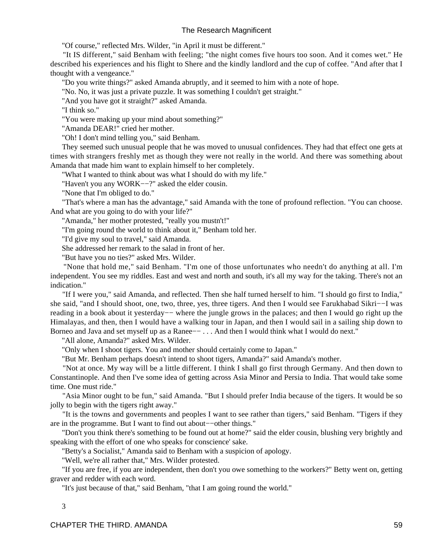"Of course," reflected Mrs. Wilder, "in April it must be different."

 "It IS different," said Benham with feeling; "the night comes five hours too soon. And it comes wet." He described his experiences and his flight to Shere and the kindly landlord and the cup of coffee. "And after that I thought with a vengeance."

"Do you write things?" asked Amanda abruptly, and it seemed to him with a note of hope.

"No. No, it was just a private puzzle. It was something I couldn't get straight."

"And you have got it straight?" asked Amanda.

"I think so."

"You were making up your mind about something?"

"Amanda DEAR!" cried her mother.

"Oh! I don't mind telling you," said Benham.

 They seemed such unusual people that he was moved to unusual confidences. They had that effect one gets at times with strangers freshly met as though they were not really in the world. And there was something about Amanda that made him want to explain himself to her completely.

"What I wanted to think about was what I should do with my life."

"Haven't you any WORK−−?" asked the elder cousin.

"None that I'm obliged to do."

 "That's where a man has the advantage," said Amanda with the tone of profound reflection. "You can choose. And what are you going to do with your life?"

"Amanda," her mother protested, "really you mustn't!"

"I'm going round the world to think about it," Benham told her.

"I'd give my soul to travel," said Amanda.

She addressed her remark to the salad in front of her.

"But have you no ties?" asked Mrs. Wilder.

 "None that hold me," said Benham. "I'm one of those unfortunates who needn't do anything at all. I'm independent. You see my riddles. East and west and north and south, it's all my way for the taking. There's not an indication."

 "If I were you," said Amanda, and reflected. Then she half turned herself to him. "I should go first to India," she said, "and I should shoot, one, two, three, yes, three tigers. And then I would see Farukhabad Sikri−−I was reading in a book about it yesterday−− where the jungle grows in the palaces; and then I would go right up the Himalayas, and then, then I would have a walking tour in Japan, and then I would sail in a sailing ship down to Borneo and Java and set myself up as a Ranee−− . . . And then I would think what I would do next."

"All alone, Amanda?" asked Mrs. Wilder.

"Only when I shoot tigers. You and mother should certainly come to Japan."

"But Mr. Benham perhaps doesn't intend to shoot tigers, Amanda?" said Amanda's mother.

 "Not at once. My way will be a little different. I think I shall go first through Germany. And then down to Constantinople. And then I've some idea of getting across Asia Minor and Persia to India. That would take some time. One must ride."

 "Asia Minor ought to be fun," said Amanda. "But I should prefer India because of the tigers. It would be so jolly to begin with the tigers right away."

 "It is the towns and governments and peoples I want to see rather than tigers," said Benham. "Tigers if they are in the programme. But I want to find out about−−other things."

 "Don't you think there's something to be found out at home?" said the elder cousin, blushing very brightly and speaking with the effort of one who speaks for conscience' sake.

"Betty's a Socialist," Amanda said to Benham with a suspicion of apology.

"Well, we're all rather that," Mrs. Wilder protested.

 "If you are free, if you are independent, then don't you owe something to the workers?" Betty went on, getting graver and redder with each word.

"It's just because of that," said Benham, "that I am going round the world."

3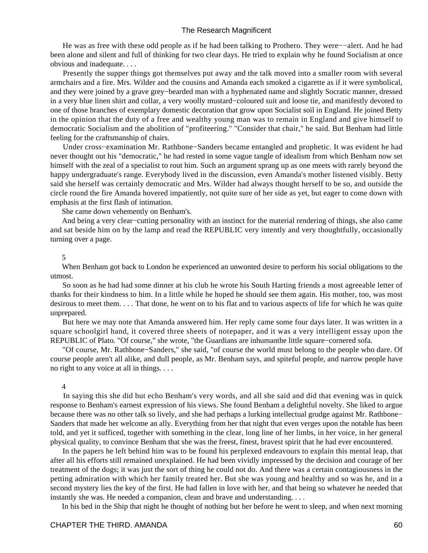He was as free with these odd people as if he had been talking to Prothero. They were–−alert. And he had been alone and silent and full of thinking for two clear days. He tried to explain why he found Socialism at once obvious and inadequate. . . .

 Presently the supper things got themselves put away and the talk moved into a smaller room with several armchairs and a fire. Mrs. Wilder and the cousins and Amanda each smoked a cigarette as if it were symbolical, and they were joined by a grave grey−bearded man with a hyphenated name and slightly Socratic manner, dressed in a very blue linen shirt and collar, a very woolly mustard−coloured suit and loose tie, and manifestly devoted to one of those branches of exemplary domestic decoration that grow upon Socialist soil in England. He joined Betty in the opinion that the duty of a free and wealthy young man was to remain in England and give himself to democratic Socialism and the abolition of "profiteering." "Consider that chair," he said. But Benham had little feeling for the craftsmanship of chairs.

 Under cross−examination Mr. Rathbone−Sanders became entangled and prophetic. It was evident he had never thought out his "democratic," he had rested in some vague tangle of idealism from which Benham now set himself with the zeal of a specialist to rout him. Such an argument sprang up as one meets with rarely beyond the happy undergraduate's range. Everybody lived in the discussion, even Amanda's mother listened visibly. Betty said she herself was certainly democratic and Mrs. Wilder had always thought herself to be so, and outside the circle round the fire Amanda hovered impatiently, not quite sure of her side as yet, but eager to come down with emphasis at the first flash of intimation.

She came down vehemently on Benham's.

 And being a very clear−cutting personality with an instinct for the material rendering of things, she also came and sat beside him on by the lamp and read the REPUBLIC very intently and very thoughtfully, occasionally turning over a page.

#### 5

 When Benham got back to London he experienced an unwonted desire to perform his social obligations to the utmost.

 So soon as he had had some dinner at his club he wrote his South Harting friends a most agreeable letter of thanks for their kindness to him. In a little while he hoped he should see them again. His mother, too, was most desirous to meet them. . . . That done, he went on to his flat and to various aspects of life for which he was quite unprepared.

 But here we may note that Amanda answered him. Her reply came some four days later. It was written in a square schoolgirl hand, it covered three sheets of notepaper, and it was a very intelligent essay upon the REPUBLIC of Plato. "Of course," she wrote, "the Guardians are inhumanthe little square−cornered sofa.

 "Of course, Mr. Rathbone−Sanders," she said, "of course the world must belong to the people who dare. Of course people aren't all alike, and dull people, as Mr. Benham says, and spiteful people, and narrow people have no right to any voice at all in things. . . .

#### 4

 In saying this she did but echo Benham's very words, and all she said and did that evening was in quick response to Benham's earnest expression of his views. She found Benham a delightful novelty. She liked to argue because there was no other talk so lively, and she had perhaps a lurking intellectual grudge against Mr. Rathbone− Sanders that made her welcome an ally. Everything from her that night that even verges upon the notable has been told, and yet it sufficed, together with something in the clear, long line of her limbs, in her voice, in her general physical quality, to convince Benham that she was the freest, finest, bravest spirit that he had ever encountered.

 In the papers he left behind him was to be found his perplexed endeavours to explain this mental leap, that after all his efforts still remained unexplained. He had been vividly impressed by the decision and courage of her treatment of the dogs; it was just the sort of thing he could not do. And there was a certain contagiousness in the petting admiration with which her family treated her. But she was young and healthy and so was he, and in a second mystery lies the key of the first. He had fallen in love with her, and that being so whatever he needed that instantly she was. He needed a companion, clean and brave and understanding. . . .

In his bed in the Ship that night he thought of nothing but her before he went to sleep, and when next morning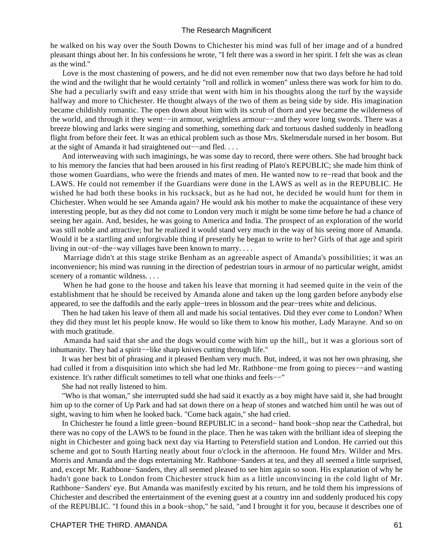he walked on his way over the South Downs to Chichester his mind was full of her image and of a hundred pleasant things about her. In his confessions he wrote, "I felt there was a sword in her spirit. I felt she was as clean as the wind."

 Love is the most chastening of powers, and he did not even remember now that two days before he had told the wind and the twilight that he would certainly "roll and rollick in women" unless there was work for him to do. She had a peculiarly swift and easy stride that went with him in his thoughts along the turf by the wayside halfway and more to Chichester. He thought always of the two of them as being side by side. His imagination became childishly romantic. The open down about him with its scrub of thorn and yew became the wilderness of the world, and through it they went−−in armour, weightless armour−−and they wore long swords. There was a breeze blowing and larks were singing and something, something dark and tortuous dashed suddenly in headlong flight from before their feet. It was an ethical problem such as those Mrs. Skelmersdale nursed in her bosom. But at the sight of Amanda it had straightened out−−and fled. . . .

 And interweaving with such imaginings, he was some day to record, there were others. She had brought back to his memory the fancies that had been aroused in his first reading of Plato's REPUBLIC; she made him think of those women Guardians, who were the friends and mates of men. He wanted now to re−read that book and the LAWS. He could not remember if the Guardians were done in the LAWS as well as in the REPUBLIC. He wished he had both these books in his rucksack, but as he had not, he decided he would hunt for them in Chichester. When would he see Amanda again? He would ask his mother to make the acquaintance of these very interesting people, but as they did not come to London very much it might be some time before he had a chance of seeing her again. And, besides, he was going to America and India. The prospect of an exploration of the world was still noble and attractive; but he realized it would stand very much in the way of his seeing more of Amanda. Would it be a startling and unforgivable thing if presently he began to write to her? Girls of that age and spirit living in out−of−the−way villages have been known to marry. . . .

 Marriage didn't at this stage strike Benham as an agreeable aspect of Amanda's possibilities; it was an inconvenience; his mind was running in the direction of pedestrian tours in armour of no particular weight, amidst scenery of a romantic wildness. . . .

 When he had gone to the house and taken his leave that morning it had seemed quite in the vein of the establishment that he should be received by Amanda alone and taken up the long garden before anybody else appeared, to see the daffodils and the early apple−trees in blossom and the pear−trees white and delicious.

 Then he had taken his leave of them all and made his social tentatives. Did they ever come to London? When they did they must let his people know. He would so like them to know his mother, Lady Marayne. And so on with much gratitude.

 Amanda had said that she and the dogs would come with him up the hill,, but it was a glorious sort of inhumanity. They had a spirit−−like sharp knives cutting through life."

 It was her best bit of phrasing and it pleased Benham very much. But, indeed, it was not her own phrasing, she had culled it from a disquisition into which she had led Mr. Rathbone−me from going to pieces−−and wasting existence. It's rather difficult sometimes to tell what one thinks and feels−−"

She had not really listened to him.

 "Who is that woman," she interrupted sudd she had said it exactly as a boy might have said it, she had brought him up to the corner of Up Park and had sat down there on a heap of stones and watched him until he was out of sight, waving to him when he looked back. "Come back again," she had cried.

 In Chichester he found a little green−bound REPUBLIC in a second− hand book−shop near the Cathedral, but there was no copy of the LAWS to be found in the place. Then he was taken with the brilliant idea of sleeping the night in Chichester and going back next day via Harting to Petersfield station and London. He carried out this scheme and got to South Harting neatly about four o'clock in the afternoon. He found Mrs. Wilder and Mrs. Morris and Amanda and the dogs entertaining Mr. Rathbone−Sanders at tea, and they all seemed a little surprised, and, except Mr. Rathbone−Sanders, they all seemed pleased to see him again so soon. His explanation of why he hadn't gone back to London from Chichester struck him as a little unconvincing in the cold light of Mr. Rathbone−Sanders' eye. But Amanda was manifestly excited by his return, and he told them his impressions of Chichester and described the entertainment of the evening guest at a country inn and suddenly produced his copy of the REPUBLIC. "I found this in a book−shop," he said, "and I brought it for you, because it describes one of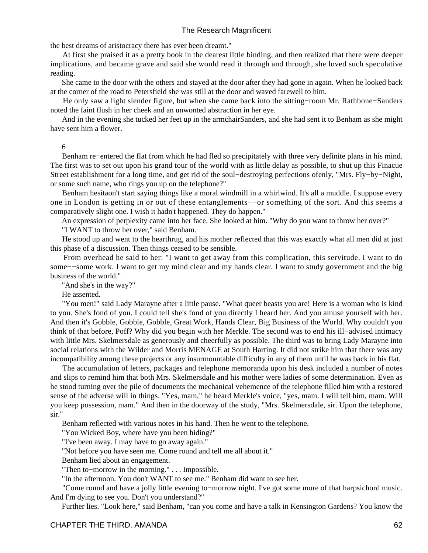the best dreams of aristocracy there has ever been dreamt."

 At first she praised it as a pretty book in the dearest little binding, and then realized that there were deeper implications, and became grave and said she would read it through and through, she loved such speculative reading.

 She came to the door with the others and stayed at the door after they had gone in again. When he looked back at the corner of the road to Petersfield she was still at the door and waved farewell to him.

 He only saw a light slender figure, but when she came back into the sitting−room Mr. Rathbone−Sanders noted the faint flush in her cheek and an unwonted abstraction in her eye.

 And in the evening she tucked her feet up in the armchairSanders, and she had sent it to Benham as she might have sent him a flower.

6

 Benham re−entered the flat from which he had fled so precipitately with three very definite plans in his mind. The first was to set out upon his grand tour of the world with as little delay as possible, to shut up this Finacue Street establishment for a long time, and get rid of the soul−destroying perfections ofenly, "Mrs. Fly−by−Night, or some such name, who rings you up on the telephone?"

 Benham hesitaon't start saying things like a moral windmill in a whirlwind. It's all a muddle. I suppose every one in London is getting in or out of these entanglements−−or something of the sort. And this seems a comparatively slight one. I wish it hadn't happened. They do happen."

An expression of perplexity came into her face. She looked at him. "Why do you want to throw her over?"

"I WANT to throw her over," said Benham.

 He stood up and went to the hearthrug, and his mother reflected that this was exactly what all men did at just this phase of a discussion. Then things ceased to be sensible.

 From overhead he said to her: "I want to get away from this complication, this servitude. I want to do some−−some work. I want to get my mind clear and my hands clear. I want to study government and the big business of the world."

"And she's in the way?"

He assented.

 "You men!" said Lady Marayne after a little pause. "What queer beasts you are! Here is a woman who is kind to you. She's fond of you. I could tell she's fond of you directly I heard her. And you amuse yourself with her. And then it's Gobble, Gobble, Gobble, Great Work, Hands Clear, Big Business of the World. Why couldn't you think of that before, Poff? Why did you begin with her Merkle. The second was to end his ill−advised intimacy with little Mrs. Skelmersdale as generously and cheerfully as possible. The third was to bring Lady Marayne into social relations with the Wilder and Morris MENAGE at South Harting. It did not strike him that there was any incompatibility among these projects or any insurmountable difficulty in any of them until he was back in his flat.

 The accumulation of letters, packages and telephone memoranda upon his desk included a number of notes and slips to remind him that both Mrs. Skelmersdale and his mother were ladies of some determination. Even as he stood turning over the pile of documents the mechanical vehemence of the telephone filled him with a restored sense of the adverse will in things. "Yes, mam," he heard Merkle's voice, "yes, mam. I will tell him, mam. Will you keep possession, mam." And then in the doorway of the study, "Mrs. Skelmersdale, sir. Upon the telephone, sir."

Benham reflected with various notes in his hand. Then he went to the telephone.

"You Wicked Boy, where have you been hiding?"

"I've been away. I may have to go away again."

"Not before you have seen me. Come round and tell me all about it."

Benham lied about an engagement.

"Then to−morrow in the morning." . . . Impossible.

"In the afternoon. You don't WANT to see me." Benham did want to see her.

 "Come round and have a jolly little evening to−morrow night. I've got some more of that harpsichord music. And I'm dying to see you. Don't you understand?"

Further lies. "Look here," said Benham, "can you come and have a talk in Kensington Gardens? You know the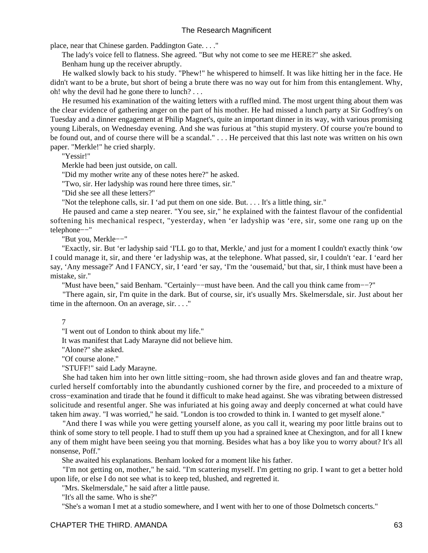place, near that Chinese garden. Paddington Gate. . . ."

 The lady's voice fell to flatness. She agreed. "But why not come to see me HERE?" she asked. Benham hung up the receiver abruptly.

 He walked slowly back to his study. "Phew!" he whispered to himself. It was like hitting her in the face. He didn't want to be a brute, but short of being a brute there was no way out for him from this entanglement. Why, oh! why the devil had he gone there to lunch? . . .

 He resumed his examination of the waiting letters with a ruffled mind. The most urgent thing about them was the clear evidence of gathering anger on the part of his mother. He had missed a lunch party at Sir Godfrey's on Tuesday and a dinner engagement at Philip Magnet's, quite an important dinner in its way, with various promising young Liberals, on Wednesday evening. And she was furious at "this stupid mystery. Of course you're bound to be found out, and of course there will be a scandal." . . . He perceived that this last note was written on his own paper. "Merkle!" he cried sharply.

"Yessir!"

Merkle had been just outside, on call.

"Did my mother write any of these notes here?" he asked.

"Two, sir. Her ladyship was round here three times, sir."

"Did she see all these letters?"

"Not the telephone calls, sir. I 'ad put them on one side. But. . . . It's a little thing, sir."

 He paused and came a step nearer. "You see, sir," he explained with the faintest flavour of the confidential softening his mechanical respect, "yesterday, when 'er ladyship was 'ere, sir, some one rang up on the telephone−−"

"But you, Merkle−−"

 "Exactly, sir. But 'er ladyship said 'I'LL go to that, Merkle,' and just for a moment I couldn't exactly think 'ow I could manage it, sir, and there 'er ladyship was, at the telephone. What passed, sir, I couldn't 'ear. I 'eard her say, 'Any message?' And I FANCY, sir, I 'eard 'er say, 'I'm the 'ousemaid,' but that, sir, I think must have been a mistake, sir."

"Must have been," said Benham. "Certainly−−must have been. And the call you think came from−−?"

 "There again, sir, I'm quite in the dark. But of course, sir, it's usually Mrs. Skelmersdale, sir. Just about her time in the afternoon. On an average, sir. . . ."

7

"I went out of London to think about my life."

It was manifest that Lady Marayne did not believe him.

"Alone?" she asked.

"Of course alone."

"STUFF!" said Lady Marayne.

 She had taken him into her own little sitting−room, she had thrown aside gloves and fan and theatre wrap, curled herself comfortably into the abundantly cushioned corner by the fire, and proceeded to a mixture of cross−examination and tirade that he found it difficult to make head against. She was vibrating between distressed solicitude and resentful anger. She was infuriated at his going away and deeply concerned at what could have taken him away. "I was worried," he said. "London is too crowded to think in. I wanted to get myself alone."

 "And there I was while you were getting yourself alone, as you call it, wearing my poor little brains out to think of some story to tell people. I had to stuff them up you had a sprained knee at Chexington, and for all I knew any of them might have been seeing you that morning. Besides what has a boy like you to worry about? It's all nonsense, Poff."

She awaited his explanations. Benham looked for a moment like his father.

 "I'm not getting on, mother," he said. "I'm scattering myself. I'm getting no grip. I want to get a better hold upon life, or else I do not see what is to keep ted, blushed, and regretted it.

"Mrs. Skelmersdale," he said after a little pause.

"It's all the same. Who is she?"

"She's a woman I met at a studio somewhere, and I went with her to one of those Dolmetsch concerts."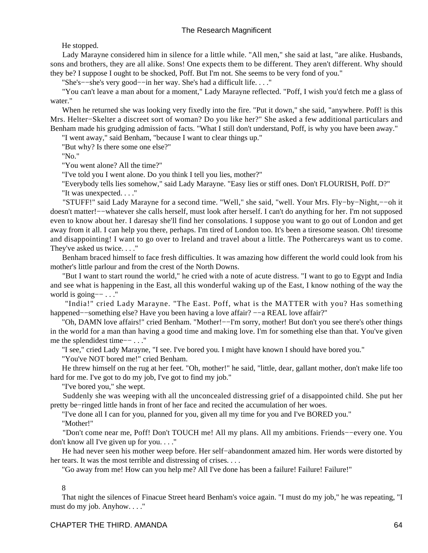He stopped.

 Lady Marayne considered him in silence for a little while. "All men," she said at last, "are alike. Husbands, sons and brothers, they are all alike. Sons! One expects them to be different. They aren't different. Why should they be? I suppose I ought to be shocked, Poff. But I'm not. She seems to be very fond of you."

"She's−−she's very good−−in her way. She's had a difficult life. . . ."

 "You can't leave a man about for a moment," Lady Marayne reflected. "Poff, I wish you'd fetch me a glass of water."

 When he returned she was looking very fixedly into the fire. "Put it down," she said, "anywhere. Poff! is this Mrs. Helter−Skelter a discreet sort of woman? Do you like her?" She asked a few additional particulars and Benham made his grudging admission of facts. "What I still don't understand, Poff, is why you have been away."

"I went away," said Benham, "because I want to clear things up."

"But why? Is there some one else?"

"No."

"You went alone? All the time?"

"I've told you I went alone. Do you think I tell you lies, mother?"

 "Everybody tells lies somehow," said Lady Marayne. "Easy lies or stiff ones. Don't FLOURISH, Poff. D?" "It was unexpected. . . ."

 "STUFF!" said Lady Marayne for a second time. "Well," she said, "well. Your Mrs. Fly−by−Night,−−oh it doesn't matter!−−whatever she calls herself, must look after herself. I can't do anything for her. I'm not supposed even to know about her. I daresay she'll find her consolations. I suppose you want to go out of London and get away from it all. I can help you there, perhaps. I'm tired of London too. It's been a tiresome season. Oh! tiresome and disappointing! I want to go over to Ireland and travel about a little. The Pothercareys want us to come. They've asked us twice. . . ."

 Benham braced himself to face fresh difficulties. It was amazing how different the world could look from his mother's little parlour and from the crest of the North Downs.

 "But I want to start round the world," he cried with a note of acute distress. "I want to go to Egypt and India and see what is happening in the East, all this wonderful waking up of the East, I know nothing of the way the world is going−− . . ."

 "India!" cried Lady Marayne. "The East. Poff, what is the MATTER with you? Has something happened––something else? Have you been having a love affair? −−a REAL love affair?"

 "Oh, DAMN love affairs!" cried Benham. "Mother!−−I'm sorry, mother! But don't you see there's other things in the world for a man than having a good time and making love. I'm for something else than that. You've given me the splendidest time−− . . ."

"I see," cried Lady Marayne, "I see. I've bored you. I might have known I should have bored you."

"You've NOT bored me!" cried Benham.

 He threw himself on the rug at her feet. "Oh, mother!" he said, "little, dear, gallant mother, don't make life too hard for me. I've got to do my job, I've got to find my job."

"I've bored you," she wept.

 Suddenly she was weeping with all the unconcealed distressing grief of a disappointed child. She put her pretty be−ringed little hands in front of her face and recited the accumulation of her woes.

"I've done all I can for you, planned for you, given all my time for you and I've BORED you."

"Mother!"

 "Don't come near me, Poff! Don't TOUCH me! All my plans. All my ambitions. Friends−−every one. You don't know all I've given up for you. . . ."

 He had never seen his mother weep before. Her self−abandonment amazed him. Her words were distorted by her tears. It was the most terrible and distressing of crises. . . .

"Go away from me! How can you help me? All I've done has been a failure! Failure! Failure!"

8

 That night the silences of Finacue Street heard Benham's voice again. "I must do my job," he was repeating, "I must do my job. Anyhow. . . ."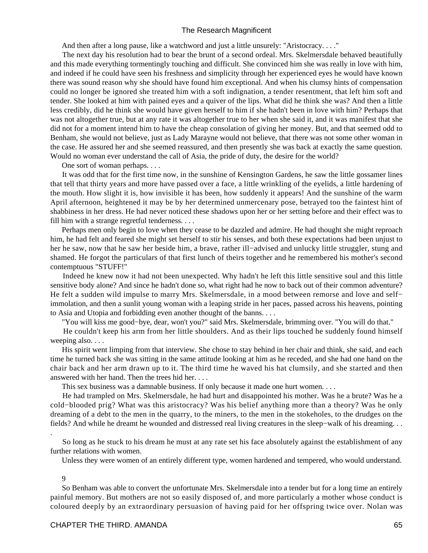And then after a long pause, like a watchword and just a little unsurely: "Aristocracy. . . ."

 The next day his resolution had to bear the brunt of a second ordeal. Mrs. Skelmersdale behaved beautifully and this made everything tormentingly touching and difficult. She convinced him she was really in love with him, and indeed if he could have seen his freshness and simplicity through her experienced eyes he would have known there was sound reason why she should have found him exceptional. And when his clumsy hints of compensation could no longer be ignored she treated him with a soft indignation, a tender resentment, that left him soft and tender. She looked at him with pained eyes and a quiver of the lips. What did he think she was? And then a little less credibly, did he think she would have given herself to him if she hadn't been in love with him? Perhaps that was not altogether true, but at any rate it was altogether true to her when she said it, and it was manifest that she did not for a moment intend him to have the cheap consolation of giving her money. But, and that seemed odd to Benham, she would not believe, just as Lady Marayne would not believe, that there was not some other woman in the case. He assured her and she seemed reassured, and then presently she was back at exactly the same question. Would no woman ever understand the call of Asia, the pride of duty, the desire for the world?

One sort of woman perhaps. . . .

 It was odd that for the first time now, in the sunshine of Kensington Gardens, he saw the little gossamer lines that tell that thirty years and more have passed over a face, a little wrinkling of the eyelids, a little hardening of the mouth. How slight it is, how invisible it has been, how suddenly it appears! And the sunshine of the warm April afternoon, heightened it may be by her determined unmercenary pose, betrayed too the faintest hint of shabbiness in her dress. He had never noticed these shadows upon her or her setting before and their effect was to fill him with a strange regretful tenderness. . . .

 Perhaps men only begin to love when they cease to be dazzled and admire. He had thought she might reproach him, he had felt and feared she might set herself to stir his senses, and both these expectations had been unjust to her he saw, now that he saw her beside him, a brave, rather ill−advised and unlucky little struggler, stung and shamed. He forgot the particulars of that first lunch of theirs together and he remembered his mother's second contemptuous "STUFF!"

 Indeed he knew now it had not been unexpected. Why hadn't he left this little sensitive soul and this little sensitive body alone? And since he hadn't done so, what right had he now to back out of their common adventure? He felt a sudden wild impulse to marry Mrs. Skelmersdale, in a mood between remorse and love and self− immolation, and then a sunlit young woman with a leaping stride in her paces, passed across his heavens, pointing to Asia and Utopia and forbidding even another thought of the banns. . . .

"You will kiss me good−bye, dear, won't you?" said Mrs. Skelmersdale, brimming over. "You will do that."

 He couldn't keep his arm from her little shoulders. And as their lips touched he suddenly found himself weeping also. . . .

 His spirit went limping from that interview. She chose to stay behind in her chair and think, she said, and each time he turned back she was sitting in the same attitude looking at him as he receded, and she had one hand on the chair back and her arm drawn up to it. The third time he waved his hat clumsily, and she started and then answered with her hand. Then the trees hid her. . . .

This sex business was a damnable business. If only because it made one hurt women. . . .

 He had trampled on Mrs. Skelmersdale, he had hurt and disappointed his mother. Was he a brute? Was he a cold−blooded prig? What was this aristocracy? Was his belief anything more than a theory? Was he only dreaming of a debt to the men in the quarry, to the miners, to the men in the stokeholes, to the drudges on the fields? And while he dreamt he wounded and distressed real living creatures in the sleep−walk of his dreaming. . .

 So long as he stuck to his dream he must at any rate set his face absolutely against the establishment of any further relations with women.

Unless they were women of an entirely different type, women hardened and tempered, who would understand.

#### 9

.

 So Benham was able to convert the unfortunate Mrs. Skelmersdale into a tender but for a long time an entirely painful memory. But mothers are not so easily disposed of, and more particularly a mother whose conduct is coloured deeply by an extraordinary persuasion of having paid for her offspring twice over. Nolan was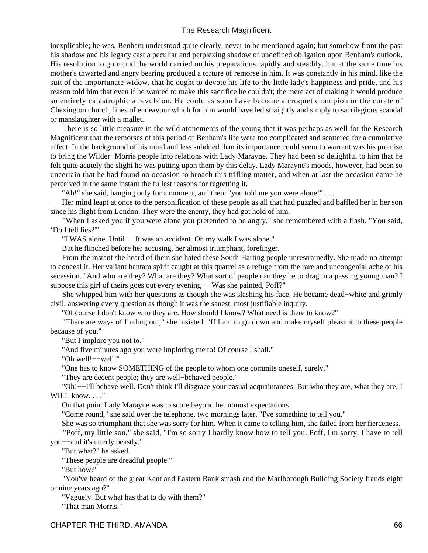inexplicable; he was, Benham understood quite clearly, never to be mentioned again; but somehow from the past his shadow and his legacy cast a peculiar and perplexing shadow of undefined obligation upon Benham's outlook. His resolution to go round the world carried on his preparations rapidly and steadily, but at the same time his mother's thwarted and angry bearing produced a torture of remorse in him. It was constantly in his mind, like the suit of the importunate widow, that he ought to devote his life to the little lady's happiness and pride, and his reason told him that even if he wanted to make this sacrifice he couldn't; the mere act of making it would produce so entirely catastrophic a revulsion. He could as soon have become a croquet champion or the curate of Chexington church, lines of endeavour which for him would have led straightly and simply to sacrilegious scandal or manslaughter with a mallet.

 There is so little measure in the wild atonements of the young that it was perhaps as well for the Research Magnificent that the remorses of this period of Benham's life were too complicated and scattered for a cumulative effect. In the background of his mind and less subdued than its importance could seem to warrant was his promise to bring the Wilder−Morris people into relations with Lady Marayne. They had been so delightful to him that he felt quite acutely the slight he was putting upon them by this delay. Lady Marayne's moods, however, had been so uncertain that he had found no occasion to broach this trifling matter, and when at last the occasion came he perceived in the same instant the fullest reasons for regretting it.

"Ah!" she said, hanging only for a moment, and then: "you told me you were alone!" . . .

 Her mind leapt at once to the personification of these people as all that had puzzled and baffled her in her son since his flight from London. They were the enemy, they had got hold of him.

 "When I asked you if you were alone you pretended to be angry," she remembered with a flash. "You said, 'Do I tell lies?'"

"I WAS alone. Until−− It was an accident. On my walk I was alone."

But he flinched before her accusing, her almost triumphant, forefinger.

 From the instant she heard of them she hated these South Harting people unrestrainedly. She made no attempt to conceal it. Her valiant bantam spirit caught at this quarrel as a refuge from the rare and uncongenial ache of his secession. "And who are they? What are they? What sort of people can they be to drag in a passing young man? I suppose this girl of theirs goes out every evening−− Was she painted, Poff?"

 She whipped him with her questions as though she was slashing his face. He became dead−white and grimly civil, answering every question as though it was the sanest, most justifiable inquiry.

"Of course I don't know who they are. How should I know? What need is there to know?"

 "There are ways of finding out," she insisted. "If I am to go down and make myself pleasant to these people because of you."

"But I implore you not to."

"And five minutes ago you were imploring me to! Of course I shall."

"Oh well!−−well!"

"One has to know SOMETHING of the people to whom one commits oneself, surely."

"They are decent people; they are well−behaved people."

 "Oh!−−I'll behave well. Don't think I'll disgrace your casual acquaintances. But who they are, what they are, I WILL know...."

On that point Lady Marayne was to score beyond her utmost expectations.

"Come round," she said over the telephone, two mornings later. "I've something to tell you."

She was so triumphant that she was sorry for him. When it came to telling him, she failed from her fierceness.

 "Poff, my little son," she said, "I'm so sorry I hardly know how to tell you. Poff, I'm sorry. I have to tell you−−and it's utterly beastly."

"But what?" he asked.

"These people are dreadful people."

"But how?"

 "You've heard of the great Kent and Eastern Bank smash and the Marlborough Building Society frauds eight or nine years ago?"

"Vaguely. But what has that to do with them?"

"That man Morris."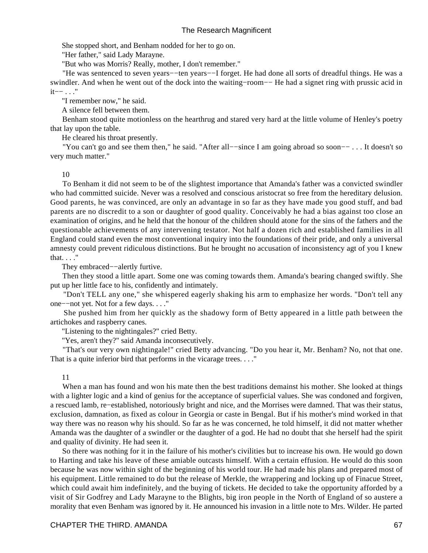She stopped short, and Benham nodded for her to go on.

"Her father," said Lady Marayne.

"But who was Morris? Really, mother, I don't remember."

"He was sentenced to seven years--ten years--I forget. He had done all sorts of dreadful things. He was a swindler. And when he went out of the dock into the waiting–room—− He had a signet ring with prussic acid in it−− . . ."

"I remember now," he said.

A silence fell between them.

 Benham stood quite motionless on the hearthrug and stared very hard at the little volume of Henley's poetry that lay upon the table.

He cleared his throat presently.

 "You can't go and see them then," he said. "After all−−since I am going abroad so soon−− . . . It doesn't so very much matter."

#### 10

 To Benham it did not seem to be of the slightest importance that Amanda's father was a convicted swindler who had committed suicide. Never was a resolved and conscious aristocrat so free from the hereditary delusion. Good parents, he was convinced, are only an advantage in so far as they have made you good stuff, and bad parents are no discredit to a son or daughter of good quality. Conceivably he had a bias against too close an examination of origins, and he held that the honour of the children should atone for the sins of the fathers and the questionable achievements of any intervening testator. Not half a dozen rich and established families in all England could stand even the most conventional inquiry into the foundations of their pride, and only a universal amnesty could prevent ridiculous distinctions. But he brought no accusation of inconsistency agt of you I knew that. . . ."

They embraced−−alertly furtive.

 Then they stood a little apart. Some one was coming towards them. Amanda's bearing changed swiftly. She put up her little face to his, confidently and intimately.

 "Don't TELL any one," she whispered eagerly shaking his arm to emphasize her words. "Don't tell any one−−not yet. Not for a few days. . . ."

 She pushed him from her quickly as the shadowy form of Betty appeared in a little path between the artichokes and raspberry canes.

"Listening to the nightingales?" cried Betty.

"Yes, aren't they?" said Amanda inconsecutively.

 "That's our very own nightingale!" cried Betty advancing. "Do you hear it, Mr. Benham? No, not that one. That is a quite inferior bird that performs in the vicarage trees. . . ."

#### 11

 When a man has found and won his mate then the best traditions demainst his mother. She looked at things with a lighter logic and a kind of genius for the acceptance of superficial values. She was condoned and forgiven, a rescued lamb, re−established, notoriously bright and nice, and the Morrises were damned. That was their status, exclusion, damnation, as fixed as colour in Georgia or caste in Bengal. But if his mother's mind worked in that way there was no reason why his should. So far as he was concerned, he told himself, it did not matter whether Amanda was the daughter of a swindler or the daughter of a god. He had no doubt that she herself had the spirit and quality of divinity. He had seen it.

 So there was nothing for it in the failure of his mother's civilities but to increase his own. He would go down to Harting and take his leave of these amiable outcasts himself. With a certain effusion. He would do this soon because he was now within sight of the beginning of his world tour. He had made his plans and prepared most of his equipment. Little remained to do but the release of Merkle, the wrappering and locking up of Finacue Street, which could await him indefinitely, and the buying of tickets. He decided to take the opportunity afforded by a visit of Sir Godfrey and Lady Marayne to the Blights, big iron people in the North of England of so austere a morality that even Benham was ignored by it. He announced his invasion in a little note to Mrs. Wilder. He parted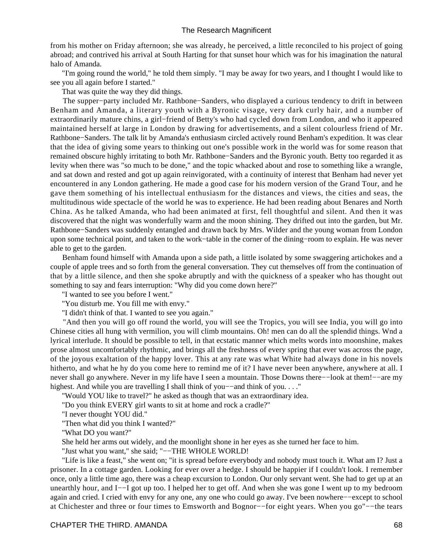from his mother on Friday afternoon; she was already, he perceived, a little reconciled to his project of going abroad; and contrived his arrival at South Harting for that sunset hour which was for his imagination the natural halo of Amanda.

 "I'm going round the world," he told them simply. "I may be away for two years, and I thought I would like to see you all again before I started."

That was quite the way they did things.

 The supper−party included Mr. Rathbone−Sanders, who displayed a curious tendency to drift in between Benham and Amanda, a literary youth with a Byronic visage, very dark curly hair, and a number of extraordinarily mature chins, a girl−friend of Betty's who had cycled down from London, and who it appeared maintained herself at large in London by drawing for advertisements, and a silent colourless friend of Mr. Rathbone−Sanders. The talk lit by Amanda's enthusiasm circled actively round Benham's expedition. It was clear that the idea of giving some years to thinking out one's possible work in the world was for some reason that remained obscure highly irritating to both Mr. Rathbone−Sanders and the Byronic youth. Betty too regarded it as levity when there was "so much to be done," and the topic whacked about and rose to something like a wrangle, and sat down and rested and got up again reinvigorated, with a continuity of interest that Benham had never yet encountered in any London gathering. He made a good case for his modern version of the Grand Tour, and he gave them something of his intellectual enthusiasm for the distances and views, the cities and seas, the multitudinous wide spectacle of the world he was to experience. He had been reading about Benares and North China. As he talked Amanda, who had been animated at first, fell thoughtful and silent. And then it was discovered that the night was wonderfully warm and the moon shining. They drifted out into the garden, but Mr. Rathbone−Sanders was suddenly entangled and drawn back by Mrs. Wilder and the young woman from London upon some technical point, and taken to the work−table in the corner of the dining−room to explain. He was never able to get to the garden.

 Benham found himself with Amanda upon a side path, a little isolated by some swaggering artichokes and a couple of apple trees and so forth from the general conversation. They cut themselves off from the continuation of that by a little silence, and then she spoke abruptly and with the quickness of a speaker who has thought out something to say and fears interruption: "Why did you come down here?"

"I wanted to see you before I went."

"You disturb me. You fill me with envy."

"I didn't think of that. I wanted to see you again."

 "And then you will go off round the world, you will see the Tropics, you will see India, you will go into Chinese cities all hung with vermilion, you will climb mountains. Oh! men can do all the splendid things. Wnd a lyrical interlude. It should be possible to tell, in that ecstatic manner which melts words into moonshine, makes prose almost uncomfortably rhythmic, and brings all the freshness of every spring that ever was across the page, of the joyous exaltation of the happy lover. This at any rate was what White had always done in his novels hitherto, and what he hy do you come here to remind me of it? I have never been anywhere, anywhere at all. I never shall go anywhere. Never in my life have I seen a mountain. Those Downs there−−look at them!−−are my highest. And while you are travelling I shall think of you−−and think of you. . . ."

"Would YOU like to travel?" he asked as though that was an extraordinary idea.

"Do you think EVERY girl wants to sit at home and rock a cradle?"

"I never thought YOU did."

"Then what did you think I wanted?"

"What DO you want?"

She held her arms out widely, and the moonlight shone in her eyes as she turned her face to him.

"Just what you want," she said; "--THE WHOLE WORLD!

 "Life is like a feast," she went on; "it is spread before everybody and nobody must touch it. What am I? Just a prisoner. In a cottage garden. Looking for ever over a hedge. I should be happier if I couldn't look. I remember once, only a little time ago, there was a cheap excursion to London. Our only servant went. She had to get up at an unearthly hour, and I−−I got up too. I helped her to get off. And when she was gone I went up to my bedroom again and cried. I cried with envy for any one, any one who could go away. I've been nowhere−−except to school at Chichester and three or four times to Emsworth and Bognor−−for eight years. When you go"−−the tears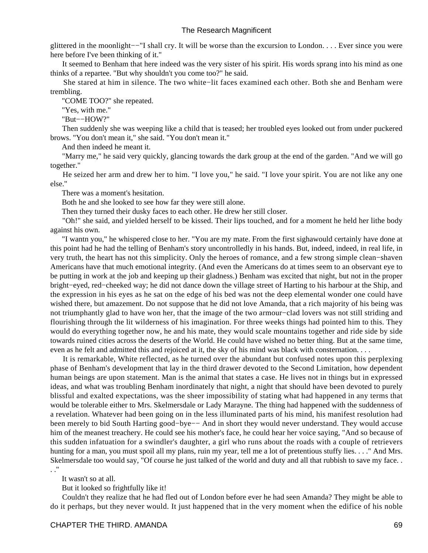glittered in the moonlight−−"I shall cry. It will be worse than the excursion to London. . . . Ever since you were here before I've been thinking of it."

 It seemed to Benham that here indeed was the very sister of his spirit. His words sprang into his mind as one thinks of a repartee. "But why shouldn't you come too?" he said.

 She stared at him in silence. The two white−lit faces examined each other. Both she and Benham were trembling.

"COME TOO?" she repeated.

"Yes, with me."

"But−−HOW?"

 Then suddenly she was weeping like a child that is teased; her troubled eyes looked out from under puckered brows. "You don't mean it," she said. "You don't mean it."

And then indeed he meant it.

 "Marry me," he said very quickly, glancing towards the dark group at the end of the garden. "And we will go together."

 He seized her arm and drew her to him. "I love you," he said. "I love your spirit. You are not like any one else."

There was a moment's hesitation.

Both he and she looked to see how far they were still alone.

Then they turned their dusky faces to each other. He drew her still closer.

 "Oh!" she said, and yielded herself to be kissed. Their lips touched, and for a moment he held her lithe body against his own.

 "I wantn you," he whispered close to her. "You are my mate. From the first sighawould certainly have done at this point had he had the telling of Benham's story uncontrolledly in his hands. But, indeed, indeed, in real life, in very truth, the heart has not this simplicity. Only the heroes of romance, and a few strong simple clean−shaven Americans have that much emotional integrity. (And even the Americans do at times seem to an observant eye to be putting in work at the job and keeping up their gladness.) Benham was excited that night, but not in the proper bright−eyed, red−cheeked way; he did not dance down the village street of Harting to his harbour at the Ship, and the expression in his eyes as he sat on the edge of his bed was not the deep elemental wonder one could have wished there, but amazement. Do not suppose that he did not love Amanda, that a rich majority of his being was not triumphantly glad to have won her, that the image of the two armour−clad lovers was not still striding and flourishing through the lit wilderness of his imagination. For three weeks things had pointed him to this. They would do everything together now, he and his mate, they would scale mountains together and ride side by side towards ruined cities across the deserts of the World. He could have wished no better thing. But at the same time, even as he felt and admitted this and rejoiced at it, the sky of his mind was black with consternation. . . .

 It is remarkable, White reflected, as he turned over the abundant but confused notes upon this perplexing phase of Benham's development that lay in the third drawer devoted to the Second Limitation, how dependent human beings are upon statement. Man is the animal that states a case. He lives not in things but in expressed ideas, and what was troubling Benham inordinately that night, a night that should have been devoted to purely blissful and exalted expectations, was the sheer impossibility of stating what had happened in any terms that would be tolerable either to Mrs. Skelmersdale or Lady Marayne. The thing had happened with the suddenness of a revelation. Whatever had been going on in the less illuminated parts of his mind, his manifest resolution had been merely to bid South Harting good−bye−− And in short they would never understand. They would accuse him of the meanest treachery. He could see his mother's face, he could hear her voice saying, "And so because of this sudden infatuation for a swindler's daughter, a girl who runs about the roads with a couple of retrievers hunting for a man, you must spoil all my plans, ruin my year, tell me a lot of pretentious stuffy lies. . . ." And Mrs. Skelmersdale too would say, "Of course he just talked of the world and duty and all that rubbish to save my face. . . ."

It wasn't so at all.

But it looked so frightfully like it!

 Couldn't they realize that he had fled out of London before ever he had seen Amanda? They might be able to do it perhaps, but they never would. It just happened that in the very moment when the edifice of his noble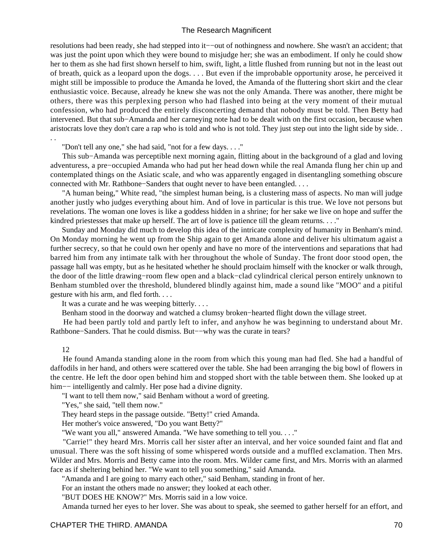resolutions had been ready, she had stepped into it−−out of nothingness and nowhere. She wasn't an accident; that was just the point upon which they were bound to misjudge her; she was an embodiment. If only he could show her to them as she had first shown herself to him, swift, light, a little flushed from running but not in the least out of breath, quick as a leopard upon the dogs. . . . But even if the improbable opportunity arose, he perceived it might still be impossible to produce the Amanda he loved, the Amanda of the fluttering short skirt and the clear enthusiastic voice. Because, already he knew she was not the only Amanda. There was another, there might be others, there was this perplexing person who had flashed into being at the very moment of their mutual confession, who had produced the entirely disconcerting demand that nobody must be told. Then Betty had intervened. But that sub−Amanda and her carneying note had to be dealt with on the first occasion, because when aristocrats love they don't care a rap who is told and who is not told. They just step out into the light side by side. .

. .

"Don't tell any one," she had said, "not for a few days. . . ."

 This sub−Amanda was perceptible next morning again, flitting about in the background of a glad and loving adventuress, a pre−occupied Amanda who had put her head down while the real Amanda flung her chin up and contemplated things on the Asiatic scale, and who was apparently engaged in disentangling something obscure connected with Mr. Rathbone−Sanders that ought never to have been entangled. . . .

 "A human being," White read, "the simplest human being, is a clustering mass of aspects. No man will judge another justly who judges everything about him. And of love in particular is this true. We love not persons but revelations. The woman one loves is like a goddess hidden in a shrine; for her sake we live on hope and suffer the kindred priestesses that make up herself. The art of love is patience till the gleam returns. . . ."

 Sunday and Monday did much to develop this idea of the intricate complexity of humanity in Benham's mind. On Monday morning he went up from the Ship again to get Amanda alone and deliver his ultimatum agaist a further secrecy, so that he could own her openly and have no more of the interventions and separations that had barred him from any intimate talk with her throughout the whole of Sunday. The front door stood open, the passage hall was empty, but as he hesitated whether he should proclaim himself with the knocker or walk through, the door of the little drawing−room flew open and a black−clad cylindrical clerical person entirely unknown to Benham stumbled over the threshold, blundered blindly against him, made a sound like "MOO" and a pitiful gesture with his arm, and fled forth. . . .

It was a curate and he was weeping bitterly. . . .

Benham stood in the doorway and watched a clumsy broken−hearted flight down the village street.

 He had been partly told and partly left to infer, and anyhow he was beginning to understand about Mr. Rathbone−Sanders. That he could dismiss. But−−why was the curate in tears?

12

 He found Amanda standing alone in the room from which this young man had fled. She had a handful of daffodils in her hand, and others were scattered over the table. She had been arranging the big bowl of flowers in the centre. He left the door open behind him and stopped short with the table between them. She looked up at him−− intelligently and calmly. Her pose had a divine dignity.

"I want to tell them now," said Benham without a word of greeting.

"Yes," she said, "tell them now."

They heard steps in the passage outside. "Betty!" cried Amanda.

Her mother's voice answered, "Do you want Betty?"

"We want you all," answered Amanda. "We have something to tell you. . . ."

 "Carrie!" they heard Mrs. Morris call her sister after an interval, and her voice sounded faint and flat and unusual. There was the soft hissing of some whispered words outside and a muffled exclamation. Then Mrs. Wilder and Mrs. Morris and Betty came into the room. Mrs. Wilder came first, and Mrs. Morris with an alarmed face as if sheltering behind her. "We want to tell you something," said Amanda.

"Amanda and I are going to marry each other," said Benham, standing in front of her.

For an instant the others made no answer; they looked at each other.

"BUT DOES HE KNOW?" Mrs. Morris said in a low voice.

Amanda turned her eyes to her lover. She was about to speak, she seemed to gather herself for an effort, and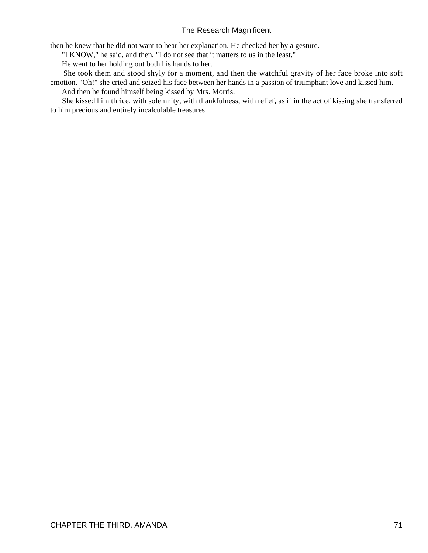then he knew that he did not want to hear her explanation. He checked her by a gesture.

"I KNOW," he said, and then, "I do not see that it matters to us in the least."

He went to her holding out both his hands to her.

 She took them and stood shyly for a moment, and then the watchful gravity of her face broke into soft emotion. "Oh!" she cried and seized his face between her hands in a passion of triumphant love and kissed him.

And then he found himself being kissed by Mrs. Morris.

 She kissed him thrice, with solemnity, with thankfulness, with relief, as if in the act of kissing she transferred to him precious and entirely incalculable treasures.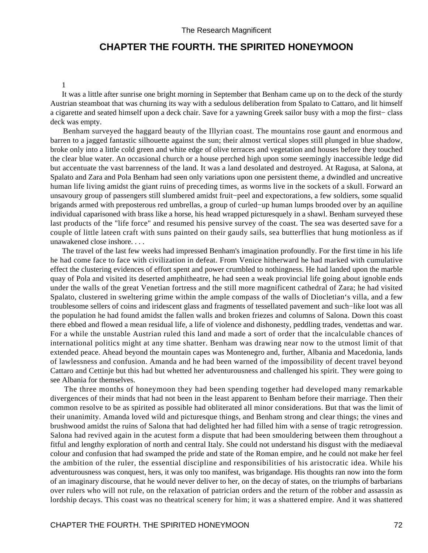# **CHAPTER THE FOURTH. THE SPIRITED HONEYMOON**

#### 1

 It was a little after sunrise one bright morning in September that Benham came up on to the deck of the sturdy Austrian steamboat that was churning its way with a sedulous deliberation from Spalato to Cattaro, and lit himself a cigarette and seated himself upon a deck chair. Save for a yawning Greek sailor busy with a mop the first− class deck was empty.

 Benham surveyed the haggard beauty of the Illyrian coast. The mountains rose gaunt and enormous and barren to a jagged fantastic silhouette against the sun; their almost vertical slopes still plunged in blue shadow, broke only into a little cold green and white edge of olive terraces and vegetation and houses before they touched the clear blue water. An occasional church or a house perched high upon some seemingly inaccessible ledge did but accentuate the vast barrenness of the land. It was a land desolated and destroyed. At Ragusa, at Salona, at Spalato and Zara and Pola Benham had seen only variations upon one persistent theme, a dwindled and uncreative human life living amidst the giant ruins of preceding times, as worms live in the sockets of a skull. Forward an unsavoury group of passengers still slumbered amidst fruit−peel and expectorations, a few soldiers, some squalid brigands armed with preposterous red umbrellas, a group of curled−up human lumps brooded over by an aquiline individual caparisoned with brass like a horse, his head wrapped picturesquely in a shawl. Benham surveyed these last products of the "life force" and resumed his pensive survey of the coast. The sea was deserted save for a couple of little lateen craft with suns painted on their gaudy sails, sea butterflies that hung motionless as if unawakened close inshore. . . .

 The travel of the last few weeks had impressed Benham's imagination profoundly. For the first time in his life he had come face to face with civilization in defeat. From Venice hitherward he had marked with cumulative effect the clustering evidences of effort spent and power crumbled to nothingness. He had landed upon the marble quay of Pola and visited its deserted amphitheatre, he had seen a weak provincial life going about ignoble ends under the walls of the great Venetian fortress and the still more magnificent cathedral of Zara; he had visited Spalato, clustered in sweltering grime within the ample compass of the walls of Diocletian's villa, and a few troublesome sellers of coins and iridescent glass and fragments of tessellated pavement and such−like loot was all the population he had found amidst the fallen walls and broken friezes and columns of Salona. Down this coast there ebbed and flowed a mean residual life, a life of violence and dishonesty, peddling trades, vendettas and war. For a while the unstable Austrian ruled this land and made a sort of order that the incalculable chances of international politics might at any time shatter. Benham was drawing near now to the utmost limit of that extended peace. Ahead beyond the mountain capes was Montenegro and, further, Albania and Macedonia, lands of lawlessness and confusion. Amanda and he had been warned of the impossibility of decent travel beyond Cattaro and Cettinje but this had but whetted her adventurousness and challenged his spirit. They were going to see Albania for themselves.

 The three months of honeymoon they had been spending together had developed many remarkable divergences of their minds that had not been in the least apparent to Benham before their marriage. Then their common resolve to be as spirited as possible had obliterated all minor considerations. But that was the limit of their unanimity. Amanda loved wild and picturesque things, and Benham strong and clear things; the vines and brushwood amidst the ruins of Salona that had delighted her had filled him with a sense of tragic retrogression. Salona had revived again in the acutest form a dispute that had been smouldering between them throughout a fitful and lengthy exploration of north and central Italy. She could not understand his disgust with the mediaeval colour and confusion that had swamped the pride and state of the Roman empire, and he could not make her feel the ambition of the ruler, the essential discipline and responsibilities of his aristocratic idea. While his adventurousness was conquest, hers, it was only too manifest, was brigandage. His thoughts ran now into the form of an imaginary discourse, that he would never deliver to her, on the decay of states, on the triumphs of barbarians over rulers who will not rule, on the relaxation of patrician orders and the return of the robber and assassin as lordship decays. This coast was no theatrical scenery for him; it was a shattered empire. And it was shattered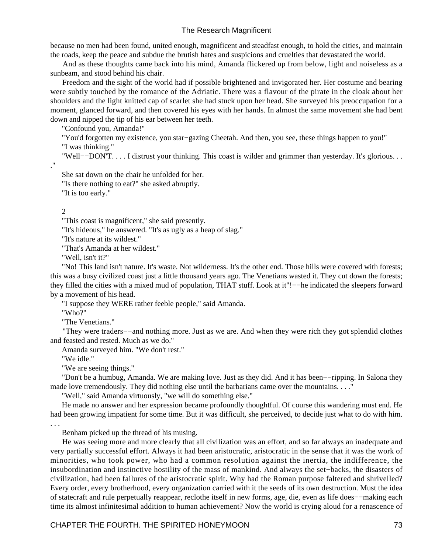because no men had been found, united enough, magnificent and steadfast enough, to hold the cities, and maintain the roads, keep the peace and subdue the brutish hates and suspicions and cruelties that devastated the world.

 And as these thoughts came back into his mind, Amanda flickered up from below, light and noiseless as a sunbeam, and stood behind his chair.

 Freedom and the sight of the world had if possible brightened and invigorated her. Her costume and bearing were subtly touched by the romance of the Adriatic. There was a flavour of the pirate in the cloak about her shoulders and the light knitted cap of scarlet she had stuck upon her head. She surveyed his preoccupation for a moment, glanced forward, and then covered his eyes with her hands. In almost the same movement she had bent down and nipped the tip of his ear between her teeth.

"Confound you, Amanda!"

 "You'd forgotten my existence, you star−gazing Cheetah. And then, you see, these things happen to you!" "I was thinking."

"Well−−DON'T. . . . I distrust your thinking. This coast is wilder and grimmer than yesterday. It's glorious. . .

 She sat down on the chair he unfolded for her. "Is there nothing to eat?" she asked abruptly. "It is too early."

#### 2

."

 "This coast is magnificent," she said presently. "It's hideous," he answered. "It's as ugly as a heap of slag."

"It's nature at its wildest."

"That's Amanda at her wildest."

"Well, isn't it?"

 "No! This land isn't nature. It's waste. Not wilderness. It's the other end. Those hills were covered with forests; this was a busy civilized coast just a little thousand years ago. The Venetians wasted it. They cut down the forests; they filled the cities with a mixed mud of population, THAT stuff. Look at it"!−−he indicated the sleepers forward by a movement of his head.

"I suppose they WERE rather feeble people," said Amanda.

"Who?"

"The Venetians."

 "They were traders−−and nothing more. Just as we are. And when they were rich they got splendid clothes and feasted and rested. Much as we do."

Amanda surveyed him. "We don't rest."

"We idle."

. . .

"We are seeing things."

 "Don't be a humbug, Amanda. We are making love. Just as they did. And it has been−−ripping. In Salona they made love tremendously. They did nothing else until the barbarians came over the mountains. . . ."

"Well," said Amanda virtuously, "we will do something else."

 He made no answer and her expression became profoundly thoughtful. Of course this wandering must end. He had been growing impatient for some time. But it was difficult, she perceived, to decide just what to do with him.

Benham picked up the thread of his musing.

 He was seeing more and more clearly that all civilization was an effort, and so far always an inadequate and very partially successful effort. Always it had been aristocratic, aristocratic in the sense that it was the work of minorities, who took power, who had a common resolution against the inertia, the indifference, the insubordination and instinctive hostility of the mass of mankind. And always the set−backs, the disasters of civilization, had been failures of the aristocratic spirit. Why had the Roman purpose faltered and shrivelled? Every order, every brotherhood, every organization carried with it the seeds of its own destruction. Must the idea of statecraft and rule perpetually reappear, reclothe itself in new forms, age, die, even as life does−−making each time its almost infinitesimal addition to human achievement? Now the world is crying aloud for a renascence of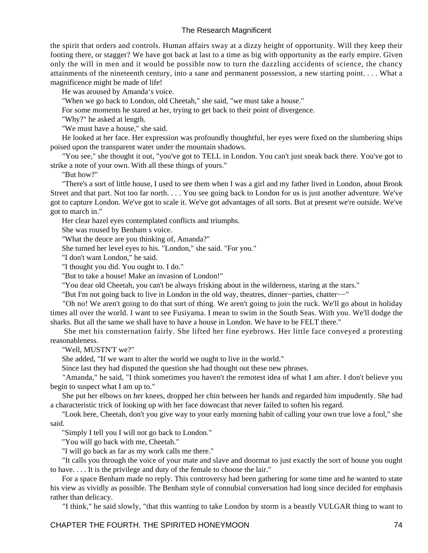the spirit that orders and controls. Human affairs sway at a dizzy height of opportunity. Will they keep their footing there, or stagger? We have got back at last to a time as big with opportunity as the early empire. Given only the will in men and it would be possible now to turn the dazzling accidents of science, the chancy attainments of the nineteenth century, into a sane and permanent possession, a new starting point. . . . What a magnificence might be made of life!

He was aroused by Amanda's voice.

"When we go back to London, old Cheetah," she said, "we must take a house."

For some moments he stared at her, trying to get back to their point of divergence.

"Why?" he asked at length.

"We must have a house," she said.

 He looked at her face. Her expression was profoundly thoughtful, her eyes were fixed on the slumbering ships poised upon the transparent water under the mountain shadows.

 "You see," she thought it out, "you've got to TELL in London. You can't just sneak back there. You've got to strike a note of your own. With all these things of yours."

"But how?"

 "There's a sort of little house, I used to see them when I was a girl and my father lived in London, about Brook Street and that part. Not too far north. . . . You see going back to London for us is just another adventure. We've got to capture London. We've got to scale it. We've got advantages of all sorts. But at present we're outside. We've got to march in."

Her clear hazel eyes contemplated conflicts and triumphs.

She was roused by Benham s voice.

"What the deuce are you thinking of, Amanda?"

She turned her level eyes to his. "London," she said. "For you."

"I don't want London," he said.

"I thought you did. You ought to. I do."

"But to take a house! Make an invasion of London!"

"You dear old Cheetah, you can't be always frisking about in the wilderness, staring at the stars."

"But I'm not going back to live in London in the old way, theatres, dinner−parties, chatter−−"

 "Oh no! We aren't going to do that sort of thing. We aren't going to join the ruck. We'll go about in holiday times all over the world. I want to see Fusiyama. I mean to swim in the South Seas. With you. We'll dodge the sharks. But all the same we shall have to have a house in London. We have to be FELT there."

 She met his consternation fairly. She lifted her fine eyebrows. Her little face conveyed a protesting reasonableness.

"Well, MUSTN'T we?"

She added, "If we want to alter the world we ought to live in the world."

Since last they had disputed the question she had thought out these new phrases.

 "Amanda," he said, "I think sometimes you haven't the remotest idea of what I am after. I don't believe you begin to suspect what I am up to."

 She put her elbows on her knees, dropped her chin between her hands and regarded him impudently. She had a characteristic trick of looking up with her face downcast that never failed to soften his regard.

 "Look here, Cheetah, don't you give way to your early morning habit of calling your own true love a fool," she said.

"Simply I tell you I will not go back to London."

"You will go back with me, Cheetah."

"I will go back as far as my work calls me there."

 "It calls you through the voice of your mate and slave and doormat to just exactly the sort of house you ought to have. . . . It is the privilege and duty of the female to choose the lair."

 For a space Benham made no reply. This controversy had been gathering for some time and he wanted to state his view as vividly as possible. The Benham style of connubial conversation had long since decided for emphasis rather than delicacy.

"I think," he said slowly, "that this wanting to take London by storm is a beastly VULGAR thing to want to

## CHAPTER THE FOURTH. THE SPIRITED HONEYMOON 74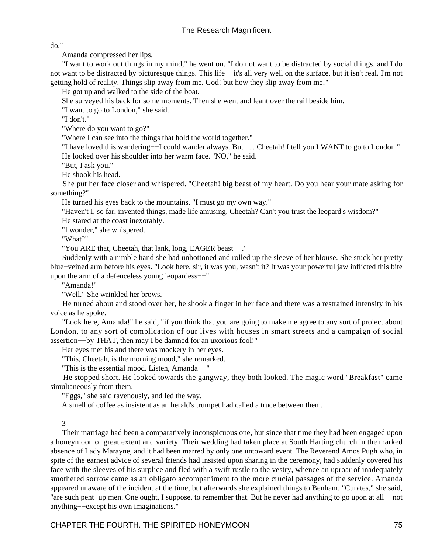do."

Amanda compressed her lips.

 "I want to work out things in my mind," he went on. "I do not want to be distracted by social things, and I do not want to be distracted by picturesque things. This life−−it's all very well on the surface, but it isn't real. I'm not getting hold of reality. Things slip away from me. God! but how they slip away from me!"

He got up and walked to the side of the boat.

She surveyed his back for some moments. Then she went and leant over the rail beside him.

"I want to go to London," she said.

"I don't."

"Where do you want to go?"

"Where I can see into the things that hold the world together."

 "I have loved this wandering−−I could wander always. But . . . Cheetah! I tell you I WANT to go to London." He looked over his shoulder into her warm face. "NO," he said.

"But, I ask you."

He shook his head.

 She put her face closer and whispered. "Cheetah! big beast of my heart. Do you hear your mate asking for something?"

He turned his eyes back to the mountains. "I must go my own way."

"Haven't I, so far, invented things, made life amusing, Cheetah? Can't you trust the leopard's wisdom?"

He stared at the coast inexorably.

"I wonder," she whispered.

"What?"

"You ARE that, Cheetah, that lank, long, EAGER beast−−."

 Suddenly with a nimble hand she had unbottoned and rolled up the sleeve of her blouse. She stuck her pretty blue−veined arm before his eyes. "Look here, sir, it was you, wasn't it? It was your powerful jaw inflicted this bite upon the arm of a defenceless young leopardess−−"

"Amanda!"

"Well." She wrinkled her brows.

 He turned about and stood over her, he shook a finger in her face and there was a restrained intensity in his voice as he spoke.

 "Look here, Amanda!" he said, "if you think that you are going to make me agree to any sort of project about London, to any sort of complication of our lives with houses in smart streets and a campaign of social assertion−−by THAT, then may I be damned for an uxorious fool!"

Her eyes met his and there was mockery in her eyes.

"This, Cheetah, is the morning mood," she remarked.

"This is the essential mood. Listen, Amanda−−"

 He stopped short. He looked towards the gangway, they both looked. The magic word "Breakfast" came simultaneously from them.

"Eggs," she said ravenously, and led the way.

A smell of coffee as insistent as an herald's trumpet had called a truce between them.

#### 3

 Their marriage had been a comparatively inconspicuous one, but since that time they had been engaged upon a honeymoon of great extent and variety. Their wedding had taken place at South Harting church in the marked absence of Lady Marayne, and it had been marred by only one untoward event. The Reverend Amos Pugh who, in spite of the earnest advice of several friends had insisted upon sharing in the ceremony, had suddenly covered his face with the sleeves of his surplice and fled with a swift rustle to the vestry, whence an uproar of inadequately smothered sorrow came as an obligato accompaniment to the more crucial passages of the service. Amanda appeared unaware of the incident at the time, but afterwards she explained things to Benham. "Curates," she said, "are such pent−up men. One ought, I suppose, to remember that. But he never had anything to go upon at all−−not anything−−except his own imaginations."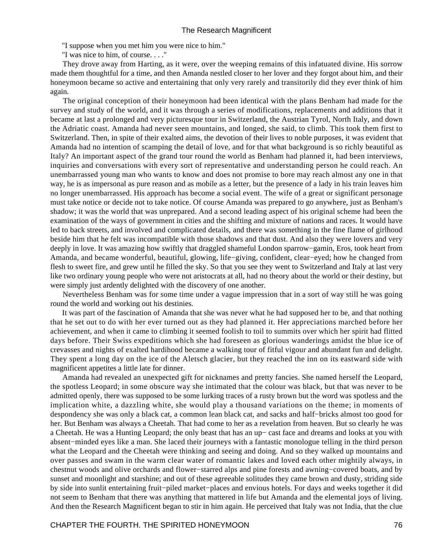"I suppose when you met him you were nice to him."

"I was nice to him, of course. . . ."

 They drove away from Harting, as it were, over the weeping remains of this infatuated divine. His sorrow made them thoughtful for a time, and then Amanda nestled closer to her lover and they forgot about him, and their honeymoon became so active and entertaining that only very rarely and transitorily did they ever think of him again.

 The original conception of their honeymoon had been identical with the plans Benham had made for the survey and study of the world, and it was through a series of modifications, replacements and additions that it became at last a prolonged and very picturesque tour in Switzerland, the Austrian Tyrol, North Italy, and down the Adriatic coast. Amanda had never seen mountains, and longed, she said, to climb. This took them first to Switzerland. Then, in spite of their exalted aims, the devotion of their lives to noble purposes, it was evident that Amanda had no intention of scamping the detail of love, and for that what background is so richly beautiful as Italy? An important aspect of the grand tour round the world as Benham had planned it, had been interviews, inquiries and conversations with every sort of representative and understanding person he could reach. An unembarrassed young man who wants to know and does not promise to bore may reach almost any one in that way, he is as impersonal as pure reason and as mobile as a letter, but the presence of a lady in his train leaves him no longer unembarrassed. His approach has become a social event. The wife of a great or significant personage must take notice or decide not to take notice. Of course Amanda was prepared to go anywhere, just as Benham's shadow; it was the world that was unprepared. And a second leading aspect of his original scheme had been the examination of the ways of government in cities and the shifting and mixture of nations and races. It would have led to back streets, and involved and complicated details, and there was something in the fine flame of girlhood beside him that he felt was incompatible with those shadows and that dust. And also they were lovers and very deeply in love. It was amazing how swiftly that draggled shameful London sparrow−gamin, Eros, took heart from Amanda, and became wonderful, beautiful, glowing, life−giving, confident, clear−eyed; how he changed from flesh to sweet fire, and grew until he filled the sky. So that you see they went to Switzerland and Italy at last very like two ordinary young people who were not aristocrats at all, had no theory about the world or their destiny, but were simply just ardently delighted with the discovery of one another.

 Nevertheless Benham was for some time under a vague impression that in a sort of way still he was going round the world and working out his destinies.

 It was part of the fascination of Amanda that she was never what he had supposed her to be, and that nothing that he set out to do with her ever turned out as they had planned it. Her appreciations marched before her achievement, and when it came to climbing it seemed foolish to toil to summits over which her spirit had flitted days before. Their Swiss expeditions which she had foreseen as glorious wanderings amidst the blue ice of crevasses and nights of exalted hardihood became a walking tour of fitful vigour and abundant fun and delight. They spent a long day on the ice of the Aletsch glacier, but they reached the inn on its eastward side with magnificent appetites a little late for dinner.

 Amanda had revealed an unexpected gift for nicknames and pretty fancies. She named herself the Leopard, the spotless Leopard; in some obscure way she intimated that the colour was black, but that was never to be admitted openly, there was supposed to be some lurking traces of a rusty brown but the word was spotless and the implication white, a dazzling white, she would play a thousand variations on the theme; in moments of despondency she was only a black cat, a common lean black cat, and sacks and half−bricks almost too good for her. But Benham was always a Cheetah. That had come to her as a revelation from heaven. But so clearly he was a Cheetah. He was a Hunting Leopard; the only beast that has an up− cast face and dreams and looks at you with absent−minded eyes like a man. She laced their journeys with a fantastic monologue telling in the third person what the Leopard and the Cheetah were thinking and seeing and doing. And so they walked up mountains and over passes and swam in the warm clear water of romantic lakes and loved each other mightily always, in chestnut woods and olive orchards and flower−starred alps and pine forests and awning−covered boats, and by sunset and moonlight and starshine; and out of these agreeable solitudes they came brown and dusty, striding side by side into sunlit entertaining fruit−piled market−places and envious hotels. For days and weeks together it did not seem to Benham that there was anything that mattered in life but Amanda and the elemental joys of living. And then the Research Magnificent began to stir in him again. He perceived that Italy was not India, that the clue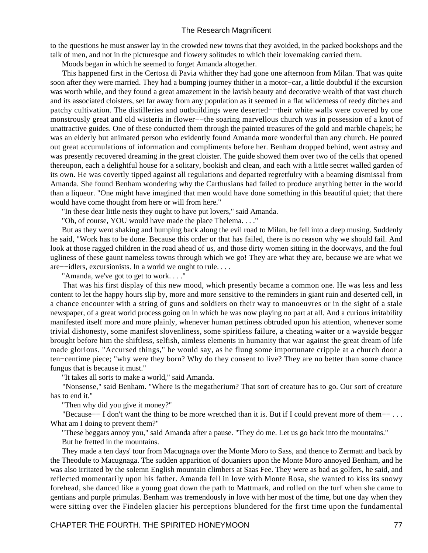to the questions he must answer lay in the crowded new towns that they avoided, in the packed bookshops and the talk of men, and not in the picturesque and flowery solitudes to which their lovemaking carried them.

Moods began in which he seemed to forget Amanda altogether.

 This happened first in the Certosa di Pavia whither they had gone one afternoon from Milan. That was quite soon after they were married. They had a bumping journey thither in a motor−car, a little doubtful if the excursion was worth while, and they found a great amazement in the lavish beauty and decorative wealth of that vast church and its associated cloisters, set far away from any population as it seemed in a flat wilderness of reedy ditches and patchy cultivation. The distilleries and outbuildings were deserted−−their white walls were covered by one monstrously great and old wisteria in flower−−the soaring marvellous church was in possession of a knot of unattractive guides. One of these conducted them through the painted treasures of the gold and marble chapels; he was an elderly but animated person who evidently found Amanda more wonderful than any church. He poured out great accumulations of information and compliments before her. Benham dropped behind, went astray and was presently recovered dreaming in the great cloister. The guide showed them over two of the cells that opened thereupon, each a delightful house for a solitary, bookish and clean, and each with a little secret walled garden of its own. He was covertly tipped against all regulations and departed regretfulry with a beaming dismissal from Amanda. She found Benham wondering why the Carthusians had failed to produce anything better in the world than a liqueur. "One might have imagined that men would have done something in this beautiful quiet; that there would have come thought from here or will from here."

"In these dear little nests they ought to have put lovers," said Amanda.

"Oh, of course, YOU would have made the place Thelema. . . ."

 But as they went shaking and bumping back along the evil road to Milan, he fell into a deep musing. Suddenly he said, "Work has to be done. Because this order or that has failed, there is no reason why we should fail. And look at those ragged children in the road ahead of us, and those dirty women sitting in the doorways, and the foul ugliness of these gaunt nameless towns through which we go! They are what they are, because we are what we are−−idlers, excursionists. In a world we ought to rule. . . .

"Amanda, we've got to get to work. . . ."

 That was his first display of this new mood, which presently became a common one. He was less and less content to let the happy hours slip by, more and more sensitive to the reminders in giant ruin and deserted cell, in a chance encounter with a string of guns and soldiers on their way to manoeuvres or in the sight of a stale newspaper, of a great world process going on in which he was now playing no part at all. And a curious irritability manifested itself more and more plainly, whenever human pettiness obtruded upon his attention, whenever some trivial dishonesty, some manifest slovenliness, some spiritless failure, a cheating waiter or a wayside beggar brought before him the shiftless, selfish, aimless elements in humanity that war against the great dream of life made glorious. "Accursed things," he would say, as he flung some importunate cripple at a church door a ten−centime piece; "why were they born? Why do they consent to live? They are no better than some chance fungus that is because it must."

"It takes all sorts to make a world," said Amanda.

 "Nonsense," said Benham. "Where is the megatherium? That sort of creature has to go. Our sort of creature has to end it."

"Then why did you give it money?"

 "Because−− I don't want the thing to be more wretched than it is. But if I could prevent more of them−− . . . What am I doing to prevent them?"

 "These beggars annoy you," said Amanda after a pause. "They do me. Let us go back into the mountains." But he fretted in the mountains.

 They made a ten days' tour from Macugnaga over the Monte Moro to Sass, and thence to Zermatt and back by the Theodule to Macugnaga. The sudden apparition of douaniers upon the Monte Moro annoyed Benham, and he was also irritated by the solemn English mountain climbers at Saas Fee. They were as bad as golfers, he said, and reflected momentarily upon his father. Amanda fell in love with Monte Rosa, she wanted to kiss its snowy forehead, she danced like a young goat down the path to Mattmark, and rolled on the turf when she came to gentians and purple primulas. Benham was tremendously in love with her most of the time, but one day when they were sitting over the Findelen glacier his perceptions blundered for the first time upon the fundamental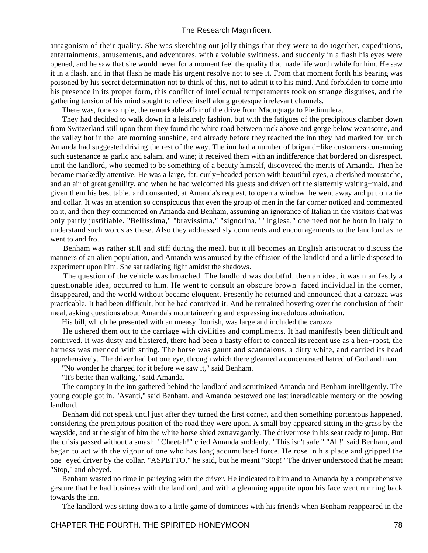antagonism of their quality. She was sketching out jolly things that they were to do together, expeditions, entertainments, amusements, and adventures, with a voluble swiftness, and suddenly in a flash his eyes were opened, and he saw that she would never for a moment feel the quality that made life worth while for him. He saw it in a flash, and in that flash he made his urgent resolve not to see it. From that moment forth his bearing was poisoned by his secret determination not to think of this, not to admit it to his mind. And forbidden to come into his presence in its proper form, this conflict of intellectual temperaments took on strange disguises, and the gathering tension of his mind sought to relieve itself along grotesque irrelevant channels.

There was, for example, the remarkable affair of the drive from Macugnaga to Piedimulera.

 They had decided to walk down in a leisurely fashion, but with the fatigues of the precipitous clamber down from Switzerland still upon them they found the white road between rock above and gorge below wearisome, and the valley hot in the late morning sunshine, and already before they reached the inn they had marked for lunch Amanda had suggested driving the rest of the way. The inn had a number of brigand−like customers consuming such sustenance as garlic and salami and wine; it received them with an indifference that bordered on disrespect, until the landlord, who seemed to be something of a beauty himself, discovered the merits of Amanda. Then he became markedly attentive. He was a large, fat, curly−headed person with beautiful eyes, a cherished moustache, and an air of great gentility, and when he had welcomed his guests and driven off the slatternly waiting−maid, and given them his best table, and consented, at Amanda's request, to open a window, he went away and put on a tie and collar. It was an attention so conspicuous that even the group of men in the far corner noticed and commented on it, and then they commented on Amanda and Benham, assuming an ignorance of Italian in the visitors that was only partly justifiable. "Bellissima," "bravissima," "signorina," "Inglesa," one need not be born in Italy to understand such words as these. Also they addressed sly comments and encouragements to the landlord as he went to and fro.

 Benham was rather still and stiff during the meal, but it ill becomes an English aristocrat to discuss the manners of an alien population, and Amanda was amused by the effusion of the landlord and a little disposed to experiment upon him. She sat radiating light amidst the shadows.

 The question of the vehicle was broached. The landlord was doubtful, then an idea, it was manifestly a questionable idea, occurred to him. He went to consult an obscure brown−faced individual in the corner, disappeared, and the world without became eloquent. Presently he returned and announced that a carozza was practicable. It had been difficult, but he had contrived it. And he remained hovering over the conclusion of their meal, asking questions about Amanda's mountaineering and expressing incredulous admiration.

His bill, which he presented with an uneasy flourish, was large and included the carozza.

 He ushered them out to the carriage with civilities and compliments. It had manifestly been difficult and contrived. It was dusty and blistered, there had been a hasty effort to conceal its recent use as a hen−roost, the harness was mended with string. The horse was gaunt and scandalous, a dirty white, and carried its head apprehensively. The driver had but one eye, through which there gleamed a concentrated hatred of God and man.

"No wonder he charged for it before we saw it," said Benham.

"It's better than walking," said Amanda.

 The company in the inn gathered behind the landlord and scrutinized Amanda and Benham intelligently. The young couple got in. "Avanti," said Benham, and Amanda bestowed one last ineradicable memory on the bowing landlord.

 Benham did not speak until just after they turned the first corner, and then something portentous happened, considering the precipitous position of the road they were upon. A small boy appeared sitting in the grass by the wayside, and at the sight of him the white horse shied extravagantly. The driver rose in his seat ready to jump. But the crisis passed without a smash. "Cheetah!" cried Amanda suddenly. "This isn't safe." "Ah!" said Benham, and began to act with the vigour of one who has long accumulated force. He rose in his place and gripped the one−eyed driver by the collar. "ASPETTO," he said, but he meant "Stop!" The driver understood that he meant "Stop," and obeyed.

 Benham wasted no time in parleying with the driver. He indicated to him and to Amanda by a comprehensive gesture that he had business with the landlord, and with a gleaming appetite upon his face went running back towards the inn.

The landlord was sitting down to a little game of dominoes with his friends when Benham reappeared in the

## CHAPTER THE FOURTH. THE SPIRITED HONEYMOON **1998** 78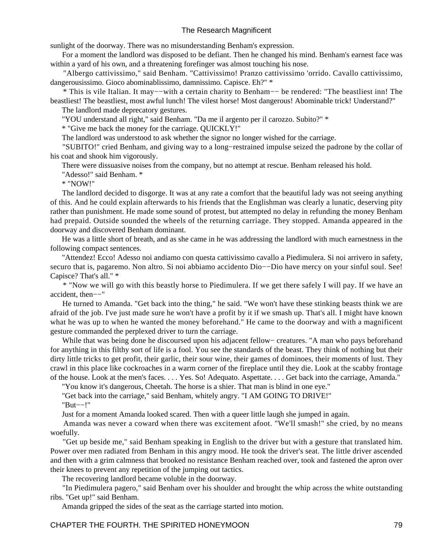sunlight of the doorway. There was no misunderstanding Benham's expression.

 For a moment the landlord was disposed to be defiant. Then he changed his mind. Benham's earnest face was within a yard of his own, and a threatening forefinger was almost touching his nose.

 "Albergo cattivissimo," said Benham. "Cattivissimo! Pranzo cattivissimo 'orrido. Cavallo cattivissimo, dangerousissimo. Gioco abominablissimo, damnissimo. Capisce. Eh?" \*

 \* This is vile Italian. It may−−with a certain charity to Benham−− be rendered: "The beastliest inn! The beastliest! The beastliest, most awful lunch! The vilest horse! Most dangerous! Abominable trick! Understand?"

The landlord made deprecatory gestures.

"YOU understand all right," said Benham. "Da me il argento per il carozzo. Subito?" \*

\* "Give me back the money for the carriage. QUICKLY!"

The landlord was understood to ask whether the signor no longer wished for the carriage.

 "SUBITO!" cried Benham, and giving way to a long−restrained impulse seized the padrone by the collar of his coat and shook him vigorously.

There were dissuasive noises from the company, but no attempt at rescue. Benham released his hold.

"Adesso!" said Benham. \*

\* "NOW!"

 The landlord decided to disgorge. It was at any rate a comfort that the beautiful lady was not seeing anything of this. And he could explain afterwards to his friends that the Englishman was clearly a lunatic, deserving pity rather than punishment. He made some sound of protest, but attempted no delay in refunding the money Benham had prepaid. Outside sounded the wheels of the returning carriage. They stopped. Amanda appeared in the doorway and discovered Benham dominant.

 He was a little short of breath, and as she came in he was addressing the landlord with much earnestness in the following compact sentences.

 "Attendez! Ecco! Adesso noi andiamo con questa cattivissimo cavallo a Piedimulera. Si noi arrivero in safety, securo that is, pagaremo. Non altro. Si noi abbiamo accidento Dio−−Dio have mercy on your sinful soul. See! Capisce? That's all." \*

 \* "Now we will go with this beastly horse to Piedimulera. If we get there safely I will pay. If we have an accident, then−−"

 He turned to Amanda. "Get back into the thing," he said. "We won't have these stinking beasts think we are afraid of the job. I've just made sure he won't have a profit by it if we smash up. That's all. I might have known what he was up to when he wanted the money beforehand." He came to the doorway and with a magnificent gesture commanded the perplexed driver to turn the carriage.

 While that was being done he discoursed upon his adjacent fellow− creatures. "A man who pays beforehand for anything in this filthy sort of life is a fool. You see the standards of the beast. They think of nothing but their dirty little tricks to get profit, their garlic, their sour wine, their games of dominoes, their moments of lust. They crawl in this place like cockroaches in a warm corner of the fireplace until they die. Look at the scabby frontage of the house. Look at the men's faces. . . . Yes. So! Adequato. Aspettate. . . . Get back into the carriage, Amanda."

"You know it's dangerous, Cheetah. The horse is a shier. That man is blind in one eye."

"Get back into the carriage," said Benham, whitely angry. "I AM GOING TO DRIVE!"

"But−−!"

Just for a moment Amanda looked scared. Then with a queer little laugh she jumped in again.

 Amanda was never a coward when there was excitement afoot. "We'll smash!" she cried, by no means woefully.

 "Get up beside me," said Benham speaking in English to the driver but with a gesture that translated him. Power over men radiated from Benham in this angry mood. He took the driver's seat. The little driver ascended and then with a grim calmness that brooked no resistance Benham reached over, took and fastened the apron over their knees to prevent any repetition of the jumping out tactics.

The recovering landlord became voluble in the doorway.

 "In Piedimulera pagero," said Benham over his shoulder and brought the whip across the white outstanding ribs. "Get up!" said Benham.

Amanda gripped the sides of the seat as the carriage started into motion.

## CHAPTER THE FOURTH. THE SPIRITED HONEYMOON **1999** 79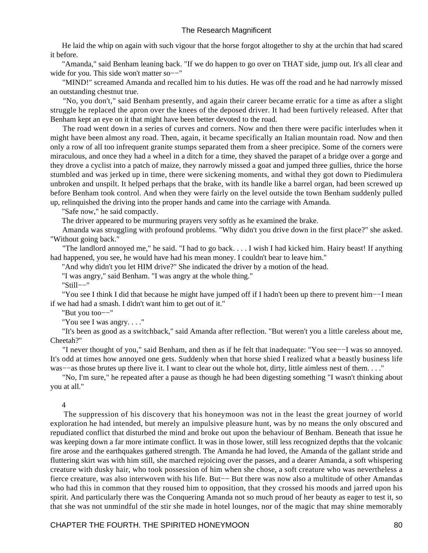He laid the whip on again with such vigour that the horse forgot altogether to shy at the urchin that had scared it before.

 "Amanda," said Benham leaning back. "If we do happen to go over on THAT side, jump out. It's all clear and wide for you. This side won't matter so−−"

 "MIND!" screamed Amanda and recalled him to his duties. He was off the road and he had narrowly missed an outstanding chestnut true.

 "No, you don't," said Benham presently, and again their career became erratic for a time as after a slight struggle he replaced the apron over the knees of the deposed driver. It had been furtively released. After that Benham kept an eye on it that might have been better devoted to the road.

 The road went down in a series of curves and corners. Now and then there were pacific interludes when it might have been almost any road. Then, again, it became specifically an Italian mountain road. Now and then only a row of all too infrequent granite stumps separated them from a sheer precipice. Some of the corners were miraculous, and once they had a wheel in a ditch for a time, they shaved the parapet of a bridge over a gorge and they drove a cyclist into a patch of maize, they narrowly missed a goat and jumped three gullies, thrice the horse stumbled and was jerked up in time, there were sickening moments, and withal they got down to Piedimulera unbroken and unspilt. It helped perhaps that the brake, with its handle like a barrel organ, had been screwed up before Benham took control. And when they were fairly on the level outside the town Benham suddenly pulled up, relinquished the driving into the proper hands and came into the carriage with Amanda.

"Safe now," he said compactly.

The driver appeared to be murmuring prayers very softly as he examined the brake.

 Amanda was struggling with profound problems. "Why didn't you drive down in the first place?" she asked. "Without going back."

 "The landlord annoyed me," he said. "I had to go back. . . . I wish I had kicked him. Hairy beast! If anything had happened, you see, he would have had his mean money. I couldn't bear to leave him."

"And why didn't you let HIM drive?" She indicated the driver by a motion of the head.

"I was angry," said Benham. "I was angry at the whole thing."

"Still−−"

 "You see I think I did that because he might have jumped off if I hadn't been up there to prevent him−−I mean if we had had a smash. I didn't want him to get out of it."

"But you too−−"

"You see I was angry. . . ."

 "It's been as good as a switchback," said Amanda after reflection. "But weren't you a little careless about me, Cheetah?"

 "I never thought of you," said Benham, and then as if he felt that inadequate: "You see−−I was so annoyed. It's odd at times how annoyed one gets. Suddenly when that horse shied I realized what a beastly business life was−−as those brutes up there live it. I want to clear out the whole hot, dirty, little aimless nest of them. . . ."

 "No, I'm sure," he repeated after a pause as though he had been digesting something "I wasn't thinking about you at all."

### 4

 The suppression of his discovery that his honeymoon was not in the least the great journey of world exploration he had intended, but merely an impulsive pleasure hunt, was by no means the only obscured and repudiated conflict that disturbed the mind and broke out upon the behaviour of Benham. Beneath that issue he was keeping down a far more intimate conflict. It was in those lower, still less recognized depths that the volcanic fire arose and the earthquakes gathered strength. The Amanda he had loved, the Amanda of the gallant stride and fluttering skirt was with him still, she marched rejoicing over the passes, and a dearer Amanda, a soft whispering creature with dusky hair, who took possession of him when she chose, a soft creature who was nevertheless a fierce creature, was also interwoven with his life. But−− But there was now also a multitude of other Amandas who had this in common that they roused him to opposition, that they crossed his moods and jarred upon his spirit. And particularly there was the Conquering Amanda not so much proud of her beauty as eager to test it, so that she was not unmindful of the stir she made in hotel lounges, nor of the magic that may shine memorably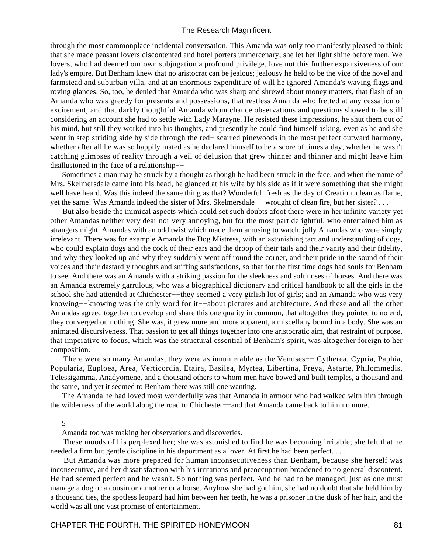through the most commonplace incidental conversation. This Amanda was only too manifestly pleased to think that she made peasant lovers discontented and hotel porters unmercenary; she let her light shine before men. We lovers, who had deemed our own subjugation a profound privilege, love not this further expansiveness of our lady's empire. But Benham knew that no aristocrat can be jealous; jealousy he held to be the vice of the hovel and farmstead and suburban villa, and at an enormous expenditure of will he ignored Amanda's waving flags and roving glances. So, too, he denied that Amanda who was sharp and shrewd about money matters, that flash of an Amanda who was greedy for presents and possessions, that restless Amanda who fretted at any cessation of excitement, and that darkly thoughtful Amanda whom chance observations and questions showed to be still considering an account she had to settle with Lady Marayne. He resisted these impressions, he shut them out of his mind, but still they worked into his thoughts, and presently he could find himself asking, even as he and she went in step striding side by side through the red− scarred pinewoods in the most perfect outward harmony, whether after all he was so happily mated as he declared himself to be a score of times a day, whether he wasn't catching glimpses of reality through a veil of delusion that grew thinner and thinner and might leave him disillusioned in the face of a relationship−−

 Sometimes a man may be struck by a thought as though he had been struck in the face, and when the name of Mrs. Skelmersdale came into his head, he glanced at his wife by his side as if it were something that she might well have heard. Was this indeed the same thing as that? Wonderful, fresh as the day of Creation, clean as flame, yet the same! Was Amanda indeed the sister of Mrs. Skelmersdale−− wrought of clean fire, but her sister? . . .

 But also beside the inimical aspects which could set such doubts afoot there were in her infinite variety yet other Amandas neither very dear nor very annoying, but for the most part delightful, who entertained him as strangers might, Amandas with an odd twist which made them amusing to watch, jolly Amandas who were simply irrelevant. There was for example Amanda the Dog Mistress, with an astonishing tact and understanding of dogs, who could explain dogs and the cock of their ears and the droop of their tails and their vanity and their fidelity, and why they looked up and why they suddenly went off round the corner, and their pride in the sound of their voices and their dastardly thoughts and sniffing satisfactions, so that for the first time dogs had souls for Benham to see. And there was an Amanda with a striking passion for the sleekness and soft noses of horses. And there was an Amanda extremely garrulous, who was a biographical dictionary and critical handbook to all the girls in the school she had attended at Chichester-−they seemed a very girlish lot of girls; and an Amanda who was very knowing−−knowing was the only word for it−−about pictures and architecture. And these and all the other Amandas agreed together to develop and share this one quality in common, that altogether they pointed to no end, they converged on nothing. She was, it grew more and more apparent, a miscellany bound in a body. She was an animated discursiveness. That passion to get all things together into one aristocratic aim, that restraint of purpose, that imperative to focus, which was the structural essential of Benham's spirit, was altogether foreign to her composition.

There were so many Amandas, they were as innumerable as the Venuses–– Cytherea, Cypria, Paphia, Popularia, Euploea, Area, Verticordia, Etaira, Basilea, Myrtea, Libertina, Freya, Astarte, Philommedis, Telessigamma, Anadyomene, and a thousand others to whom men have bowed and built temples, a thousand and the same, and yet it seemed to Benham there was still one wanting.

 The Amanda he had loved most wonderfully was that Amanda in armour who had walked with him through the wilderness of the world along the road to Chichester−−and that Amanda came back to him no more.

## 5

Amanda too was making her observations and discoveries.

 These moods of his perplexed her; she was astonished to find he was becoming irritable; she felt that he needed a firm but gentle discipline in his deportment as a lover. At first he had been perfect. . . .

 But Amanda was more prepared for human inconsecutiveness than Benham, because she herself was inconsecutive, and her dissatisfaction with his irritations and preoccupation broadened to no general discontent. He had seemed perfect and he wasn't. So nothing was perfect. And he had to be managed, just as one must manage a dog or a cousin or a mother or a horse. Anyhow she had got him, she had no doubt that she held him by a thousand ties, the spotless leopard had him between her teeth, he was a prisoner in the dusk of her hair, and the world was all one vast promise of entertainment.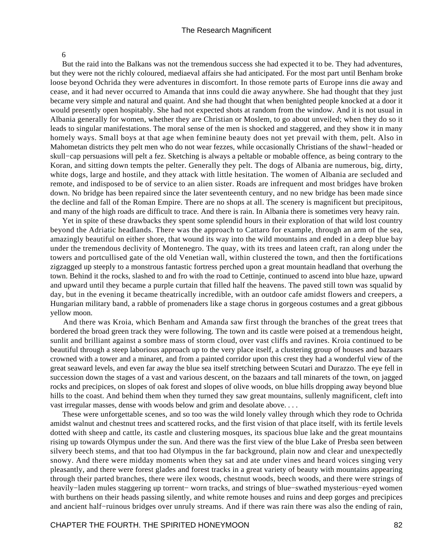6

 But the raid into the Balkans was not the tremendous success she had expected it to be. They had adventures, but they were not the richly coloured, mediaeval affairs she had anticipated. For the most part until Benham broke loose beyond Ochrida they were adventures in discomfort. In those remote parts of Europe inns die away and cease, and it had never occurred to Amanda that inns could die away anywhere. She had thought that they just became very simple and natural and quaint. And she had thought that when benighted people knocked at a door it would presently open hospitably. She had not expected shots at random from the window. And it is not usual in Albania generally for women, whether they are Christian or Moslem, to go about unveiled; when they do so it leads to singular manifestations. The moral sense of the men is shocked and staggered, and they show it in many homely ways. Small boys at that age when feminine beauty does not yet prevail with them, pelt. Also in Mahometan districts they pelt men who do not wear fezzes, while occasionally Christians of the shawl−headed or skull−cap persuasions will pelt a fez. Sketching is always a peltable or mobable offence, as being contrary to the Koran, and sitting down tempts the pelter. Generally they pelt. The dogs of Albania are numerous, big, dirty, white dogs, large and hostile, and they attack with little hesitation. The women of Albania are secluded and remote, and indisposed to be of service to an alien sister. Roads are infrequent and most bridges have broken down. No bridge has been repaired since the later seventeenth century, and no new bridge has been made since the decline and fall of the Roman Empire. There are no shops at all. The scenery is magnificent but precipitous, and many of the high roads are difficult to trace. And there is rain. In Albania there is sometimes very heavy rain.

 Yet in spite of these drawbacks they spent some splendid hours in their exploration of that wild lost country beyond the Adriatic headlands. There was the approach to Cattaro for example, through an arm of the sea, amazingly beautiful on either shore, that wound its way into the wild mountains and ended in a deep blue bay under the tremendous declivity of Montenegro. The quay, with its trees and lateen craft, ran along under the towers and portcullised gate of the old Venetian wall, within clustered the town, and then the fortifications zigzagged up steeply to a monstrous fantastic fortress perched upon a great mountain headland that overhung the town. Behind it the rocks, slashed to and fro with the road to Cettinje, continued to ascend into blue haze, upward and upward until they became a purple curtain that filled half the heavens. The paved still town was squalid by day, but in the evening it became theatrically incredible, with an outdoor cafe amidst flowers and creepers, a Hungarian military band, a rabble of promenaders like a stage chorus in gorgeous costumes and a great gibbous yellow moon.

 And there was Kroia, which Benham and Amanda saw first through the branches of the great trees that bordered the broad green track they were following. The town and its castle were poised at a tremendous height, sunlit and brilliant against a sombre mass of storm cloud, over vast cliffs and ravines. Kroia continued to be beautiful through a steep laborious approach up to the very place itself, a clustering group of houses and bazaars crowned with a tower and a minaret, and from a painted corridor upon this crest they had a wonderful view of the great seaward levels, and even far away the blue sea itself stretching between Scutari and Durazzo. The eye fell in succession down the stages of a vast and various descent, on the bazaars and tall minarets of the town, on jagged rocks and precipices, on slopes of oak forest and slopes of olive woods, on blue hills dropping away beyond blue hills to the coast. And behind them when they turned they saw great mountains, sullenly magnificent, cleft into vast irregular masses, dense with woods below and grim and desolate above. . . .

 These were unforgettable scenes, and so too was the wild lonely valley through which they rode to Ochrida amidst walnut and chestnut trees and scattered rocks, and the first vision of that place itself, with its fertile levels dotted with sheep and cattle, its castle and clustering mosques, its spacious blue lake and the great mountains rising up towards Olympus under the sun. And there was the first view of the blue Lake of Presba seen between silvery beech stems, and that too had Olympus in the far background, plain now and clear and unexpectedly snowy. And there were midday moments when they sat and ate under vines and heard voices singing very pleasantly, and there were forest glades and forest tracks in a great variety of beauty with mountains appearing through their parted branches, there were ilex woods, chestnut woods, beech woods, and there were strings of heavily−laden mules staggering up torrent− worn tracks, and strings of blue−swathed mysterious−eyed women with burthens on their heads passing silently, and white remote houses and ruins and deep gorges and precipices and ancient half−ruinous bridges over unruly streams. And if there was rain there was also the ending of rain,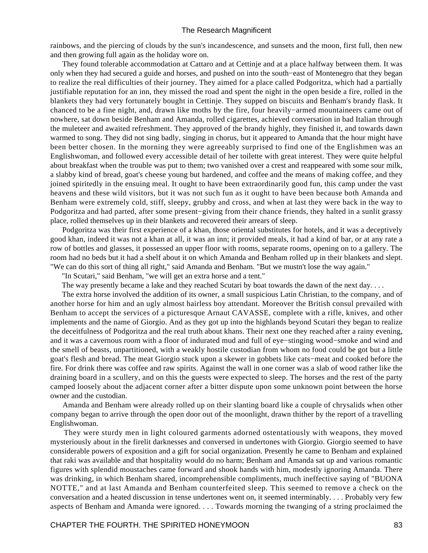rainbows, and the piercing of clouds by the sun's incandescence, and sunsets and the moon, first full, then new and then growing full again as the holiday wore on.

 They found tolerable accommodation at Cattaro and at Cettinje and at a place halfway between them. It was only when they had secured a guide and horses, and pushed on into the south−east of Montenegro that they began to realize the real difficulties of their journey. They aimed for a place called Podgoritza, which had a partially justifiable reputation for an inn, they missed the road and spent the night in the open beside a fire, rolled in the blankets they had very fortunately bought in Cettinje. They supped on biscuits and Benham's brandy flask. It chanced to be a fine night, and, drawn like moths by the fire, four heavily−armed mountaineers came out of nowhere, sat down beside Benham and Amanda, rolled cigarettes, achieved conversation in bad Italian through the muleteer and awaited refreshment. They approved of the brandy highly, they finished it, and towards dawn warmed to song. They did not sing badly, singing in chorus, but it appeared to Amanda that the hour might have been better chosen. In the morning they were agreeably surprised to find one of the Englishmen was an Englishwoman, and followed every accessible detail of her toilette with great interest. They were quite helpful about breakfast when the trouble was put to them; two vanished over a crest and reappeared with some sour milk, a slabby kind of bread, goat's cheese young but hardened, and coffee and the means of making coffee, and they joined spiritedly in the ensuing meal. It ought to have been extraordinarily good fun, this camp under the vast heavens and these wild visitors, but it was not such fun as it ought to have been because both Amanda and Benham were extremely cold, stiff, sleepy, grubby and cross, and when at last they were back in the way to Podgoritza and had parted, after some present−giving from their chance friends, they halted in a sunlit grassy place, rolled themselves up in their blankets and recovered their arrears of sleep.

 Podgoritza was their first experience of a khan, those oriental substitutes for hotels, and it was a deceptively good khan, indeed it was not a khan at all, it was an inn; it provided meals, it had a kind of bar, or at any rate a row of bottles and glasses, it possessed an upper floor with rooms, separate rooms, opening on to a gallery. The room had no beds but it had a shelf about it on which Amanda and Benham rolled up in their blankets and slept. "We can do this sort of thing all right," said Amanda and Benham. "But we mustn't lose the way again."

"In Scutari," said Benham, "we will get an extra horse and a tent."

The way presently became a lake and they reached Scutari by boat towards the dawn of the next day....

 The extra horse involved the addition of its owner, a small suspicious Latin Christian, to the company, and of another horse for him and an ugly almost hairless boy attendant. Moreover the British consul prevailed with Benham to accept the services of a picturesque Arnaut CAVASSE, complete with a rifle, knives, and other implements and the name of Giorgio. And as they got up into the highlands beyond Scutari they began to realize the deceitfulness of Podgoritza and the real truth about khans. Their next one they reached after a rainy evening, and it was a cavernous room with a floor of indurated mud and full of eye−stinging wood−smoke and wind and the smell of beasts, unpartitioned, with a weakly hostile custodian from whom no food could be got but a little goat's flesh and bread. The meat Giorgio stuck upon a skewer in gobbets like cats−meat and cooked before the fire. For drink there was coffee and raw spirits. Against the wall in one corner was a slab of wood rather like the draining board in a scullery, and on this the guests were expected to sleep. The horses and the rest of the party camped loosely about the adjacent corner after a bitter dispute upon some unknown point between the horse owner and the custodian.

 Amanda and Benham were already rolled up on their slanting board like a couple of chrysalids when other company began to arrive through the open door out of the moonlight, drawn thither by the report of a travelling Englishwoman.

 They were sturdy men in light coloured garments adorned ostentatiously with weapons, they moved mysteriously about in the firelit darknesses and conversed in undertones with Giorgio. Giorgio seemed to have considerable powers of exposition and a gift for social organization. Presently he came to Benham and explained that raki was available and that hospitality would do no harm; Benham and Amanda sat up and various romantic figures with splendid moustaches came forward and shook hands with him, modestly ignoring Amanda. There was drinking, in which Benham shared, incomprehensible compliments, much ineffective saying of "BUONA NOTTE," and at last Amanda and Benham counterfeited sleep. This seemed to remove a check on the conversation and a heated discussion in tense undertones went on, it seemed interminably. . . . Probably very few aspects of Benham and Amanda were ignored. . . . Towards morning the twanging of a string proclaimed the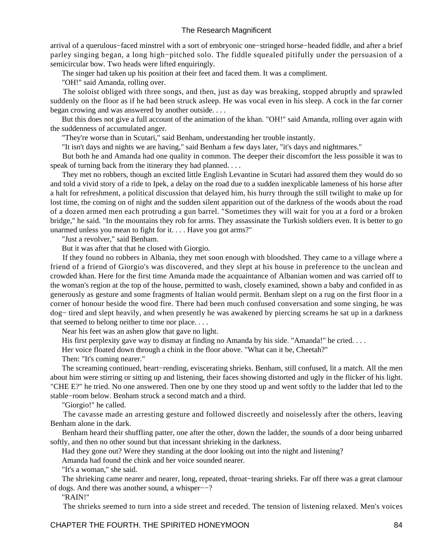arrival of a querulous−faced minstrel with a sort of embryonic one−stringed horse−headed fiddle, and after a brief parley singing began, a long high−pitched solo. The fiddle squealed pitifully under the persuasion of a semicircular bow. Two heads were lifted enquiringly.

The singer had taken up his position at their feet and faced them. It was a compliment.

"OH!" said Amanda, rolling over.

 The soloist obliged with three songs, and then, just as day was breaking, stopped abruptly and sprawled suddenly on the floor as if he had been struck asleep. He was vocal even in his sleep. A cock in the far corner began crowing and was answered by another outside. . . .

 But this does not give a full account of the animation of the khan. "OH!" said Amanda, rolling over again with the suddenness of accumulated anger.

"They're worse than in Scutari," said Benham, understanding her trouble instantly.

"It isn't days and nights we are having," said Benham a few days later, "it's days and nightmares."

 But both he and Amanda had one quality in common. The deeper their discomfort the less possible it was to speak of turning back from the itinerary they had planned. . . .

 They met no robbers, though an excited little English Levantine in Scutari had assured them they would do so and told a vivid story of a ride to Ipek, a delay on the road due to a sudden inexplicable lameness of his horse after a halt for refreshment, a political discussion that delayed him, his hurry through the still twilight to make up for lost time, the coming on of night and the sudden silent apparition out of the darkness of the woods about the road of a dozen armed men each protruding a gun barrel. "Sometimes they will wait for you at a ford or a broken bridge," he said. "In the mountains they rob for arms. They assassinate the Turkish soldiers even. It is better to go unarmed unless you mean to fight for it. . . . Have you got arms?"

"Just a revolver," said Benham.

But it was after that that he closed with Giorgio.

 If they found no robbers in Albania, they met soon enough with bloodshed. They came to a village where a friend of a friend of Giorgio's was discovered, and they slept at his house in preference to the unclean and crowded khan. Here for the first time Amanda made the acquaintance of Albanian women and was carried off to the woman's region at the top of the house, permitted to wash, closely examined, shown a baby and confided in as generously as gesture and some fragments of Italian would permit. Benham slept on a rug on the first floor in a corner of honour beside the wood fire. There had been much confused conversation and some singing, he was dog− tired and slept heavily, and when presently he was awakened by piercing screams he sat up in a darkness that seemed to belong neither to time nor place. . . .

Near his feet was an ashen glow that gave no light.

His first perplexity gave way to dismay at finding no Amanda by his side. "Amanda!" he cried....

Her voice floated down through a chink in the floor above. "What can it be, Cheetah?"

Then: "It's coming nearer."

 The screaming continued, heart−rending, eviscerating shrieks. Benham, still confused, lit a match. All the men about him were stirring or sitting up and listening, their faces showing distorted and ugly in the flicker of his light. "CHE E?" he tried. No one answered. Then one by one they stood up and went softly to the ladder that led to the stable−room below. Benham struck a second match and a third.

"Giorgio!" he called.

 The cavasse made an arresting gesture and followed discreetly and noiselessly after the others, leaving Benham alone in the dark.

 Benham heard their shuffling patter, one after the other, down the ladder, the sounds of a door being unbarred softly, and then no other sound but that incessant shrieking in the darkness.

Had they gone out? Were they standing at the door looking out into the night and listening?

Amanda had found the chink and her voice sounded nearer.

"It's a woman," she said.

 The shrieking came nearer and nearer, long, repeated, throat−tearing shrieks. Far off there was a great clamour of dogs. And there was another sound, a whisper−−?

"RAIN!"

The shrieks seemed to turn into a side street and receded. The tension of listening relaxed. Men's voices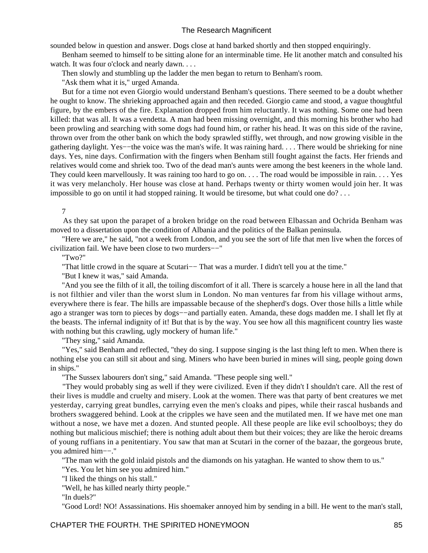sounded below in question and answer. Dogs close at hand barked shortly and then stopped enquiringly.

 Benham seemed to himself to be sitting alone for an interminable time. He lit another match and consulted his watch. It was four o'clock and nearly dawn. . . .

Then slowly and stumbling up the ladder the men began to return to Benham's room.

"Ask them what it is," urged Amanda.

 But for a time not even Giorgio would understand Benham's questions. There seemed to be a doubt whether he ought to know. The shrieking approached again and then receded. Giorgio came and stood, a vague thoughtful figure, by the embers of the fire. Explanation dropped from him reluctantly. It was nothing. Some one had been killed: that was all. It was a vendetta. A man had been missing overnight, and this morning his brother who had been prowling and searching with some dogs had found him, or rather his head. It was on this side of the ravine, thrown over from the other bank on which the body sprawled stiffly, wet through, and now growing visible in the gathering daylight. Yes-−the voice was the man's wife. It was raining hard. . . . There would be shrieking for nine days. Yes, nine days. Confirmation with the fingers when Benham still fought against the facts. Her friends and relatives would come and shriek too. Two of the dead man's aunts were among the best keeners in the whole land. They could keen marvellously. It was raining too hard to go on. . . . The road would be impossible in rain. . . . Yes it was very melancholy. Her house was close at hand. Perhaps twenty or thirty women would join her. It was impossible to go on until it had stopped raining. It would be tiresome, but what could one do? . . .

#### 7

 As they sat upon the parapet of a broken bridge on the road between Elbassan and Ochrida Benham was moved to a dissertation upon the condition of Albania and the politics of the Balkan peninsula.

 "Here we are," he said, "not a week from London, and you see the sort of life that men live when the forces of civilization fail. We have been close to two murders−−"

"Two?"

"That little crowd in the square at Scutari-- That was a murder. I didn't tell you at the time."

"But I knew it was," said Amanda.

 "And you see the filth of it all, the toiling discomfort of it all. There is scarcely a house here in all the land that is not filthier and viler than the worst slum in London. No man ventures far from his village without arms, everywhere there is fear. The hills are impassable because of the shepherd's dogs. Over those hills a little while ago a stranger was torn to pieces by dogs−−and partially eaten. Amanda, these dogs madden me. I shall let fly at the beasts. The infernal indignity of it! But that is by the way. You see how all this magnificent country lies waste with nothing but this crawling, ugly mockery of human life."

"They sing," said Amanda.

 "Yes," said Benham and reflected, "they do sing. I suppose singing is the last thing left to men. When there is nothing else you can still sit about and sing. Miners who have been buried in mines will sing, people going down in ships."

"The Sussex labourers don't sing," said Amanda. "These people sing well."

 "They would probably sing as well if they were civilized. Even if they didn't I shouldn't care. All the rest of their lives is muddle and cruelty and misery. Look at the women. There was that party of bent creatures we met yesterday, carrying great bundles, carrying even the men's cloaks and pipes, while their rascal husbands and brothers swaggered behind. Look at the cripples we have seen and the mutilated men. If we have met one man without a nose, we have met a dozen. And stunted people. All these people are like evil schoolboys; they do nothing but malicious mischief; there is nothing adult about them but their voices; they are like the heroic dreams of young ruffians in a penitentiary. You saw that man at Scutari in the corner of the bazaar, the gorgeous brute, you admired him−−."

"The man with the gold inlaid pistols and the diamonds on his yataghan. He wanted to show them to us."

"Yes. You let him see you admired him."

"I liked the things on his stall."

"Well, he has killed nearly thirty people."

"In duels?"

"Good Lord! NO! Assassinations. His shoemaker annoyed him by sending in a bill. He went to the man's stall,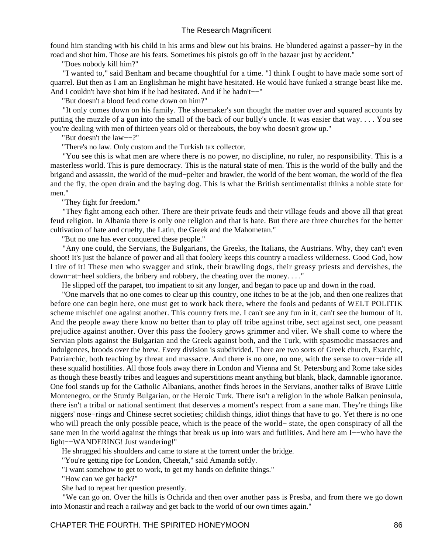found him standing with his child in his arms and blew out his brains. He blundered against a passer−by in the road and shot him. Those are his feats. Sometimes his pistols go off in the bazaar just by accident."

"Does nobody kill him?"

 "I wanted to," said Benham and became thoughtful for a time. "I think I ought to have made some sort of quarrel. But then as I am an Englishman he might have hesitated. He would have funked a strange beast like me. And I couldn't have shot him if he had hesitated. And if he hadn't−−"

"But doesn't a blood feud come down on him?"

 "It only comes down on his family. The shoemaker's son thought the matter over and squared accounts by putting the muzzle of a gun into the small of the back of our bully's uncle. It was easier that way. . . . You see you're dealing with men of thirteen years old or thereabouts, the boy who doesn't grow up."

"But doesn't the law−−?"

"There's no law. Only custom and the Turkish tax collector.

 "You see this is what men are where there is no power, no discipline, no ruler, no responsibility. This is a masterless world. This is pure democracy. This is the natural state of men. This is the world of the bully and the brigand and assassin, the world of the mud−pelter and brawler, the world of the bent woman, the world of the flea and the fly, the open drain and the baying dog. This is what the British sentimentalist thinks a noble state for men."

"They fight for freedom."

 "They fight among each other. There are their private feuds and their village feuds and above all that great feud religion. In Albania there is only one religion and that is hate. But there are three churches for the better cultivation of hate and cruelty, the Latin, the Greek and the Mahometan."

"But no one has ever conquered these people."

 "Any one could, the Servians, the Bulgarians, the Greeks, the Italians, the Austrians. Why, they can't even shoot! It's just the balance of power and all that foolery keeps this country a roadless wilderness. Good God, how I tire of it! These men who swagger and stink, their brawling dogs, their greasy priests and dervishes, the down−at−heel soldiers, the bribery and robbery, the cheating over the money. . . ."

He slipped off the parapet, too impatient to sit any longer, and began to pace up and down in the road.

 "One marvels that no one comes to clear up this country, one itches to be at the job, and then one realizes that before one can begin here, one must get to work back there, where the fools and pedants of WELT POLITIK scheme mischief one against another. This country frets me. I can't see any fun in it, can't see the humour of it. And the people away there know no better than to play off tribe against tribe, sect against sect, one peasant prejudice against another. Over this pass the foolery grows grimmer and viler. We shall come to where the Servian plots against the Bulgarian and the Greek against both, and the Turk, with spasmodic massacres and indulgences, broods over the brew. Every division is subdivided. There are two sorts of Greek church, Exarchic, Patriarchic, both teaching by threat and massacre. And there is no one, no one, with the sense to over−ride all these squalid hostilities. All those fools away there in London and Vienna and St. Petersburg and Rome take sides as though these beastly tribes and leagues and superstitions meant anything but blank, black, damnable ignorance. One fool stands up for the Catholic Albanians, another finds heroes in the Servians, another talks of Brave Little Montenegro, or the Sturdy Bulgarian, or the Heroic Turk. There isn't a religion in the whole Balkan peninsula, there isn't a tribal or national sentiment that deserves a moment's respect from a sane man. They're things like niggers' nose−rings and Chinese secret societies; childish things, idiot things that have to go. Yet there is no one who will preach the only possible peace, which is the peace of the world− state, the open conspiracy of all the sane men in the world against the things that break us up into wars and futilities. And here am I−−who have the light−−WANDERING! Just wandering!"

He shrugged his shoulders and came to stare at the torrent under the bridge.

"You're getting ripe for London, Cheetah," said Amanda softly.

"I want somehow to get to work, to get my hands on definite things."

"How can we get back?"

She had to repeat her question presently.

 "We can go on. Over the hills is Ochrida and then over another pass is Presba, and from there we go down into Monastir and reach a railway and get back to the world of our own times again."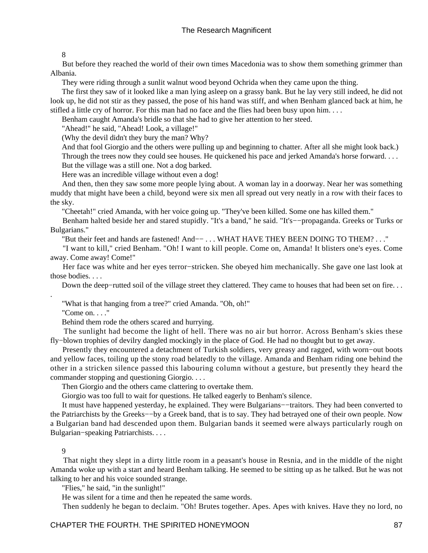#### 8

 But before they reached the world of their own times Macedonia was to show them something grimmer than Albania.

They were riding through a sunlit walnut wood beyond Ochrida when they came upon the thing.

 The first they saw of it looked like a man lying asleep on a grassy bank. But he lay very still indeed, he did not look up, he did not stir as they passed, the pose of his hand was stiff, and when Benham glanced back at him, he stifled a little cry of horror. For this man had no face and the flies had been busy upon him. . . .

Benham caught Amanda's bridle so that she had to give her attention to her steed.

"Ahead!" he said, "Ahead! Look, a village!"

(Why the devil didn't they bury the man? Why?

 And that fool Giorgio and the others were pulling up and beginning to chatter. After all she might look back.) Through the trees now they could see houses. He quickened his pace and jerked Amanda's horse forward. . . . But the village was a still one. Not a dog barked.

Here was an incredible village without even a dog!

 And then, then they saw some more people lying about. A woman lay in a doorway. Near her was something muddy that might have been a child, beyond were six men all spread out very neatly in a row with their faces to the sky.

"Cheetah!" cried Amanda, with her voice going up. "They've been killed. Some one has killed them."

 Benham halted beside her and stared stupidly. "It's a band," he said. "It's−−propaganda. Greeks or Turks or Bulgarians."

"But their feet and hands are fastened! And−− . . . WHAT HAVE THEY BEEN DOING TO THEM? . . ."

 "I want to kill," cried Benham. "Oh! I want to kill people. Come on, Amanda! It blisters one's eyes. Come away. Come away! Come!"

 Her face was white and her eyes terror−stricken. She obeyed him mechanically. She gave one last look at those bodies. . . .

Down the deep–rutted soil of the village street they clattered. They came to houses that had been set on fire. . .

"What is that hanging from a tree?" cried Amanda. "Oh, oh!"

 $"Come on$   $"$ 

.

Behind them rode the others scared and hurrying.

 The sunlight had become the light of hell. There was no air but horror. Across Benham's skies these fly−blown trophies of devilry dangled mockingly in the place of God. He had no thought but to get away.

 Presently they encountered a detachment of Turkish soldiers, very greasy and ragged, with worn−out boots and yellow faces, toiling up the stony road belatedly to the village. Amanda and Benham riding one behind the other in a stricken silence passed this labouring column without a gesture, but presently they heard the commander stopping and questioning Giorgio. . . .

Then Giorgio and the others came clattering to overtake them.

Giorgio was too full to wait for questions. He talked eagerly to Benham's silence.

 It must have happened yesterday, he explained. They were Bulgarians−−traitors. They had been converted to the Patriarchists by the Greeks−−by a Greek band, that is to say. They had betrayed one of their own people. Now a Bulgarian band had descended upon them. Bulgarian bands it seemed were always particularly rough on Bulgarian−speaking Patriarchists. . . .

## 9

 That night they slept in a dirty little room in a peasant's house in Resnia, and in the middle of the night Amanda woke up with a start and heard Benham talking. He seemed to be sitting up as he talked. But he was not talking to her and his voice sounded strange.

"Flies," he said, "in the sunlight!"

He was silent for a time and then he repeated the same words.

Then suddenly he began to declaim. "Oh! Brutes together. Apes. Apes with knives. Have they no lord, no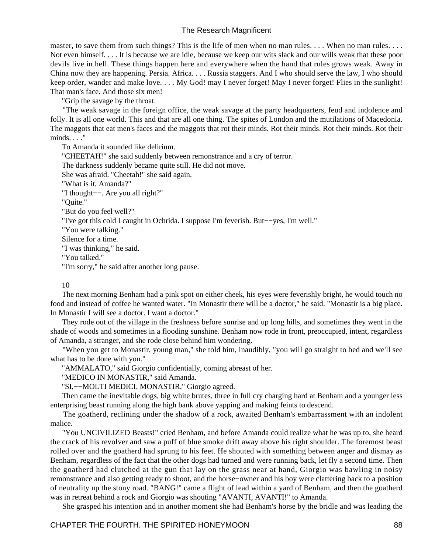master, to save them from such things? This is the life of men when no man rules. . . . When no man rules. . . . Not even himself. . . . It is because we are idle, because we keep our wits slack and our wills weak that these poor devils live in hell. These things happen here and everywhere when the hand that rules grows weak. Away in China now they are happening. Persia. Africa. . . . Russia staggers. And I who should serve the law, I who should keep order, wander and make love.... My God! may I never forget! May I never forget! Flies in the sunlight! That man's face. And those six men!

"Grip the savage by the throat.

 "The weak savage in the foreign office, the weak savage at the party headquarters, feud and indolence and folly. It is all one world. This and that are all one thing. The spites of London and the mutilations of Macedonia. The maggots that eat men's faces and the maggots that rot their minds. Rot their minds. Rot their minds. Rot their minds. . . ."

 To Amanda it sounded like delirium. "CHEETAH!" she said suddenly between remonstrance and a cry of terror. The darkness suddenly became quite still. He did not move. She was afraid. "Cheetah!" she said again. "What is it, Amanda?" "I thought−−. Are you all right?" "Quite." "But do you feel well?" "I've got this cold I caught in Ochrida. I suppose I'm feverish. But−−yes, I'm well." "You were talking." Silence for a time. "I was thinking," he said. "You talked." "I'm sorry," he said after another long pause.

10

 The next morning Benham had a pink spot on either cheek, his eyes were feverishly bright, he would touch no food and instead of coffee he wanted water. "In Monastir there will be a doctor," he said. "Monastir is a big place. In Monastir I will see a doctor. I want a doctor."

 They rode out of the village in the freshness before sunrise and up long hills, and sometimes they went in the shade of woods and sometimes in a flooding sunshine. Benham now rode in front, preoccupied, intent, regardless of Amanda, a stranger, and she rode close behind him wondering.

 "When you get to Monastir, young man," she told him, inaudibly, "you will go straight to bed and we'll see what has to be done with you."

"AMMALATO," said Giorgio confidentially, coming abreast of her.

"MEDICO IN MONASTIR," said Amanda.

"SI,−−MOLTI MEDICI, MONASTIR," Giorgio agreed.

 Then came the inevitable dogs, big white brutes, three in full cry charging hard at Benham and a younger less enterprising beast running along the high bank above yapping and making feints to descend.

 The goatherd, reclining under the shadow of a rock, awaited Benham's embarrassment with an indolent malice.

 "You UNCIVILIZED Beasts!" cried Benham, and before Amanda could realize what he was up to, she heard the crack of his revolver and saw a puff of blue smoke drift away above his right shoulder. The foremost beast rolled over and the goatherd had sprung to his feet. He shouted with something between anger and dismay as Benham, regardless of the fact that the other dogs had turned and were running back, let fly a second time. Then the goatherd had clutched at the gun that lay on the grass near at hand, Giorgio was bawling in noisy remonstrance and also getting ready to shoot, and the horse−owner and his boy were clattering back to a position of neutrality up the stony road. "BANG!" came a flight of lead within a yard of Benham, and then the goatherd was in retreat behind a rock and Giorgio was shouting "AVANTI, AVANTI!" to Amanda.

She grasped his intention and in another moment she had Benham's horse by the bridle and was leading the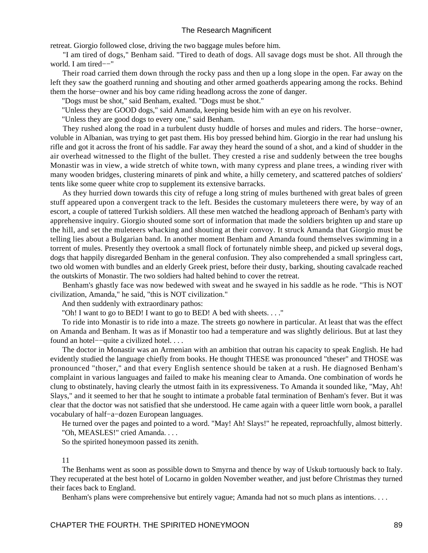retreat. Giorgio followed close, driving the two baggage mules before him.

 "I am tired of dogs," Benham said. "Tired to death of dogs. All savage dogs must be shot. All through the world. I am tired−−"

 Their road carried them down through the rocky pass and then up a long slope in the open. Far away on the left they saw the goatherd running and shouting and other armed goatherds appearing among the rocks. Behind them the horse−owner and his boy came riding headlong across the zone of danger.

"Dogs must be shot," said Benham, exalted. "Dogs must be shot."

"Unless they are GOOD dogs," said Amanda, keeping beside him with an eye on his revolver.

"Unless they are good dogs to every one," said Benham.

 They rushed along the road in a turbulent dusty huddle of horses and mules and riders. The horse−owner, voluble in Albanian, was trying to get past them. His boy pressed behind him. Giorgio in the rear had unslung his rifle and got it across the front of his saddle. Far away they heard the sound of a shot, and a kind of shudder in the air overhead witnessed to the flight of the bullet. They crested a rise and suddenly between the tree boughs Monastir was in view, a wide stretch of white town, with many cypress and plane trees, a winding river with many wooden bridges, clustering minarets of pink and white, a hilly cemetery, and scattered patches of soldiers' tents like some queer white crop to supplement its extensive barracks.

 As they hurried down towards this city of refuge a long string of mules burthened with great bales of green stuff appeared upon a convergent track to the left. Besides the customary muleteers there were, by way of an escort, a couple of tattered Turkish soldiers. All these men watched the headlong approach of Benham's party with apprehensive inquiry. Giorgio shouted some sort of information that made the soldiers brighten up and stare up the hill, and set the muleteers whacking and shouting at their convoy. It struck Amanda that Giorgio must be telling lies about a Bulgarian band. In another moment Benham and Amanda found themselves swimming in a torrent of mules. Presently they overtook a small flock of fortunately nimble sheep, and picked up several dogs, dogs that happily disregarded Benham in the general confusion. They also comprehended a small springless cart, two old women with bundles and an elderly Greek priest, before their dusty, barking, shouting cavalcade reached the outskirts of Monastir. The two soldiers had halted behind to cover the retreat.

 Benham's ghastly face was now bedewed with sweat and he swayed in his saddle as he rode. "This is NOT civilization, Amanda," he said, "this is NOT civilization."

And then suddenly with extraordinary pathos:

"Oh! I want to go to BED! I want to go to BED! A bed with sheets. . . ."

 To ride into Monastir is to ride into a maze. The streets go nowhere in particular. At least that was the effect on Amanda and Benham. It was as if Monastir too had a temperature and was slightly delirious. But at last they found an hotel−−quite a civilized hotel. . . .

 The doctor in Monastir was an Armenian with an ambition that outran his capacity to speak English. He had evidently studied the language chiefly from books. He thought THESE was pronounced "theser" and THOSE was pronounced "thoser," and that every English sentence should be taken at a rush. He diagnosed Benham's complaint in various languages and failed to make his meaning clear to Amanda. One combination of words he clung to obstinately, having clearly the utmost faith in its expressiveness. To Amanda it sounded like, "May, Ah! Slays," and it seemed to her that he sought to intimate a probable fatal termination of Benham's fever. But it was clear that the doctor was not satisfied that she understood. He came again with a queer little worn book, a parallel vocabulary of half−a−dozen European languages.

 He turned over the pages and pointed to a word. "May! Ah! Slays!" he repeated, reproachfully, almost bitterly. "Oh, MEASLES!" cried Amanda. . . .

So the spirited honeymoon passed its zenith.

11

 The Benhams went as soon as possible down to Smyrna and thence by way of Uskub tortuously back to Italy. They recuperated at the best hotel of Locarno in golden November weather, and just before Christmas they turned their faces back to England.

Benham's plans were comprehensive but entirely vague; Amanda had not so much plans as intentions. . . .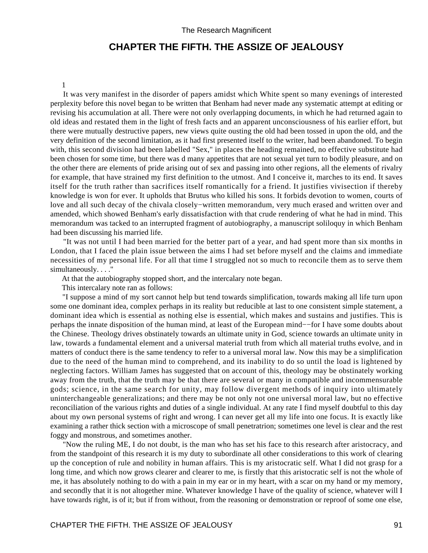# **CHAPTER THE FIFTH. THE ASSIZE OF JEALOUSY**

#### 1

 It was very manifest in the disorder of papers amidst which White spent so many evenings of interested perplexity before this novel began to be written that Benham had never made any systematic attempt at editing or revising his accumulation at all. There were not only overlapping documents, in which he had returned again to old ideas and restated them in the light of fresh facts and an apparent unconsciousness of his earlier effort, but there were mutually destructive papers, new views quite ousting the old had been tossed in upon the old, and the very definition of the second limitation, as it had first presented itself to the writer, had been abandoned. To begin with, this second division had been labelled "Sex," in places the heading remained, no effective substitute had been chosen for some time, but there was d many appetites that are not sexual yet turn to bodily pleasure, and on the other there are elements of pride arising out of sex and passing into other regions, all the elements of rivalry for example, that have strained my first definition to the utmost. And I conceive it, marches to its end. It saves itself for the truth rather than sacrifices itself romantically for a friend. It justifies vivisection if thereby knowledge is won for ever. It upholds that Brutus who killed his sons. It forbids devotion to women, courts of love and all such decay of the chivala closely−written memorandum, very much erased and written over and amended, which showed Benham's early dissatisfaction with that crude rendering of what he had in mind. This memorandum was tacked to an interrupted fragment of autobiography, a manuscript soliloquy in which Benham had been discussing his married life.

 "It was not until I had been married for the better part of a year, and had spent more than six months in London, that I faced the plain issue between the aims I had set before myself and the claims and immediate necessities of my personal life. For all that time I struggled not so much to reconcile them as to serve them simultaneously. . . ."

At that the autobiography stopped short, and the intercalary note began.

This intercalary note ran as follows:

 "I suppose a mind of my sort cannot help but tend towards simplification, towards making all life turn upon some one dominant idea, complex perhaps in its reality but reducible at last to one consistent simple statement, a dominant idea which is essential as nothing else is essential, which makes and sustains and justifies. This is perhaps the innate disposition of the human mind, at least of the European mind−−for I have some doubts about the Chinese. Theology drives obstinately towards an ultimate unity in God, science towards an ultimate unity in law, towards a fundamental element and a universal material truth from which all material truths evolve, and in matters of conduct there is the same tendency to refer to a universal moral law. Now this may be a simplification due to the need of the human mind to comprehend, and its inability to do so until the load is lightened by neglecting factors. William James has suggested that on account of this, theology may be obstinately working away from the truth, that the truth may be that there are several or many in compatible and incommensurable gods; science, in the same search for unity, may follow divergent methods of inquiry into ultimately uninterchangeable generalizations; and there may be not only not one universal moral law, but no effective reconciliation of the various rights and duties of a single individual. At any rate I find myself doubtful to this day about my own personal systems of right and wrong. I can never get all my life into one focus. It is exactly like examining a rather thick section with a microscope of small penetratrion; sometimes one level is clear and the rest foggy and monstrous, and sometimes another.

 "Now the ruling ME, I do not doubt, is the man who has set his face to this research after aristocracy, and from the standpoint of this research it is my duty to subordinate all other considerations to this work of clearing up the conception of rule and nobility in human affairs. This is my aristocratic self. What I did not grasp for a long time, and which now grows clearer and clearer to me, is firstly that this aristocratic self is not the whole of me, it has absolutely nothing to do with a pain in my ear or in my heart, with a scar on my hand or my memory, and secondly that it is not altogether mine. Whatever knowledge I have of the quality of science, whatever will I have towards right, is of it; but if from without, from the reasoning or demonstration or reproof of some one else,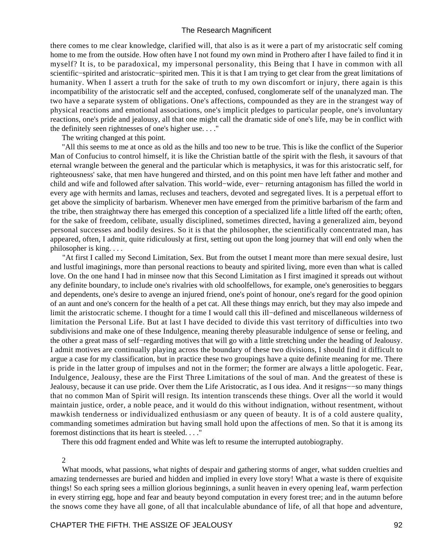there comes to me clear knowledge, clarified will, that also is as it were a part of my aristocratic self coming home to me from the outside. How often have I not found my own mind in Prothero after I have failed to find it in myself? It is, to be paradoxical, my impersonal personality, this Being that I have in common with all scientific−spirited and aristocratic−spirited men. This it is that I am trying to get clear from the great limitations of humanity. When I assert a truth for the sake of truth to my own discomfort or injury, there again is this incompatibility of the aristocratic self and the accepted, confused, conglomerate self of the unanalyzed man. The two have a separate system of obligations. One's affections, compounded as they are in the strangest way of physical reactions and emotional associations, one's implicit pledges to particular people, one's involuntary reactions, one's pride and jealousy, all that one might call the dramatic side of one's life, may be in conflict with the definitely seen rightnesses of one's higher use. . . ."

The writing changed at this point.

 "All this seems to me at once as old as the hills and too new to be true. This is like the conflict of the Superior Man of Confucius to control himself, it is like the Christian battle of the spirit with the flesh, it savours of that eternal wrangle between the general and the particular which is metaphysics, it was for this aristocratic self, for righteousness' sake, that men have hungered and thirsted, and on this point men have left father and mother and child and wife and followed after salvation. This world−wide, ever− returning antagonism has filled the world in every age with hermits and lamas, recluses and teachers, devoted and segregated lives. It is a perpetual effort to get above the simplicity of barbarism. Whenever men have emerged from the primitive barbarism of the farm and the tribe, then straightway there has emerged this conception of a specialized life a little lifted off the earth; often, for the sake of freedom, celibate, usually disciplined, sometimes directed, having a generalized aim, beyond personal successes and bodily desires. So it is that the philosopher, the scientifically concentrated man, has appeared, often, I admit, quite ridiculously at first, setting out upon the long journey that will end only when the philosopher is king. . . .

 "At first I called my Second Limitation, Sex. But from the outset I meant more than mere sexual desire, lust and lustful imaginings, more than personal reactions to beauty and spirited living, more even than what is called love. On the one hand I had in minsee now that this Second Limitation as I first imagined it spreads out without any definite boundary, to include one's rivalries with old schoolfellows, for example, one's generosities to beggars and dependents, one's desire to avenge an injured friend, one's point of honour, one's regard for the good opinion of an aunt and one's concern for the health of a pet cat. All these things may enrich, but they may also impede and limit the aristocratic scheme. I thought for a time I would call this ill−defined and miscellaneous wilderness of limitation the Personal Life. But at last I have decided to divide this vast territory of difficulties into two subdivisions and make one of these Indulgence, meaning thereby pleasurable indulgence of sense or feeling, and the other a great mass of self−regarding motives that will go with a little stretching under the heading of Jealousy. I admit motives are continually playing across the boundary of these two divisions, I should find it difficult to argue a case for my classification, but in practice these two groupings have a quite definite meaning for me. There is pride in the latter group of impulses and not in the former; the former are always a little apologetic. Fear, Indulgence, Jealousy, these are the First Three Limitations of the soul of man. And the greatest of these is Jealousy, because it can use pride. Over them the Life Aristocratic, as I ous idea. And it resigns−−so many things that no common Man of Spirit will resign. Its intention transcends these things. Over all the world it would maintain justice, order, a noble peace, and it would do this without indignation, without resentment, without mawkish tenderness or individualized enthusiasm or any queen of beauty. It is of a cold austere quality, commanding sometimes admiration but having small hold upon the affections of men. So that it is among its foremost distinctions that its heart is steeled. . . ."

There this odd fragment ended and White was left to resume the interrupted autobiography.

2

 What moods, what passions, what nights of despair and gathering storms of anger, what sudden cruelties and amazing tendernesses are buried and hidden and implied in every love story! What a waste is there of exquisite things! So each spring sees a million glorious beginnings, a sunlit heaven in every opening leaf, warm perfection in every stirring egg, hope and fear and beauty beyond computation in every forest tree; and in the autumn before the snows come they have all gone, of all that incalculable abundance of life, of all that hope and adventure,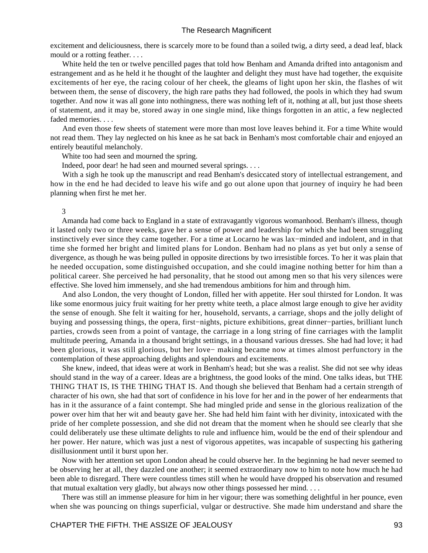excitement and deliciousness, there is scarcely more to be found than a soiled twig, a dirty seed, a dead leaf, black mould or a rotting feather. . . .

 White held the ten or twelve pencilled pages that told how Benham and Amanda drifted into antagonism and estrangement and as he held it he thought of the laughter and delight they must have had together, the exquisite excitements of her eye, the racing colour of her cheek, the gleams of light upon her skin, the flashes of wit between them, the sense of discovery, the high rare paths they had followed, the pools in which they had swum together. And now it was all gone into nothingness, there was nothing left of it, nothing at all, but just those sheets of statement, and it may be, stored away in one single mind, like things forgotten in an attic, a few neglected faded memories. . . .

 And even those few sheets of statement were more than most love leaves behind it. For a time White would not read them. They lay neglected on his knee as he sat back in Benham's most comfortable chair and enjoyed an entirely beautiful melancholy.

White too had seen and mourned the spring.

Indeed, poor dear! he had seen and mourned several springs. . . .

With a sigh he took up the manuscript and read Benham's desiccated story of intellectual estrangement, and how in the end he had decided to leave his wife and go out alone upon that journey of inquiry he had been planning when first he met her.

#### 3

 Amanda had come back to England in a state of extravagantly vigorous womanhood. Benham's illness, though it lasted only two or three weeks, gave her a sense of power and leadership for which she had been struggling instinctively ever since they came together. For a time at Locarno he was lax−minded and indolent, and in that time she formed her bright and limited plans for London. Benham had no plans as yet but only a sense of divergence, as though he was being pulled in opposite directions by two irresistible forces. To her it was plain that he needed occupation, some distinguished occupation, and she could imagine nothing better for him than a political career. She perceived he had personality, that he stood out among men so that his very silences were effective. She loved him immensely, and she had tremendous ambitions for him and through him.

 And also London, the very thought of London, filled her with appetite. Her soul thirsted for London. It was like some enormous juicy fruit waiting for her pretty white teeth, a place almost large enough to give her avidity the sense of enough. She felt it waiting for her, household, servants, a carriage, shops and the jolly delight of buying and possessing things, the opera, first−nights, picture exhibitions, great dinner−parties, brilliant lunch parties, crowds seen from a point of vantage, the carriage in a long string of fine carriages with the lamplit multitude peering, Amanda in a thousand bright settings, in a thousand various dresses. She had had love; it had been glorious, it was still glorious, but her love− making became now at times almost perfunctory in the contemplation of these approaching delights and splendours and excitements.

 She knew, indeed, that ideas were at work in Benham's head; but she was a realist. She did not see why ideas should stand in the way of a career. Ideas are a brightness, the good looks of the mind. One talks ideas, but THE THING THAT IS, IS THE THING THAT IS. And though she believed that Benham had a certain strength of character of his own, she had that sort of confidence in his love for her and in the power of her endearments that has in it the assurance of a faint contempt. She had mingled pride and sense in the glorious realization of the power over him that her wit and beauty gave her. She had held him faint with her divinity, intoxicated with the pride of her complete possession, and she did not dream that the moment when he should see clearly that she could deliberately use these ultimate delights to rule and influence him, would be the end of their splendour and her power. Her nature, which was just a nest of vigorous appetites, was incapable of suspecting his gathering disillusionment until it burst upon her.

 Now with her attention set upon London ahead he could observe her. In the beginning he had never seemed to be observing her at all, they dazzled one another; it seemed extraordinary now to him to note how much he had been able to disregard. There were countless times still when he would have dropped his observation and resumed that mutual exaltation very gladly, but always now other things possessed her mind. . . .

 There was still an immense pleasure for him in her vigour; there was something delightful in her pounce, even when she was pouncing on things superficial, vulgar or destructive. She made him understand and share the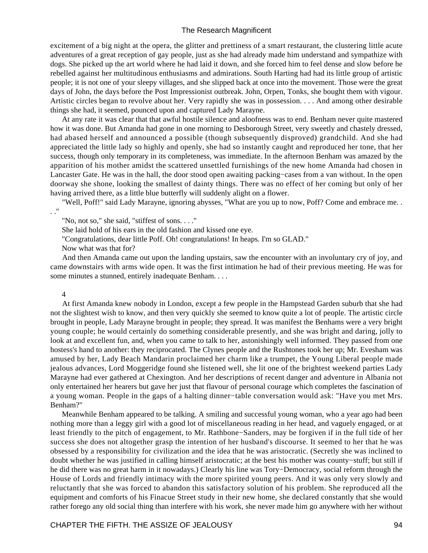excitement of a big night at the opera, the glitter and prettiness of a smart restaurant, the clustering little acute adventures of a great reception of gay people, just as she had already made him understand and sympathize with dogs. She picked up the art world where he had laid it down, and she forced him to feel dense and slow before he rebelled against her multitudinous enthusiasms and admirations. South Harting had had its little group of artistic people; it is not one of your sleepy villages, and she slipped back at once into the movement. Those were the great days of John, the days before the Post Impressionist outbreak. John, Orpen, Tonks, she bought them with vigour. Artistic circles began to revolve about her. Very rapidly she was in possession. . . . And among other desirable things she had, it seemed, pounced upon and captured Lady Marayne.

 At any rate it was clear that that awful hostile silence and aloofness was to end. Benham never quite mastered how it was done. But Amanda had gone in one morning to Desborough Street, very sweetly and chastely dressed, had abased herself and announced a possible (though subsequently disproved) grandchild. And she had appreciated the little lady so highly and openly, she had so instantly caught and reproduced her tone, that her success, though only temporary in its completeness, was immediate. In the afternoon Benham was amazed by the apparition of his mother amidst the scattered unsettled furnishings of the new home Amanda had chosen in Lancaster Gate. He was in the hall, the door stood open awaiting packing−cases from a van without. In the open doorway she shone, looking the smallest of dainty things. There was no effect of her coming but only of her having arrived there, as a little blue butterfly will suddenly alight on a flower.

 "Well, Poff!" said Lady Marayne, ignoring abysses, "What are you up to now, Poff? Come and embrace me. . . ."

"No, not so," she said, "stiffest of sons. . . ."

She laid hold of his ears in the old fashion and kissed one eye.

"Congratulations, dear little Poff. Oh! congratulations! In heaps. I'm so GLAD."

Now what was that for?

 And then Amanda came out upon the landing upstairs, saw the encounter with an involuntary cry of joy, and came downstairs with arms wide open. It was the first intimation he had of their previous meeting. He was for some minutes a stunned, entirely inadequate Benham. . . .

#### 4

 At first Amanda knew nobody in London, except a few people in the Hampstead Garden suburb that she had not the slightest wish to know, and then very quickly she seemed to know quite a lot of people. The artistic circle brought in people, Lady Marayne brought in people; they spread. It was manifest the Benhams were a very bright young couple; he would certainly do something considerable presently, and she was bright and daring, jolly to look at and excellent fun, and, when you came to talk to her, astonishingly well informed. They passed from one hostess's hand to another: they reciprocated. The Clynes people and the Rushtones took her up; Mr. Evesham was amused by her, Lady Beach Mandarin proclaimed her charm like a trumpet, the Young Liberal people made jealous advances, Lord Moggeridge found she listened well, she lit one of the brightest weekend parties Lady Marayne had ever gathered at Chexington. And her descriptions of recent danger and adventure in Albania not only entertained her hearers but gave her just that flavour of personal courage which completes the fascination of a young woman. People in the gaps of a halting dinner−table conversation would ask: "Have you met Mrs. Benham?"

 Meanwhile Benham appeared to be talking. A smiling and successful young woman, who a year ago had been nothing more than a leggy girl with a good lot of miscellaneous reading in her head, and vaguely engaged, or at least friendly to the pitch of engagement, to Mr. Rathbone−Sanders, may be forgiven if in the full tide of her success she does not altogether grasp the intention of her husband's discourse. It seemed to her that he was obsessed by a responsibility for civilization and the idea that he was aristocratic. (Secretly she was inclined to doubt whether he was justified in calling himself aristocratic; at the best his mother was county−stuff; but still if he did there was no great harm in it nowadays.) Clearly his line was Tory−Democracy, social reform through the House of Lords and friendly intimacy with the more spirited young peers. And it was only very slowly and reluctantly that she was forced to abandon this satisfactory solution of his problem. She reproduced all the equipment and comforts of his Finacue Street study in their new home, she declared constantly that she would rather forego any old social thing than interfere with his work, she never made him go anywhere with her without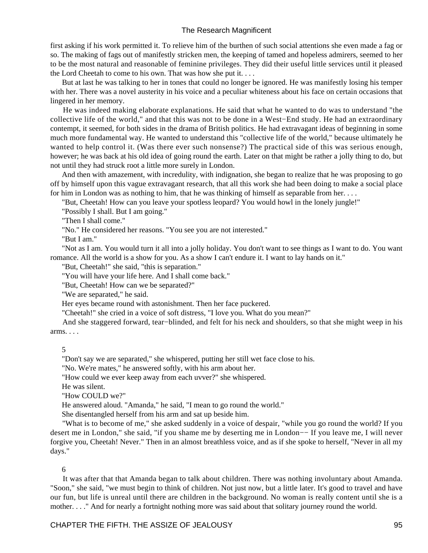first asking if his work permitted it. To relieve him of the burthen of such social attentions she even made a fag or so. The making of fags out of manifestly stricken men, the keeping of tamed and hopeless admirers, seemed to her to be the most natural and reasonable of feminine privileges. They did their useful little services until it pleased the Lord Cheetah to come to his own. That was how she put it. . . .

 But at last he was talking to her in tones that could no longer be ignored. He was manifestly losing his temper with her. There was a novel austerity in his voice and a peculiar whiteness about his face on certain occasions that lingered in her memory.

 He was indeed making elaborate explanations. He said that what he wanted to do was to understand "the collective life of the world," and that this was not to be done in a West−End study. He had an extraordinary contempt, it seemed, for both sides in the drama of British politics. He had extravagant ideas of beginning in some much more fundamental way. He wanted to understand this "collective life of the world," because ultimately he wanted to help control it. (Was there ever such nonsense?) The practical side of this was serious enough, however; he was back at his old idea of going round the earth. Later on that might be rather a jolly thing to do, but not until they had struck root a little more surely in London.

 And then with amazement, with incredulity, with indignation, she began to realize that he was proposing to go off by himself upon this vague extravagant research, that all this work she had been doing to make a social place for him in London was as nothing to him, that he was thinking of himself as separable from her. . . .

"But, Cheetah! How can you leave your spotless leopard? You would howl in the lonely jungle!"

"Possibly I shall. But I am going."

"Then I shall come."

"No." He considered her reasons. "You see you are not interested."

"But I am."

 "Not as I am. You would turn it all into a jolly holiday. You don't want to see things as I want to do. You want romance. All the world is a show for you. As a show I can't endure it. I want to lay hands on it."

"But, Cheetah!" she said, "this is separation."

"You will have your life here. And I shall come back."

"But, Cheetah! How can we be separated?"

"We are separated," he said.

Her eyes became round with astonishment. Then her face puckered.

"Cheetah!" she cried in a voice of soft distress, "I love you. What do you mean?"

 And she staggered forward, tear−blinded, and felt for his neck and shoulders, so that she might weep in his arms. . . .

#### 5

"Don't say we are separated," she whispered, putting her still wet face close to his.

"No. We're mates," he answered softly, with his arm about her.

"How could we ever keep away from each uvver?" she whispered.

He was silent.

"How COULD we?"

He answered aloud. "Amanda," he said, "I mean to go round the world."

She disentangled herself from his arm and sat up beside him.

 "What is to become of me," she asked suddenly in a voice of despair, "while you go round the world? If you desert me in London," she said, "if you shame me by deserting me in London−− If you leave me, I will never forgive you, Cheetah! Never." Then in an almost breathless voice, and as if she spoke to herself, "Never in all my days."

#### 6

 It was after that that Amanda began to talk about children. There was nothing involuntary about Amanda. "Soon," she said, "we must begin to think of children. Not just now, but a little later. It's good to travel and have our fun, but life is unreal until there are children in the background. No woman is really content until she is a mother. . . ." And for nearly a fortnight nothing more was said about that solitary journey round the world.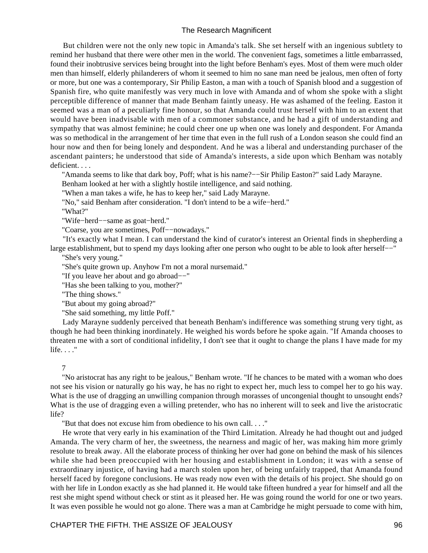But children were not the only new topic in Amanda's talk. She set herself with an ingenious subtlety to remind her husband that there were other men in the world. The convenient fags, sometimes a little embarrassed, found their inobtrusive services being brought into the light before Benham's eyes. Most of them were much older men than himself, elderly philanderers of whom it seemed to him no sane man need be jealous, men often of forty or more, but one was a contemporary, Sir Philip Easton, a man with a touch of Spanish blood and a suggestion of Spanish fire, who quite manifestly was very much in love with Amanda and of whom she spoke with a slight perceptible difference of manner that made Benham faintly uneasy. He was ashamed of the feeling. Easton it seemed was a man of a peculiarly fine honour, so that Amanda could trust herself with him to an extent that would have been inadvisable with men of a commoner substance, and he had a gift of understanding and sympathy that was almost feminine; he could cheer one up when one was lonely and despondent. For Amanda was so methodical in the arrangement of her time that even in the full rush of a London season she could find an hour now and then for being lonely and despondent. And he was a liberal and understanding purchaser of the ascendant painters; he understood that side of Amanda's interests, a side upon which Benham was notably deficient. . . .

"Amanda seems to like that dark boy, Poff; what is his name?−−Sir Philip Easton?" said Lady Marayne.

Benham looked at her with a slightly hostile intelligence, and said nothing.

"When a man takes a wife, he has to keep her," said Lady Marayne.

"No," said Benham after consideration. "I don't intend to be a wife−herd."

"What?"

"Wife−herd−−same as goat−herd."

"Coarse, you are sometimes, Poff−−nowadays."

 "It's exactly what I mean. I can understand the kind of curator's interest an Oriental finds in shepherding a large establishment, but to spend my days looking after one person who ought to be able to look after herself−−"

"She's very young."

"She's quite grown up. Anyhow I'm not a moral nursemaid."

"If you leave her about and go abroad−−"

"Has she been talking to you, mother?"

"The thing shows."

"But about my going abroad?"

"She said something, my little Poff."

 Lady Marayne suddenly perceived that beneath Benham's indifference was something strung very tight, as though he had been thinking inordinately. He weighed his words before he spoke again. "If Amanda chooses to threaten me with a sort of conditional infidelity, I don't see that it ought to change the plans I have made for my life. . . ."

#### 7

 "No aristocrat has any right to be jealous," Benham wrote. "If he chances to be mated with a woman who does not see his vision or naturally go his way, he has no right to expect her, much less to compel her to go his way. What is the use of dragging an unwilling companion through morasses of uncongenial thought to unsought ends? What is the use of dragging even a willing pretender, who has no inherent will to seek and live the aristocratic life?

"But that does not excuse him from obedience to his own call. . . ."

 He wrote that very early in his examination of the Third Limitation. Already he had thought out and judged Amanda. The very charm of her, the sweetness, the nearness and magic of her, was making him more grimly resolute to break away. All the elaborate process of thinking her over had gone on behind the mask of his silences while she had been preoccupied with her housing and establishment in London; it was with a sense of extraordinary injustice, of having had a march stolen upon her, of being unfairly trapped, that Amanda found herself faced by foregone conclusions. He was ready now even with the details of his project. She should go on with her life in London exactly as she had planned it. He would take fifteen hundred a year for himself and all the rest she might spend without check or stint as it pleased her. He was going round the world for one or two years. It was even possible he would not go alone. There was a man at Cambridge he might persuade to come with him,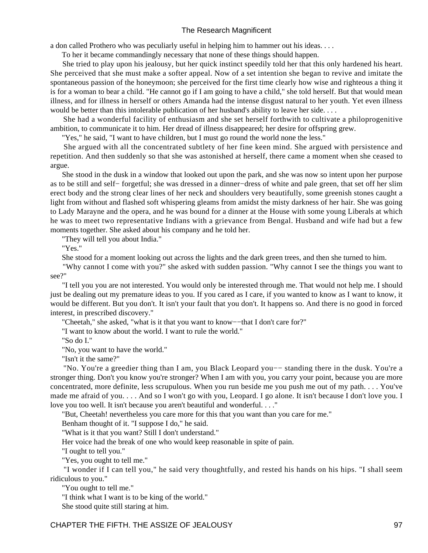a don called Prothero who was peculiarly useful in helping him to hammer out his ideas. . . .

To her it became commandingly necessary that none of these things should happen.

 She tried to play upon his jealousy, but her quick instinct speedily told her that this only hardened his heart. She perceived that she must make a softer appeal. Now of a set intention she began to revive and imitate the spontaneous passion of the honeymoon; she perceived for the first time clearly how wise and righteous a thing it is for a woman to bear a child. "He cannot go if I am going to have a child," she told herself. But that would mean illness, and for illness in herself or others Amanda had the intense disgust natural to her youth. Yet even illness would be better than this intolerable publication of her husband's ability to leave her side....

 She had a wonderful facility of enthusiasm and she set herself forthwith to cultivate a philoprogenitive ambition, to communicate it to him. Her dread of illness disappeared; her desire for offspring grew.

"Yes," he said, "I want to have children, but I must go round the world none the less."

 She argued with all the concentrated subtlety of her fine keen mind. She argued with persistence and repetition. And then suddenly so that she was astonished at herself, there came a moment when she ceased to argue.

 She stood in the dusk in a window that looked out upon the park, and she was now so intent upon her purpose as to be still and self− forgetful; she was dressed in a dinner−dress of white and pale green, that set off her slim erect body and the strong clear lines of her neck and shoulders very beautifully, some greenish stones caught a light from without and flashed soft whispering gleams from amidst the misty darkness of her hair. She was going to Lady Marayne and the opera, and he was bound for a dinner at the House with some young Liberals at which he was to meet two representative Indians with a grievance from Bengal. Husband and wife had but a few moments together. She asked about his company and he told her.

"They will tell you about India."

"Yes."

She stood for a moment looking out across the lights and the dark green trees, and then she turned to him.

 "Why cannot I come with you?" she asked with sudden passion. "Why cannot I see the things you want to see?"

 "I tell you you are not interested. You would only be interested through me. That would not help me. I should just be dealing out my premature ideas to you. If you cared as I care, if you wanted to know as I want to know, it would be different. But you don't. It isn't your fault that you don't. It happens so. And there is no good in forced interest, in prescribed discovery."

"Cheetah," she asked, "what is it that you want to know−−that I don't care for?"

"I want to know about the world. I want to rule the world."

"So do I."

"No, you want to have the world."

"Isn't it the same?"

 "No. You're a greedier thing than I am, you Black Leopard you−− standing there in the dusk. You're a stronger thing. Don't you know you're stronger? When I am with you, you carry your point, because you are more concentrated, more definite, less scrupulous. When you run beside me you push me out of my path. . . . You've made me afraid of you. . . . And so I won't go with you, Leopard. I go alone. It isn't because I don't love you. I love you too well. It isn't because you aren't beautiful and wonderful. . . ."

"But, Cheetah! nevertheless you care more for this that you want than you care for me."

Benham thought of it. "I suppose I do," he said.

"What is it that you want? Still I don't understand."

Her voice had the break of one who would keep reasonable in spite of pain.

"I ought to tell you."

"Yes, you ought to tell me."

 "I wonder if I can tell you," he said very thoughtfully, and rested his hands on his hips. "I shall seem ridiculous to you."

"You ought to tell me."

"I think what I want is to be king of the world."

She stood quite still staring at him.

CHAPTER THE FIFTH. THE ASSIZE OF JEALOUSY 97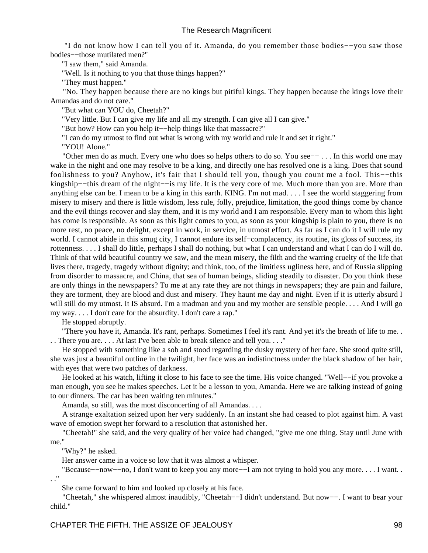"I do not know how I can tell you of it. Amanda, do you remember those bodies−−you saw those bodies−−those mutilated men?"

"I saw them," said Amanda.

"Well. Is it nothing to you that those things happen?"

"They must happen."

 "No. They happen because there are no kings but pitiful kings. They happen because the kings love their Amandas and do not care."

"But what can YOU do, Cheetah?"

"Very little. But I can give my life and all my strength. I can give all I can give."

"But how? How can you help it−−help things like that massacre?"

"I can do my utmost to find out what is wrong with my world and rule it and set it right."

"YOU! Alone."

 "Other men do as much. Every one who does so helps others to do so. You see−− . . . In this world one may wake in the night and one may resolve to be a king, and directly one has resolved one is a king. Does that sound foolishness to you? Anyhow, it's fair that I should tell you, though you count me a fool. This−−this kingship−−this dream of the night−−is my life. It is the very core of me. Much more than you are. More than anything else can be. I mean to be a king in this earth. KING. I'm not mad. . . . I see the world staggering from misery to misery and there is little wisdom, less rule, folly, prejudice, limitation, the good things come by chance and the evil things recover and slay them, and it is my world and I am responsible. Every man to whom this light has come is responsible. As soon as this light comes to you, as soon as your kingship is plain to you, there is no more rest, no peace, no delight, except in work, in service, in utmost effort. As far as I can do it I will rule my world. I cannot abide in this smug city, I cannot endure its self−complacency, its routine, its gloss of success, its rottenness. . . . I shall do little, perhaps I shall do nothing, but what I can understand and what I can do I will do. Think of that wild beautiful country we saw, and the mean misery, the filth and the warring cruelty of the life that lives there, tragedy, tragedy without dignity; and think, too, of the limitless ugliness here, and of Russia slipping from disorder to massacre, and China, that sea of human beings, sliding steadily to disaster. Do you think these are only things in the newspapers? To me at any rate they are not things in newspapers; they are pain and failure, they are torment, they are blood and dust and misery. They haunt me day and night. Even if it is utterly absurd I will still do my utmost. It IS absurd. I'm a madman and you and my mother are sensible people.... And I will go my way. . . . I don't care for the absurdity. I don't care a rap."

He stopped abruptly.

 "There you have it, Amanda. It's rant, perhaps. Sometimes I feel it's rant. And yet it's the breath of life to me. . . . There you are. . . . At last I've been able to break silence and tell you. . . ."

 He stopped with something like a sob and stood regarding the dusky mystery of her face. She stood quite still, she was just a beautiful outline in the twilight, her face was an indistinctness under the black shadow of her hair, with eyes that were two patches of darkness.

 He looked at his watch, lifting it close to his face to see the time. His voice changed. "Well−−if you provoke a man enough, you see he makes speeches. Let it be a lesson to you, Amanda. Here we are talking instead of going to our dinners. The car has been waiting ten minutes."

Amanda, so still, was the most disconcerting of all Amandas. . . .

 A strange exaltation seized upon her very suddenly. In an instant she had ceased to plot against him. A vast wave of emotion swept her forward to a resolution that astonished her.

 "Cheetah!" she said, and the very quality of her voice had changed, "give me one thing. Stay until June with me."

"Why?" he asked.

Her answer came in a voice so low that it was almost a whisper.

 "Because−−now−−no, I don't want to keep you any more−−I am not trying to hold you any more. . . . I want. . . ."

She came forward to him and looked up closely at his face.

 "Cheetah," she whispered almost inaudibly, "Cheetah−−I didn't understand. But now−−. I want to bear your child."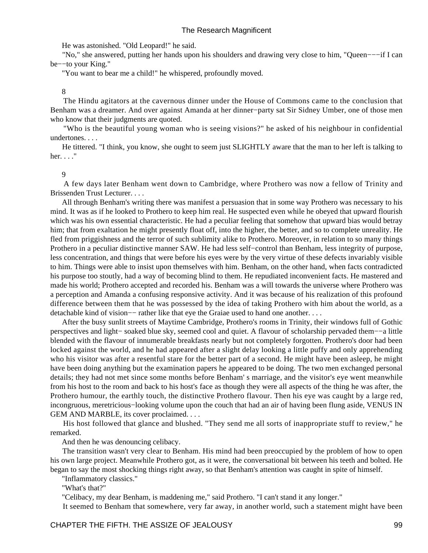He was astonished. "Old Leopard!" he said.

 "No," she answered, putting her hands upon his shoulders and drawing very close to him, "Queen−−−if I can be−−to your King."

"You want to bear me a child!" he whispered, profoundly moved.

#### 8

 The Hindu agitators at the cavernous dinner under the House of Commons came to the conclusion that Benham was a dreamer. And over against Amanda at her dinner−party sat Sir Sidney Umber, one of those men who know that their judgments are quoted.

 "Who is the beautiful young woman who is seeing visions?" he asked of his neighbour in confidential undertones. . . .

 He tittered. "I think, you know, she ought to seem just SLIGHTLY aware that the man to her left is talking to her. . . ."

#### 9

 A few days later Benham went down to Cambridge, where Prothero was now a fellow of Trinity and Brissenden Trust Lecturer. . . .

 All through Benham's writing there was manifest a persuasion that in some way Prothero was necessary to his mind. It was as if he looked to Prothero to keep him real. He suspected even while he obeyed that upward flourish which was his own essential characteristic. He had a peculiar feeling that somehow that upward bias would betray him; that from exaltation he might presently float off, into the higher, the better, and so to complete unreality. He fled from priggishness and the terror of such sublimity alike to Prothero. Moreover, in relation to so many things Prothero in a peculiar distinctive manner SAW. He had less self−control than Benham, less integrity of purpose, less concentration, and things that were before his eyes were by the very virtue of these defects invariably visible to him. Things were able to insist upon themselves with him. Benham, on the other hand, when facts contradicted his purpose too stoutly, had a way of becoming blind to them. He repudiated inconvenient facts. He mastered and made his world; Prothero accepted and recorded his. Benham was a will towards the universe where Prothero was a perception and Amanda a confusing responsive activity. And it was because of his realization of this profound difference between them that he was possessed by the idea of taking Prothero with him about the world, as a detachable kind of vision−− rather like that eye the Graiae used to hand one another. . . .

 After the busy sunlit streets of Maytime Cambridge, Prothero's rooms in Trinity, their windows full of Gothic perspectives and light− soaked blue sky, seemed cool and quiet. A flavour of scholarship pervaded them−−a little blended with the flavour of innumerable breakfasts nearly but not completely forgotten. Prothero's door had been locked against the world, and he had appeared after a slight delay looking a little puffy and only apprehending who his visitor was after a resentful stare for the better part of a second. He might have been asleep, he might have been doing anything but the examination papers he appeared to be doing. The two men exchanged personal details; they had not met since some months before Benham' s marriage, and the visitor's eye went meanwhile from his host to the room and back to his host's face as though they were all aspects of the thing he was after, the Prothero humour, the earthly touch, the distinctive Prothero flavour. Then his eye was caught by a large red, incongruous, meretricious−looking volume upon the couch that had an air of having been flung aside, VENUS IN GEM AND MARBLE, its cover proclaimed. . . .

 His host followed that glance and blushed. "They send me all sorts of inappropriate stuff to review," he remarked.

And then he was denouncing celibacy.

 The transition wasn't very clear to Benham. His mind had been preoccupied by the problem of how to open his own large project. Meanwhile Prothero got, as it were, the conversational bit between his teeth and bolted. He began to say the most shocking things right away, so that Benham's attention was caught in spite of himself.

"Inflammatory classics."

"What's that?"

"Celibacy, my dear Benham, is maddening me," said Prothero. "I can't stand it any longer."

It seemed to Benham that somewhere, very far away, in another world, such a statement might have been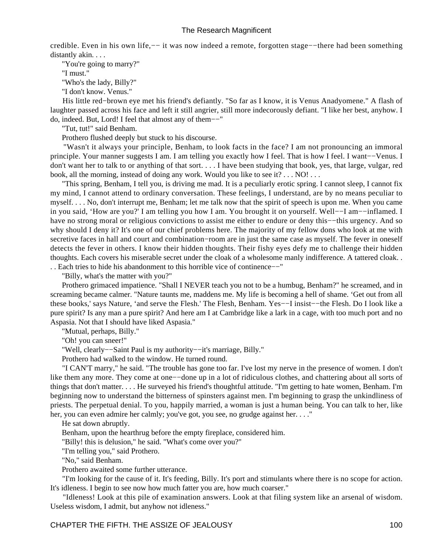credible. Even in his own life,−− it was now indeed a remote, forgotten stage−−there had been something distantly akin. . . .

"You're going to marry?"

"I must."

"Who's the lady, Billy?"

"I don't know. Venus."

 His little red−brown eye met his friend's defiantly. "So far as I know, it is Venus Anadyomene." A flash of laughter passed across his face and left it still angrier, still more indecorously defiant. "I like her best, anyhow. I do, indeed. But, Lord! I feel that almost any of them−−"

"Tut, tut!" said Benham.

Prothero flushed deeply but stuck to his discourse.

 "Wasn't it always your principle, Benham, to look facts in the face? I am not pronouncing an immoral principle. Your manner suggests I am. I am telling you exactly how I feel. That is how I feel. I want−−Venus. I don't want her to talk to or anything of that sort. . . . I have been studying that book, yes, that large, vulgar, red book, all the morning, instead of doing any work. Would you like to see it?  $\dots$  NO!  $\dots$ 

 "This spring, Benham, I tell you, is driving me mad. It is a peculiarly erotic spring. I cannot sleep, I cannot fix my mind, I cannot attend to ordinary conversation. These feelings, I understand, are by no means peculiar to myself. . . . No, don't interrupt me, Benham; let me talk now that the spirit of speech is upon me. When you came in you said, 'How are you?' I am telling you how I am. You brought it on yourself. Well−−I am−−inflamed. I have no strong moral or religious convictions to assist me either to endure or deny this−−this urgency. And so why should I deny it? It's one of our chief problems here. The majority of my fellow dons who look at me with secretive faces in hall and court and combination−room are in just the same case as myself. The fever in oneself detects the fever in others. I know their hidden thoughts. Their fishy eyes defy me to challenge their hidden thoughts. Each covers his miserable secret under the cloak of a wholesome manly indifference. A tattered cloak. . . . Each tries to hide his abandonment to this horrible vice of continence−−"

"Billy, what's the matter with you?"

 Prothero grimaced impatience. "Shall I NEVER teach you not to be a humbug, Benham?" he screamed, and in screaming became calmer. "Nature taunts me, maddens me. My life is becoming a hell of shame. 'Get out from all these books,' says Nature, 'and serve the Flesh.' The Flesh, Benham. Yes−−I insist−−the Flesh. Do I look like a pure spirit? Is any man a pure spirit? And here am I at Cambridge like a lark in a cage, with too much port and no Aspasia. Not that I should have liked Aspasia."

"Mutual, perhaps, Billy."

"Oh! you can sneer!"

"Well, clearly−−Saint Paul is my authority−−it's marriage, Billy."

Prothero had walked to the window. He turned round.

 "I CAN'T marry," he said. "The trouble has gone too far. I've lost my nerve in the presence of women. I don't like them any more. They come at one−−done up in a lot of ridiculous clothes, and chattering about all sorts of things that don't matter. . . . He surveyed his friend's thoughtful attitude. "I'm getting to hate women, Benham. I'm beginning now to understand the bitterness of spinsters against men. I'm beginning to grasp the unkindliness of priests. The perpetual denial. To you, happily married, a woman is just a human being. You can talk to her, like her, you can even admire her calmly; you've got, you see, no grudge against her. . . ."

He sat down abruptly.

Benham, upon the hearthrug before the empty fireplace, considered him.

"Billy! this is delusion," he said. "What's come over you?"

"I'm telling you," said Prothero.

"No," said Benham.

Prothero awaited some further utterance.

 "I'm looking for the cause of it. It's feeding, Billy. It's port and stimulants where there is no scope for action. It's idleness. I begin to see now how much fatter you are, how much coarser."

 "Idleness! Look at this pile of examination answers. Look at that filing system like an arsenal of wisdom. Useless wisdom, I admit, but anyhow not idleness."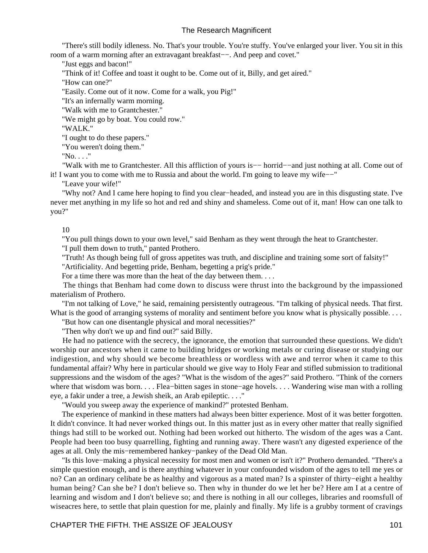"There's still bodily idleness. No. That's your trouble. You're stuffy. You've enlarged your liver. You sit in this room of a warm morning after an extravagant breakfast−−. And peep and covet."

"Just eggs and bacon!"

"Think of it! Coffee and toast it ought to be. Come out of it, Billy, and get aired."

"How can one?"

"Easily. Come out of it now. Come for a walk, you Pig!"

"It's an infernally warm morning.

"Walk with me to Grantchester."

"We might go by boat. You could row."

"WALK."

"I ought to do these papers."

"You weren't doing them."

"No. . . ."

 "Walk with me to Grantchester. All this affliction of yours is−− horrid−−and just nothing at all. Come out of it! I want you to come with me to Russia and about the world. I'm going to leave my wife−−"

"Leave your wife!"

 "Why not? And I came here hoping to find you clear−headed, and instead you are in this disgusting state. I've never met anything in my life so hot and red and shiny and shameless. Come out of it, man! How can one talk to you?"

## 10

 "You pull things down to your own level," said Benham as they went through the heat to Grantchester. "I pull them down to truth," panted Prothero.

"Truth! As though being full of gross appetites was truth, and discipline and training some sort of falsity!"

"Artificiality. And begetting pride, Benham, begetting a prig's pride."

For a time there was more than the heat of the day between them. . . .

 The things that Benham had come down to discuss were thrust into the background by the impassioned materialism of Prothero.

 "I'm not talking of Love," he said, remaining persistently outrageous. "I'm talking of physical needs. That first. What is the good of arranging systems of morality and sentiment before you know what is physically possible...

"But how can one disentangle physical and moral necessities?"

"Then why don't we up and find out?" said Billy.

 He had no patience with the secrecy, the ignorance, the emotion that surrounded these questions. We didn't worship our ancestors when it came to building bridges or working metals or curing disease or studying our indigestion, and why should we become breathless or wordless with awe and terror when it came to this fundamental affair? Why here in particular should we give way to Holy Fear and stifled submission to traditional suppressions and the wisdom of the ages? "What is the wisdom of the ages?" said Prothero. "Think of the corners where that wisdom was born. . . . Flea−bitten sages in stone−age hovels. . . . Wandering wise man with a rolling eye, a fakir under a tree, a Jewish sheik, an Arab epileptic. . . ."

"Would you sweep away the experience of mankind?" protested Benham.

 The experience of mankind in these matters had always been bitter experience. Most of it was better forgotten. It didn't convince. It had never worked things out. In this matter just as in every other matter that really signified things had still to be worked out. Nothing had been worked out hitherto. The wisdom of the ages was a Cant. People had been too busy quarrelling, fighting and running away. There wasn't any digested experience of the ages at all. Only the mis−remembered hankey−pankey of the Dead Old Man.

 "Is this love−making a physical necessity for most men and women or isn't it?" Prothero demanded. "There's a simple question enough, and is there anything whatever in your confounded wisdom of the ages to tell me yes or no? Can an ordinary celibate be as healthy and vigorous as a mated man? Is a spinster of thirty−eight a healthy human being? Can she be? I don't believe so. Then why in thunder do we let her be? Here am I at a centre of learning and wisdom and I don't believe so; and there is nothing in all our colleges, libraries and roomsfull of wiseacres here, to settle that plain question for me, plainly and finally. My life is a grubby torment of cravings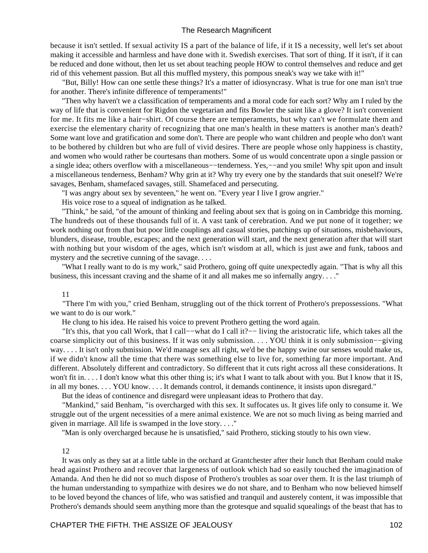because it isn't settled. If sexual activity IS a part of the balance of life, if it IS a necessity, well let's set about making it accessible and harmless and have done with it. Swedish exercises. That sort of thing. If it isn't, if it can be reduced and done without, then let us set about teaching people HOW to control themselves and reduce and get rid of this vehement passion. But all this muffled mystery, this pompous sneak's way we take with it!"

 "But, Billy! How can one settle these things? It's a matter of idiosyncrasy. What is true for one man isn't true for another. There's infinite difference of temperaments!"

 "Then why haven't we a classification of temperaments and a moral code for each sort? Why am I ruled by the way of life that is convenient for Rigdon the vegetarian and fits Bowler the saint like a glove? It isn't convenient for me. It fits me like a hair−shirt. Of course there are temperaments, but why can't we formulate them and exercise the elementary charity of recognizing that one man's health in these matters is another man's death? Some want love and gratification and some don't. There are people who want children and people who don't want to be bothered by children but who are full of vivid desires. There are people whose only happiness is chastity, and women who would rather be courtesans than mothers. Some of us would concentrate upon a single passion or a single idea; others overflow with a miscellaneous−−tenderness. Yes,−−and you smile! Why spit upon and insult a miscellaneous tenderness, Benham? Why grin at it? Why try every one by the standards that suit oneself? We're savages, Benham, shamefaced savages, still. Shamefaced and persecuting.

"I was angry about sex by seventeen," he went on. "Every year I live I grow angrier."

His voice rose to a squeal of indignation as he talked.

 "Think," he said, "of the amount of thinking and feeling about sex that is going on in Cambridge this morning. The hundreds out of these thousands full of it. A vast tank of cerebration. And we put none of it together; we work nothing out from that but poor little couplings and casual stories, patchings up of situations, misbehaviours, blunders, disease, trouble, escapes; and the next generation will start, and the next generation after that will start with nothing but your wisdom of the ages, which isn't wisdom at all, which is just awe and funk, taboos and mystery and the secretive cunning of the savage. . . .

 "What I really want to do is my work," said Prothero, going off quite unexpectedly again. "That is why all this business, this incessant craving and the shame of it and all makes me so infernally angry. . . ."

#### 11

 "There I'm with you," cried Benham, struggling out of the thick torrent of Prothero's prepossessions. "What we want to do is our work."

He clung to his idea. He raised his voice to prevent Prothero getting the word again.

 "It's this, that you call Work, that I call−−what do I call it?−− living the aristocratic life, which takes all the coarse simplicity out of this business. If it was only submission. . . . YOU think it is only submission−−giving way. . . . It isn't only submission. We'd manage sex all right, we'd be the happy swine our senses would make us, if we didn't know all the time that there was something else to live for, something far more important. And different. Absolutely different and contradictory. So different that it cuts right across all these considerations. It won't fit in. . . . I don't know what this other thing is; it's what I want to talk about with you. But I know that it IS, in all my bones. . . . YOU know. . . . It demands control, it demands continence, it insists upon disregard."

But the ideas of continence and disregard were unpleasant ideas to Prothero that day.

 "Mankind," said Benham, "is overcharged with this sex. It suffocates us. It gives life only to consume it. We struggle out of the urgent necessities of a mere animal existence. We are not so much living as being married and given in marriage. All life is swamped in the love story. . . ."

"Man is only overcharged because he is unsatisfied," said Prothero, sticking stoutly to his own view.

#### 12

 It was only as they sat at a little table in the orchard at Grantchester after their lunch that Benham could make head against Prothero and recover that largeness of outlook which had so easily touched the imagination of Amanda. And then he did not so much dispose of Prothero's troubles as soar over them. It is the last triumph of the human understanding to sympathize with desires we do not share, and to Benham who now believed himself to be loved beyond the chances of life, who was satisfied and tranquil and austerely content, it was impossible that Prothero's demands should seem anything more than the grotesque and squalid squealings of the beast that has to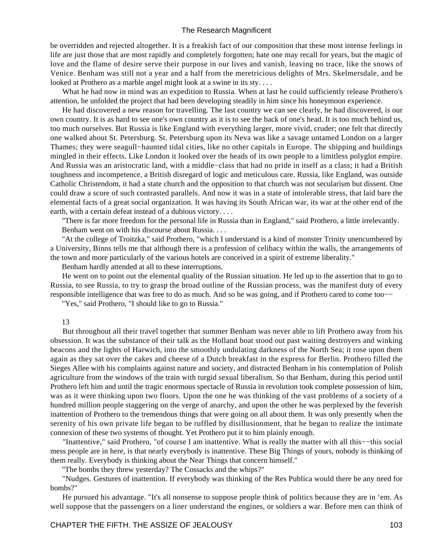be overridden and rejected altogether. It is a freakish fact of our composition that these most intense feelings in life are just those that are most rapidly and completely forgotten; hate one may recall for years, but the magic of love and the flame of desire serve their purpose in our lives and vanish, leaving no trace, like the snows of Venice. Benham was still not a year and a half from the meretricious delights of Mrs. Skelmersdale, and he looked at Prothero as a marble angel might look at a swine in its sty....

 What he had now in mind was an expedition to Russia. When at last he could sufficiently release Prothero's attention, he unfolded the project that had been developing steadily in him since his honeymoon experience.

 He had discovered a new reason for travelling. The last country we can see clearly, he had discovered, is our own country. It is as hard to see one's own country as it is to see the back of one's head. It is too much behind us, too much ourselves. But Russia is like England with everything larger, more vivid, cruder; one felt that directly one walked about St. Petersburg. St. Petersburg upon its Neva was like a savage untamed London on a larger Thames; they were seagull−haunted tidal cities, like no other capitals in Europe. The shipping and buildings mingled in their effects. Like London it looked over the heads of its own people to a limitless polyglot empire. And Russia was an aristocratic land, with a middle−class that had no pride in itself as a class; it had a British toughness and incompetence, a British disregard of logic and meticulous care. Russia, like England, was outside Catholic Christendom, it had a state church and the opposition to that church was not secularism but dissent. One could draw a score of such contrasted parallels. And now it was in a state of intolerable stress, that laid bare the elemental facts of a great social organization. It was having its South African war, its war at the other end of the earth, with a certain defeat instead of a dubious victory. . . .

 "There is far more freedom for the personal life in Russia than in England," said Prothero, a little irrelevantly. Benham went on with his discourse about Russia. . . .

 "At the college of Troitzka," said Prothero, "which I understand is a kind of monster Trinity unencumbered by a University, Binns tells me that although there is a profession of celibacy within the walls, the arrangements of the town and more particularly of the various hotels are conceived in a spirit of extreme liberality."

Benham hardly attended at all to these interruptions.

 He went on to point out the elemental quality of the Russian situation. He led up to the assertion that to go to Russia, to see Russia, to try to grasp the broad outline of the Russian process, was the manifest duty of every responsible intelligence that was free to do as much. And so he was going, and if Prothero cared to come too−−

"Yes," said Prothero, "I should like to go to Russia."

#### 13

 But throughout all their travel together that summer Benham was never able to lift Prothero away from his obsession. It was the substance of their talk as the Holland boat stood out past waiting destroyers and winking beacons and the lights of Harwich, into the smoothly undulating darkness of the North Sea; it rose upon them again as they sat over the cakes and cheese of a Dutch breakfast in the express for Berlin. Prothero filled the Sieges Allee with his complaints against nature and society, and distracted Benham in his contemplation of Polish agriculture from the windows of the train with turgid sexual liberalism. So that Benham, during this period until Prothero left him and until the tragic enormous spectacle of Russia in revolution took complete possession of him, was as it were thinking upon two floors. Upon the one he was thinking of the vast problems of a society of a hundred million people staggering on the verge of anarchy, and upon the other he was perplexed by the feverish inattention of Prothero to the tremendous things that were going on all about them. It was only presently when the serenity of his own private life began to be ruffled by disillusionment, that he began to realize the intimate connexion of these two systems of thought. Yet Prothero put it to him plainly enough.

 "Inattentive," said Prothero, "of course I am inattentive. What is really the matter with all this−−this social mess people are in here, is that nearly everybody is inattentive. These Big Things of yours, nobody is thinking of them really. Everybody is thinking about the Near Things that concern himself."

"The bombs they threw yesterday? The Cossacks and the whips?"

 "Nudges. Gestures of inattention. If everybody was thinking of the Res Publica would there be any need for bombs?"

 He pursued his advantage. "It's all nonsense to suppose people think of politics because they are in 'em. As well suppose that the passengers on a liner understand the engines, or soldiers a war. Before men can think of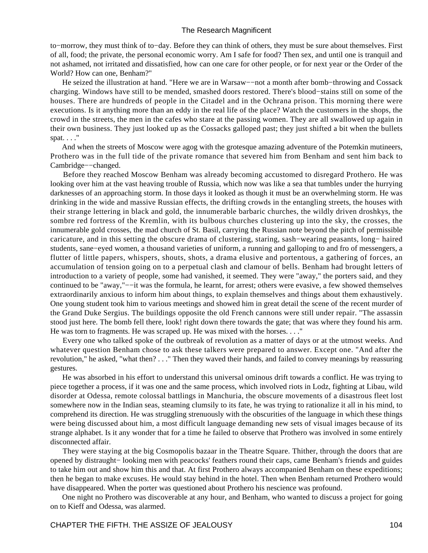to−morrow, they must think of to−day. Before they can think of others, they must be sure about themselves. First of all, food; the private, the personal economic worry. Am I safe for food? Then sex, and until one is tranquil and not ashamed, not irritated and dissatisfied, how can one care for other people, or for next year or the Order of the World? How can one, Benham?"

 He seized the illustration at hand. "Here we are in Warsaw−−not a month after bomb−throwing and Cossack charging. Windows have still to be mended, smashed doors restored. There's blood−stains still on some of the houses. There are hundreds of people in the Citadel and in the Ochrana prison. This morning there were executions. Is it anything more than an eddy in the real life of the place? Watch the customers in the shops, the crowd in the streets, the men in the cafes who stare at the passing women. They are all swallowed up again in their own business. They just looked up as the Cossacks galloped past; they just shifted a bit when the bullets spat. . . ."

 And when the streets of Moscow were agog with the grotesque amazing adventure of the Potemkin mutineers, Prothero was in the full tide of the private romance that severed him from Benham and sent him back to Cambridge−−changed.

 Before they reached Moscow Benham was already becoming accustomed to disregard Prothero. He was looking over him at the vast heaving trouble of Russia, which now was like a sea that tumbles under the hurrying darknesses of an approaching storm. In those days it looked as though it must be an overwhelming storm. He was drinking in the wide and massive Russian effects, the drifting crowds in the entangling streets, the houses with their strange lettering in black and gold, the innumerable barbaric churches, the wildly driven droshkys, the sombre red fortress of the Kremlin, with its bulbous churches clustering up into the sky, the crosses, the innumerable gold crosses, the mad church of St. Basil, carrying the Russian note beyond the pitch of permissible caricature, and in this setting the obscure drama of clustering, staring, sash−wearing peasants, long− haired students, sane−eyed women, a thousand varieties of uniform, a running and galloping to and fro of messengers, a flutter of little papers, whispers, shouts, shots, a drama elusive and portentous, a gathering of forces, an accumulation of tension going on to a perpetual clash and clamour of bells. Benham had brought letters of introduction to a variety of people, some had vanished, it seemed. They were "away," the porters said, and they continued to be "away,"−−it was the formula, he learnt, for arrest; others were evasive, a few showed themselves extraordinarily anxious to inform him about things, to explain themselves and things about them exhaustively. One young student took him to various meetings and showed him in great detail the scene of the recent murder of the Grand Duke Sergius. The buildings opposite the old French cannons were still under repair. "The assassin stood just here. The bomb fell there, look! right down there towards the gate; that was where they found his arm. He was torn to fragments. He was scraped up. He was mixed with the horses. . . ."

 Every one who talked spoke of the outbreak of revolution as a matter of days or at the utmost weeks. And whatever question Benham chose to ask these talkers were prepared to answer. Except one. "And after the revolution," he asked, "what then? . . ." Then they waved their hands, and failed to convey meanings by reassuring gestures.

 He was absorbed in his effort to understand this universal ominous drift towards a conflict. He was trying to piece together a process, if it was one and the same process, which involved riots in Lodz, fighting at Libau, wild disorder at Odessa, remote colossal battlings in Manchuria, the obscure movements of a disastrous fleet lost somewhere now in the Indian seas, steaming clumsily to its fate, he was trying to rationalize it all in his mind, to comprehend its direction. He was struggling strenuously with the obscurities of the language in which these things were being discussed about him, a most difficult language demanding new sets of visual images because of its strange alphabet. Is it any wonder that for a time he failed to observe that Prothero was involved in some entirely disconnected affair.

 They were staying at the big Cosmopolis bazaar in the Theatre Square. Thither, through the doors that are opened by distraught− looking men with peacocks' feathers round their caps, came Benham's friends and guides to take him out and show him this and that. At first Prothero always accompanied Benham on these expeditions; then he began to make excuses. He would stay behind in the hotel. Then when Benham returned Prothero would have disappeared. When the porter was questioned about Prothero his nescience was profound.

 One night no Prothero was discoverable at any hour, and Benham, who wanted to discuss a project for going on to Kieff and Odessa, was alarmed.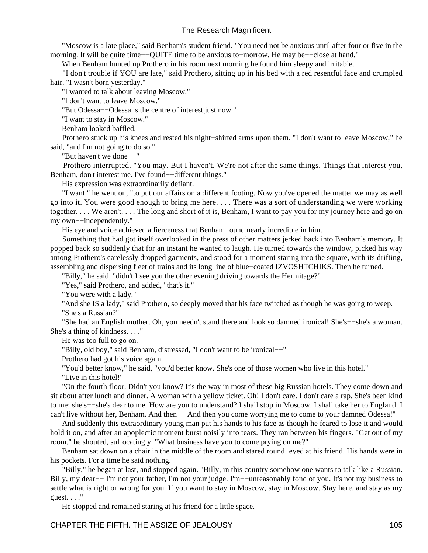"Moscow is a late place," said Benham's student friend. "You need not be anxious until after four or five in the morning. It will be quite time−−QUITE time to be anxious to–morrow. He may be—–close at hand."

When Benham hunted up Prothero in his room next morning he found him sleepy and irritable.

 "I don't trouble if YOU are late," said Prothero, sitting up in his bed with a red resentful face and crumpled hair. "I wasn't born yesterday."

"I wanted to talk about leaving Moscow."

"I don't want to leave Moscow."

"But Odessa−−Odessa is the centre of interest just now."

"I want to stay in Moscow."

Benham looked baffled.

 Prothero stuck up his knees and rested his night−shirted arms upon them. "I don't want to leave Moscow," he said, "and I'm not going to do so."

"But haven't we done−−"

 Prothero interrupted. "You may. But I haven't. We're not after the same things. Things that interest you, Benham, don't interest me. I've found−−different things."

His expression was extraordinarily defiant.

 "I want," he went on, "to put our affairs on a different footing. Now you've opened the matter we may as well go into it. You were good enough to bring me here. . . . There was a sort of understanding we were working together. . . . We aren't. . . . The long and short of it is, Benham, I want to pay you for my journey here and go on my own−−independently."

His eye and voice achieved a fierceness that Benham found nearly incredible in him.

 Something that had got itself overlooked in the press of other matters jerked back into Benham's memory. It popped back so suddenly that for an instant he wanted to laugh. He turned towards the window, picked his way among Prothero's carelessly dropped garments, and stood for a moment staring into the square, with its drifting, assembling and dispersing fleet of trains and its long line of blue−coated IZVOSHTCHIKS. Then he turned.

"Billy," he said, "didn't I see you the other evening driving towards the Hermitage?"

"Yes," said Prothero, and added, "that's it."

"You were with a lady."

 "And she IS a lady," said Prothero, so deeply moved that his face twitched as though he was going to weep. "She's a Russian?"

 "She had an English mother. Oh, you needn't stand there and look so damned ironical! She's−−she's a woman. She's a thing of kindness. . . ."

He was too full to go on.

"Billy, old boy," said Benham, distressed, "I don't want to be ironical−−"

Prothero had got his voice again.

"You'd better know," he said, "you'd better know. She's one of those women who live in this hotel."

"Live in this hotel!"

 "On the fourth floor. Didn't you know? It's the way in most of these big Russian hotels. They come down and sit about after lunch and dinner. A woman with a yellow ticket. Oh! I don't care. I don't care a rap. She's been kind to me; she's−−she's dear to me. How are you to understand? I shall stop in Moscow. I shall take her to England. I can't live without her, Benham. And then−− And then you come worrying me to come to your damned Odessa!"

 And suddenly this extraordinary young man put his hands to his face as though he feared to lose it and would hold it on, and after an apoplectic moment burst noisily into tears. They ran between his fingers. "Get out of my room," he shouted, suffocatingly. "What business have you to come prying on me?"

 Benham sat down on a chair in the middle of the room and stared round−eyed at his friend. His hands were in his pockets. For a time he said nothing.

 "Billy," he began at last, and stopped again. "Billy, in this country somehow one wants to talk like a Russian. Billy, my dear−− I'm not your father, I'm not your judge. I'm−−unreasonably fond of you. It's not my business to settle what is right or wrong for you. If you want to stay in Moscow, stay in Moscow. Stay here, and stay as my guest. . . ."

He stopped and remained staring at his friend for a little space.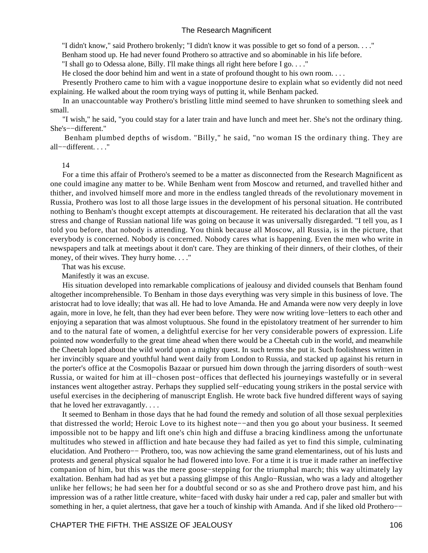"I didn't know," said Prothero brokenly; "I didn't know it was possible to get so fond of a person. . . ."

Benham stood up. He had never found Prothero so attractive and so abominable in his life before.

"I shall go to Odessa alone, Billy. I'll make things all right here before I go. . . ."

He closed the door behind him and went in a state of profound thought to his own room....

 Presently Prothero came to him with a vague inopportune desire to explain what so evidently did not need explaining. He walked about the room trying ways of putting it, while Benham packed.

 In an unaccountable way Prothero's bristling little mind seemed to have shrunken to something sleek and small.

 "I wish," he said, "you could stay for a later train and have lunch and meet her. She's not the ordinary thing. She's−−different."

 Benham plumbed depths of wisdom. "Billy," he said, "no woman IS the ordinary thing. They are all−−different. . . ."

## 14

 For a time this affair of Prothero's seemed to be a matter as disconnected from the Research Magnificent as one could imagine any matter to be. While Benham went from Moscow and returned, and travelled hither and thither, and involved himself more and more in the endless tangled threads of the revolutionary movement in Russia, Prothero was lost to all those large issues in the development of his personal situation. He contributed nothing to Benham's thought except attempts at discouragement. He reiterated his declaration that all the vast stress and change of Russian national life was going on because it was universally disregarded. "I tell you, as I told you before, that nobody is attending. You think because all Moscow, all Russia, is in the picture, that everybody is concerned. Nobody is concerned. Nobody cares what is happening. Even the men who write in newspapers and talk at meetings about it don't care. They are thinking of their dinners, of their clothes, of their money, of their wives. They hurry home. . . ."

That was his excuse.

Manifestly it was an excuse.

 His situation developed into remarkable complications of jealousy and divided counsels that Benham found altogether incomprehensible. To Benham in those days everything was very simple in this business of love. The aristocrat had to love ideally; that was all. He had to love Amanda. He and Amanda were now very deeply in love again, more in love, he felt, than they had ever been before. They were now writing love−letters to each other and enjoying a separation that was almost voluptuous. She found in the epistolatory treatment of her surrender to him and to the natural fate of women, a delightful exercise for her very considerable powers of expression. Life pointed now wonderfully to the great time ahead when there would be a Cheetah cub in the world, and meanwhile the Cheetah loped about the wild world upon a mighty quest. In such terms she put it. Such foolishness written in her invincibly square and youthful hand went daily from London to Russia, and stacked up against his return in the porter's office at the Cosmopolis Bazaar or pursued him down through the jarring disorders of south−west Russia, or waited for him at ill−chosen post−offices that deflected his journeyings wastefully or in several instances went altogether astray. Perhaps they supplied self−educating young strikers in the postal service with useful exercises in the deciphering of manuscript English. He wrote back five hundred different ways of saying that he loved her extravagantly. . . .

 It seemed to Benham in those days that he had found the remedy and solution of all those sexual perplexities that distressed the world; Heroic Love to its highest note−−and then you go about your business. It seemed impossible not to be happy and lift one's chin high and diffuse a bracing kindliness among the unfortunate multitudes who stewed in affliction and hate because they had failed as yet to find this simple, culminating elucidation. And Prothero−− Prothero, too, was now achieving the same grand elementariness, out of his lusts and protests and general physical squalor he had flowered into love. For a time it is true it made rather an ineffective companion of him, but this was the mere goose−stepping for the triumphal march; this way ultimately lay exaltation. Benham had had as yet but a passing glimpse of this Anglo−Russian, who was a lady and altogether unlike her fellows; he had seen her for a doubtful second or so as she and Prothero drove past him, and his impression was of a rather little creature, white−faced with dusky hair under a red cap, paler and smaller but with something in her, a quiet alertness, that gave her a touch of kinship with Amanda. And if she liked old Prothero−−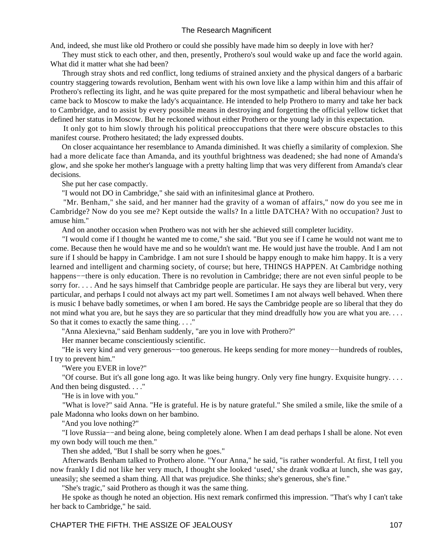And, indeed, she must like old Prothero or could she possibly have made him so deeply in love with her?

 They must stick to each other, and then, presently, Prothero's soul would wake up and face the world again. What did it matter what she had been?

 Through stray shots and red conflict, long tediums of strained anxiety and the physical dangers of a barbaric country staggering towards revolution, Benham went with his own love like a lamp within him and this affair of Prothero's reflecting its light, and he was quite prepared for the most sympathetic and liberal behaviour when he came back to Moscow to make the lady's acquaintance. He intended to help Prothero to marry and take her back to Cambridge, and to assist by every possible means in destroying and forgetting the official yellow ticket that defined her status in Moscow. But he reckoned without either Prothero or the young lady in this expectation.

 It only got to him slowly through his political preoccupations that there were obscure obstacles to this manifest course. Prothero hesitated; the lady expressed doubts.

 On closer acquaintance her resemblance to Amanda diminished. It was chiefly a similarity of complexion. She had a more delicate face than Amanda, and its youthful brightness was deadened; she had none of Amanda's glow, and she spoke her mother's language with a pretty halting limp that was very different from Amanda's clear decisions.

She put her case compactly.

"I would not DO in Cambridge," she said with an infinitesimal glance at Prothero.

 "Mr. Benham," she said, and her manner had the gravity of a woman of affairs," now do you see me in Cambridge? Now do you see me? Kept outside the walls? In a little DATCHA? With no occupation? Just to amuse him."

And on another occasion when Prothero was not with her she achieved still completer lucidity.

 "I would come if I thought he wanted me to come," she said. "But you see if I came he would not want me to come. Because then he would have me and so he wouldn't want me. He would just have the trouble. And I am not sure if I should be happy in Cambridge. I am not sure I should be happy enough to make him happy. It is a very learned and intelligent and charming society, of course; but here, THINGS HAPPEN. At Cambridge nothing happens−−there is only education. There is no revolution in Cambridge; there are not even sinful people to be sorry for.... And he says himself that Cambridge people are particular. He says they are liberal but very, very particular, and perhaps I could not always act my part well. Sometimes I am not always well behaved. When there is music I behave badly sometimes, or when I am bored. He says the Cambridge people are so liberal that they do not mind what you are, but he says they are so particular that they mind dreadfully how you are what you are.... So that it comes to exactly the same thing. . . ."

"Anna Alexievna," said Benham suddenly, "are you in love with Prothero?"

Her manner became conscientiously scientific.

 "He is very kind and very generous−−too generous. He keeps sending for more money−−hundreds of roubles, I try to prevent him."

"Were you EVER in love?"

 "Of course. But it's all gone long ago. It was like being hungry. Only very fine hungry. Exquisite hungry. . . . And then being disgusted. . . ."

"He is in love with you."

 "What is love?" said Anna. "He is grateful. He is by nature grateful." She smiled a smile, like the smile of a pale Madonna who looks down on her bambino.

"And you love nothing?"

 "I love Russia−−and being alone, being completely alone. When I am dead perhaps I shall be alone. Not even my own body will touch me then."

Then she added, "But I shall be sorry when he goes."

 Afterwards Benham talked to Prothero alone. "Your Anna," he said, "is rather wonderful. At first, I tell you now frankly I did not like her very much, I thought she looked 'used,' she drank vodka at lunch, she was gay, uneasily; she seemed a sham thing. All that was prejudice. She thinks; she's generous, she's fine."

"She's tragic," said Prothero as though it was the same thing.

 He spoke as though he noted an objection. His next remark confirmed this impression. "That's why I can't take her back to Cambridge," he said.

CHAPTER THE FIFTH. THE ASSIZE OF JEALOUSY 107 107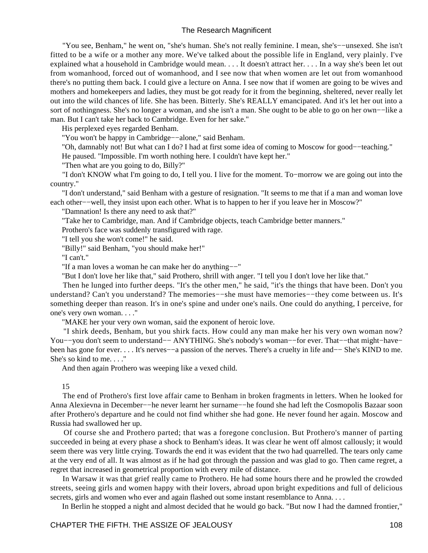"You see, Benham," he went on, "she's human. She's not really feminine. I mean, she's−−unsexed. She isn't fitted to be a wife or a mother any more. We've talked about the possible life in England, very plainly. I've explained what a household in Cambridge would mean. . . . It doesn't attract her. . . . In a way she's been let out from womanhood, forced out of womanhood, and I see now that when women are let out from womanhood there's no putting them back. I could give a lecture on Anna. I see now that if women are going to be wives and mothers and homekeepers and ladies, they must be got ready for it from the beginning, sheltered, never really let out into the wild chances of life. She has been. Bitterly. She's REALLY emancipated. And it's let her out into a sort of nothingness. She's no longer a woman, and she isn't a man. She ought to be able to go on her own−−like a man. But I can't take her back to Cambridge. Even for her sake."

His perplexed eyes regarded Benham.

"You won't be happy in Cambridge−−alone," said Benham.

"Oh, damnably not! But what can I do? I had at first some idea of coming to Moscow for good−−teaching."

He paused. "Impossible. I'm worth nothing here. I couldn't have kept her."

"Then what are you going to do, Billy?"

 "I don't KNOW what I'm going to do, I tell you. I live for the moment. To−morrow we are going out into the country."

 "I don't understand," said Benham with a gesture of resignation. "It seems to me that if a man and woman love each other−−well, they insist upon each other. What is to happen to her if you leave her in Moscow?"

"Damnation! Is there any need to ask that?"

"Take her to Cambridge, man. And if Cambridge objects, teach Cambridge better manners."

Prothero's face was suddenly transfigured with rage.

"I tell you she won't come!" he said.

"Billy!" said Benham, "you should make her!"

"I can't."

"If a man loves a woman he can make her do anything−−"

"But I don't love her like that," said Prothero, shrill with anger. "I tell you I don't love her like that."

 Then he lunged into further deeps. "It's the other men," he said, "it's the things that have been. Don't you understand? Can't you understand? The memories−−she must have memories−−they come between us. It's something deeper than reason. It's in one's spine and under one's nails. One could do anything, I perceive, for one's very own woman. . . ."

"MAKE her your very own woman, said the exponent of heroic love.

 "I shirk deeds, Benham, but you shirk facts. How could any man make her his very own woman now? You−−you don't seem to understand−− ANYTHING. She's nobody's woman−−for ever. That−−that might−have− been has gone for ever. . . . It's nerves−−a passion of the nerves. There's a cruelty in life and−− She's KIND to me. She's so kind to me. . . ."

And then again Prothero was weeping like a vexed child.

#### 15

 The end of Prothero's first love affair came to Benham in broken fragments in letters. When he looked for Anna Alexievna in December−−he never learnt her surname−−he found she had left the Cosmopolis Bazaar soon after Prothero's departure and he could not find whither she had gone. He never found her again. Moscow and Russia had swallowed her up.

 Of course she and Prothero parted; that was a foregone conclusion. But Prothero's manner of parting succeeded in being at every phase a shock to Benham's ideas. It was clear he went off almost callously; it would seem there was very little crying. Towards the end it was evident that the two had quarrelled. The tears only came at the very end of all. It was almost as if he had got through the passion and was glad to go. Then came regret, a regret that increased in geometrical proportion with every mile of distance.

 In Warsaw it was that grief really came to Prothero. He had some hours there and he prowled the crowded streets, seeing girls and women happy with their lovers, abroad upon bright expeditions and full of delicious secrets, girls and women who ever and again flashed out some instant resemblance to Anna. . . .

In Berlin he stopped a night and almost decided that he would go back. "But now I had the damned frontier,"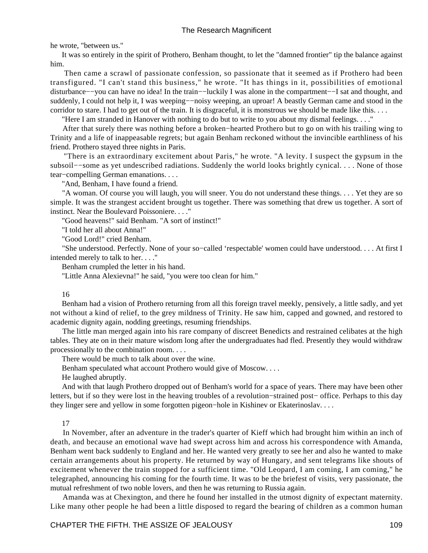he wrote, "between us."

 It was so entirely in the spirit of Prothero, Benham thought, to let the "damned frontier" tip the balance against him.

 Then came a scrawl of passionate confession, so passionate that it seemed as if Prothero had been transfigured. "I can't stand this business," he wrote. "It has things in it, possibilities of emotional disturbance−−you can have no idea! In the train−−luckily I was alone in the compartment−−I sat and thought, and suddenly, I could not help it, I was weeping−−noisy weeping, an uproar! A beastly German came and stood in the corridor to stare. I had to get out of the train. It is disgraceful, it is monstrous we should be made like this. . . .

"Here I am stranded in Hanover with nothing to do but to write to you about my dismal feelings. . . ."

 After that surely there was nothing before a broken−hearted Prothero but to go on with his trailing wing to Trinity and a life of inappeasable regrets; but again Benham reckoned without the invincible earthliness of his friend. Prothero stayed three nights in Paris.

 "There is an extraordinary excitement about Paris," he wrote. "A levity. I suspect the gypsum in the subsoil−−some as yet undescribed radiations. Suddenly the world looks brightly cynical. . . . None of those tear−compelling German emanations. . . .

"And, Benham, I have found a friend.

 "A woman. Of course you will laugh, you will sneer. You do not understand these things. . . . Yet they are so simple. It was the strangest accident brought us together. There was something that drew us together. A sort of instinct. Near the Boulevard Poissoniere. . . ."

"Good heavens!" said Benham. "A sort of instinct!"

"I told her all about Anna!"

"Good Lord!" cried Benham.

 "She understood. Perfectly. None of your so−called 'respectable' women could have understood. . . . At first I intended merely to talk to her. . . ."

Benham crumpled the letter in his hand.

"Little Anna Alexievna!" he said, "you were too clean for him."

#### 16

 Benham had a vision of Prothero returning from all this foreign travel meekly, pensively, a little sadly, and yet not without a kind of relief, to the grey mildness of Trinity. He saw him, capped and gowned, and restored to academic dignity again, nodding greetings, resuming friendships.

 The little man merged again into his rare company of discreet Benedicts and restrained celibates at the high tables. They ate on in their mature wisdom long after the undergraduates had fled. Presently they would withdraw processionally to the combination room. . . .

There would be much to talk about over the wine.

Benham speculated what account Prothero would give of Moscow. . . .

He laughed abruptly.

 And with that laugh Prothero dropped out of Benham's world for a space of years. There may have been other letters, but if so they were lost in the heaving troubles of a revolution−strained post− office. Perhaps to this day they linger sere and yellow in some forgotten pigeon−hole in Kishinev or Ekaterinoslav. . . .

## 17

 In November, after an adventure in the trader's quarter of Kieff which had brought him within an inch of death, and because an emotional wave had swept across him and across his correspondence with Amanda, Benham went back suddenly to England and her. He wanted very greatly to see her and also he wanted to make certain arrangements about his property. He returned by way of Hungary, and sent telegrams like shouts of excitement whenever the train stopped for a sufficient time. "Old Leopard, I am coming, I am coming," he telegraphed, announcing his coming for the fourth time. It was to be the briefest of visits, very passionate, the mutual refreshment of two noble lovers, and then he was returning to Russia again.

 Amanda was at Chexington, and there he found her installed in the utmost dignity of expectant maternity. Like many other people he had been a little disposed to regard the bearing of children as a common human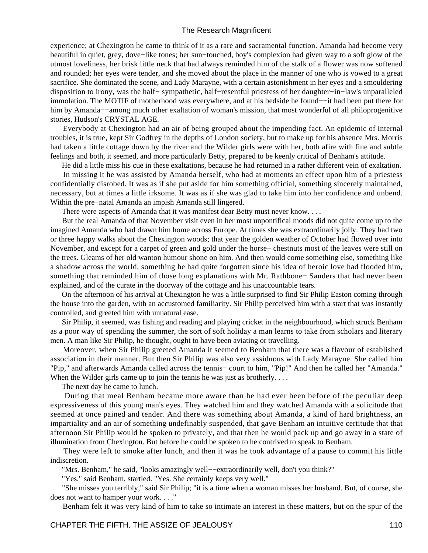experience; at Chexington he came to think of it as a rare and sacramental function. Amanda had become very beautiful in quiet, grey, dove−like tones; her sun−touched, boy's complexion had given way to a soft glow of the utmost loveliness, her brisk little neck that had always reminded him of the stalk of a flower was now softened and rounded; her eyes were tender, and she moved about the place in the manner of one who is vowed to a great sacrifice. She dominated the scene, and Lady Marayne, with a certain astonishment in her eyes and a smouldering disposition to irony, was the half− sympathetic, half−resentful priestess of her daughter−in−law's unparalleled immolation. The MOTIF of motherhood was everywhere, and at his bedside he found−−it had been put there for him by Amanda−−among much other exaltation of woman's mission, that most wonderful of all philoprogenitive stories, Hudson's CRYSTAL AGE.

 Everybody at Chexington had an air of being grouped about the impending fact. An epidemic of internal troubles, it is true, kept Sir Godfrey in the depths of London society, but to make up for his absence Mrs. Morris had taken a little cottage down by the river and the Wilder girls were with her, both afire with fine and subtle feelings and both, it seemed, and more particularly Betty, prepared to be keenly critical of Benham's attitude.

He did a little miss his cue in these exaltations, because he had returned in a rather different vein of exaltation.

 In missing it he was assisted by Amanda herself, who had at moments an effect upon him of a priestess confidentially disrobed. It was as if she put aside for him something official, something sincerely maintained, necessary, but at times a little irksome. It was as if she was glad to take him into her confidence and unbend. Within the pre−natal Amanda an impish Amanda still lingered.

There were aspects of Amanda that it was manifest dear Betty must never know. . . .

 But the real Amanda of that November visit even in her most unpontifical moods did not quite come up to the imagined Amanda who had drawn him home across Europe. At times she was extraordinarily jolly. They had two or three happy walks about the Chexington woods; that year the golden weather of October had flowed over into November, and except for a carpet of green and gold under the horse− chestnuts most of the leaves were still on the trees. Gleams of her old wanton humour shone on him. And then would come something else, something like a shadow across the world, something he had quite forgotten since his idea of heroic love had flooded him, something that reminded him of those long explanations with Mr. Rathbone− Sanders that had never been explained, and of the curate in the doorway of the cottage and his unaccountable tears.

 On the afternoon of his arrival at Chexington he was a little surprised to find Sir Philip Easton coming through the house into the garden, with an accustomed familiarity. Sir Philip perceived him with a start that was instantly controlled, and greeted him with unnatural ease.

 Sir Philip, it seemed, was fishing and reading and playing cricket in the neighbourhood, which struck Benham as a poor way of spending the summer, the sort of soft holiday a man learns to take from scholars and literary men. A man like Sir Philip, he thought, ought to have been aviating or travelling.

 Moreover, when Sir Philip greeted Amanda it seemed to Benham that there was a flavour of established association in their manner. But then Sir Philip was also very assiduous with Lady Marayne. She called him "Pip," and afterwards Amanda called across the tennis− court to him, "Pip!" And then he called her "Amanda." When the Wilder girls came up to join the tennis he was just as brotherly....

The next day he came to lunch.

 During that meal Benham became more aware than he had ever been before of the peculiar deep expressiveness of this young man's eyes. They watched him and they watched Amanda with a solicitude that seemed at once pained and tender. And there was something about Amanda, a kind of hard brightness, an impartiality and an air of something undefinably suspended, that gave Benham an intuitive certitude that that afternoon Sir Philip would be spoken to privately, and that then he would pack up and go away in a state of illumination from Chexington. But before he could be spoken to he contrived to speak to Benham.

 They were left to smoke after lunch, and then it was he took advantage of a pause to commit his little indiscretion.

"Mrs. Benham," he said, "looks amazingly well−−extraordinarily well, don't you think?"

"Yes," said Benham, startled. "Yes. She certainly keeps very well."

 "She misses you terribly," said Sir Philip; "it is a time when a woman misses her husband. But, of course, she does not want to hamper your work. . . ."

Benham felt it was very kind of him to take so intimate an interest in these matters, but on the spur of the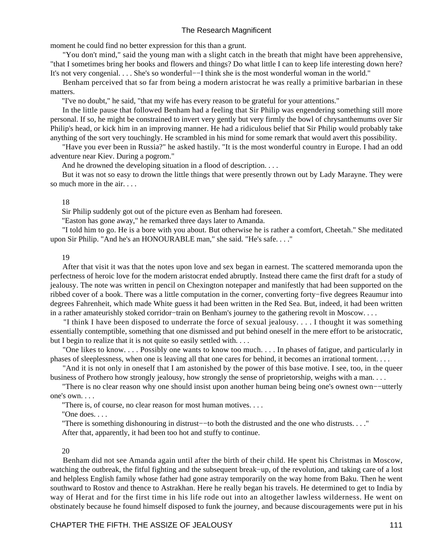moment he could find no better expression for this than a grunt.

 "You don't mind," said the young man with a slight catch in the breath that might have been apprehensive, "that I sometimes bring her books and flowers and things? Do what little I can to keep life interesting down here? It's not very congenial. . . . She's so wonderful−−I think she is the most wonderful woman in the world."

 Benham perceived that so far from being a modern aristocrat he was really a primitive barbarian in these matters.

"I've no doubt," he said, "that my wife has every reason to be grateful for your attentions."

 In the little pause that followed Benham had a feeling that Sir Philip was engendering something still more personal. If so, he might be constrained to invert very gently but very firmly the bowl of chrysanthemums over Sir Philip's head, or kick him in an improving manner. He had a ridiculous belief that Sir Philip would probably take anything of the sort very touchingly. He scrambled in his mind for some remark that would avert this possibility.

 "Have you ever been in Russia?" he asked hastily. "It is the most wonderful country in Europe. I had an odd adventure near Kiev. During a pogrom."

And he drowned the developing situation in a flood of description. . . .

 But it was not so easy to drown the little things that were presently thrown out by Lady Marayne. They were so much more in the air. . . .

## 18

Sir Philip suddenly got out of the picture even as Benham had foreseen.

"Easton has gone away," he remarked three days later to Amanda.

 "I told him to go. He is a bore with you about. But otherwise he is rather a comfort, Cheetah." She meditated upon Sir Philip. "And he's an HONOURABLE man," she said. "He's safe. . . ."

## 19

 After that visit it was that the notes upon love and sex began in earnest. The scattered memoranda upon the perfectness of heroic love for the modern aristocrat ended abruptly. Instead there came the first draft for a study of jealousy. The note was written in pencil on Chexington notepaper and manifestly that had been supported on the ribbed cover of a book. There was a little computation in the corner, converting forty−five degrees Reaumur into degrees Fahrenheit, which made White guess it had been written in the Red Sea. But, indeed, it had been written in a rather amateurishly stoked corridor−train on Benham's journey to the gathering revolt in Moscow. . . .

 "I think I have been disposed to underrate the force of sexual jealousy. . . . I thought it was something essentially contemptible, something that one dismissed and put behind oneself in the mere effort to be aristocratic, but I begin to realize that it is not quite so easily settled with....

 "One likes to know. . . . Possibly one wants to know too much. . . . In phases of fatigue, and particularly in phases of sleeplessness, when one is leaving all that one cares for behind, it becomes an irrational torment. . . .

 "And it is not only in oneself that I am astonished by the power of this base motive. I see, too, in the queer business of Prothero how strongly jealousy, how strongly the sense of proprietorship, weighs with a man. . . .

 "There is no clear reason why one should insist upon another human being being one's ownest own−−utterly one's own. . . .

"There is, of course, no clear reason for most human motives. . . .

"One does. . . .

 "There is something dishonouring in distrust−−to both the distrusted and the one who distrusts. . . ." After that, apparently, it had been too hot and stuffy to continue.

## 20

 Benham did not see Amanda again until after the birth of their child. He spent his Christmas in Moscow, watching the outbreak, the fitful fighting and the subsequent break−up, of the revolution, and taking care of a lost and helpless English family whose father had gone astray temporarily on the way home from Baku. Then he went southward to Rostov and thence to Astrakhan. Here he really began his travels. He determined to get to India by way of Herat and for the first time in his life rode out into an altogether lawless wilderness. He went on obstinately because he found himself disposed to funk the journey, and because discouragements were put in his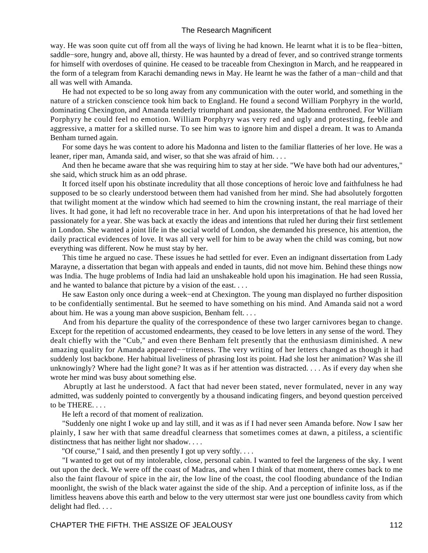way. He was soon quite cut off from all the ways of living he had known. He learnt what it is to be flea−bitten, saddle−sore, hungry and, above all, thirsty. He was haunted by a dread of fever, and so contrived strange torments for himself with overdoses of quinine. He ceased to be traceable from Chexington in March, and he reappeared in the form of a telegram from Karachi demanding news in May. He learnt he was the father of a man−child and that all was well with Amanda.

 He had not expected to be so long away from any communication with the outer world, and something in the nature of a stricken conscience took him back to England. He found a second William Porphyry in the world, dominating Chexington, and Amanda tenderly triumphant and passionate, the Madonna enthroned. For William Porphyry he could feel no emotion. William Porphyry was very red and ugly and protesting, feeble and aggressive, a matter for a skilled nurse. To see him was to ignore him and dispel a dream. It was to Amanda Benham turned again.

 For some days he was content to adore his Madonna and listen to the familiar flatteries of her love. He was a leaner, riper man, Amanda said, and wiser, so that she was afraid of him. . . .

 And then he became aware that she was requiring him to stay at her side. "We have both had our adventures," she said, which struck him as an odd phrase.

 It forced itself upon his obstinate incredulity that all those conceptions of heroic love and faithfulness he had supposed to be so clearly understood between them had vanished from her mind. She had absolutely forgotten that twilight moment at the window which had seemed to him the crowning instant, the real marriage of their lives. It had gone, it had left no recoverable trace in her. And upon his interpretations of that he had loved her passionately for a year. She was back at exactly the ideas and intentions that ruled her during their first settlement in London. She wanted a joint life in the social world of London, she demanded his presence, his attention, the daily practical evidences of love. It was all very well for him to be away when the child was coming, but now everything was different. Now he must stay by her.

 This time he argued no case. These issues he had settled for ever. Even an indignant dissertation from Lady Marayne, a dissertation that began with appeals and ended in taunts, did not move him. Behind these things now was India. The huge problems of India had laid an unshakeable hold upon his imagination. He had seen Russia, and he wanted to balance that picture by a vision of the east. . . .

He saw Easton only once during a week–end at Chexington. The young man displayed no further disposition to be confidentially sentimental. But he seemed to have something on his mind. And Amanda said not a word about him. He was a young man above suspicion, Benham felt. . . .

 And from his departure the quality of the correspondence of these two larger carnivores began to change. Except for the repetition of accustomed endearments, they ceased to be love letters in any sense of the word. They dealt chiefly with the "Cub," and even there Benham felt presently that the enthusiasm diminished. A new amazing quality for Amanda appeared−−triteness. The very writing of her letters changed as though it had suddenly lost backbone. Her habitual liveliness of phrasing lost its point. Had she lost her animation? Was she ill unknowingly? Where had the light gone? It was as if her attention was distracted. . . . As if every day when she wrote her mind was busy about something else.

 Abruptly at last he understood. A fact that had never been stated, never formulated, never in any way admitted, was suddenly pointed to convergently by a thousand indicating fingers, and beyond question perceived to be THERE. . . .

He left a record of that moment of realization.

 "Suddenly one night I woke up and lay still, and it was as if I had never seen Amanda before. Now I saw her plainly, I saw her with that same dreadful clearness that sometimes comes at dawn, a pitiless, a scientific distinctness that has neither light nor shadow. . . .

"Of course," I said, and then presently I got up very softly. . . .

 "I wanted to get out of my intolerable, close, personal cabin. I wanted to feel the largeness of the sky. I went out upon the deck. We were off the coast of Madras, and when I think of that moment, there comes back to me also the faint flavour of spice in the air, the low line of the coast, the cool flooding abundance of the Indian moonlight, the swish of the black water against the side of the ship. And a perception of infinite loss, as if the limitless heavens above this earth and below to the very uttermost star were just one boundless cavity from which delight had fled. . . .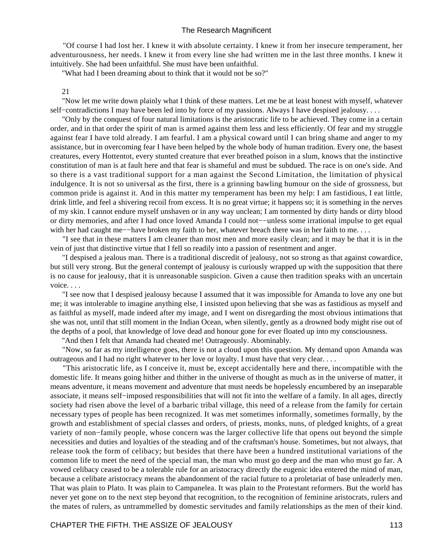"Of course I had lost her. I knew it with absolute certainty. I knew it from her insecure temperament, her adventurousness, her needs. I knew it from every line she had written me in the last three months. I knew it intuitively. She had been unfaithful. She must have been unfaithful.

"What had I been dreaming about to think that it would not be so?"

## 21

 "Now let me write down plainly what I think of these matters. Let me be at least honest with myself, whatever self–contradictions I may have been led into by force of my passions. Always I have despised jealousy. . . .

 "Only by the conquest of four natural limitations is the aristocratic life to be achieved. They come in a certain order, and in that order the spirit of man is armed against them less and less efficiently. Of fear and my struggle against fear I have told already. I am fearful. I am a physical coward until I can bring shame and anger to my assistance, but in overcoming fear I have been helped by the whole body of human tradition. Every one, the basest creatures, every Hottentot, every stunted creature that ever breathed poison in a slum, knows that the instinctive constitution of man is at fault here and that fear is shameful and must be subdued. The race is on one's side. And so there is a vast traditional support for a man against the Second Limitation, the limitation of physical indulgence. It is not so universal as the first, there is a grinning bawling humour on the side of grossness, but common pride is against it. And in this matter my temperament has been my help: I am fastidious, I eat little, drink little, and feel a shivering recoil from excess. It is no great virtue; it happens so; it is something in the nerves of my skin. I cannot endure myself unshaven or in any way unclean; I am tormented by dirty hands or dirty blood or dirty memories, and after I had once loved Amanda I could not−−unless some irrational impulse to get equal with her had caught me−−have broken my faith to her, whatever breach there was in her faith to me. . . .

 "I see that in these matters I am cleaner than most men and more easily clean; and it may be that it is in the vein of just that distinctive virtue that I fell so readily into a passion of resentment and anger.

 "I despised a jealous man. There is a traditional discredit of jealousy, not so strong as that against cowardice, but still very strong. But the general contempt of jealousy is curiously wrapped up with the supposition that there is no cause for jealousy, that it is unreasonable suspicion. Given a cause then tradition speaks with an uncertain voice. . . .

 "I see now that I despised jealousy because I assumed that it was impossible for Amanda to love any one but me; it was intolerable to imagine anything else, I insisted upon believing that she was as fastidious as myself and as faithful as myself, made indeed after my image, and I went on disregarding the most obvious intimations that she was not, until that still moment in the Indian Ocean, when silently, gently as a drowned body might rise out of the depths of a pool, that knowledge of love dead and honour gone for ever floated up into my consciousness.

"And then I felt that Amanda had cheated me! Outrageously. Abominably.

 "Now, so far as my intelligence goes, there is not a cloud upon this question. My demand upon Amanda was outrageous and I had no right whatever to her love or loyalty. I must have that very clear. . . .

 "This aristocratic life, as I conceive it, must be, except accidentally here and there, incompatible with the domestic life. It means going hither and thither in the universe of thought as much as in the universe of matter, it means adventure, it means movement and adventure that must needs be hopelessly encumbered by an inseparable associate, it means self−imposed responsibilities that will not fit into the welfare of a family. In all ages, directly society had risen above the level of a barbaric tribal village, this need of a release from the family for certain necessary types of people has been recognized. It was met sometimes informally, sometimes formally, by the growth and establishment of special classes and orders, of priests, monks, nuns, of pledged knights, of a great variety of non−family people, whose concern was the larger collective life that opens out beyond the simple necessities and duties and loyalties of the steading and of the craftsman's house. Sometimes, but not always, that release took the form of celibacy; but besides that there have been a hundred institutional variations of the common life to meet the need of the special man, the man who must go deep and the man who must go far. A vowed celibacy ceased to be a tolerable rule for an aristocracy directly the eugenic idea entered the mind of man, because a celibate aristocracy means the abandonment of the racial future to a proletariat of base unleaderly men. That was plain to Plato. It was plain to Campanelea. It was plain to the Protestant reformers. But the world has never yet gone on to the next step beyond that recognition, to the recognition of feminine aristocrats, rulers and the mates of rulers, as untrammelled by domestic servitudes and family relationships as the men of their kind.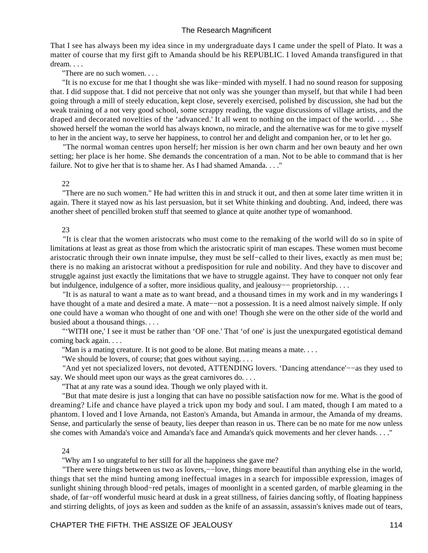That I see has always been my idea since in my undergraduate days I came under the spell of Plato. It was a matter of course that my first gift to Amanda should be his REPUBLIC. I loved Amanda transfigured in that dream. . . .

"There are no such women. . . .

 "It is no excuse for me that I thought she was like−minded with myself. I had no sound reason for supposing that. I did suppose that. I did not perceive that not only was she younger than myself, but that while I had been going through a mill of steely education, kept close, severely exercised, polished by discussion, she had but the weak training of a not very good school, some scrappy reading, the vague discussions of village artists, and the draped and decorated novelties of the 'advanced.' It all went to nothing on the impact of the world. . . . She showed herself the woman the world has always known, no miracle, and the alternative was for me to give myself to her in the ancient way, to serve her happiness, to control her and delight and companion her, or to let her go.

 "The normal woman centres upon herself; her mission is her own charm and her own beauty and her own setting; her place is her home. She demands the concentration of a man. Not to be able to command that is her failure. Not to give her that is to shame her. As I had shamed Amanda. . . ."

22

 "There are no such women." He had written this in and struck it out, and then at some later time written it in again. There it stayed now as his last persuasion, but it set White thinking and doubting. And, indeed, there was another sheet of pencilled broken stuff that seemed to glance at quite another type of womanhood.

23

 "It is clear that the women aristocrats who must come to the remaking of the world will do so in spite of limitations at least as great as those from which the aristocratic spirit of man escapes. These women must become aristocratic through their own innate impulse, they must be self−called to their lives, exactly as men must be; there is no making an aristocrat without a predisposition for rule and nobility. And they have to discover and struggle against just exactly the limitations that we have to struggle against. They have to conquer not only fear but indulgence, indulgence of a softer, more insidious quality, and jealousy−− proprietorship. . . .

 "It is as natural to want a mate as to want bread, and a thousand times in my work and in my wanderings I have thought of a mate and desired a mate. A mate−−not a possession. It is a need almost naively simple. If only one could have a woman who thought of one and with one! Though she were on the other side of the world and busied about a thousand things. . . .

 "'WITH one,' I see it must be rather than 'OF one.' That 'of one' is just the unexpurgated egotistical demand coming back again. . . .

"Man is a mating creature. It is not good to be alone. But mating means a mate...

"We should be lovers, of course; that goes without saying. . . .

 "And yet not specialized lovers, not devoted, ATTENDING lovers. 'Dancing attendance'−−as they used to say. We should meet upon our ways as the great carnivores do....

"That at any rate was a sound idea. Though we only played with it.

 "But that mate desire is just a longing that can have no possible satisfaction now for me. What is the good of dreaming? Life and chance have played a trick upon my body and soul. I am mated, though I am mated to a phantom. I loved and I love Arnanda, not Easton's Amanda, but Amanda in armour, the Amanda of my dreams. Sense, and particularly the sense of beauty, lies deeper than reason in us. There can be no mate for me now unless she comes with Amanda's voice and Amanda's face and Amanda's quick movements and her clever hands. . . ."

## 24

"Why am I so ungrateful to her still for all the happiness she gave me?

"There were things between us two as lovers,—–love, things more beautiful than anything else in the world, things that set the mind hunting among ineffectual images in a search for impossible expression, images of sunlight shining through blood−red petals, images of moonlight in a scented garden, of marble gleaming in the shade, of far−off wonderful music heard at dusk in a great stillness, of fairies dancing softly, of floating happiness and stirring delights, of joys as keen and sudden as the knife of an assassin, assassin's knives made out of tears,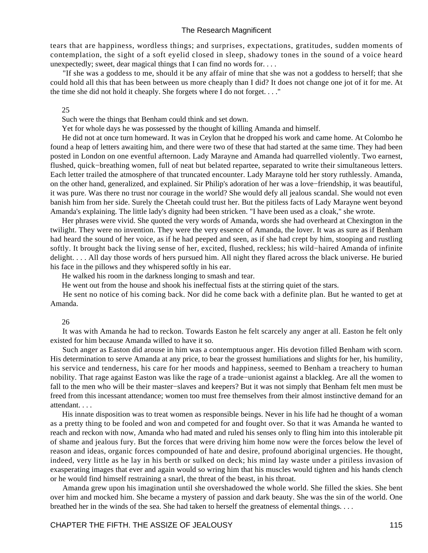tears that are happiness, wordless things; and surprises, expectations, gratitudes, sudden moments of contemplation, the sight of a soft eyelid closed in sleep, shadowy tones in the sound of a voice heard unexpectedly; sweet, dear magical things that I can find no words for. . . .

 "If she was a goddess to me, should it be any affair of mine that she was not a goddess to herself; that she could hold all this that has been between us more cheaply than I did? It does not change one jot of it for me. At the time she did not hold it cheaply. She forgets where I do not forget. . . ."

25

Such were the things that Benham could think and set down.

Yet for whole days he was possessed by the thought of killing Amanda and himself.

 He did not at once turn homeward. It was in Ceylon that he dropped his work and came home. At Colombo he found a heap of letters awaiting him, and there were two of these that had started at the same time. They had been posted in London on one eventful afternoon. Lady Marayne and Amanda had quarrelled violently. Two earnest, flushed, quick−breathing women, full of neat but belated repartee, separated to write their simultaneous letters. Each letter trailed the atmosphere of that truncated encounter. Lady Marayne told her story ruthlessly. Amanda, on the other hand, generalized, and explained. Sir Philip's adoration of her was a love−friendship, it was beautiful, it was pure. Was there no trust nor courage in the world? She would defy all jealous scandal. She would not even banish him from her side. Surely the Cheetah could trust her. But the pitiless facts of Lady Marayne went beyond Amanda's explaining. The little lady's dignity had been stricken. "I have been used as a cloak," she wrote.

 Her phrases were vivid. She quoted the very words of Amanda, words she had overheard at Chexington in the twilight. They were no invention. They were the very essence of Amanda, the lover. It was as sure as if Benham had heard the sound of her voice, as if he had peeped and seen, as if she had crept by him, stooping and rustling softly. It brought back the living sense of her, excited, flushed, reckless; his wild−haired Amanda of infinite delight. . . . All day those words of hers pursued him. All night they flared across the black universe. He buried his face in the pillows and they whispered softly in his ear.

He walked his room in the darkness longing to smash and tear.

He went out from the house and shook his ineffectual fists at the stirring quiet of the stars.

 He sent no notice of his coming back. Nor did he come back with a definite plan. But he wanted to get at Amanda.

#### 26

 It was with Amanda he had to reckon. Towards Easton he felt scarcely any anger at all. Easton he felt only existed for him because Amanda willed to have it so.

 Such anger as Easton did arouse in him was a contemptuous anger. His devotion filled Benham with scorn. His determination to serve Amanda at any price, to bear the grossest humiliations and slights for her, his humility, his service and tenderness, his care for her moods and happiness, seemed to Benham a treachery to human nobility. That rage against Easton was like the rage of a trade−unionist against a blackleg. Are all the women to fall to the men who will be their master−slaves and keepers? But it was not simply that Benham felt men must be freed from this incessant attendance; women too must free themselves from their almost instinctive demand for an attendant. . . .

 His innate disposition was to treat women as responsible beings. Never in his life had he thought of a woman as a pretty thing to be fooled and won and competed for and fought over. So that it was Amanda he wanted to reach and reckon with now, Amanda who had mated and ruled his senses only to fling him into this intolerable pit of shame and jealous fury. But the forces that were driving him home now were the forces below the level of reason and ideas, organic forces compounded of hate and desire, profound aboriginal urgencies. He thought, indeed, very little as he lay in his berth or sulked on deck; his mind lay waste under a pitiless invasion of exasperating images that ever and again would so wring him that his muscles would tighten and his hands clench or he would find himself restraining a snarl, the threat of the beast, in his throat.

 Amanda grew upon his imagination until she overshadowed the whole world. She filled the skies. She bent over him and mocked him. She became a mystery of passion and dark beauty. She was the sin of the world. One breathed her in the winds of the sea. She had taken to herself the greatness of elemental things. . . .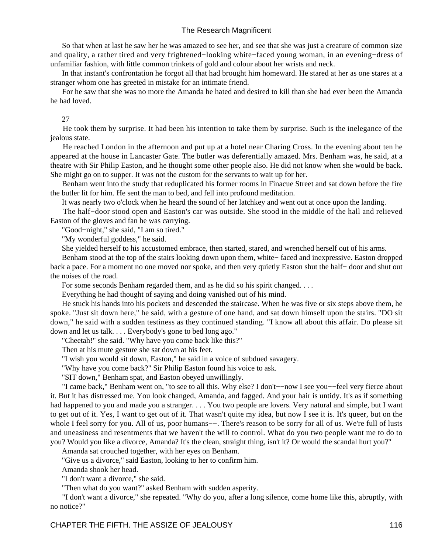So that when at last he saw her he was amazed to see her, and see that she was just a creature of common size and quality, a rather tired and very frightened−looking white−faced young woman, in an evening−dress of unfamiliar fashion, with little common trinkets of gold and colour about her wrists and neck.

 In that instant's confrontation he forgot all that had brought him homeward. He stared at her as one stares at a stranger whom one has greeted in mistake for an intimate friend.

 For he saw that she was no more the Amanda he hated and desired to kill than she had ever been the Amanda he had loved.

## 27

 He took them by surprise. It had been his intention to take them by surprise. Such is the inelegance of the jealous state.

 He reached London in the afternoon and put up at a hotel near Charing Cross. In the evening about ten he appeared at the house in Lancaster Gate. The butler was deferentially amazed. Mrs. Benham was, he said, at a theatre with Sir Philip Easton, and he thought some other people also. He did not know when she would be back. She might go on to supper. It was not the custom for the servants to wait up for her.

 Benham went into the study that reduplicated his former rooms in Finacue Street and sat down before the fire the butler lit for him. He sent the man to bed, and fell into profound meditation.

It was nearly two o'clock when he heard the sound of her latchkey and went out at once upon the landing.

 The half−door stood open and Easton's car was outside. She stood in the middle of the hall and relieved Easton of the gloves and fan he was carrying.

"Good−night," she said, "I am so tired."

"My wonderful goddess," he said.

She yielded herself to his accustomed embrace, then started, stared, and wrenched herself out of his arms.

 Benham stood at the top of the stairs looking down upon them, white− faced and inexpressive. Easton dropped back a pace. For a moment no one moved nor spoke, and then very quietly Easton shut the half− door and shut out the noises of the road.

For some seconds Benham regarded them, and as he did so his spirit changed. . . .

Everything he had thought of saying and doing vanished out of his mind.

 He stuck his hands into his pockets and descended the staircase. When he was five or six steps above them, he spoke. "Just sit down here," he said, with a gesture of one hand, and sat down himself upon the stairs. "DO sit down," he said with a sudden testiness as they continued standing. "I know all about this affair. Do please sit down and let us talk. . . . Everybody's gone to bed long ago."

"Cheetah!" she said. "Why have you come back like this?"

Then at his mute gesture she sat down at his feet.

"I wish you would sit down, Easton," he said in a voice of subdued savagery.

"Why have you come back?" Sir Philip Easton found his voice to ask.

"SIT down," Benham spat, and Easton obeyed unwillingly.

 "I came back," Benham went on, "to see to all this. Why else? I don't−−now I see you−−feel very fierce about it. But it has distressed me. You look changed, Amanda, and fagged. And your hair is untidy. It's as if something had happened to you and made you a stranger. . . . You two people are lovers. Very natural and simple, but I want to get out of it. Yes, I want to get out of it. That wasn't quite my idea, but now I see it is. It's queer, but on the whole I feel sorry for you. All of us, poor humans–−. There's reason to be sorry for all of us. We're full of lusts and uneasiness and resentments that we haven't the will to control. What do you two people want me to do to you? Would you like a divorce, Amanda? It's the clean, straight thing, isn't it? Or would the scandal hurt you?"

Amanda sat crouched together, with her eyes on Benham.

"Give us a divorce," said Easton, looking to her to confirm him.

Amanda shook her head.

"I don't want a divorce," she said.

"Then what do you want?" asked Benham with sudden asperity.

 "I don't want a divorce," she repeated. "Why do you, after a long silence, come home like this, abruptly, with no notice?"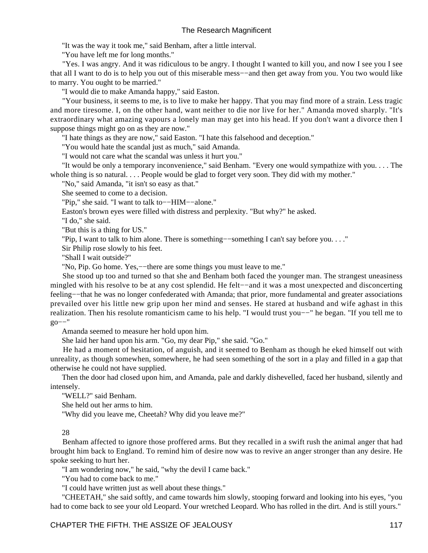"It was the way it took me," said Benham, after a little interval.

"You have left me for long months."

 "Yes. I was angry. And it was ridiculous to be angry. I thought I wanted to kill you, and now I see you I see that all I want to do is to help you out of this miserable mess−−and then get away from you. You two would like to marry. You ought to be married."

"I would die to make Amanda happy," said Easton.

 "Your business, it seems to me, is to live to make her happy. That you may find more of a strain. Less tragic and more tiresome. I, on the other hand, want neither to die nor live for her." Amanda moved sharply. "It's extraordinary what amazing vapours a lonely man may get into his head. If you don't want a divorce then I suppose things might go on as they are now."

"I hate things as they are now," said Easton. "I hate this falsehood and deception."

"You would hate the scandal just as much," said Amanda.

"I would not care what the scandal was unless it hurt you."

 "It would be only a temporary inconvenience," said Benham. "Every one would sympathize with you. . . . The whole thing is so natural. . . . People would be glad to forget very soon. They did with my mother."

"No," said Amanda, "it isn't so easy as that."

She seemed to come to a decision.

"Pip," she said. "I want to talk to−−HIM−−alone."

Easton's brown eyes were filled with distress and perplexity. "But why?" he asked.

"I do," she said.

"But this is a thing for US."

"Pip, I want to talk to him alone. There is something−−something I can't say before you. . . ."

Sir Philip rose slowly to his feet.

"Shall I wait outside?"

"No, Pip. Go home. Yes,—–there are some things you must leave to me."

 She stood up too and turned so that she and Benham both faced the younger man. The strangest uneasiness mingled with his resolve to be at any cost splendid. He felt−−and it was a most unexpected and disconcerting feeling−−that he was no longer confederated with Amanda; that prior, more fundamental and greater associations prevailed over his little new grip upon her mind and senses. He stared at husband and wife aghast in this realization. Then his resolute romanticism came to his help. "I would trust you−−" he began. "If you tell me to go−−"

Amanda seemed to measure her hold upon him.

She laid her hand upon his arm. "Go, my dear Pip," she said. "Go."

 He had a moment of hesitation, of anguish, and it seemed to Benham as though he eked himself out with unreality, as though somewhen, somewhere, he had seen something of the sort in a play and filled in a gap that otherwise he could not have supplied.

 Then the door had closed upon him, and Amanda, pale and darkly dishevelled, faced her husband, silently and intensely.

"WELL?" said Benham.

She held out her arms to him.

"Why did you leave me, Cheetah? Why did you leave me?"

#### 28

 Benham affected to ignore those proffered arms. But they recalled in a swift rush the animal anger that had brought him back to England. To remind him of desire now was to revive an anger stronger than any desire. He spoke seeking to hurt her.

"I am wondering now," he said, "why the devil I came back."

"You had to come back to me."

"I could have written just as well about these things."

 "CHEETAH," she said softly, and came towards him slowly, stooping forward and looking into his eyes, "you had to come back to see your old Leopard. Your wretched Leopard. Who has rolled in the dirt. And is still yours."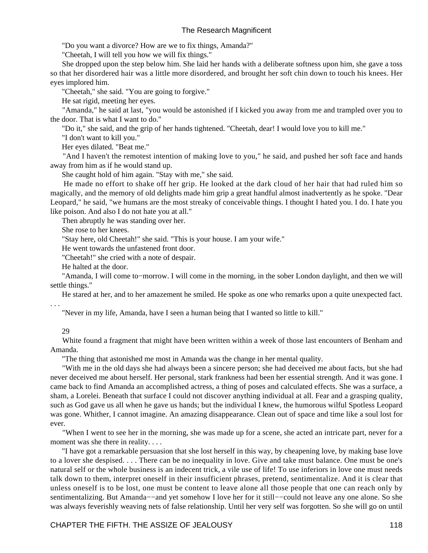"Do you want a divorce? How are we to fix things, Amanda?"

"Cheetah, I will tell you how we will fix things."

 She dropped upon the step below him. She laid her hands with a deliberate softness upon him, she gave a toss so that her disordered hair was a little more disordered, and brought her soft chin down to touch his knees. Her eyes implored him.

"Cheetah," she said. "You are going to forgive."

He sat rigid, meeting her eyes.

 "Amanda," he said at last, "you would be astonished if I kicked you away from me and trampled over you to the door. That is what I want to do."

"Do it," she said, and the grip of her hands tightened. "Cheetah, dear! I would love you to kill me."

"I don't want to kill you."

Her eyes dilated. "Beat me."

 "And I haven't the remotest intention of making love to you," he said, and pushed her soft face and hands away from him as if he would stand up.

She caught hold of him again. "Stay with me," she said.

 He made no effort to shake off her grip. He looked at the dark cloud of her hair that had ruled him so magically, and the memory of old delights made him grip a great handful almost inadvertently as he spoke. "Dear Leopard," he said, "we humans are the most streaky of conceivable things. I thought I hated you. I do. I hate you like poison. And also I do not hate you at all."

Then abruptly he was standing over her.

She rose to her knees.

"Stay here, old Cheetah!" she said. "This is your house. I am your wife."

He went towards the unfastened front door.

"Cheetah!" she cried with a note of despair.

He halted at the door.

 "Amanda, I will come to−morrow. I will come in the morning, in the sober London daylight, and then we will settle things."

He stared at her, and to her amazement he smiled. He spoke as one who remarks upon a quite unexpected fact.

. . .

"Never in my life, Amanda, have I seen a human being that I wanted so little to kill."

29

 White found a fragment that might have been written within a week of those last encounters of Benham and Amanda.

"The thing that astonished me most in Amanda was the change in her mental quality.

 "With me in the old days she had always been a sincere person; she had deceived me about facts, but she had never deceived me about herself. Her personal, stark frankness had been her essential strength. And it was gone. I came back to find Amanda an accomplished actress, a thing of poses and calculated effects. She was a surface, a sham, a Lorelei. Beneath that surface I could not discover anything individual at all. Fear and a grasping quality, such as God gave us all when he gave us hands; but the individual I knew, the humorous wilful Spotless Leopard was gone. Whither, I cannot imagine. An amazing disappearance. Clean out of space and time like a soul lost for ever.

 "When I went to see her in the morning, she was made up for a scene, she acted an intricate part, never for a moment was she there in reality. . . .

 "I have got a remarkable persuasion that she lost herself in this way, by cheapening love, by making base love to a lover she despised. . . . There can be no inequality in love. Give and take must balance. One must be one's natural self or the whole business is an indecent trick, a vile use of life! To use inferiors in love one must needs talk down to them, interpret oneself in their insufficient phrases, pretend, sentimentalize. And it is clear that unless oneself is to be lost, one must be content to leave alone all those people that one can reach only by sentimentalizing. But Amanda−−and yet somehow I love her for it still−−could not leave any one alone. So she was always feverishly weaving nets of false relationship. Until her very self was forgotten. So she will go on until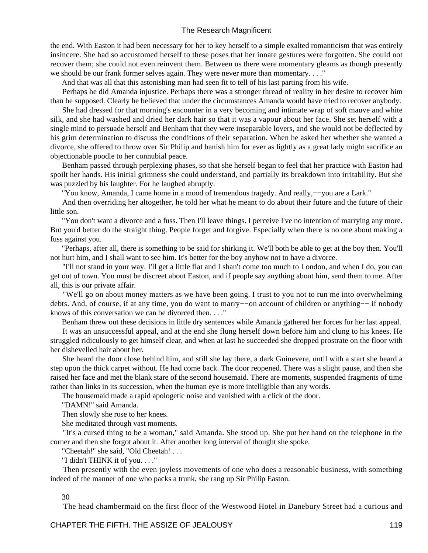the end. With Easton it had been necessary for her to key herself to a simple exalted romanticism that was entirely insincere. She had so accustomed herself to these poses that her innate gestures were forgotten. She could not recover them; she could not even reinvent them. Between us there were momentary gleams as though presently we should be our frank former selves again. They were never more than momentary. . . ."

And that was all that this astonishing man had seen fit to tell of his last parting from his wife.

 Perhaps he did Amanda injustice. Perhaps there was a stronger thread of reality in her desire to recover him than he supposed. Clearly he believed that under the circumstances Amanda would have tried to recover anybody.

 She had dressed for that morning's encounter in a very becoming and intimate wrap of soft mauve and white silk, and she had washed and dried her dark hair so that it was a vapour about her face. She set herself with a single mind to persuade herself and Benham that they were inseparable lovers, and she would not be deflected by his grim determination to discuss the conditions of their separation. When he asked her whether she wanted a divorce, she offered to throw over Sir Philip and banish him for ever as lightly as a great lady might sacrifice an objectionable poodle to her connubial peace.

 Benham passed through perplexing phases, so that she herself began to feel that her practice with Easton had spoilt her hands. His initial grimness she could understand, and partially its breakdown into irritability. But she was puzzled by his laughter. For he laughed abruptly.

"You know, Amanda, I came home in a mood of tremendous tragedy. And really,−−you are a Lark."

 And then overriding her altogether, he told her what he meant to do about their future and the future of their little son.

 "You don't want a divorce and a fuss. Then I'll leave things. I perceive I've no intention of marrying any more. But you'd better do the straight thing. People forget and forgive. Especially when there is no one about making a fuss against you.

 "Perhaps, after all, there is something to be said for shirking it. We'll both be able to get at the boy then. You'll not hurt him, and I shall want to see him. It's better for the boy anyhow not to have a divorce.

 "I'll not stand in your way. I'll get a little flat and I shan't come too much to London, and when I do, you can get out of town. You must be discreet about Easton, and if people say anything about him, send them to me. After all, this is our private affair.

 "We'll go on about money matters as we have been going. I trust to you not to run me into overwhelming debts. And, of course, if at any time, you do want to marry−−on account of children or anything−− if nobody knows of this conversation we can be divorced then. . . ."

Benham threw out these decisions in little dry sentences while Amanda gathered her forces for her last appeal.

 It was an unsuccessful appeal, and at the end she flung herself down before him and clung to his knees. He struggled ridiculously to get himself clear, and when at last he succeeded she dropped prostrate on the floor with her dishevelled hair about her.

 She heard the door close behind him, and still she lay there, a dark Guinevere, until with a start she heard a step upon the thick carpet without. He had come back. The door reopened. There was a slight pause, and then she raised her face and met the blank stare of the second housemaid. There are moments, suspended fragments of time rather than links in its succession, when the human eye is more intelligible than any words.

The housemaid made a rapid apologetic noise and vanished with a click of the door.

"DAMN!" said Amanda.

Then slowly she rose to her knees.

She meditated through vast moments.

 "It's a cursed thing to be a woman," said Amanda. She stood up. She put her hand on the telephone in the corner and then she forgot about it. After another long interval of thought she spoke.

"Cheetah!" she said, "Old Cheetah! . . .

"I didn't THINK it of you. . . ."

 Then presently with the even joyless movements of one who does a reasonable business, with something indeed of the manner of one who packs a trunk, she rang up Sir Philip Easton.

## 30

The head chambermaid on the first floor of the Westwood Hotel in Danebury Street had a curious and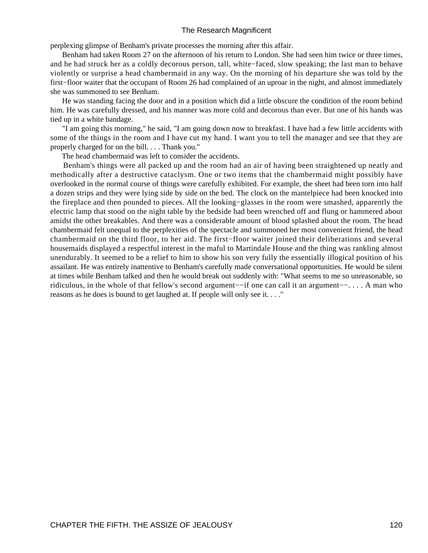perplexing glimpse of Benham's private processes the morning after this affair.

 Benham had taken Room 27 on the afternoon of his return to London. She had seen him twice or three times, and he had struck her as a coldly decorous person, tall, white−faced, slow speaking; the last man to behave violently or surprise a head chambermaid in any way. On the morning of his departure she was told by the first−floor waiter that the occupant of Room 26 had complained of an uproar in the night, and almost immediately she was summoned to see Benham.

 He was standing facing the door and in a position which did a little obscure the condition of the room behind him. He was carefully dressed, and his manner was more cold and decorous than ever. But one of his hands was tied up in a white bandage.

 "I am going this morning," he said, "I am going down now to breakfast. I have had a few little accidents with some of the things in the room and I have cut my hand. I want you to tell the manager and see that they are properly charged for on the bill. . . . Thank you.''

The head chambermaid was left to consider the accidents.

 Benham's things were all packed up and the room had an air of having been straightened up neatly and methodically after a destructive cataclysm. One or two items that the chambermaid might possibly have overlooked in the normal course of things were carefully exhibited. For example, the sheet had been torn into half a dozen strips and they were lying side by side on the bed. The clock on the mantelpiece had been knocked into the fireplace and then pounded to pieces. All the looking−glasses in the room were smashed, apparently the electric lamp that stood on the night table by the bedside had been wrenched off and flung or hammered about amidst the other breakables. And there was a considerable amount of blood splashed about the room. The head chambermaid felt unequal to the perplexities of the spectacle and summoned her most convenient friend, the head chambermaid on the third floor, to her aid. The first−floor waiter joined their deliberations and several housemaids displayed a respectful interest in the maful to Martindale House and the thing was rankling almost unendurably. It seemed to be a relief to him to show his son very fully the essentially illogical position of his assailant. He was entirely inattentive to Benham's carefully made conversational opportunities. He would be silent at times while Benham talked and then he would break out suddenly with: "What seems to me so unreasonable, so ridiculous, in the whole of that fellow's second argument−−if one can call it an argument−−. . . . A man who reasons as he does is bound to get laughed at. If people will only see it. . . ."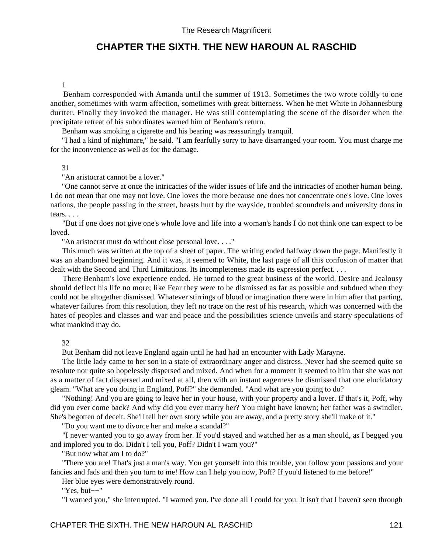# **CHAPTER THE SIXTH. THE NEW HAROUN AL RASCHID**

#### 1

 Benham corresponded with Amanda until the summer of 1913. Sometimes the two wrote coldly to one another, sometimes with warm affection, sometimes with great bitterness. When he met White in Johannesburg durtter. Finally they invoked the manager. He was still contemplating the scene of the disorder when the precipitate retreat of his subordinates warned him of Benham's return.

Benham was smoking a cigarette and his bearing was reassuringly tranquil.

 "I had a kind of nightmare," he said. "I am fearfully sorry to have disarranged your room. You must charge me for the inconvenience as well as for the damage.

#### 31

"An aristocrat cannot be a lover."

 "One cannot serve at once the intricacies of the wider issues of life and the intricacies of another human being. I do not mean that one may not love. One loves the more because one does not concentrate one's love. One loves nations, the people passing in the street, beasts hurt by the wayside, troubled scoundrels and university dons in tears. . . .

 "But if one does not give one's whole love and life into a woman's hands I do not think one can expect to be loved.

"An aristocrat must do without close personal love. . . ."

 This much was written at the top of a sheet of paper. The writing ended halfway down the page. Manifestly it was an abandoned beginning. And it was, it seemed to White, the last page of all this confusion of matter that dealt with the Second and Third Limitations. Its incompleteness made its expression perfect. . . .

 There Benham's love experience ended. He turned to the great business of the world. Desire and Jealousy should deflect his life no more; like Fear they were to be dismissed as far as possible and subdued when they could not be altogether dismissed. Whatever stirrings of blood or imagination there were in him after that parting, whatever failures from this resolution, they left no trace on the rest of his research, which was concerned with the hates of peoples and classes and war and peace and the possibilities science unveils and starry speculations of what mankind may do.

## 32

But Benham did not leave England again until he had had an encounter with Lady Marayne.

 The little lady came to her son in a state of extraordinary anger and distress. Never had she seemed quite so resolute nor quite so hopelessly dispersed and mixed. And when for a moment it seemed to him that she was not as a matter of fact dispersed and mixed at all, then with an instant eagerness he dismissed that one elucidatory gleam. "What are you doing in England, Poff?" she demanded. "And what are you going to do?

 "Nothing! And you are going to leave her in your house, with your property and a lover. If that's it, Poff, why did you ever come back? And why did you ever marry her? You might have known; her father was a swindler. She's begotten of deceit. She'll tell her own story while you are away, and a pretty story she'll make of it."

"Do you want me to divorce her and make a scandal?"

 "I never wanted you to go away from her. If you'd stayed and watched her as a man should, as I begged you and implored you to do. Didn't I tell you, Poff? Didn't I warn you?"

"But now what am I to do?"

 "There you are! That's just a man's way. You get yourself into this trouble, you follow your passions and your fancies and fads and then you turn to me! How can I help you now, Poff? If you'd listened to me before!"

Her blue eyes were demonstratively round.

"Yes, but−−"

"I warned you," she interrupted. "I warned you. I've done all I could for you. It isn't that I haven't seen through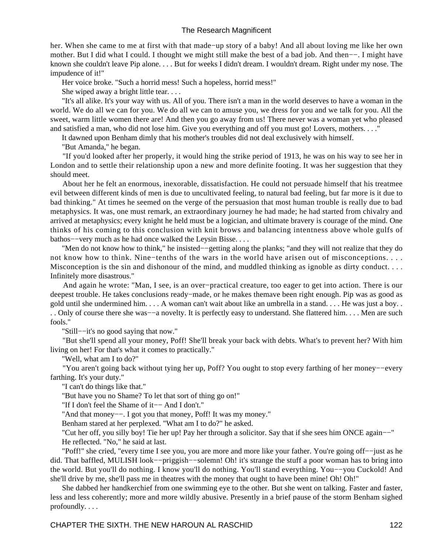her. When she came to me at first with that made−up story of a baby! And all about loving me like her own mother. But I did what I could. I thought we might still make the best of a bad job. And then−−. I might have known she couldn't leave Pip alone. . . . But for weeks I didn't dream. I wouldn't dream. Right under my nose. The impudence of it!"

Her voice broke. "Such a horrid mess! Such a hopeless, horrid mess!"

She wiped away a bright little tear. . . .

 "It's all alike. It's your way with us. All of you. There isn't a man in the world deserves to have a woman in the world. We do all we can for you. We do all we can to amuse you, we dress for you and we talk for you. All the sweet, warm little women there are! And then you go away from us! There never was a woman yet who pleased and satisfied a man, who did not lose him. Give you everything and off you must go! Lovers, mothers. . . ."

It dawned upon Benham dimly that his mother's troubles did not deal exclusively with himself.

"But Amanda," he began.

 "If you'd looked after her properly, it would hing the strike period of 1913, he was on his way to see her in London and to settle their relationship upon a new and more definite footing. It was her suggestion that they should meet.

 About her he felt an enormous, inexorable, dissatisfaction. He could not persuade himself that his treatmee evil between different kinds of men is due to uncultivated feeling, to natural bad feeling, but far more is it due to bad thinking." At times he seemed on the verge of the persuasion that most human trouble is really due to bad metaphysics. It was, one must remark, an extraordinary journey he had made; he had started from chivalry and arrived at metaphysics; every knight he held must be a logician, and ultimate bravery is courage of the mind. One thinks of his coming to this conclusion with knit brows and balancing intentness above whole gulfs of bathos−−very much as he had once walked the Leysin Bisse. . . .

 "Men do not know how to think," he insisted−−getting along the planks; "and they will not realize that they do not know how to think. Nine−tenths of the wars in the world have arisen out of misconceptions. . . . Misconception is the sin and dishonour of the mind, and muddled thinking as ignoble as dirty conduct... Infinitely more disastrous."

 And again he wrote: "Man, I see, is an over−practical creature, too eager to get into action. There is our deepest trouble. He takes conclusions ready−made, or he makes themave been right enough. Pip was as good as gold until she undermined him. . . . A woman can't wait about like an umbrella in a stand. . . . He was just a boy. . . . Only of course there she was−−a novelty. It is perfectly easy to understand. She flattered him. . . . Men are such fools."

"Still−−it's no good saying that now."

 "But she'll spend all your money, Poff! She'll break your back with debts. What's to prevent her? With him living on her! For that's what it comes to practically."

"Well, what am I to do?"

 "You aren't going back without tying her up, Poff? You ought to stop every farthing of her money−−every farthing. It's your duty."

"I can't do things like that."

"But have you no Shame? To let that sort of thing go on!"

"If I don't feel the Shame of it−− And I don't."

"And that money−−. I got you that money, Poff! It was my money."

Benham stared at her perplexed. "What am I to do?" he asked.

 "Cut her off, you silly boy! Tie her up! Pay her through a solicitor. Say that if she sees him ONCE again−−" He reflected. "No," he said at last.

 "Poff!" she cried, "every time I see you, you are more and more like your father. You're going off−−just as he did. That baffled, MULISH look−−priggish−−solemn! Oh! it's strange the stuff a poor woman has to bring into the world. But you'll do nothing. I know you'll do nothing. You'll stand everything. You−−you Cuckold! And she'll drive by me, she'll pass me in theatres with the money that ought to have been mine! Oh! Oh!"

 She dabbed her handkerchief from one swimming eye to the other. But she went on talking. Faster and faster, less and less coherently; more and more wildly abusive. Presently in a brief pause of the storm Benham sighed profoundly. . . .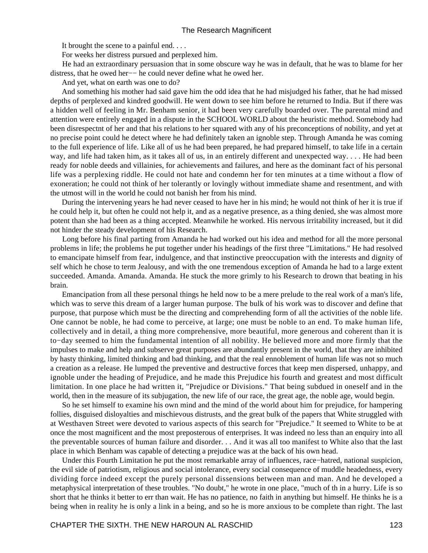It brought the scene to a painful end. . . .

For weeks her distress pursued and perplexed him.

 He had an extraordinary persuasion that in some obscure way he was in default, that he was to blame for her distress, that he owed her−− he could never define what he owed her.

And yet, what on earth was one to do?

 And something his mother had said gave him the odd idea that he had misjudged his father, that he had missed depths of perplexed and kindred goodwill. He went down to see him before he returned to India. But if there was a hidden well of feeling in Mr. Benham senior, it had been very carefully boarded over. The parental mind and attention were entirely engaged in a dispute in the SCHOOL WORLD about the heuristic method. Somebody had been disrespectnt of her and that his relations to her squared with any of his preconceptions of nobility, and yet at no precise point could he detect where he had definitely taken an ignoble step. Through Amanda he was coming to the full experience of life. Like all of us he had been prepared, he had prepared himself, to take life in a certain way, and life had taken him, as it takes all of us, in an entirely different and unexpected way. . . . He had been ready for noble deeds and villainies, for achievements and failures, and here as the dominant fact of his personal life was a perplexing riddle. He could not hate and condemn her for ten minutes at a time without a flow of exoneration; he could not think of her tolerantly or lovingly without immediate shame and resentment, and with the utmost will in the world he could not banish her from his mind.

 During the intervening years he had never ceased to have her in his mind; he would not think of her it is true if he could help it, but often he could not help it, and as a negative presence, as a thing denied, she was almost more potent than she had been as a thing accepted. Meanwhile he worked. His nervous irritability increased, but it did not hinder the steady development of his Research.

 Long before his final parting from Amanda he had worked out his idea and method for all the more personal problems in life; the problems he put together under his headings of the first three "Limitations." He had resolved to emancipate himself from fear, indulgence, and that instinctive preoccupation with the interests and dignity of self which he chose to term Jealousy, and with the one tremendous exception of Amanda he had to a large extent succeeded. Amanda. Amanda. Amanda. He stuck the more grimly to his Research to drown that beating in his brain.

 Emancipation from all these personal things he held now to be a mere prelude to the real work of a man's life, which was to serve this dream of a larger human purpose. The bulk of his work was to discover and define that purpose, that purpose which must be the directing and comprehending form of all the activities of the noble life. One cannot be noble, he had come to perceive, at large; one must be noble to an end. To make human life, collectively and in detail, a thing more comprehensive, more beautiful, more generous and coherent than it is to−day seemed to him the fundamental intention of all nobility. He believed more and more firmly that the impulses to make and help and subserve great purposes are abundantly present in the world, that they are inhibited by hasty thinking, limited thinking and bad thinking, and that the real ennoblement of human life was not so much a creation as a release. He lumped the preventive and destructive forces that keep men dispersed, unhappy, and ignoble under the heading of Prejudice, and he made this Prejudice his fourth and greatest and most difficult limitation. In one place he had written it, "Prejudice or Divisions." That being subdued in oneself and in the world, then in the measure of its subjugation, the new life of our race, the great age, the noble age, would begin.

 So he set himself to examine his own mind and the mind of the world about him for prejudice, for hampering follies, disguised disloyalties and mischievous distrusts, and the great bulk of the papers that White struggled with at Westhaven Street were devoted to various aspects of this search for "Prejudice." It seemed to White to be at once the most magnificent and the most preposterous of enterprises. It was indeed no less than an enquiry into all the preventable sources of human failure and disorder. . . And it was all too manifest to White also that the last place in which Benham was capable of detecting a prejudice was at the back of his own head.

 Under this Fourth Limitation he put the most remarkable array of influences, race−hatred, national suspicion, the evil side of patriotism, religious and social intolerance, every social consequence of muddle headedness, every dividing force indeed except the purely personal dissensions between man and man. And he developed a metaphysical interpretation of these troubles. "No doubt," he wrote in one place, "much of th in a hurry. Life is so short that he thinks it better to err than wait. He has no patience, no faith in anything but himself. He thinks he is a being when in reality he is only a link in a being, and so he is more anxious to be complete than right. The last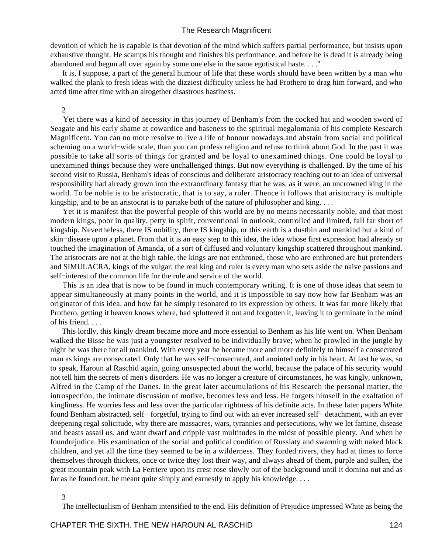devotion of which he is capable is that devotion of the mind which suffers partial performance, but insists upon exhaustive thought. He scamps his thought and finishes his performance, and before he is dead it is already being abandoned and begun all over again by some one else in the same egotistical haste. . . ."

 It is, I suppose, a part of the general humour of life that these words should have been written by a man who walked the plank to fresh ideas with the dizziest difficulty unless he had Prothero to drag him forward, and who acted time after time with an altogether disastrous hastiness.

## 2

 Yet there was a kind of necessity in this journey of Benham's from the cocked hat and wooden sword of Seagate and his early shame at cowardice and baseness to the spiritual megalomania of his complete Research Magnificent. You can no more resolve to live a life of honour nowadays and abstain from social and political scheming on a world−wide scale, than you can profess religion and refuse to think about God. In the past it was possible to take all sorts of things for granted and be loyal to unexamined things. One could be loyal to unexamined things because they were unchallenged things. But now everything is challenged. By the time of his second visit to Russia, Benham's ideas of conscious and deliberate aristocracy reaching out to an idea of universal responsibility had already grown into the extraordinary fantasy that he was, as it were, an uncrowned king in the world. To be noble is to be aristocratic, that is to say, a ruler. Thence it follows that aristocracy is multiple kingship, and to be an aristocrat is to partake both of the nature of philosopher and king. . . .

 Yet it is manifest that the powerful people of this world are by no means necessarily noble, and that most modern kings, poor in quality, petty in spirit, conventional in outlook, controlled and limited, fall far short of kingship. Nevertheless, there IS nobility, there IS kingship, or this earth is a dustbin and mankind but a kind of skin−disease upon a planet. From that it is an easy step to this idea, the idea whose first expression had already so touched the imagination of Amanda, of a sort of diffused and voluntary kingship scattered throughout mankind. The aristocrats are not at the high table, the kings are not enthroned, those who are enthroned are but pretenders and SIMULACRA, kings of the vulgar; the real king and ruler is every man who sets aside the naive passions and self–interest of the common life for the rule and service of the world.

 This is an idea that is now to be found in much contemporary writing. It is one of those ideas that seem to appear simultaneously at many points in the world, and it is impossible to say now how far Benham was an originator of this idea, and how far he simply resonated to its expression by others. It was far more likely that Prothero, getting it heaven knows where, had spluttered it out and forgotten it, leaving it to germinate in the mind of his friend. . . .

 This lordly, this kingly dream became more and more essential to Benham as his life went on. When Benham walked the Bisse he was just a youngster resolved to be individually brave; when he prowled in the jungle by night he was there for all mankind. With every year he became more and more definitely to himself a consecrated man as kings are consecrated. Only that he was self–consecrated, and anointed only in his heart. At last he was, so to speak, Haroun al Raschid again, going unsuspected about the world, because the palace of his security would not tell him the secrets of men's disorders. He was no longer a creature of circumstances, he was kingly, unknown, Alfred in the Camp of the Danes. In the great later accumulations of his Research the personal matter, the introspection, the intimate discussion of motive, becomes less and less. He forgets himself in the exaltation of kingliness. He worries less and less over the particular rightness of his definite acts. In these later papers White found Benham abstracted, self− forgetful, trying to find out with an ever increased self− detachment, with an ever deepening regal solicitude, why there are massacres, wars, tyrannies and persecutions, why we let famine, disease and beasts assail us, and want dwarf and cripple vast multitudes in the midst of possible plenty. And when he foundrejudice. His examination of the social and political condition of Russiaty and swarming with naked black children, and yet all the time they seemed to be in a wilderness. They forded rivers, they had at times to force themselves through thickets, once or twice they lost their way, and always ahead of them, purple and sullen, the great mountain peak with La Ferriere upon its crest rose slowly out of the background until it domina out and as far as he found out, he meant quite simply and earnestly to apply his knowledge. . . .

3

The intellectualism of Benham intensified to the end. His definition of Prejudice impressed White as being the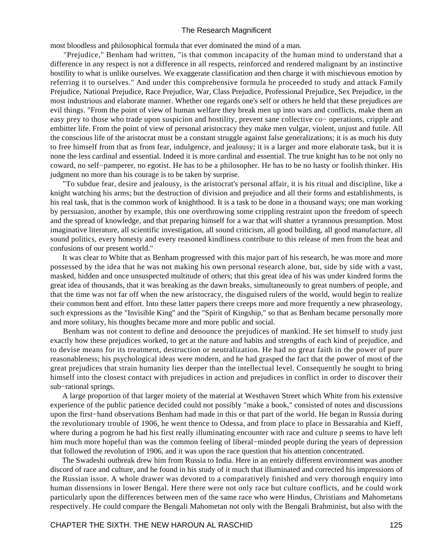most bloodless and philosophical formula that ever dominated the mind of a man.

 "Prejudice," Benham had written, "is that common incapacity of the human mind to understand that a difference in any respect is not a difference in all respects, reinforced and rendered malignant by an instinctive hostility to what is unlike ourselves. We exaggerate classification and then charge it with mischievous emotion by referring it to ourselves." And under this comprehensive formula he proceeded to study and attack Family Prejudice, National Prejudice, Race Prejudice, War, Class Prejudice, Professional Prejudice, Sex Prejudice, in the most industrious and elaborate manner. Whether one regards one's self or others he held that these prejudices are evil things. "From the point of view of human welfare they break men up into wars and conflicts, make them an easy prey to those who trade upon suspicion and hostility, prevent sane collective co− operations, cripple and embitter life. From the point of view of personal aristocracy they make men vulgar, violent, unjust and futile. All the conscious life of the aristocrat must be a constant struggle against false generalizations; it is as much his duty to free himself from that as from fear, indulgence, and jealousy; it is a larger and more elaborate task, but it is none the less cardinal and essential. Indeed it is more cardinal and essential. The true knight has to be not only no coward, no self−pamperer, no egotist. He has to be a philosopher. He has to be no hasty or foolish thinker. His judgment no more than his courage is to be taken by surprise.

 "To subdue fear, desire and jealousy, is the aristocrat's personal affair, it is his ritual and discipline, like a knight watching his arms; but the destruction of division and prejudice and all their forms and establishments, is his real task, that is the common work of knighthood. It is a task to be done in a thousand ways; one man working by persuasion, another by example, this one overthrowing some crippling restraint upon the freedom of speech and the spread of knowledge, and that preparing himself for a war that will shatter a tyrannous presumption. Most imaginative literature, all scientific investigation, all sound criticism, all good building, all good manufacture, all sound politics, every honesty and every reasoned kindliness contribute to this release of men from the heat and confusions of our present world."

 It was clear to White that as Benham progressed with this major part of his research, he was more and more possessed by the idea that he was not making his own personal research alone, but, side by side with a vast, masked, hidden and once unsuspected multitude of others; that this great idea of his was under kindred forms the great idea of thousands, that it was breaking as the dawn breaks, simultaneously to great numbers of people, and that the time was not far off when the new aristocracy, the disguised rulers of the world, would begin to realize their common bent and effort. Into these latter papers there creeps more and more frequently a new phraseology, such expressions as the "Invisible King" and the "Spirit of Kingship," so that as Benham became personally more and more solitary, his thoughts became more and more public and social.

 Benham was not content to define and denounce the prejudices of mankind. He set himself to study just exactly how these prejudices worked, to get at the nature and habits and strengths of each kind of prejudice, and to devise means for its treatment, destruction or neutralization. He had no great faith in the power of pure reasonableness; his psychological ideas were modern, and he had grasped the fact that the power of most of the great prejudices that strain humanity lies deeper than the intellectual level. Consequently he sought to bring himself into the closest contact with prejudices in action and prejudices in conflict in order to discover their sub−rational springs.

 A large proportion of that larger moiety of the material at Westhaven Street which White from his extensive experience of the public patience decided could not possibly "make a book," consisted of notes and discussions upon the first−hand observations Benham had made in this or that part of the world. He began in Russia during the revolutionary trouble of 1906, he went thence to Odessa, and from place to place in Bessarabia and Kieff, where during a pogrom he had his first really illuminating encounter with race and culture p seems to have left him much more hopeful than was the common feeling of liberal−minded people during the years of depression that followed the revolution of 1906, and it was upon the race question that his attention concentrated.

 The Swadeshi outbreak drew him from Russia to India. Here in an entirely different environment was another discord of race and culture, and he found in his study of it much that illuminated and corrected his impressions of the Russian issue. A whole drawer was devoted to a comparatively finished and very thorough enquiry into human dissensions in lower Bengal. Here there were not only race but culture conflicts, and he could work particularly upon the differences between men of the same race who were Hindus, Christians and Mahometans respectively. He could compare the Bengali Mahometan not only with the Bengali Brahminist, but also with the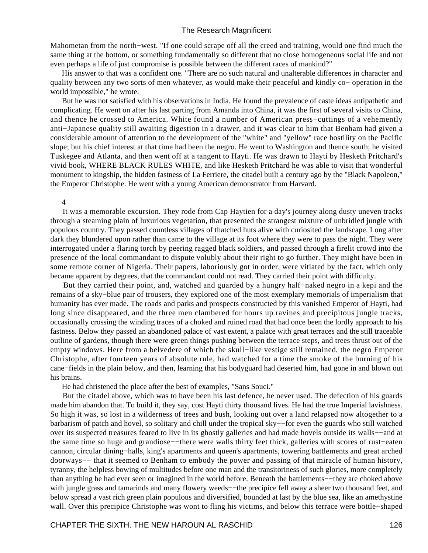Mahometan from the north−west. "If one could scrape off all the creed and training, would one find much the same thing at the bottom, or something fundamentally so different that no close homogeneous social life and not even perhaps a life of just compromise is possible between the different races of mankind?"

 His answer to that was a confident one. "There are no such natural and unalterable differences in character and quality between any two sorts of men whatever, as would make their peaceful and kindly co− operation in the world impossible," he wrote.

 But he was not satisfied with his observations in India. He found the prevalence of caste ideas antipathetic and complicating. He went on after his last parting from Amanda into China, it was the first of several visits to China, and thence he crossed to America. White found a number of American press−cuttings of a vehemently anti−Japanese quality still awaiting digestion in a drawer, and it was clear to him that Benham had given a considerable amount of attention to the development of the "white" and "yellow" race hostility on the Pacific slope; but his chief interest at that time had been the negro. He went to Washington and thence south; he visited Tuskegee and Atlanta, and then went off at a tangent to Hayti. He was drawn to Hayti by Hesketh Pritchard's vivid book, WHERE BLACK RULES WHITE, and like Hesketh Pritchard he was able to visit that wonderful monument to kingship, the hidden fastness of La Ferriere, the citadel built a century ago by the "Black Napoleon," the Emperor Christophe. He went with a young American demonstrator from Harvard.

4

 It was a memorable excursion. They rode from Cap Haytien for a day's journey along dusty uneven tracks through a steaming plain of luxurious vegetation, that presented the strangest mixture of unbridled jungle with populous country. They passed countless villages of thatched huts alive with curiosited the landscape. Long after dark they blundered upon rather than came to the village at its foot where they were to pass the night. They were interrogated under a flaring torch by peering ragged black soldiers, and passed through a firelit crowd into the presence of the local commandant to dispute volubly about their right to go further. They might have been in some remote corner of Nigeria. Their papers, laboriously got in order, were vitiated by the fact, which only became apparent by degrees, that the commandant could not read. They carried their point with difficulty.

 But they carried their point, and, watched and guarded by a hungry half−naked negro in a kepi and the remains of a sky−blue pair of trousers, they explored one of the most exemplary memorials of imperialism that humanity has ever made. The roads and parks and prospects constructed by this vanished Emperor of Hayti, had long since disappeared, and the three men clambered for hours up ravines and precipitous jungle tracks, occasionally crossing the winding traces of a choked and ruined road that had once been the lordly approach to his fastness. Below they passed an abandoned palace of vast extent, a palace with great terraces and the still traceable outline of gardens, though there were green things pushing between the terrace steps, and trees thrust out of the empty windows. Here from a belvedere of which the skull−like vestige still remained, the negro Emperor Christophe, after fourteen years of absolute rule, had watched for a time the smoke of the burning of his cane−fields in the plain below, and then, learning that his bodyguard had deserted him, had gone in and blown out his brains.

He had christened the place after the best of examples, "Sans Souci."

 But the citadel above, which was to have been his last defence, he never used. The defection of his guards made him abandon that. To build it, they say, cost Hayti thirty thousand lives. He had the true Imperial lavishness. So high it was, so lost in a wilderness of trees and bush, looking out over a land relapsed now altogether to a barbarism of patch and hovel, so solitary and chill under the tropical sky−−for even the guards who still watched over its suspected treasures feared to live in its ghostly galleries and had made hovels outside its walls−−and at the same time so huge and grandiose−−there were walls thirty feet thick, galleries with scores of rust−eaten cannon, circular dining−halls, king's apartments and queen's apartments, towering battlements and great arched doorways−− that it seemed to Benham to embody the power and passing of that miracle of human history, tyranny, the helpless bowing of multitudes before one man and the transitoriness of such glories, more completely than anything he had ever seen or imagined in the world before. Beneath the battlements−−they are choked above with jungle grass and tamarinds and many flowery weeds—the precipice fell away a sheer two thousand feet, and below spread a vast rich green plain populous and diversified, bounded at last by the blue sea, like an amethystine wall. Over this precipice Christophe was wont to fling his victims, and below this terrace were bottle−shaped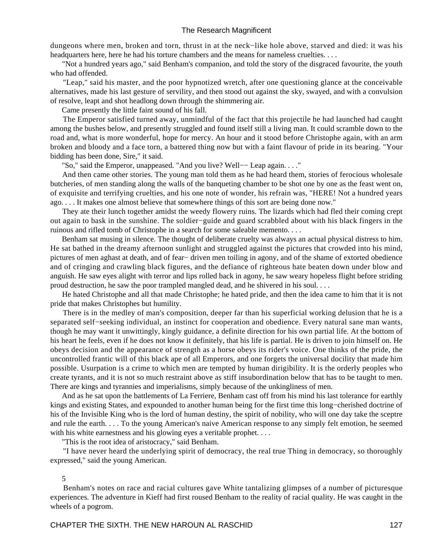dungeons where men, broken and torn, thrust in at the neck−like hole above, starved and died: it was his headquarters here, here he had his torture chambers and the means for nameless cruelties. . . .

 "Not a hundred years ago," said Benham's companion, and told the story of the disgraced favourite, the youth who had offended.

 "Leap," said his master, and the poor hypnotized wretch, after one questioning glance at the conceivable alternatives, made his last gesture of servility, and then stood out against the sky, swayed, and with a convulsion of resolve, leapt and shot headlong down through the shimmering air.

Came presently the little faint sound of his fall.

 The Emperor satisfied turned away, unmindful of the fact that this projectile he had launched had caught among the bushes below, and presently struggled and found itself still a living man. It could scramble down to the road and, what is more wonderful, hope for mercy. An hour and it stood before Christophe again, with an arm broken and bloody and a face torn, a battered thing now but with a faint flavour of pride in its bearing. "Your bidding has been done, Sire," it said.

"So," said the Emperor, unappeased. "And you live? Well−− Leap again. . . ."

 And then came other stories. The young man told them as he had heard them, stories of ferocious wholesale butcheries, of men standing along the walls of the banqueting chamber to be shot one by one as the feast went on, of exquisite and terrifying cruelties, and his one note of wonder, his refrain was, "HERE! Not a hundred years ago. . . . It makes one almost believe that somewhere things of this sort are being done now."

 They ate their lunch together amidst the weedy flowery ruins. The lizards which had fled their coming crept out again to bask in the sunshine. The soldier−guide and guard scrabbled about with his black fingers in the ruinous and rifled tomb of Christophe in a search for some saleable memento. . . .

 Benham sat musing in silence. The thought of deliberate cruelty was always an actual physical distress to him. He sat bathed in the dreamy afternoon sunlight and struggled against the pictures that crowded into his mind, pictures of men aghast at death, and of fear− driven men toiling in agony, and of the shame of extorted obedience and of cringing and crawling black figures, and the defiance of righteous hate beaten down under blow and anguish. He saw eyes alight with terror and lips rolled back in agony, he saw weary hopeless flight before striding proud destruction, he saw the poor trampled mangled dead, and he shivered in his soul. . . .

 He hated Christophe and all that made Christophe; he hated pride, and then the idea came to him that it is not pride that makes Christophes but humility.

 There is in the medley of man's composition, deeper far than his superficial working delusion that he is a separated self−seeking individual, an instinct for cooperation and obedience. Every natural sane man wants, though he may want it unwittingly, kingly guidance, a definite direction for his own partial life. At the bottom of his heart he feels, even if he does not know it definitely, that his life is partial. He is driven to join himself on. He obeys decision and the appearance of strength as a horse obeys its rider's voice. One thinks of the pride, the uncontrolled frantic will of this black ape of all Emperors, and one forgets the universal docility that made him possible. Usurpation is a crime to which men are tempted by human dirigibility. It is the orderly peoples who create tyrants, and it is not so much restraint above as stiff insubordination below that has to be taught to men. There are kings and tyrannies and imperialisms, simply because of the unkingliness of men.

 And as he sat upon the battlements of La Ferriere, Benham cast off from his mind his last tolerance for earthly kings and existing States, and expounded to another human being for the first time this long−cherished doctrine of his of the Invisible King who is the lord of human destiny, the spirit of nobility, who will one day take the sceptre and rule the earth. . . . To the young American's naive American response to any simply felt emotion, he seemed with his white earnestness and his glowing eyes a veritable prophet....

"This is the root idea of aristocracy," said Benham.

 "I have never heard the underlying spirit of democracy, the real true Thing in democracy, so thoroughly expressed," said the young American.

## 5

 Benham's notes on race and racial cultures gave White tantalizing glimpses of a number of picturesque experiences. The adventure in Kieff had first roused Benham to the reality of racial quality. He was caught in the wheels of a pogrom.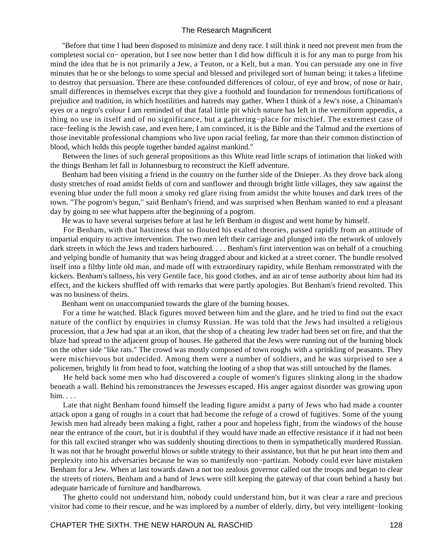"Before that time I had been disposed to minimize and deny race. I still think it need not prevent men from the completest social co− operation, but I see now better than I did how difficult it is for any man to purge from his mind the idea that he is not primarily a Jew, a Teuton, or a Kelt, but a man. You can persuade any one in five minutes that he or she belongs to some special and blessed and privileged sort of human being; it takes a lifetime to destroy that persuasion. There are these confounded differences of colour, of eye and brow, of nose or hair, small differences in themselves except that they give a foothold and foundation for tremendous fortifications of prejudice and tradition, in which hostilities and hatreds may gather. When I think of a Jew's nose, a Chinaman's eyes or a negro's colour I am reminded of that fatal little pit which nature has left in the vermiform appendix, a thing no use in itself and of no significance, but a gathering−place for mischief. The extremest case of race−feeling is the Jewish case, and even here, I am convinced, it is the Bible and the Talmud and the exertions of those inevitable professional champions who live upon racial feeling, far more than their common distinction of blood, which holds this people together banded against mankind."

 Between the lines of such general propositions as this White read little scraps of intimation that linked with the things Benham let fall in Johannesburg to reconstruct the Kieff adventure.

 Benham had been visiting a friend in the country on the further side of the Dnieper. As they drove back along dusty stretches of road amidst fields of corn and sunflower and through bright little villages, they saw against the evening blue under the full moon a smoky red glare rising from amidst the white houses and dark trees of the town. "The pogrom's begun," said Benham's friend, and was surprised when Benham wanted to end a pleasant day by going to see what happens after the beginning of a pogrom.

He was to have several surprises before at last he left Benham in disgust and went home by himself.

 For Benham, with that hastiness that so flouted his exalted theories, passed rapidly from an attitude of impartial enquiry to active intervention. The two men left their carriage and plunged into the network of unlovely dark streets in which the Jews and traders harboured. . . . Benham's first intervention was on behalf of a crouching and yelping bundle of humanity that was being dragged about and kicked at a street corner. The bundle resolved itself into a filthy little old man, and made off with extraordinary rapidity, while Benham remonstrated with the kickers. Benham's tallness, his very Gentile face, his good clothes, and an air of tense authority about him had its effect, and the kickers shuffled off with remarks that were partly apologies. But Benham's friend revolted. This was no business of theirs.

Benham went on unaccompanied towards the glare of the burning houses.

 For a time he watched. Black figures moved between him and the glare, and he tried to find out the exact nature of the conflict by enquiries in clumsy Russian. He was told that the Jews had insulted a religious procession, that a Jew had spat at an ikon, that the shop of a cheating Jew trader had been set on fire, and that the blaze had spread to the adjacent group of houses. He gathered that the Jews were running out of the burning block on the other side "like rats." The crowd was mostly composed of town roughs with a sprinkling of peasants. They were mischievous but undecided. Among them were a number of soldiers, and he was surprised to see a policemen, brightly lit from head to foot, watching the looting of a shop that was still untouched by the flames.

 He held back some men who had discovered a couple of women's figures slinking along in the shadow beneath a wall. Behind his remonstrances the Jewesses escaped. His anger against disorder was growing upon him. . . .

 Late that night Benham found himself the leading figure amidst a party of Jews who had made a counter attack upon a gang of roughs in a court that had become the refuge of a crowd of fugitives. Some of the young Jewish men had already been making a fight, rather a poor and hopeless fight, from the windows of the house near the entrance of the court, but it is doubtful if they would have made an effective resistance if it had not been for this tall excited stranger who was suddenly shouting directions to them in sympathetically murdered Russian. It was not that he brought powerful blows or subtle strategy to their assistance, but that he put heart into them and perplexity into his adversaries because he was so manifestly non−partizan. Nobody could ever have mistaken Benham for a Jew. When at last towards dawn a not too zealous governor called out the troops and began to clear the streets of rioters, Benham and a band of Jews were still keeping the gateway of that court behind a hasty but adequate barricade of furniture and handbarrows.

 The ghetto could not understand him, nobody could understand him, but it was clear a rare and precious visitor had come to their rescue, and he was implored by a number of elderly, dirty, but very intelligent−looking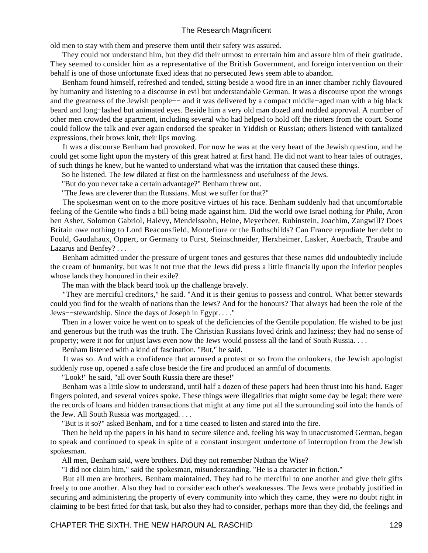old men to stay with them and preserve them until their safety was assured.

 They could not understand him, but they did their utmost to entertain him and assure him of their gratitude. They seemed to consider him as a representative of the British Government, and foreign intervention on their behalf is one of those unfortunate fixed ideas that no persecuted Jews seem able to abandon.

 Benham found himself, refreshed and tended, sitting beside a wood fire in an inner chamber richly flavoured by humanity and listening to a discourse in evil but understandable German. It was a discourse upon the wrongs and the greatness of the Jewish people−− and it was delivered by a compact middle−aged man with a big black beard and long−lashed but animated eyes. Beside him a very old man dozed and nodded approval. A number of other men crowded the apartment, including several who had helped to hold off the rioters from the court. Some could follow the talk and ever again endorsed the speaker in Yiddish or Russian; others listened with tantalized expressions, their brows knit, their lips moving.

 It was a discourse Benham had provoked. For now he was at the very heart of the Jewish question, and he could get some light upon the mystery of this great hatred at first hand. He did not want to hear tales of outrages, of such things he knew, but he wanted to understand what was the irritation that caused these things.

So he listened. The Jew dilated at first on the harmlessness and usefulness of the Jews.

"But do you never take a certain advantage?" Benham threw out.

"The Jews are cleverer than the Russians. Must we suffer for that?"

 The spokesman went on to the more positive virtues of his race. Benham suddenly had that uncomfortable feeling of the Gentile who finds a bill being made against him. Did the world owe Israel nothing for Philo, Aron ben Asher, Solomon Gabriol, Halevy, Mendelssohn, Heine, Meyerbeer, Rubinstein, Joachim, Zangwill? Does Britain owe nothing to Lord Beaconsfield, Montefiore or the Rothschilds? Can France repudiate her debt to Fould, Gaudahaux, Oppert, or Germany to Furst, Steinschneider, Herxheimer, Lasker, Auerbach, Traube and Lazarus and Benfey? . . .

 Benham admitted under the pressure of urgent tones and gestures that these names did undoubtedly include the cream of humanity, but was it not true that the Jews did press a little financially upon the inferior peoples whose lands they honoured in their exile?

The man with the black beard took up the challenge bravely.

 "They are merciful creditors," he said. "And it is their genius to possess and control. What better stewards could you find for the wealth of nations than the Jews? And for the honours? That always had been the role of the Jews−−stewardship. Since the days of Joseph in Egypt. . . ."

 Then in a lower voice he went on to speak of the deficiencies of the Gentile population. He wished to be just and generous but the truth was the truth. The Christian Russians loved drink and laziness; they had no sense of property; were it not for unjust laws even now the Jews would possess all the land of South Russia. . . .

Benham listened with a kind of fascination. "But," he said.

 It was so. And with a confidence that aroused a protest or so from the onlookers, the Jewish apologist suddenly rose up, opened a safe close beside the fire and produced an armful of documents.

"Look!" he said, "all over South Russia there are these!"

 Benham was a little slow to understand, until half a dozen of these papers had been thrust into his hand. Eager fingers pointed, and several voices spoke. These things were illegalities that might some day be legal; there were the records of loans and hidden transactions that might at any time put all the surrounding soil into the hands of the Jew. All South Russia was mortgaged. . . .

"But is it so?" asked Benham, and for a time ceased to listen and stared into the fire.

 Then he held up the papers in his hand to secure silence and, feeling his way in unaccustomed German, began to speak and continued to speak in spite of a constant insurgent undertone of interruption from the Jewish spokesman.

All men, Benham said, were brothers. Did they not remember Nathan the Wise?

"I did not claim him," said the spokesman, misunderstanding. "He is a character in fiction."

 But all men are brothers, Benham maintained. They had to be merciful to one another and give their gifts freely to one another. Also they had to consider each other's weaknesses. The Jews were probably justified in securing and administering the property of every community into which they came, they were no doubt right in claiming to be best fitted for that task, but also they had to consider, perhaps more than they did, the feelings and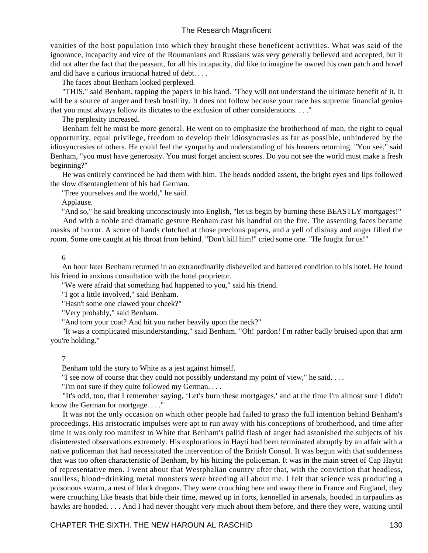vanities of the host population into which they brought these beneficent activities. What was said of the ignorance, incapacity and vice of the Roumanians and Russians was very generally believed and accepted, but it did not alter the fact that the peasant, for all his incapacity, did like to imagine he owned his own patch and hovel and did have a curious irrational hatred of debt. . . .

The faces about Benham looked perplexed.

 "THIS," said Benham, tapping the papers in his hand. "They will not understand the ultimate benefit of it. It will be a source of anger and fresh hostility. It does not follow because your race has supreme financial genius that you must always follow its dictates to the exclusion of other considerations. . . ."

The perplexity increased.

 Benham felt he must be more general. He went on to emphasize the brotherhood of man, the right to equal opportunity, equal privilege, freedom to develop their idiosyncrasies as far as possible, unhindered by the idiosyncrasies of others. He could feel the sympathy and understanding of his hearers returning. "You see," said Benham, "you must have generosity. You must forget ancient scores. Do you not see the world must make a fresh beginning?"

 He was entirely convinced he had them with him. The heads nodded assent, the bright eyes and lips followed the slow disentanglement of his bad German.

"Free yourselves and the world," he said.

Applause.

"And so," he said breaking unconsciously into English, "let us begin by burning these BEASTLY mortgages!"

 And with a noble and dramatic gesture Benham cast his handful on the fire. The assenting faces became masks of horror. A score of hands clutched at those precious papers, and a yell of dismay and anger filled the room. Some one caught at his throat from behind. "Don't kill him!" cried some one. "He fought for us!"

## 6

 An hour later Benham returned in an extraordinarily dishevelled and battered condition to his hotel. He found his friend in anxious consultation with the hotel proprietor.

"We were afraid that something had happened to you," said his friend.

"I got a little involved," said Benham.

"Hasn't some one clawed your cheek?"

"Very probably," said Benham.

"And torn your coat? And hit you rather heavily upon the neck?"

 "It was a complicated misunderstanding," said Benham. "Oh! pardon! I'm rather badly bruised upon that arm you're holding."

## 7

Benham told the story to White as a jest against himself.

"I see now of course that they could not possibly understand my point of view," he said. . . .

"I'm not sure if they quite followed my German. . . .

 "It's odd, too, that I remember saying, 'Let's burn these mortgages,' and at the time I'm almost sure I didn't know the German for mortgage. . . ."

 It was not the only occasion on which other people had failed to grasp the full intention behind Benham's proceedings. His aristocratic impulses were apt to run away with his conceptions of brotherhood, and time after time it was only too manifest to White that Benham's pallid flash of anger had astonished the subjects of his disinterested observations extremely. His explorations in Hayti had been terminated abruptly by an affair with a native policeman that had necessitated the intervention of the British Consul. It was begun with that suddenness that was too often characteristic of Benham, by his hitting the policeman. It was in the main street of Cap Haytit of representative men. I went about that Westphalian country after that, with the conviction that headless, soulless, blood−drinking metal monsters were breeding all about me. I felt that science was producing a poisonous swarm, a nest of black dragons. They were crouching here and away there in France and England, they were crouching like beasts that bide their time, mewed up in forts, kennelled in arsenals, hooded in tarpaulins as hawks are hooded. . . . And I had never thought very much about them before, and there they were, waiting until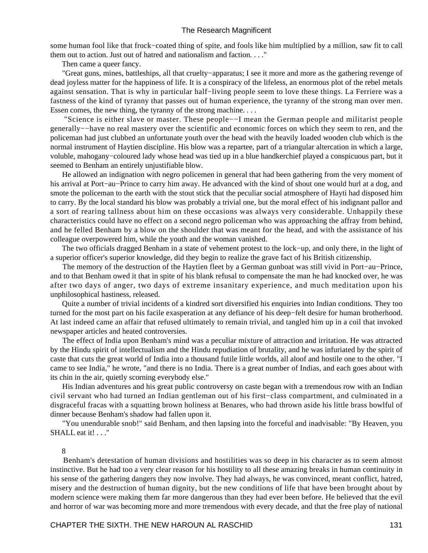some human fool like that frock−coated thing of spite, and fools like him multiplied by a million, saw fit to call them out to action. Just out of hatred and nationalism and faction. . . ."

Then came a queer fancy.

 "Great guns, mines, battleships, all that cruelty−apparatus; I see it more and more as the gathering revenge of dead joyless matter for the happiness of life. It is a conspiracy of the lifeless, an enormous plot of the rebel metals against sensation. That is why in particular half−living people seem to love these things. La Ferriere was a fastness of the kind of tyranny that passes out of human experience, the tyranny of the strong man over men. Essen comes, the new thing, the tyranny of the strong machine. . . .

 "Science is either slave or master. These people−−I mean the German people and militarist people generally−−have no real mastery over the scientific and economic forces on which they seem to ren, and the policeman had just clubbed an unfortunate youth over the head with the heavily loaded wooden club which is the normal instrument of Haytien discipline. His blow was a repartee, part of a triangular altercation in which a large, voluble, mahogany−coloured lady whose head was tied up in a blue handkerchief played a conspicuous part, but it seemed to Benham an entirely unjustifiable blow.

 He allowed an indignation with negro policemen in general that had been gathering from the very moment of his arrival at Port−au−Prince to carry him away. He advanced with the kind of shout one would hurl at a dog, and smote the policeman to the earth with the stout stick that the peculiar social atmosphere of Hayti had disposed him to carry. By the local standard his blow was probably a trivial one, but the moral effect of his indignant pallor and a sort of rearing tallness about him on these occasions was always very considerable. Unhappily these characteristics could have no effect on a second negro policeman who was approaching the affray from behind, and he felled Benham by a blow on the shoulder that was meant for the head, and with the assistance of his colleague overpowered him, while the youth and the woman vanished.

 The two officials dragged Benham in a state of vehement protest to the lock−up, and only there, in the light of a superior officer's superior knowledge, did they begin to realize the grave fact of his British citizenship.

 The memory of the destruction of the Haytien fleet by a German gunboat was still vivid in Port−au−Prince, and to that Benham owed it that in spite of his blank refusal to compensate the man he had knocked over, he was after two days of anger, two days of extreme insanitary experience, and much meditation upon his unphilosophical hastiness, released.

 Quite a number of trivial incidents of a kindred sort diversified his enquiries into Indian conditions. They too turned for the most part on his facile exasperation at any defiance of his deep−felt desire for human brotherhood. At last indeed came an affair that refused ultimately to remain trivial, and tangled him up in a coil that invoked newspaper articles and heated controversies.

 The effect of India upon Benham's mind was a peculiar mixture of attraction and irritation. He was attracted by the Hindu spirit of intellectualism and the Hindu repudiation of brutality, and he was infuriated by the spirit of caste that cuts the great world of India into a thousand futile little worlds, all aloof and hostile one to the other. "I came to see India," he wrote, "and there is no India. There is a great number of Indias, and each goes about with its chin in the air, quietly scorning everybody else."

His Indian adventures and his great public controversy on caste began with a tremendous row with an Indian civil servant who had turned an Indian gentleman out of his first−class compartment, and culminated in a disgraceful fracas with a squatting brown holiness at Benares, who had thrown aside his little brass bowlful of dinner because Benham's shadow had fallen upon it.

 "You unendurable snob!" said Benham, and then lapsing into the forceful and inadvisable: "By Heaven, you SHALL eat it! . . ."

#### 8

 Benham's detestation of human divisions and hostilities was so deep in his character as to seem almost instinctive. But he had too a very clear reason for his hostility to all these amazing breaks in human continuity in his sense of the gathering dangers they now involve. They had always, he was convinced, meant conflict, hatred, misery and the destruction of human dignity, but the new conditions of life that have been brought about by modern science were making them far more dangerous than they had ever been before. He believed that the evil and horror of war was becoming more and more tremendous with every decade, and that the free play of national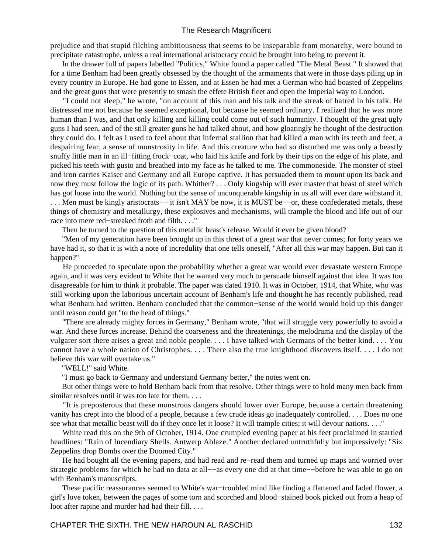prejudice and that stupid filching ambitiousness that seems to be inseparable from monarchy, were bound to precipitate catastrophe, unless a real international aristocracy could be brought into being to prevent it.

 In the drawer full of papers labelled "Politics," White found a paper called "The Metal Beast." It showed that for a time Benham had been greatly obsessed by the thought of the armaments that were in those days piling up in every country in Europe. He had gone to Essen, and at Essen he had met a German who had boasted of Zeppelins and the great guns that were presently to smash the effete British fleet and open the Imperial way to London.

 "I could not sleep," he wrote, "on account of this man and his talk and the streak of hatred in his talk. He distressed me not because he seemed exceptional, but because he seemed ordinary. I realized that he was more human than I was, and that only killing and killing could come out of such humanity. I thought of the great ugly guns I had seen, and of the still greater guns he had talked about, and how gloatingly he thought of the destruction they could do. I felt as I used to feel about that infernal stallion that had killed a man with its teeth and feet, a despairing fear, a sense of monstrosity in life. And this creature who had so disturbed me was only a beastly snuffy little man in an ill−fitting frock−coat, who laid his knife and fork by their tips on the edge of his plate, and picked his teeth with gusto and breathed into my face as he talked to me. The commoneside. The monster of steel and iron carries Kaiser and Germany and all Europe captive. It has persuaded them to mount upon its back and now they must follow the logic of its path. Whither? . . . Only kingship will ever master that beast of steel which has got loose into the world. Nothing but the sense of unconquerable kingship in us all will ever dare withstand it. ... Men must be kingly aristocrats-− it isn't MAY be now, it is MUST be-–or, these confederated metals, these things of chemistry and metallurgy, these explosives and mechanisms, will trample the blood and life out of our race into mere red−streaked froth and filth. . . ."

Then he turned to the question of this metallic beast's release. Would it ever be given blood?

 "Men of my generation have been brought up in this threat of a great war that never comes; for forty years we have had it, so that it is with a note of incredulity that one tells oneself, "After all this war may happen. But can it happen?"

 He proceeded to speculate upon the probability whether a great war would ever devastate western Europe again, and it was very evident to White that he wanted very much to persuade himself against that idea. It was too disagreeable for him to think it probable. The paper was dated 1910. It was in October, 1914, that White, who was still working upon the laborious uncertain account of Benham's life and thought he has recently published, read what Benham had written. Benham concluded that the common−sense of the world would hold up this danger until reason could get "to the head of things."

 "There are already mighty forces in Germany," Benham wrote, "that will struggle very powerfully to avoid a war. And these forces increase. Behind the coarseness and the threatenings, the melodrama and the display of the vulgarer sort there arises a great and noble people. . . . I have talked with Germans of the better kind. . . . You cannot have a whole nation of Christophes. . . . There also the true knighthood discovers itself. . . . I do not believe this war will overtake us."

"WELL!" said White.

"I must go back to Germany and understand Germany better," the notes went on.

 But other things were to hold Benham back from that resolve. Other things were to hold many men back from similar resolves until it was too late for them. . . .

 "It is preposterous that these monstrous dangers should lower over Europe, because a certain threatening vanity has crept into the blood of a people, because a few crude ideas go inadequately controlled. . . . Does no one see what that metallic beast will do if they once let it loose? It will trample cities; it will devour nations. . . ."

 White read this on the 9th of October, 1914. One crumpled evening paper at his feet proclaimed in startled headlines: "Rain of Incendiary Shells. Antwerp Ablaze." Another declared untruthfully but impressively: "Six Zeppelins drop Bombs over the Doomed City."

He had bought all the evening papers, and had read and re–read them and turned up maps and worried over strategic problems for which he had no data at all−−as every one did at that time−−before he was able to go on with Benham's manuscripts.

 These pacific reassurances seemed to White's war−troubled mind like finding a flattened and faded flower, a girl's love token, between the pages of some torn and scorched and blood−stained book picked out from a heap of loot after rapine and murder had had their fill. . . .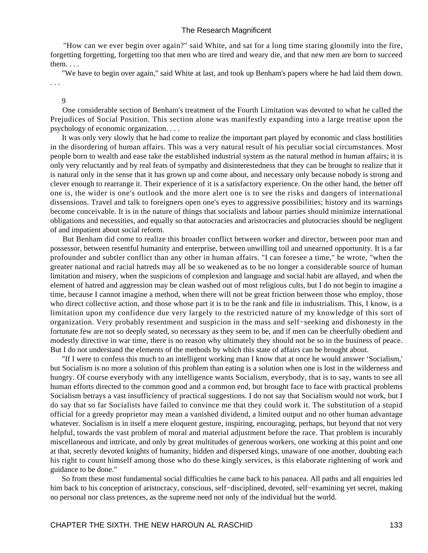"How can we ever begin over again?" said White, and sat for a long time staring gloomily into the fire, forgetting forgetting, forgetting too that men who are tired and weary die, and that new men are born to succeed them. . . .

 "We have to begin over again," said White at last, and took up Benham's papers where he had laid them down. . . .

#### 9

 One considerable section of Benham's treatment of the Fourth Limitation was devoted to what he called the Prejudices of Social Position. This section alone was manifestly expanding into a large treatise upon the psychology of economic organization. . . .

 It was only very slowly that he had come to realize the important part played by economic and class hostilities in the disordering of human affairs. This was a very natural result of his peculiar social circumstances. Most people born to wealth and ease take the established industrial system as the natural method in human affairs; it is only very reluctantly and by real feats of sympathy and disinterestedness that they can be brought to realize that it is natural only in the sense that it has grown up and come about, and necessary only because nobody is strong and clever enough to rearrange it. Their experience of it is a satisfactory experience. On the other hand, the better off one is, the wider is one's outlook and the more alert one is to see the risks and dangers of international dissensions. Travel and talk to foreigners open one's eyes to aggressive possibilities; history and its warnings become conceivable. It is in the nature of things that socialists and labour parties should minimize international obligations and necessities, and equally so that autocracies and aristocracies and plutocracies should be negligent of and impatient about social reform.

 But Benham did come to realize this broader conflict between worker and director, between poor man and possessor, between resentful humanity and enterprise, between unwilling toil and unearned opportunity. It is a far profounder and subtler conflict than any other in human affairs. "I can foresee a time," he wrote, "when the greater national and racial hatreds may all be so weakened as to be no longer a considerable source of human limitation and misery, when the suspicions of complexion and language and social habit are allayed, and when the element of hatred and aggression may be clean washed out of most religious cults, but I do not begin to imagine a time, because I cannot imagine a method, when there will not be great friction between those who employ, those who direct collective action, and those whose part it is to be the rank and file in industrialism. This, I know, is a limitation upon my confidence due very largely to the restricted nature of my knowledge of this sort of organization. Very probably resentment and suspicion in the mass and self−seeking and dishonesty in the fortunate few are not so deeply seated, so necessary as they seem to be, and if men can be cheerfully obedient and modestly directive in war time, there is no reason why ultimately they should not be so in the business of peace. But I do not understand the elements of the methods by which this state of affairs can be brought about.

 "If I were to confess this much to an intelligent working man I know that at once he would answer 'Socialism,' but Socialism is no more a solution of this problem than eating is a solution when one is lost in the wilderness and hungry. Of course everybody with any intelligence wants Socialism, everybody, that is to say, wants to see all human efforts directed to the common good and a common end, but brought face to face with practical problems Socialism betrays a vast insufficiency of practical suggestions. I do not say that Socialism would not work, but I do say that so far Socialists have failed to convince me that they could work it. The substitution of a stupid official for a greedy proprietor may mean a vanished dividend, a limited output and no other human advantage whatever. Socialism is in itself a mere eloquent gesture, inspiring, encouraging, perhaps, but beyond that not very helpful, towards the vast problem of moral and material adjustment before the race. That problem is incurably miscellaneous and intricate, and only by great multitudes of generous workers, one working at this point and one at that, secretly devoted knights of humanity, hidden and dispersed kings, unaware of one another, doubting each his right to count himself among those who do these kingly services, is this elaborate rightening of work and guidance to be done."

 So from these most fundamental social difficulties he came back to his panacea. All paths and all enquiries led him back to his conception of aristocracy, conscious, self−disciplined, devoted, self−examining yet secret, making no personal nor class pretences, as the supreme need not only of the individual but the world.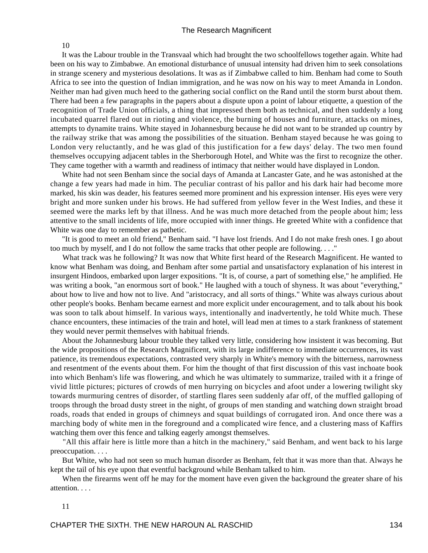10

 It was the Labour trouble in the Transvaal which had brought the two schoolfellows together again. White had been on his way to Zimbabwe. An emotional disturbance of unusual intensity had driven him to seek consolations in strange scenery and mysterious desolations. It was as if Zimbabwe called to him. Benham had come to South Africa to see into the question of Indian immigration, and he was now on his way to meet Amanda in London. Neither man had given much heed to the gathering social conflict on the Rand until the storm burst about them. There had been a few paragraphs in the papers about a dispute upon a point of labour etiquette, a question of the recognition of Trade Union officials, a thing that impressed them both as technical, and then suddenly a long incubated quarrel flared out in rioting and violence, the burning of houses and furniture, attacks on mines, attempts to dynamite trains. White stayed in Johannesburg because he did not want to be stranded up country by the railway strike that was among the possibilities of the situation. Benham stayed because he was going to London very reluctantly, and he was glad of this justification for a few days' delay. The two men found themselves occupying adjacent tables in the Sherborough Hotel, and White was the first to recognize the other. They came together with a warmth and readiness of intimacy that neither would have displayed in London.

 White had not seen Benham since the social days of Amanda at Lancaster Gate, and he was astonished at the change a few years had made in him. The peculiar contrast of his pallor and his dark hair had become more marked, his skin was deader, his features seemed more prominent and his expression intenser. His eyes were very bright and more sunken under his brows. He had suffered from yellow fever in the West Indies, and these it seemed were the marks left by that illness. And he was much more detached from the people about him; less attentive to the small incidents of life, more occupied with inner things. He greeted White with a confidence that White was one day to remember as pathetic.

 "It is good to meet an old friend," Benham said. "I have lost friends. And I do not make fresh ones. I go about too much by myself, and I do not follow the same tracks that other people are following. . . ."

 What track was he following? It was now that White first heard of the Research Magnificent. He wanted to know what Benham was doing, and Benham after some partial and unsatisfactory explanation of his interest in insurgent Hindoos, embarked upon larger expositions. "It is, of course, a part of something else," he amplified. He was writing a book, "an enormous sort of book." He laughed with a touch of shyness. It was about "everything," about how to live and how not to live. And "aristocracy, and all sorts of things." White was always curious about other people's books. Benham became earnest and more explicit under encouragement, and to talk about his book was soon to talk about himself. In various ways, intentionally and inadvertently, he told White much. These chance encounters, these intimacies of the train and hotel, will lead men at times to a stark frankness of statement they would never permit themselves with habitual friends.

 About the Johannesburg labour trouble they talked very little, considering how insistent it was becoming. But the wide propositions of the Research Magnificent, with its large indifference to immediate occurrences, its vast patience, its tremendous expectations, contrasted very sharply in White's memory with the bitterness, narrowness and resentment of the events about them. For him the thought of that first discussion of this vast inchoate book into which Benham's life was flowering, and which he was ultimately to summarize, trailed with it a fringe of vivid little pictures; pictures of crowds of men hurrying on bicycles and afoot under a lowering twilight sky towards murmuring centres of disorder, of startling flares seen suddenly afar off, of the muffled galloping of troops through the broad dusty street in the night, of groups of men standing and watching down straight broad roads, roads that ended in groups of chimneys and squat buildings of corrugated iron. And once there was a marching body of white men in the foreground and a complicated wire fence, and a clustering mass of Kaffirs watching them over this fence and talking eagerly amongst themselves.

 "All this affair here is little more than a hitch in the machinery," said Benham, and went back to his large preoccupation. . . .

 But White, who had not seen so much human disorder as Benham, felt that it was more than that. Always he kept the tail of his eye upon that eventful background while Benham talked to him.

 When the firearms went off he may for the moment have even given the background the greater share of his attention. . . .

11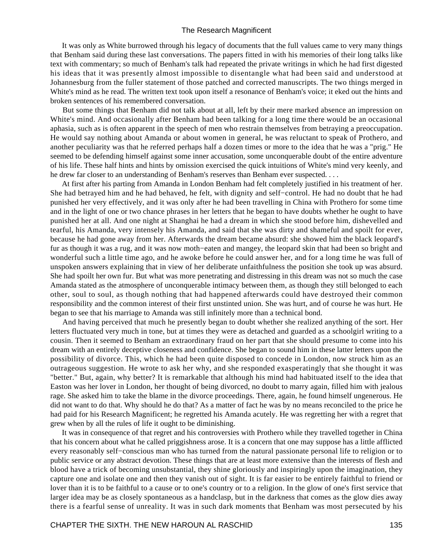It was only as White burrowed through his legacy of documents that the full values came to very many things that Benham said during these last conversations. The papers fitted in with his memories of their long talks like text with commentary; so much of Benham's talk had repeated the private writings in which he had first digested his ideas that it was presently almost impossible to disentangle what had been said and understood at Johannesburg from the fuller statement of those patched and corrected manuscripts. The two things merged in White's mind as he read. The written text took upon itself a resonance of Benham's voice; it eked out the hints and broken sentences of his remembered conversation.

 But some things that Benham did not talk about at all, left by their mere marked absence an impression on White's mind. And occasionally after Benham had been talking for a long time there would be an occasional aphasia, such as is often apparent in the speech of men who restrain themselves from betraying a preoccupation. He would say nothing about Amanda or about women in general, he was reluctant to speak of Prothero, and another peculiarity was that he referred perhaps half a dozen times or more to the idea that he was a "prig." He seemed to be defending himself against some inner accusation, some unconquerable doubt of the entire adventure of his life. These half hints and hints by omission exercised the quick intuitions of White's mind very keenly, and he drew far closer to an understanding of Benham's reserves than Benham ever suspected. . . .

 At first after his parting from Amanda in London Benham had felt completely justified in his treatment of her. She had betrayed him and he had behaved, he felt, with dignity and self−control. He had no doubt that he had punished her very effectively, and it was only after he had been travelling in China with Prothero for some time and in the light of one or two chance phrases in her letters that he began to have doubts whether he ought to have punished her at all. And one night at Shanghai he had a dream in which she stood before him, dishevelled and tearful, his Amanda, very intensely his Amanda, and said that she was dirty and shameful and spoilt for ever, because he had gone away from her. Afterwards the dream became absurd: she showed him the black leopard's fur as though it was a rug, and it was now moth−eaten and mangey, the leopard skin that had been so bright and wonderful such a little time ago, and he awoke before he could answer her, and for a long time he was full of unspoken answers explaining that in view of her deliberate unfaithfulness the position she took up was absurd. She had spoilt her own fur. But what was more penetrating and distressing in this dream was not so much the case Amanda stated as the atmosphere of unconquerable intimacy between them, as though they still belonged to each other, soul to soul, as though nothing that had happened afterwards could have destroyed their common responsibility and the common interest of their first unstinted union. She was hurt, and of course he was hurt. He began to see that his marriage to Amanda was still infinitely more than a technical bond.

 And having perceived that much he presently began to doubt whether she realized anything of the sort. Her letters fluctuated very much in tone, but at times they were as detached and guarded as a schoolgirl writing to a cousin. Then it seemed to Benham an extraordinary fraud on her part that she should presume to come into his dream with an entirely deceptive closeness and confidence. She began to sound him in these latter letters upon the possibility of divorce. This, which he had been quite disposed to concede in London, now struck him as an outrageous suggestion. He wrote to ask her why, and she responded exasperatingly that she thought it was "better." But, again, why better? It is remarkable that although his mind had habituated itself to the idea that Easton was her lover in London, her thought of being divorced, no doubt to marry again, filled him with jealous rage. She asked him to take the blame in the divorce proceedings. There, again, he found himself ungenerous. He did not want to do that. Why should he do that? As a matter of fact he was by no means reconciled to the price he had paid for his Research Magnificent; he regretted his Amanda acutely. He was regretting her with a regret that grew when by all the rules of life it ought to be diminishing.

 It was in consequence of that regret and his controversies with Prothero while they travelled together in China that his concern about what he called priggishness arose. It is a concern that one may suppose has a little afflicted every reasonably self−conscious man who has turned from the natural passionate personal life to religion or to public service or any abstract devotion. These things that are at least more extensive than the interests of flesh and blood have a trick of becoming unsubstantial, they shine gloriously and inspiringly upon the imagination, they capture one and isolate one and then they vanish out of sight. It is far easier to be entirely faithful to friend or lover than it is to be faithful to a cause or to one's country or to a religion. In the glow of one's first service that larger idea may be as closely spontaneous as a handclasp, but in the darkness that comes as the glow dies away there is a fearful sense of unreality. It was in such dark moments that Benham was most persecuted by his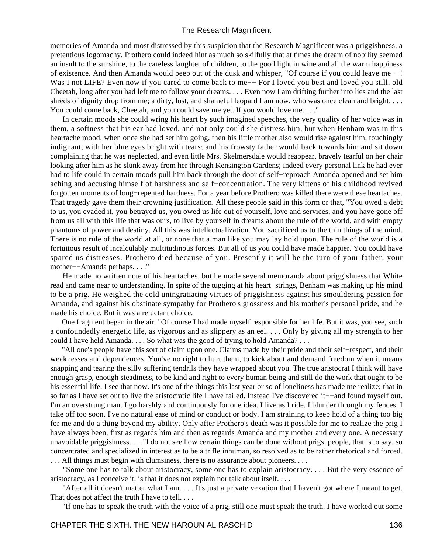memories of Amanda and most distressed by this suspicion that the Research Magnificent was a priggishness, a pretentious logomachy. Prothero could indeed hint as much so skilfully that at times the dream of nobility seemed an insult to the sunshine, to the careless laughter of children, to the good light in wine and all the warm happiness of existence. And then Amanda would peep out of the dusk and whisper, "Of course if you could leave me−−! Was I not LIFE? Even now if you cared to come back to me−− For I loved you best and loved you still, old Cheetah, long after you had left me to follow your dreams. . . . Even now I am drifting further into lies and the last shreds of dignity drop from me; a dirty, lost, and shameful leopard I am now, who was once clean and bright. . . . You could come back, Cheetah, and you could save me yet. If you would love me. . . ."

 In certain moods she could wring his heart by such imagined speeches, the very quality of her voice was in them, a softness that his ear had loved, and not only could she distress him, but when Benham was in this heartache mood, when once she had set him going, then his little mother also would rise against him, touchingly indignant, with her blue eyes bright with tears; and his frowsty father would back towards him and sit down complaining that he was neglected, and even little Mrs. Skelmersdale would reappear, bravely tearful on her chair looking after him as he slunk away from her through Kensington Gardens; indeed every personal link he had ever had to life could in certain moods pull him back through the door of self−reproach Amanda opened and set him aching and accusing himself of harshness and self−concentration. The very kittens of his childhood revived forgotten moments of long−repented hardness. For a year before Prothero was killed there were these heartaches. That tragedy gave them their crowning justification. All these people said in this form or that, "You owed a debt to us, you evaded it, you betrayed us, you owed us life out of yourself, love and services, and you have gone off from us all with this life that was ours, to live by yourself in dreams about the rule of the world, and with empty phantoms of power and destiny. All this was intellectualization. You sacrificed us to the thin things of the mind. There is no rule of the world at all, or none that a man like you may lay hold upon. The rule of the world is a fortuitous result of incalculably multitudinous forces. But all of us you could have made happier. You could have spared us distresses. Prothero died because of you. Presently it will be the turn of your father, your mother−−Amanda perhaps. . . ."

 He made no written note of his heartaches, but he made several memoranda about priggishness that White read and came near to understanding. In spite of the tugging at his heart−strings, Benham was making up his mind to be a prig. He weighed the cold uningratiating virtues of priggishness against his smouldering passion for Amanda, and against his obstinate sympathy for Prothero's grossness and his mother's personal pride, and he made his choice. But it was a reluctant choice.

 One fragment began in the air. "Of course I had made myself responsible for her life. But it was, you see, such a confoundedly energetic life, as vigorous and as slippery as an eel. . . . Only by giving all my strength to her could I have held Amanda. . . . So what was the good of trying to hold Amanda? . . .

 "All one's people have this sort of claim upon one. Claims made by their pride and their self−respect, and their weaknesses and dependences. You've no right to hurt them, to kick about and demand freedom when it means snapping and tearing the silly suffering tendrils they have wrapped about you. The true aristocrat I think will have enough grasp, enough steadiness, to be kind and right to every human being and still do the work that ought to be his essential life. I see that now. It's one of the things this last year or so of loneliness has made me realize; that in so far as I have set out to live the aristocratic life I have failed. Instead I've discovered it−−and found myself out. I'm an overstrung man. I go harshly and continuously for one idea. I live as I ride. I blunder through my fences, I take off too soon. I've no natural ease of mind or conduct or body. I am straining to keep hold of a thing too big for me and do a thing beyond my ability. Only after Prothero's death was it possible for me to realize the prig I have always been, first as regards him and then as regards Amanda and my mother and every one. A necessary unavoidable priggishness. . . ."I do not see how certain things can be done without prigs, people, that is to say, so concentrated and specialized in interest as to be a trifle inhuman, so resolved as to be rather rhetorical and forced. ... All things must begin with clumsiness, there is no assurance about pioneers....

 "Some one has to talk about aristocracy, some one has to explain aristocracy. . . . But the very essence of aristocracy, as I conceive it, is that it does not explain nor talk about itself. . . .

 "After all it doesn't matter what I am. . . . It's just a private vexation that I haven't got where I meant to get. That does not affect the truth I have to tell. . . .

"If one has to speak the truth with the voice of a prig, still one must speak the truth. I have worked out some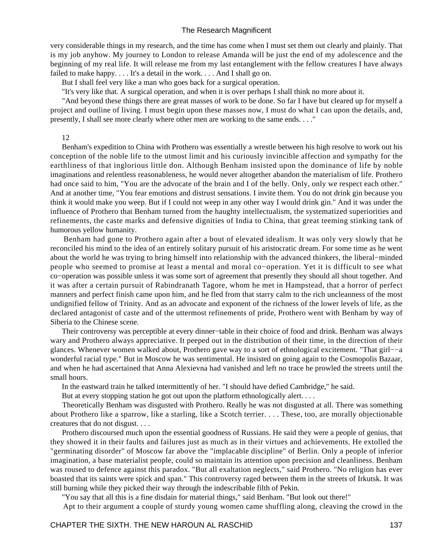very considerable things in my research, and the time has come when I must set them out clearly and plainly. That is my job anyhow. My journey to London to release Amanda will be just the end of my adolescence and the beginning of my real life. It will release me from my last entanglement with the fellow creatures I have always failed to make happy.  $\dots$  It's a detail in the work.  $\dots$  And I shall go on.

But I shall feel very like a man who goes back for a surgical operation.

"It's very like that. A surgical operation, and when it is over perhaps I shall think no more about it.

 "And beyond these things there are great masses of work to be done. So far I have but cleared up for myself a project and outline of living. I must begin upon these masses now, I must do what I can upon the details, and, presently, I shall see more clearly where other men are working to the same ends. . . ."

12

 Benham's expedition to China with Prothero was essentially a wrestle between his high resolve to work out his conception of the noble life to the utmost limit and his curiously invincible affection and sympathy for the earthliness of that inglorious little don. Although Benham insisted upon the dominance of life by noble imaginations and relentless reasonableness, he would never altogether abandon the materialism of life. Prothero had once said to him, "You are the advocate of the brain and I of the belly. Only, only we respect each other." And at another time, "You fear emotions and distrust sensations. I invite them. You do not drink gin because you think it would make you weep. But if I could not weep in any other way I would drink gin." And it was under the influence of Prothero that Benham turned from the haughty intellectualism, the systematized superiorities and refinements, the caste marks and defensive dignities of India to China, that great teeming stinking tank of humorous yellow humanity.

 Benham had gone to Prothero again after a bout of elevated idealism. It was only very slowly that he reconciled his mind to the idea of an entirely solitary pursuit of his aristocratic dream. For some time as he went about the world he was trying to bring himself into relationship with the advanced thinkers, the liberal−minded people who seemed to promise at least a mental and moral co−operation. Yet it is difficult to see what co−operation was possible unless it was some sort of agreement that presently they should all shout together. And it was after a certain pursuit of Rabindranath Tagore, whom he met in Hampstead, that a horror of perfect manners and perfect finish came upon him, and he fled from that starry calm to the rich uncleanness of the most undignified fellow of Trinity. And as an advocate and exponent of the richness of the lower levels of life, as the declared antagonist of caste and of the uttermost refinements of pride, Prothero went with Benham by way of Siberia to the Chinese scene.

 Their controversy was perceptible at every dinner−table in their choice of food and drink. Benham was always wary and Prothero always appreciative. It peeped out in the distribution of their time, in the direction of their glances. Whenever women walked about, Prothero gave way to a sort of ethnological excitement. "That girl−−a wonderful racial type." But in Moscow he was sentimental. He insisted on going again to the Cosmopolis Bazaar, and when he had ascertained that Anna Alexievna had vanished and left no trace he prowled the streets until the small hours.

In the eastward train he talked intermittently of her. "I should have defied Cambridge," he said.

But at every stopping station he got out upon the platform ethnologically alert....

 Theoretically Benham was disgusted with Prothero. Really he was not disgusted at all. There was something about Prothero like a sparrow, like a starling, like a Scotch terrier. . . . These, too, are morally objectionable creatures that do not disgust. . . .

 Prothero discoursed much upon the essential goodness of Russians. He said they were a people of genius, that they showed it in their faults and failures just as much as in their virtues and achievements. He extolled the "germinating disorder" of Moscow far above the "implacable discipline" of Berlin. Only a people of inferior imagination, a base materialist people, could so maintain its attention upon precision and cleanliness. Benham was roused to defence against this paradox. "But all exaltation neglects," said Prothero. "No religion has ever boasted that its saints were spick and span." This controversy raged between them in the streets of Irkutsk. It was still burning while they picked their way through the indescribable filth of Pekin.

"You say that all this is a fine disdain for material things," said Benham. "But look out there!"

Apt to their argument a couple of sturdy young women came shuffling along, cleaving the crowd in the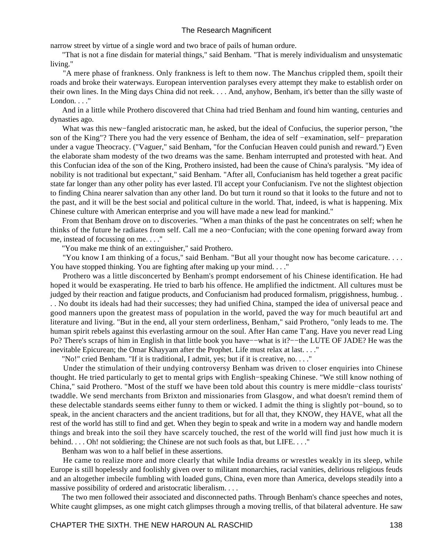narrow street by virtue of a single word and two brace of pails of human ordure.

 "That is not a fine disdain for material things," said Benham. "That is merely individualism and unsystematic living."

 "A mere phase of frankness. Only frankness is left to them now. The Manchus crippled them, spoilt their roads and broke their waterways. European intervention paralyses every attempt they make to establish order on their own lines. In the Ming days China did not reek. . . . And, anyhow, Benham, it's better than the silly waste of London. . . ."

 And in a little while Prothero discovered that China had tried Benham and found him wanting, centuries and dynasties ago.

 What was this new−fangled aristocratic man, he asked, but the ideal of Confucius, the superior person, "the son of the King"? There you had the very essence of Benham, the idea of self −examination, self− preparation under a vague Theocracy. ("Vaguer," said Benham, "for the Confucian Heaven could punish and reward.") Even the elaborate sham modesty of the two dreams was the same. Benham interrupted and protested with heat. And this Confucian idea of the son of the King, Prothero insisted, had been the cause of China's paralysis. "My idea of nobility is not traditional but expectant," said Benham. "After all, Confucianism has held together a great pacific state far longer than any other polity has ever lasted. I'll accept your Confucianism. I've not the slightest objection to finding China nearer salvation than any other land. Do but turn it round so that it looks to the future and not to the past, and it will be the best social and political culture in the world. That, indeed, is what is happening. Mix Chinese culture with American enterprise and you will have made a new lead for mankind."

 From that Benham drove on to discoveries. "When a man thinks of the past he concentrates on self; when he thinks of the future he radiates from self. Call me a neo−Confucian; with the cone opening forward away from me, instead of focussing on me. . . ."

"You make me think of an extinguisher," said Prothero.

 "You know I am thinking of a focus," said Benham. "But all your thought now has become caricature. . . . You have stopped thinking. You are fighting after making up your mind. . . ."

 Prothero was a little disconcerted by Benham's prompt endorsement of his Chinese identification. He had hoped it would be exasperating. He tried to barb his offence. He amplified the indictment. All cultures must be judged by their reaction and fatigue products, and Confucianism had produced formalism, priggishness, humbug. . . . No doubt its ideals had had their successes; they had unified China, stamped the idea of universal peace and good manners upon the greatest mass of population in the world, paved the way for much beautiful art and literature and living. "But in the end, all your stern orderliness, Benham," said Prothero, "only leads to me. The human spirit rebels against this everlasting armour on the soul. After Han came T'ang. Have you never read Ling Po? There's scraps of him in English in that little book you have––what is it?–−the LUTE OF JADE? He was the inevitable Epicurean; the Omar Khayyam after the Prophet. Life must relax at last. . . ."

"No!" cried Benham. "If it is traditional, I admit, yes; but if it is creative, no. . . ."

 Under the stimulation of their undying controversy Benham was driven to closer enquiries into Chinese thought. He tried particularly to get to mental grips with English−speaking Chinese. "We still know nothing of China," said Prothero. "Most of the stuff we have been told about this country is mere middle−class tourists' twaddle. We send merchants from Brixton and missionaries from Glasgow, and what doesn't remind them of these delectable standards seems either funny to them or wicked. I admit the thing is slightly pot−bound, so to speak, in the ancient characters and the ancient traditions, but for all that, they KNOW, they HAVE, what all the rest of the world has still to find and get. When they begin to speak and write in a modern way and handle modern things and break into the soil they have scarcely touched, the rest of the world will find just how much it is behind. . . . Oh! not soldiering; the Chinese are not such fools as that, but LIFE. . . . "

Benham was won to a half belief in these assertions.

 He came to realize more and more clearly that while India dreams or wrestles weakly in its sleep, while Europe is still hopelessly and foolishly given over to militant monarchies, racial vanities, delirious religious feuds and an altogether imbecile fumbling with loaded guns, China, even more than America, develops steadily into a massive possibility of ordered and aristocratic liberalism. . . .

 The two men followed their associated and disconnected paths. Through Benham's chance speeches and notes, White caught glimpses, as one might catch glimpses through a moving trellis, of that bilateral adventure. He saw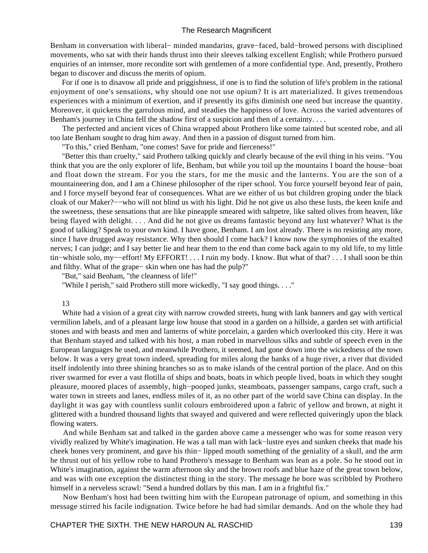Benham in conversation with liberal− minded mandarins, grave−faced, bald−browed persons with disciplined movements, who sat with their hands thrust into their sleeves talking excellent English; while Prothero pursued enquiries of an intenser, more recondite sort with gentlemen of a more confidential type. And, presently, Prothero began to discover and discuss the merits of opium.

 For if one is to disavow all pride and priggishness, if one is to find the solution of life's problem in the rational enjoyment of one's sensations, why should one not use opium? It is art materialized. It gives tremendous experiences with a minimum of exertion, and if presently its gifts diminish one need but increase the quantity. Moreover, it quickens the garrulous mind, and steadies the happiness of love. Across the varied adventures of Benham's journey in China fell the shadow first of a suspicion and then of a certainty....

 The perfected and ancient vices of China wrapped about Prothero like some tainted but scented robe, and all too late Benham sought to drag him away. And then in a passion of disgust turned from him.

"To this," cried Benham, "one comes! Save for pride and fierceness!"

 "Better this than cruelty," said Prothero talking quickly and clearly because of the evil thing in his veins. "You think that you are the only explorer of life, Benham, but while you toil up the mountains I board the house−boat and float down the stream. For you the stars, for me the music and the lanterns. You are the son of a mountaineering don, and I am a Chinese philosopher of the riper school. You force yourself beyond fear of pain, and I force myself beyond fear of consequences. What are we either of us but children groping under the black cloak of our Maker?−−who will not blind us with his light. Did he not give us also these lusts, the keen knife and the sweetness, these sensations that are like pineapple smeared with saltpetre, like salted olives from heaven, like being flayed with delight. . . . And did he not give us dreams fantastic beyond any lust whatever? What is the good of talking? Speak to your own kind. I have gone, Benham. I am lost already. There is no resisting any more, since I have drugged away resistance. Why then should I come back? I know now the symphonies of the exalted nerves; I can judge; and I say better lie and hear them to the end than come back again to my old life, to my little tin−whistle solo, my−−effort! My EFFORT! . . . I ruin my body. I know. But what of that? . . . I shall soon be thin and filthy. What of the grape− skin when one has had the pulp?"

"But," said Benham, "the cleanness of life!"

"While I perish," said Prothero still more wickedly, "I say good things. . . ."

#### 13

 White had a vision of a great city with narrow crowded streets, hung with lank banners and gay with vertical vermilion labels, and of a pleasant large low house that stood in a garden on a hillside, a garden set with artificial stones and with beasts and men and lanterns of white porcelain, a garden which overlooked this city. Here it was that Benham stayed and talked with his host, a man robed in marvellous silks and subtle of speech even in the European languages he used, and meanwhile Prothero, it seemed, had gone down into the wickedness of the town below. It was a very great town indeed, spreading for miles along the banks of a huge river, a river that divided itself indolently into three shining branches so as to make islands of the central portion of the place. And on this river swarmed for ever a vast flotilla of ships and boats, boats in which people lived, boats in which they sought pleasure, moored places of assembly, high−pooped junks, steamboats, passenger sampans, cargo craft, such a water town in streets and lanes, endless miles of it, as no other part of the world save China can display. In the daylight it was gay with countless sunlit colours embroidered upon a fabric of yellow and brown, at night it glittered with a hundred thousand lights that swayed and quivered and were reflected quiveringly upon the black flowing waters.

 And while Benham sat and talked in the garden above came a messenger who was for some reason very vividly realized by White's imagination. He was a tall man with lack−lustre eyes and sunken cheeks that made his cheek bones very prominent, and gave his thin− lipped mouth something of the geniality of a skull, and the arm he thrust out of his yellow robe to hand Prothero's message to Benham was lean as a pole. So he stood out in White's imagination, against the warm afternoon sky and the brown roofs and blue haze of the great town below, and was with one exception the distinctest thing in the story. The message he bore was scribbled by Prothero himself in a nerveless scrawl: "Send a hundred dollars by this man. I am in a frightful fix."

 Now Benham's host had been twitting him with the European patronage of opium, and something in this message stirred his facile indignation. Twice before he had had similar demands. And on the whole they had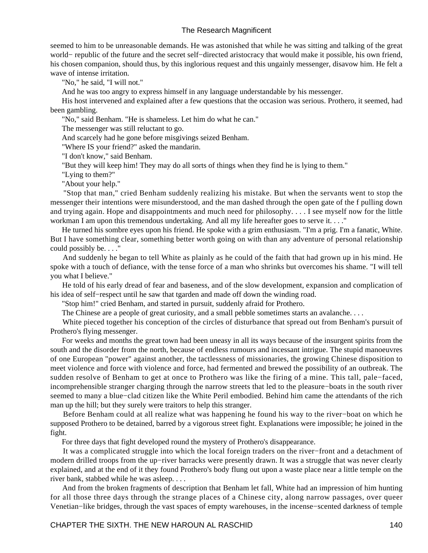seemed to him to be unreasonable demands. He was astonished that while he was sitting and talking of the great world− republic of the future and the secret self−directed aristocracy that would make it possible, his own friend, his chosen companion, should thus, by this inglorious request and this ungainly messenger, disavow him. He felt a wave of intense irritation.

"No," he said, "I will not."

And he was too angry to express himself in any language understandable by his messenger.

 His host intervened and explained after a few questions that the occasion was serious. Prothero, it seemed, had been gambling.

"No," said Benham. "He is shameless. Let him do what he can."

The messenger was still reluctant to go.

And scarcely had he gone before misgivings seized Benham.

"Where IS your friend?" asked the mandarin.

"I don't know," said Benham.

"But they will keep him! They may do all sorts of things when they find he is lying to them."

"Lying to them?"

"About your help."

 "Stop that man," cried Benham suddenly realizing his mistake. But when the servants went to stop the messenger their intentions were misunderstood, and the man dashed through the open gate of the f pulling down and trying again. Hope and disappointments and much need for philosophy. . . . I see myself now for the little workman I am upon this tremendous undertaking. And all my life hereafter goes to serve it. . . ."

 He turned his sombre eyes upon his friend. He spoke with a grim enthusiasm. "I'm a prig. I'm a fanatic, White. But I have something clear, something better worth going on with than any adventure of personal relationship could possibly be. . . ."

 And suddenly he began to tell White as plainly as he could of the faith that had grown up in his mind. He spoke with a touch of defiance, with the tense force of a man who shrinks but overcomes his shame. "I will tell you what I believe."

 He told of his early dread of fear and baseness, and of the slow development, expansion and complication of his idea of self−respect until he saw that tgarden and made off down the winding road.

"Stop him!" cried Benham, and started in pursuit, suddenly afraid for Prothero.

The Chinese are a people of great curiosity, and a small pebble sometimes starts an avalanche. . . .

 White pieced together his conception of the circles of disturbance that spread out from Benham's pursuit of Prothero's flying messenger.

 For weeks and months the great town had been uneasy in all its ways because of the insurgent spirits from the south and the disorder from the north, because of endless rumours and incessant intrigue. The stupid manoeuvres of one European "power" against another, the tactlessness of missionaries, the growing Chinese disposition to meet violence and force with violence and force, had fermented and brewed the possibility of an outbreak. The sudden resolve of Benham to get at once to Prothero was like the firing of a mine. This tall, pale−faced, incomprehensible stranger charging through the narrow streets that led to the pleasure−boats in the south river seemed to many a blue−clad citizen like the White Peril embodied. Behind him came the attendants of the rich man up the hill; but they surely were traitors to help this stranger.

 Before Benham could at all realize what was happening he found his way to the river−boat on which he supposed Prothero to be detained, barred by a vigorous street fight. Explanations were impossible; he joined in the fight.

For three days that fight developed round the mystery of Prothero's disappearance.

 It was a complicated struggle into which the local foreign traders on the river−front and a detachment of modern drilled troops from the up−river barracks were presently drawn. It was a struggle that was never clearly explained, and at the end of it they found Prothero's body flung out upon a waste place near a little temple on the river bank, stabbed while he was asleep. . . .

 And from the broken fragments of description that Benham let fall, White had an impression of him hunting for all those three days through the strange places of a Chinese city, along narrow passages, over queer Venetian−like bridges, through the vast spaces of empty warehouses, in the incense−scented darkness of temple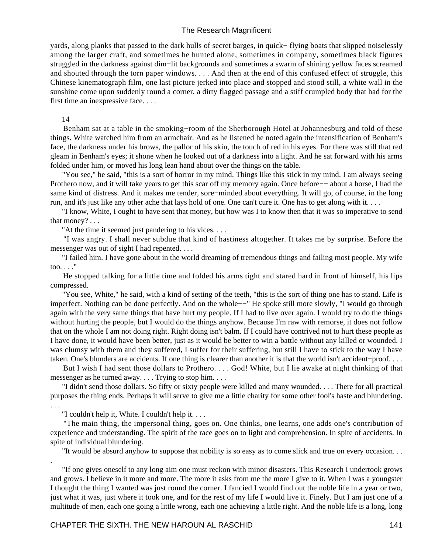yards, along planks that passed to the dark hulls of secret barges, in quick− flying boats that slipped noiselessly among the larger craft, and sometimes he hunted alone, sometimes in company, sometimes black figures struggled in the darkness against dim−lit backgrounds and sometimes a swarm of shining yellow faces screamed and shouted through the torn paper windows. . . . And then at the end of this confused effect of struggle, this Chinese kinematograph film, one last picture jerked into place and stopped and stood still, a white wall in the sunshine come upon suddenly round a corner, a dirty flagged passage and a stiff crumpled body that had for the first time an inexpressive face. . . .

14

.

 Benham sat at a table in the smoking−room of the Sherborough Hotel at Johannesburg and told of these things. White watched him from an armchair. And as he listened he noted again the intensification of Benham's face, the darkness under his brows, the pallor of his skin, the touch of red in his eyes. For there was still that red gleam in Benham's eyes; it shone when he looked out of a darkness into a light. And he sat forward with his arms folded under him, or moved his long lean hand about over the things on the table.

 "You see," he said, "this is a sort of horror in my mind. Things like this stick in my mind. I am always seeing Prothero now, and it will take years to get this scar off my memory again. Once before−− about a horse, I had the same kind of distress. And it makes me tender, sore−minded about everything. It will go, of course, in the long run, and it's just like any other ache that lays hold of one. One can't cure it. One has to get along with it. . . .

 "I know, White, I ought to have sent that money, but how was I to know then that it was so imperative to send that money? . . .

"At the time it seemed just pandering to his vices. . . .

 "I was angry. I shall never subdue that kind of hastiness altogether. It takes me by surprise. Before the messenger was out of sight I had repented. . . .

 "I failed him. I have gone about in the world dreaming of tremendous things and failing most people. My wife too. . . ."

 He stopped talking for a little time and folded his arms tight and stared hard in front of himself, his lips compressed.

 "You see, White," he said, with a kind of setting of the teeth, "this is the sort of thing one has to stand. Life is imperfect. Nothing can be done perfectly. And on the whole−−" He spoke still more slowly, "I would go through again with the very same things that have hurt my people. If I had to live over again. I would try to do the things without hurting the people, but I would do the things anyhow. Because I'm raw with remorse, it does not follow that on the whole I am not doing right. Right doing isn't balm. If I could have contrived not to hurt these people as I have done, it would have been better, just as it would be better to win a battle without any killed or wounded. I was clumsy with them and they suffered, I suffer for their suffering, but still I have to stick to the way I have taken. One's blunders are accidents. If one thing is clearer than another it is that the world isn't accident−proof. . . .

 But I wish I had sent those dollars to Prothero. . . . God! White, but I lie awake at night thinking of that messenger as he turned away. . . . Trying to stop him. . . .

 "I didn't send those dollars. So fifty or sixty people were killed and many wounded. . . . There for all practical purposes the thing ends. Perhaps it will serve to give me a little charity for some other fool's haste and blundering. . . .

"I couldn't help it, White. I couldn't help it. . . .

 "The main thing, the impersonal thing, goes on. One thinks, one learns, one adds one's contribution of experience and understanding. The spirit of the race goes on to light and comprehension. In spite of accidents. In spite of individual blundering.

"It would be absurd anyhow to suppose that nobility is so easy as to come slick and true on every occasion. . .

 "If one gives oneself to any long aim one must reckon with minor disasters. This Research I undertook grows and grows. I believe in it more and more. The more it asks from me the more I give to it. When I was a youngster I thought the thing I wanted was just round the corner. I fancied I would find out the noble life in a year or two, just what it was, just where it took one, and for the rest of my life I would live it. Finely. But I am just one of a multitude of men, each one going a little wrong, each one achieving a little right. And the noble life is a long, long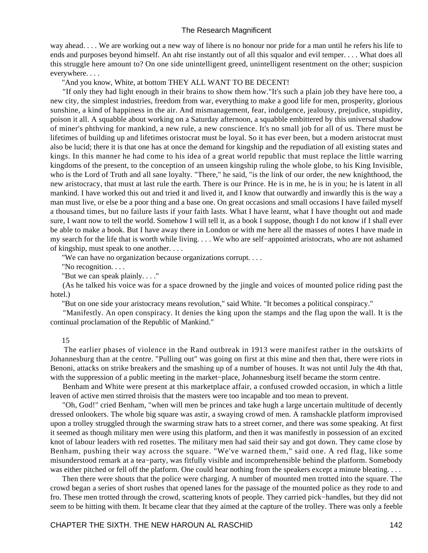way ahead. . . . We are working out a new way of lihere is no honour nor pride for a man until he refers his life to ends and purposes beyond himself. An aht rise instantly out of all this squalor and evil temper. . . . What does all this struggle here amount to? On one side unintelligent greed, unintelligent resentment on the other; suspicion everywhere. . . .

"And you know, White, at bottom THEY ALL WANT TO BE DECENT!

 "If only they had light enough in their brains to show them how."It's such a plain job they have here too, a new city, the simplest industries, freedom from war, everything to make a good life for men, prosperity, glorious sunshine, a kind of happiness in the air. And mismanagement, fear, indulgence, jealousy, prejudice, stupidity, poison it all. A squabble about working on a Saturday afternoon, a squabble embittered by this universal shadow of miner's phthving for mankind, a new rule, a new conscience. It's no small job for all of us. There must be lifetimes of building up and lifetimes oristocrat must be loyal. So it has ever been, but a modern aristocrat must also be lucid; there it is that one has at once the demand for kingship and the repudiation of all existing states and kings. In this manner he had come to his idea of a great world republic that must replace the little warring kingdoms of the present, to the conception of an unseen kingship ruling the whole globe, to his King Invisible, who is the Lord of Truth and all sane loyalty. "There," he said, "is the link of our order, the new knighthood, the new aristocracy, that must at last rule the earth. There is our Prince. He is in me, he is in you; he is latent in all mankind. I have worked this out and tried it and lived it, and I know that outwardly and inwardly this is the way a man must live, or else be a poor thing and a base one. On great occasions and small occasions I have failed myself a thousand times, but no failure lasts if your faith lasts. What I have learnt, what I have thought out and made sure, I want now to tell the world. Somehow I will tell it, as a book I suppose, though I do not know if I shall ever be able to make a book. But I have away there in London or with me here all the masses of notes I have made in my search for the life that is worth while living. . . . We who are self−appointed aristocrats, who are not ashamed of kingship, must speak to one another. . . .

"We can have no organization because organizations corrupt. . . .

"No recognition. . . .

"But we can speak plainly. . . ."

 (As he talked his voice was for a space drowned by the jingle and voices of mounted police riding past the hotel.)

"But on one side your aristocracy means revolution," said White. "It becomes a political conspiracy."

 "Manifestly. An open conspiracy. It denies the king upon the stamps and the flag upon the wall. It is the continual proclamation of the Republic of Mankind."

#### 15

 The earlier phases of violence in the Rand outbreak in 1913 were manifest rather in the outskirts of Johannesburg than at the centre. "Pulling out" was going on first at this mine and then that, there were riots in Benoni, attacks on strike breakers and the smashing up of a number of houses. It was not until July the 4th that, with the suppression of a public meeting in the market−place, Johannesburg itself became the storm centre.

 Benham and White were present at this marketplace affair, a confused crowded occasion, in which a little leaven of active men stirred throisis that the masters were too incapable and too mean to prevent.

 "Oh, God!" cried Benham, "when will men be princes and take hugh a large uncertain multitude of decently dressed onlookers. The whole big square was astir, a swaying crowd of men. A ramshackle platform improvised upon a trolley struggled through the swarming straw hats to a street corner, and there was some speaking. At first it seemed as though military men were using this platform, and then it was manifestly in possession of an excited knot of labour leaders with red rosettes. The military men had said their say and got down. They came close by Benham, pushing their way across the square. "We've warned them," said one. A red flag, like some misunderstood remark at a tea−party, was fitfully visible and incomprehensible behind the platform. Somebody was either pitched or fell off the platform. One could hear nothing from the speakers except a minute bleating. . . .

 Then there were shouts that the police were charging. A number of mounted men trotted into the square. The crowd began a series of short rushes that opened lanes for the passage of the mounted police as they rode to and fro. These men trotted through the crowd, scattering knots of people. They carried pick−handles, but they did not seem to be hitting with them. It became clear that they aimed at the capture of the trolley. There was only a feeble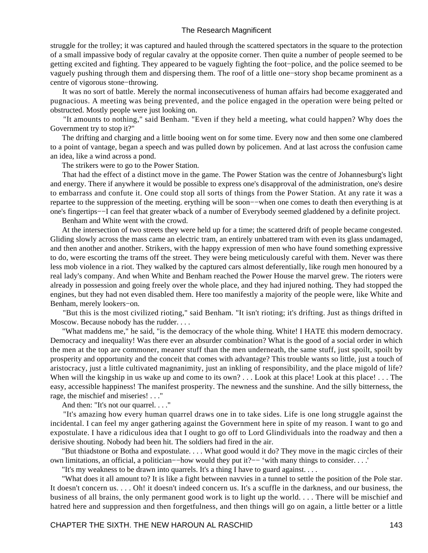struggle for the trolley; it was captured and hauled through the scattered spectators in the square to the protection of a small impassive body of regular cavalry at the opposite corner. Then quite a number of people seemed to be getting excited and fighting. They appeared to be vaguely fighting the foot−police, and the police seemed to be vaguely pushing through them and dispersing them. The roof of a little one−story shop became prominent as a centre of vigorous stone−throwing.

 It was no sort of battle. Merely the normal inconsecutiveness of human affairs had become exaggerated and pugnacious. A meeting was being prevented, and the police engaged in the operation were being pelted or obstructed. Mostly people were just looking on.

 "It amounts to nothing," said Benham. "Even if they held a meeting, what could happen? Why does the Government try to stop it?"

 The drifting and charging and a little booing went on for some time. Every now and then some one clambered to a point of vantage, began a speech and was pulled down by policemen. And at last across the confusion came an idea, like a wind across a pond.

The strikers were to go to the Power Station.

 That had the effect of a distinct move in the game. The Power Station was the centre of Johannesburg's light and energy. There if anywhere it would be possible to express one's disapproval of the administration, one's desire to embarrass and confute it. One could stop all sorts of things from the Power Station. At any rate it was a repartee to the suppression of the meeting. erything will be soon−−when one comes to death then everything is at one's fingertips−−I can feel that greater wback of a number of Everybody seemed gladdened by a definite project.

Benham and White went with the crowd.

 At the intersection of two streets they were held up for a time; the scattered drift of people became congested. Gliding slowly across the mass came an electric tram, an entirely unbattered tram with even its glass undamaged, and then another and another. Strikers, with the happy expression of men who have found something expressive to do, were escorting the trams off the street. They were being meticulously careful with them. Never was there less mob violence in a riot. They walked by the captured cars almost deferentially, like rough men honoured by a real lady's company. And when White and Benham reached the Power House the marvel grew. The rioters were already in possession and going freely over the whole place, and they had injured nothing. They had stopped the engines, but they had not even disabled them. Here too manifestly a majority of the people were, like White and Benham, merely lookers−on.

 "But this is the most civilized rioting," said Benham. "It isn't rioting; it's drifting. Just as things drifted in Moscow. Because nobody has the rudder. . . .

 "What maddens me," he said, "is the democracy of the whole thing. White! I HATE this modern democracy. Democracy and inequality! Was there ever an absurder combination? What is the good of a social order in which the men at the top are commoner, meaner stuff than the men underneath, the same stuff, just spoilt, spoilt by prosperity and opportunity and the conceit that comes with advantage? This trouble wants so little, just a touch of aristocracy, just a little cultivated magnanimity, just an inkling of responsibility, and the place migold of life? When will the kingship in us wake up and come to its own? . . . Look at this place! Look at this place! . . . The easy, accessible happiness! The manifest prosperity. The newness and the sunshine. And the silly bitterness, the rage, the mischief and miseries! . . ."

And then: "It's not our quarrel. . . ."

 "It's amazing how every human quarrel draws one in to take sides. Life is one long struggle against the incidental. I can feel my anger gathering against the Government here in spite of my reason. I want to go and expostulate. I have a ridiculous idea that I ought to go off to Lord Glindividuals into the roadway and then a derisive shouting. Nobody had been hit. The soldiers had fired in the air.

 "But thiadstone or Botha and expostulate. . . . What good would it do? They move in the magic circles of their own limitations, an official, a politician−−how would they put it?−− 'with many things to consider. . . .'

"It's my weakness to be drawn into quarrels. It's a thing I have to guard against. . . .

 "What does it all amount to? It is like a fight between navvies in a tunnel to settle the position of the Pole star. It doesn't concern us. . . . Oh! it doesn't indeed concern us. It's a scuffle in the darkness, and our business, the business of all brains, the only permanent good work is to light up the world. . . . There will be mischief and hatred here and suppression and then forgetfulness, and then things will go on again, a little better or a little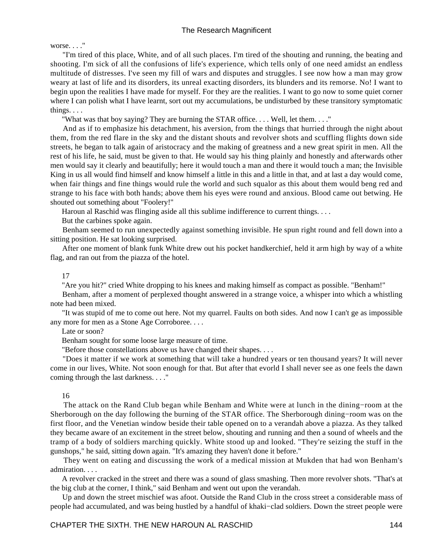#### worse. . . ."

 "I'm tired of this place, White, and of all such places. I'm tired of the shouting and running, the beating and shooting. I'm sick of all the confusions of life's experience, which tells only of one need amidst an endless multitude of distresses. I've seen my fill of wars and disputes and struggles. I see now how a man may grow weary at last of life and its disorders, its unreal exacting disorders, its blunders and its remorse. No! I want to begin upon the realities I have made for myself. For they are the realities. I want to go now to some quiet corner where I can polish what I have learnt, sort out my accumulations, be undisturbed by these transitory symptomatic things. . . .

"What was that boy saying? They are burning the STAR office. . . . Well, let them. . . ."

 And as if to emphasize his detachment, his aversion, from the things that hurried through the night about them, from the red flare in the sky and the distant shouts and revolver shots and scuffling flights down side streets, he began to talk again of aristocracy and the making of greatness and a new great spirit in men. All the rest of his life, he said, must be given to that. He would say his thing plainly and honestly and afterwards other men would say it clearly and beautifully; here it would touch a man and there it would touch a man; the Invisible King in us all would find himself and know himself a little in this and a little in that, and at last a day would come, when fair things and fine things would rule the world and such squalor as this about them would beng red and strange to his face with both hands; above them his eyes were round and anxious. Blood came out betwing. He shouted out something about "Foolery!"

Haroun al Raschid was flinging aside all this sublime indifference to current things. . . .

But the carbines spoke again.

 Benham seemed to run unexpectedly against something invisible. He spun right round and fell down into a sitting position. He sat looking surprised.

 After one moment of blank funk White drew out his pocket handkerchief, held it arm high by way of a white flag, and ran out from the piazza of the hotel.

#### 17

"Are you hit?" cried White dropping to his knees and making himself as compact as possible. "Benham!"

 Benham, after a moment of perplexed thought answered in a strange voice, a whisper into which a whistling note had been mixed.

 "It was stupid of me to come out here. Not my quarrel. Faults on both sides. And now I can't ge as impossible any more for men as a Stone Age Corroboree. . . .

Late or soon?

Benham sought for some loose large measure of time.

"Before those constellations above us have changed their shapes. . . .

 "Does it matter if we work at something that will take a hundred years or ten thousand years? It will never come in our lives, White. Not soon enough for that. But after that evorld I shall never see as one feels the dawn coming through the last darkness. . . ."

### 16

 The attack on the Rand Club began while Benham and White were at lunch in the dining−room at the Sherborough on the day following the burning of the STAR office. The Sherborough dining−room was on the first floor, and the Venetian window beside their table opened on to a verandah above a piazza. As they talked they became aware of an excitement in the street below, shouting and running and then a sound of wheels and the tramp of a body of soldiers marching quickly. White stood up and looked. "They're seizing the stuff in the gunshops," he said, sitting down again. "It's amazing they haven't done it before."

 They went on eating and discussing the work of a medical mission at Mukden that had won Benham's admiration. . . .

 A revolver cracked in the street and there was a sound of glass smashing. Then more revolver shots. "That's at the big club at the corner, I think," said Benham and went out upon the verandah.

 Up and down the street mischief was afoot. Outside the Rand Club in the cross street a considerable mass of people had accumulated, and was being hustled by a handful of khaki−clad soldiers. Down the street people were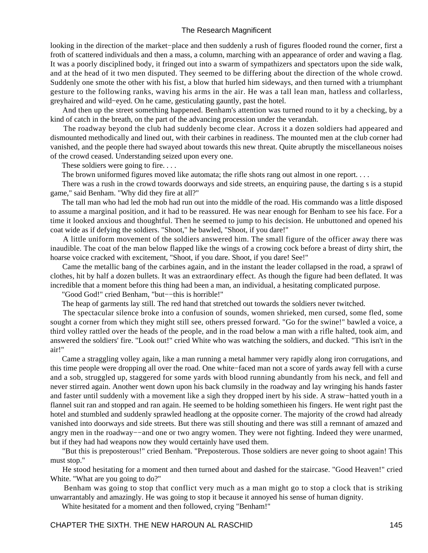looking in the direction of the market−place and then suddenly a rush of figures flooded round the corner, first a froth of scattered individuals and then a mass, a column, marching with an appearance of order and waving a flag. It was a poorly disciplined body, it fringed out into a swarm of sympathizers and spectators upon the side walk, and at the head of it two men disputed. They seemed to be differing about the direction of the whole crowd. Suddenly one smote the other with his fist, a blow that hurled him sideways, and then turned with a triumphant gesture to the following ranks, waving his arms in the air. He was a tall lean man, hatless and collarless, greyhaired and wild−eyed. On he came, gesticulating gauntly, past the hotel.

 And then up the street something happened. Benham's attention was turned round to it by a checking, by a kind of catch in the breath, on the part of the advancing procession under the verandah.

 The roadway beyond the club had suddenly become clear. Across it a dozen soldiers had appeared and dismounted methodically and lined out, with their carbines in readiness. The mounted men at the club corner had vanished, and the people there had swayed about towards this new threat. Quite abruptly the miscellaneous noises of the crowd ceased. Understanding seized upon every one.

These soldiers were going to fire....

The brown uniformed figures moved like automata; the rifle shots rang out almost in one report. . . .

 There was a rush in the crowd towards doorways and side streets, an enquiring pause, the darting s is a stupid game," said Benham. "Why did they fire at all?"

 The tall man who had led the mob had run out into the middle of the road. His commando was a little disposed to assume a marginal position, and it had to be reassured. He was near enough for Benham to see his face. For a time it looked anxious and thoughtful. Then he seemed to jump to his decision. He unbuttoned and opened his coat wide as if defying the soldiers. "Shoot," he bawled, "Shoot, if you dare!"

 A little uniform movement of the soldiers answered him. The small figure of the officer away there was inaudible. The coat of the man below flapped like the wings of a crowing cock before a breast of dirty shirt, the hoarse voice cracked with excitement, "Shoot, if you dare. Shoot, if you dare! See!"

 Came the metallic bang of the carbines again, and in the instant the leader collapsed in the road, a sprawl of clothes, hit by half a dozen bullets. It was an extraordinary effect. As though the figure had been deflated. It was incredible that a moment before this thing had been a man, an individual, a hesitating complicated purpose.

"Good God!" cried Benham, "but−−this is horrible!"

The heap of garments lay still. The red hand that stretched out towards the soldiers never twitched.

 The spectacular silence broke into a confusion of sounds, women shrieked, men cursed, some fled, some sought a corner from which they might still see, others pressed forward. "Go for the swine!" bawled a voice, a third volley rattled over the heads of the people, and in the road below a man with a rifle halted, took aim, and answered the soldiers' fire. "Look out!" cried White who was watching the soldiers, and ducked. "This isn't in the air!"

 Came a straggling volley again, like a man running a metal hammer very rapidly along iron corrugations, and this time people were dropping all over the road. One white−faced man not a score of yards away fell with a curse and a sob, struggled up, staggered for some yards with blood running abundantly from his neck, and fell and never stirred again. Another went down upon his back clumsily in the roadway and lay wringing his hands faster and faster until suddenly with a movement like a sigh they dropped inert by his side. A straw−hatted youth in a flannel suit ran and stopped and ran again. He seemed to be holding somethieen his fingers. He went right past the hotel and stumbled and suddenly sprawled headlong at the opposite corner. The majority of the crowd had already vanished into doorways and side streets. But there was still shouting and there was still a remnant of amazed and angry men in the roadway−−and one or two angry women. They were not fighting. Indeed they were unarmed, but if they had had weapons now they would certainly have used them.

 "But this is preposterous!" cried Benham. "Preposterous. Those soldiers are never going to shoot again! This must stop."

 He stood hesitating for a moment and then turned about and dashed for the staircase. "Good Heaven!" cried White. "What are you going to do?"

 Benham was going to stop that conflict very much as a man might go to stop a clock that is striking unwarrantably and amazingly. He was going to stop it because it annoyed his sense of human dignity.

White hesitated for a moment and then followed, crying "Benham!"